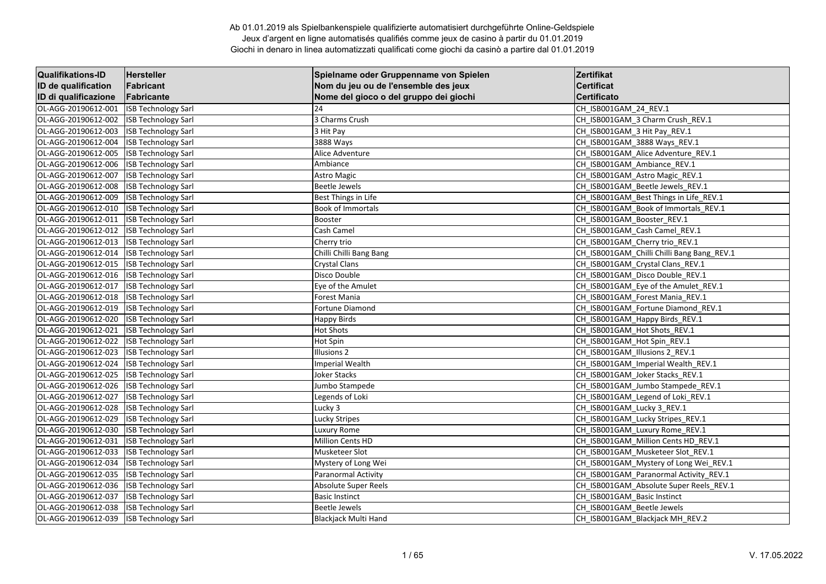| <b>Qualifikations-ID</b>   | Hersteller                 | Spielname oder Gruppenname von Spielen | Zertifikat                                 |
|----------------------------|----------------------------|----------------------------------------|--------------------------------------------|
| <b>ID de qualification</b> | Fabricant                  | Nom du jeu ou de l'ensemble des jeux   | <b>Certificat</b>                          |
| ID di qualificazione       | Fabricante                 | Nome del gioco o del gruppo dei giochi | <b>Certificato</b>                         |
| OL-AGG-20190612-001        | <b>ISB Technology Sarl</b> | 24                                     | CH ISB001GAM 24 REV.1                      |
| OL-AGG-20190612-002        | <b>ISB Technology Sarl</b> | 3 Charms Crush                         | CH_ISB001GAM_3 Charm Crush_REV.1           |
| OL-AGG-20190612-003        | <b>ISB Technology Sarl</b> | 3 Hit Pay                              | CH ISB001GAM 3 Hit Pay REV.1               |
| OL-AGG-20190612-004        | <b>ISB Technology Sarl</b> | 3888 Ways                              | CH_ISB001GAM_3888 Ways_REV.1               |
| OL-AGG-20190612-005        | <b>ISB Technology Sarl</b> | Alice Adventure                        | CH ISB001GAM Alice Adventure REV.1         |
| OL-AGG-20190612-006        | <b>ISB Technology Sarl</b> | Ambiance                               | CH_ISB001GAM_Ambiance_REV.1                |
| OL-AGG-20190612-007        | <b>ISB Technology Sarl</b> | <b>Astro Magic</b>                     | CH_ISB001GAM_Astro Magic_REV.1             |
| OL-AGG-20190612-008        | <b>ISB Technology Sarl</b> | <b>Beetle Jewels</b>                   | CH ISB001GAM Beetle Jewels REV.1           |
| OL-AGG-20190612-009        | <b>ISB Technology Sarl</b> | Best Things in Life                    | CH_ISB001GAM_Best Things in Life_REV.1     |
| OL-AGG-20190612-010        | <b>ISB Technology Sarl</b> | <b>Book of Immortals</b>               | CH_ISB001GAM_Book of Immortals_REV.1       |
| OL-AGG-20190612-011        | <b>ISB Technology Sarl</b> | Booster                                | CH_ISB001GAM_Booster_REV.1                 |
| OL-AGG-20190612-012        | <b>ISB Technology Sarl</b> | Cash Camel                             | CH ISB001GAM Cash Camel REV.1              |
| OL-AGG-20190612-013        | <b>ISB Technology Sarl</b> | Cherry trio                            | CH_ISB001GAM_Cherry trio_REV.1             |
| OL-AGG-20190612-014        | <b>ISB Technology Sarl</b> | Chilli Chilli Bang Bang                | CH_ISB001GAM_Chilli Chilli Bang Bang_REV.1 |
| OL-AGG-20190612-015        | <b>ISB Technology Sarl</b> | <b>Crystal Clans</b>                   | CH_ISB001GAM_Crystal Clans_REV.1           |
| OL-AGG-20190612-016        | <b>ISB Technology Sarl</b> | Disco Double                           | CH_ISB001GAM_Disco Double_REV.1            |
| OL-AGG-20190612-017        | <b>ISB Technology Sarl</b> | Eye of the Amulet                      | CH ISB001GAM Eye of the Amulet REV.1       |
| OL-AGG-20190612-018        | <b>ISB Technology Sarl</b> | Forest Mania                           | CH_ISB001GAM_Forest Mania_REV.1            |
| OL-AGG-20190612-019        | <b>ISB Technology Sarl</b> | Fortune Diamond                        | CH_ISB001GAM_Fortune Diamond_REV.1         |
| OL-AGG-20190612-020        | <b>ISB Technology Sarl</b> | <b>Happy Birds</b>                     | CH ISB001GAM Happy Birds REV.1             |
| OL-AGG-20190612-021        | <b>ISB Technology Sarl</b> | <b>Hot Shots</b>                       | CH_ISB001GAM_Hot Shots_REV.1               |
| OL-AGG-20190612-022        | <b>ISB Technology Sarl</b> | Hot Spin                               | CH_ISB001GAM_Hot Spin_REV.1                |
| OL-AGG-20190612-023        | <b>ISB Technology Sarl</b> | Illusions <sub>2</sub>                 | CH_ISB001GAM_Illusions 2_REV.1             |
| OL-AGG-20190612-024        | <b>ISB Technology Sarl</b> | <b>Imperial Wealth</b>                 | CH_ISB001GAM_Imperial Wealth_REV.1         |
| OL-AGG-20190612-025        | <b>ISB Technology Sarl</b> | Joker Stacks                           | CH_ISB001GAM_Joker Stacks_REV.1            |
| OL-AGG-20190612-026        | <b>ISB Technology Sarl</b> | Jumbo Stampede                         | CH ISB001GAM Jumbo Stampede REV.1          |
| OL-AGG-20190612-027        | <b>ISB Technology Sarl</b> | Legends of Loki                        | CH_ISB001GAM_Legend of Loki_REV.1          |
| OL-AGG-20190612-028        | <b>ISB Technology Sarl</b> | Lucky 3                                | CH ISB001GAM Lucky 3 REV.1                 |
| OL-AGG-20190612-029        | <b>ISB Technology Sarl</b> | Lucky Stripes                          | CH_ISB001GAM_Lucky Stripes_REV.1           |
| OL-AGG-20190612-030        | <b>ISB Technology Sarl</b> | Luxury Rome                            | CH ISB001GAM Luxury Rome REV.1             |
| OL-AGG-20190612-031        | <b>ISB Technology Sarl</b> | <b>Million Cents HD</b>                | CH_ISB001GAM_Million Cents HD_REV.1        |
| OL-AGG-20190612-033        | <b>ISB Technology Sarl</b> | Musketeer Slot                         | CH_ISB001GAM_Musketeer Slot_REV.1          |
| OL-AGG-20190612-034        | <b>ISB Technology Sarl</b> | Mystery of Long Wei                    | CH ISB001GAM Mystery of Long Wei REV.1     |
| OL-AGG-20190612-035        | <b>ISB Technology Sarl</b> | Paranormal Activity                    | CH_ISB001GAM_Paranormal Activity_REV.1     |
| OL-AGG-20190612-036        | <b>ISB Technology Sarl</b> | <b>Absolute Super Reels</b>            | CH_ISB001GAM_Absolute Super Reels_REV.1    |
| OL-AGG-20190612-037        | <b>ISB Technology Sarl</b> | <b>Basic Instinct</b>                  | CH_ISB001GAM_Basic Instinct                |
| OL-AGG-20190612-038        | <b>ISB Technology Sarl</b> | <b>Beetle Jewels</b>                   | CH_ISB001GAM_Beetle Jewels                 |
| OL-AGG-20190612-039        | <b>ISB Technology Sarl</b> | <b>Blackjack Multi Hand</b>            | CH ISB001GAM Blackjack MH REV.2            |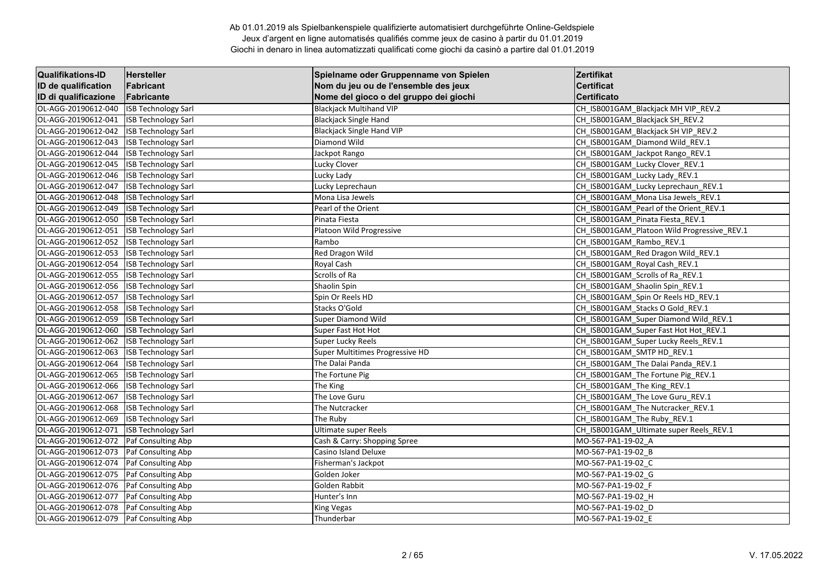| <b>Qualifikations-ID</b> | Hersteller                 | Spielname oder Gruppenname von Spielen | Zertifikat                                  |
|--------------------------|----------------------------|----------------------------------------|---------------------------------------------|
| ID de qualification      | Fabricant                  | Nom du jeu ou de l'ensemble des jeux   | <b>Certificat</b>                           |
| ID di qualificazione     | Fabricante                 | Nome del gioco o del gruppo dei giochi | <b>Certificato</b>                          |
| OL-AGG-20190612-040      | <b>ISB Technology Sarl</b> | <b>Blackjack Multihand VIP</b>         | CH_ISB001GAM_Blackjack MH VIP_REV.2         |
| OL-AGG-20190612-041      | <b>ISB Technology Sarl</b> | <b>Blackjack Single Hand</b>           | CH_ISB001GAM_Blackjack SH_REV.2             |
| OL-AGG-20190612-042      | <b>ISB Technology Sarl</b> | <b>Blackjack Single Hand VIP</b>       | CH_ISB001GAM_Blackjack SH VIP_REV.2         |
| OL-AGG-20190612-043      | <b>ISB Technology Sarl</b> | Diamond Wild                           | CH ISB001GAM Diamond Wild REV.1             |
| OL-AGG-20190612-044      | <b>ISB Technology Sarl</b> | Jackpot Rango                          | CH ISB001GAM Jackpot Rango REV.1            |
| OL-AGG-20190612-045      | <b>ISB Technology Sarl</b> | Lucky Clover                           | CH_ISB001GAM_Lucky Clover_REV.1             |
| OL-AGG-20190612-046      | <b>ISB Technology Sarl</b> | Lucky Lady                             | CH ISB001GAM Lucky Lady REV.1               |
| OL-AGG-20190612-047      | <b>ISB Technology Sarl</b> | Lucky Leprechaun                       | CH ISB001GAM Lucky Leprechaun REV.1         |
| OL-AGG-20190612-048      | <b>ISB Technology Sarl</b> | Mona Lisa Jewels                       | CH ISB001GAM Mona Lisa Jewels REV.1         |
| OL-AGG-20190612-049      | <b>ISB Technology Sarl</b> | Pearl of the Orient                    | CH ISB001GAM Pearl of the Orient REV.1      |
| OL-AGG-20190612-050      | <b>ISB Technology Sarl</b> | Pinata Fiesta                          | CH_ISB001GAM_Pinata Fiesta_REV.1            |
| OL-AGG-20190612-051      | <b>ISB Technology Sarl</b> | Platoon Wild Progressive               | CH ISB001GAM Platoon Wild Progressive REV.1 |
| OL-AGG-20190612-052      | <b>ISB Technology Sarl</b> | Rambo                                  | CH ISB001GAM Rambo REV.1                    |
| OL-AGG-20190612-053      | <b>ISB Technology Sarl</b> | Red Dragon Wild                        | CH ISB001GAM Red Dragon Wild REV.1          |
| OL-AGG-20190612-054      | <b>ISB Technology Sarl</b> | Royal Cash                             | CH ISB001GAM Royal Cash REV.1               |
| OL-AGG-20190612-055      | <b>ISB Technology Sarl</b> | Scrolls of Ra                          | CH_ISB001GAM_Scrolls of Ra_REV.1            |
| OL-AGG-20190612-056      | <b>ISB Technology Sarl</b> | Shaolin Spin                           | CH_ISB001GAM_Shaolin Spin_REV.1             |
| OL-AGG-20190612-057      | <b>ISB Technology Sarl</b> | Spin Or Reels HD                       | CH_ISB001GAM_Spin Or Reels HD_REV.1         |
| OL-AGG-20190612-058      | <b>ISB Technology Sarl</b> | Stacks O'Gold                          | CH_ISB001GAM_Stacks O Gold_REV.1            |
| OL-AGG-20190612-059      | <b>ISB Technology Sarl</b> | <b>Super Diamond Wild</b>              | CH ISB001GAM Super Diamond Wild REV.1       |
| OL-AGG-20190612-060      | <b>ISB Technology Sarl</b> | Super Fast Hot Hot                     | CH_ISB001GAM_Super Fast Hot Hot_REV.1       |
| OL-AGG-20190612-062      | <b>ISB Technology Sarl</b> | Super Lucky Reels                      | CH_ISB001GAM_Super Lucky Reels_REV.1        |
| OL-AGG-20190612-063      | <b>ISB Technology Sarl</b> | Super Multitimes Progressive HD        | CH ISB001GAM SMTP HD REV.1                  |
| OL-AGG-20190612-064      | <b>ISB Technology Sarl</b> | The Dalai Panda                        | CH_ISB001GAM_The Dalai Panda_REV.1          |
| OL-AGG-20190612-065      | <b>ISB Technology Sarl</b> | The Fortune Pig                        | CH_ISB001GAM_The Fortune Pig_REV.1          |
| OL-AGG-20190612-066      | <b>ISB Technology Sarl</b> | The King                               | CH_ISB001GAM_The King_REV.1                 |
| OL-AGG-20190612-067      | <b>ISB Technology Sarl</b> | The Love Guru                          | CH_ISB001GAM_The Love Guru_REV.1            |
| OL-AGG-20190612-068      | <b>ISB Technology Sarl</b> | The Nutcracker                         | CH_ISB001GAM_The Nutcracker_REV.1           |
| OL-AGG-20190612-069      | <b>ISB Technology Sarl</b> | The Ruby                               | CH_ISB001GAM_The Ruby_REV.1                 |
| OL-AGG-20190612-071      | <b>ISB Technology Sarl</b> | <b>Ultimate super Reels</b>            | CH ISB001GAM Ultimate super Reels REV.1     |
| OL-AGG-20190612-072      | Paf Consulting Abp         | Cash & Carry: Shopping Spree           | MO-567-PA1-19-02 A                          |
| OL-AGG-20190612-073      | Paf Consulting Abp         | Casino Island Deluxe                   | MO-567-PA1-19-02 B                          |
| OL-AGG-20190612-074      | Paf Consulting Abp         | Fisherman's Jackpot                    | MO-567-PA1-19-02 C                          |
| OL-AGG-20190612-075      | Paf Consulting Abp         | Golden Joker                           | MO-567-PA1-19-02 G                          |
| OL-AGG-20190612-076      | Paf Consulting Abp         | Golden Rabbit                          | MO-567-PA1-19-02 F                          |
| OL-AGG-20190612-077      | Paf Consulting Abp         | Hunter's Inn                           | MO-567-PA1-19-02 H                          |
| OL-AGG-20190612-078      | <b>Paf Consulting Abp</b>  | King Vegas                             | MO-567-PA1-19-02_D                          |
| OL-AGG-20190612-079      | Paf Consulting Abp         | Thunderbar                             | MO-567-PA1-19-02 E                          |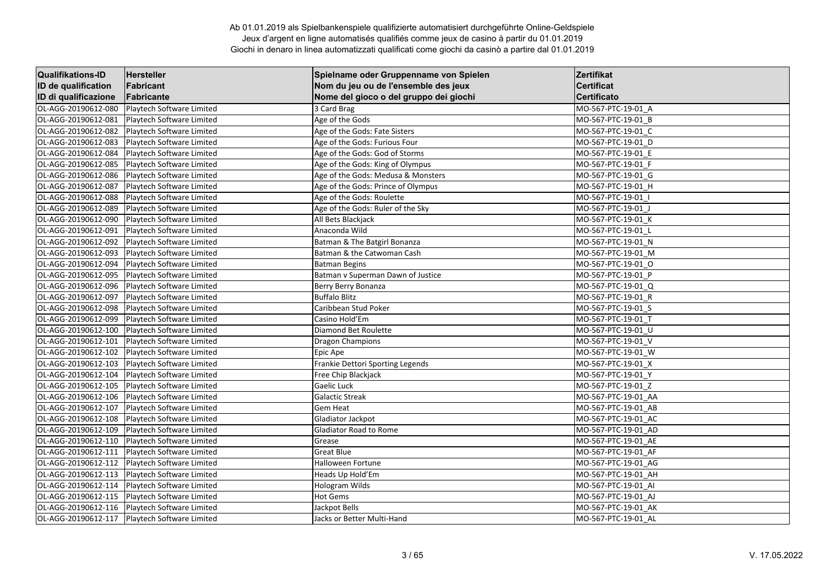| <b>Qualifikations-ID</b> | <b>Hersteller</b>         | Spielname oder Gruppenname von Spielen | Zertifikat          |
|--------------------------|---------------------------|----------------------------------------|---------------------|
| ID de qualification      | Fabricant                 | Nom du jeu ou de l'ensemble des jeux   | <b>Certificat</b>   |
| ID di qualificazione     | Fabricante                | Nome del gioco o del gruppo dei giochi | <b>Certificato</b>  |
| OL-AGG-20190612-080      | Playtech Software Limited | 3 Card Brag                            | MO-567-PTC-19-01 A  |
| OL-AGG-20190612-081      | Playtech Software Limited | Age of the Gods                        | MO-567-PTC-19-01 B  |
| OL-AGG-20190612-082      | Playtech Software Limited | Age of the Gods: Fate Sisters          | MO-567-PTC-19-01 C  |
| OL-AGG-20190612-083      | Playtech Software Limited | Age of the Gods: Furious Four          | MO-567-PTC-19-01 D  |
| OL-AGG-20190612-084      | Playtech Software Limited | Age of the Gods: God of Storms         | MO-567-PTC-19-01 E  |
| OL-AGG-20190612-085      | Playtech Software Limited | Age of the Gods: King of Olympus       | MO-567-PTC-19-01 F  |
| OL-AGG-20190612-086      | Playtech Software Limited | Age of the Gods: Medusa & Monsters     | MO-567-PTC-19-01 G  |
| OL-AGG-20190612-087      | Playtech Software Limited | Age of the Gods: Prince of Olympus     | MO-567-PTC-19-01 H  |
| OL-AGG-20190612-088      | Playtech Software Limited | Age of the Gods: Roulette              | MO-567-PTC-19-01_I  |
| OL-AGG-20190612-089      | Playtech Software Limited | Age of the Gods: Ruler of the Sky      | MO-567-PTC-19-01 J  |
| OL-AGG-20190612-090      | Playtech Software Limited | All Bets Blackjack                     | MO-567-PTC-19-01_K  |
| OL-AGG-20190612-091      | Playtech Software Limited | Anaconda Wild                          | MO-567-PTC-19-01 L  |
| OL-AGG-20190612-092      | Playtech Software Limited | Batman & The Batgirl Bonanza           | MO-567-PTC-19-01 N  |
| OL-AGG-20190612-093      | Playtech Software Limited | Batman & the Catwoman Cash             | MO-567-PTC-19-01 M  |
| OL-AGG-20190612-094      | Playtech Software Limited | <b>Batman Begins</b>                   | MO-567-PTC-19-01 O  |
| OL-AGG-20190612-095      | Playtech Software Limited | Batman v Superman Dawn of Justice      | MO-567-PTC-19-01 P  |
| OL-AGG-20190612-096      | Playtech Software Limited | Berry Berry Bonanza                    | MO-567-PTC-19-01 Q  |
| OL-AGG-20190612-097      | Playtech Software Limited | <b>Buffalo Blitz</b>                   | MO-567-PTC-19-01 R  |
| OL-AGG-20190612-098      | Playtech Software Limited | Caribbean Stud Poker                   | MO-567-PTC-19-01 S  |
| OL-AGG-20190612-099      | Playtech Software Limited | Casino Hold'Em                         | MO-567-PTC-19-01 T  |
| OL-AGG-20190612-100      | Playtech Software Limited | Diamond Bet Roulette                   | MO-567-PTC-19-01_U  |
| OL-AGG-20190612-101      | Playtech Software Limited | <b>Dragon Champions</b>                | MO-567-PTC-19-01_V  |
| OL-AGG-20190612-102      | Playtech Software Limited | Epic Ape                               | MO-567-PTC-19-01 W  |
| OL-AGG-20190612-103      | Playtech Software Limited | Frankie Dettori Sporting Legends       | MO-567-PTC-19-01 X  |
| OL-AGG-20190612-104      | Playtech Software Limited | Free Chip Blackjack                    | MO-567-PTC-19-01 Y  |
| OL-AGG-20190612-105      | Playtech Software Limited | Gaelic Luck                            | MO-567-PTC-19-01 Z  |
| OL-AGG-20190612-106      | Playtech Software Limited | <b>Galactic Streak</b>                 | MO-567-PTC-19-01 AA |
| OL-AGG-20190612-107      | Playtech Software Limited | <b>Gem Heat</b>                        | MO-567-PTC-19-01_AB |
| OL-AGG-20190612-108      | Playtech Software Limited | Gladiator Jackpot                      | MO-567-PTC-19-01 AC |
| OL-AGG-20190612-109      | Playtech Software Limited | Gladiator Road to Rome                 | MO-567-PTC-19-01 AD |
| OL-AGG-20190612-110      | Playtech Software Limited | Grease                                 | MO-567-PTC-19-01_AE |
| OL-AGG-20190612-111      | Playtech Software Limited | <b>Great Blue</b>                      | MO-567-PTC-19-01 AF |
| OL-AGG-20190612-112      | Playtech Software Limited | <b>Halloween Fortune</b>               | MO-567-PTC-19-01 AG |
| OL-AGG-20190612-113      | Playtech Software Limited | Heads Up Hold'Em                       | MO-567-PTC-19-01_AH |
| OL-AGG-20190612-114      | Playtech Software Limited | Hologram Wilds                         | MO-567-PTC-19-01_AI |
| OL-AGG-20190612-115      | Playtech Software Limited | <b>Hot Gems</b>                        | MO-567-PTC-19-01_AJ |
| OL-AGG-20190612-116      | Playtech Software Limited | Jackpot Bells                          | MO-567-PTC-19-01 AK |
| OL-AGG-20190612-117      | Playtech Software Limited | Jacks or Better Multi-Hand             | MO-567-PTC-19-01 AL |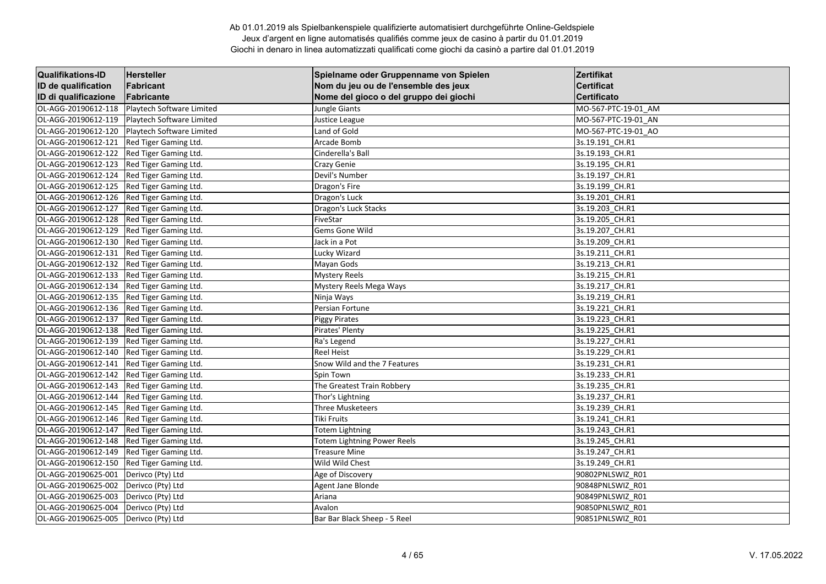| <b>Qualifikations-ID</b> | Hersteller                | Spielname oder Gruppenname von Spielen | Zertifikat          |
|--------------------------|---------------------------|----------------------------------------|---------------------|
| ID de qualification      | Fabricant                 | Nom du jeu ou de l'ensemble des jeux   | <b>Certificat</b>   |
| ID di qualificazione     | Fabricante                | Nome del gioco o del gruppo dei giochi | <b>Certificato</b>  |
| OL-AGG-20190612-118      | Playtech Software Limited | Jungle Giants                          | MO-567-PTC-19-01 AM |
| OL-AGG-20190612-119      | Playtech Software Limited | Justice League                         | MO-567-PTC-19-01 AN |
| OL-AGG-20190612-120      | Playtech Software Limited | Land of Gold                           | MO-567-PTC-19-01 AO |
| OL-AGG-20190612-121      | Red Tiger Gaming Ltd.     | Arcade Bomb                            | 3s.19.191 CH.R1     |
| OL-AGG-20190612-122      | Red Tiger Gaming Ltd.     | Cinderella's Ball                      | 3s.19.193 CH.R1     |
| OL-AGG-20190612-123      | Red Tiger Gaming Ltd.     | Crazy Genie                            | 3s.19.195_CH.R1     |
| OL-AGG-20190612-124      | Red Tiger Gaming Ltd.     | Devil's Number                         | 3s.19.197 CH.R1     |
| OL-AGG-20190612-125      | Red Tiger Gaming Ltd.     | Dragon's Fire                          | 3s.19.199 CH.R1     |
| OL-AGG-20190612-126      | Red Tiger Gaming Ltd.     | Dragon's Luck                          | 3s.19.201_CH.R1     |
| OL-AGG-20190612-127      | Red Tiger Gaming Ltd.     | Dragon's Luck Stacks                   | 3s.19.203_CH.R1     |
| OL-AGG-20190612-128      | Red Tiger Gaming Ltd.     | FiveStar                               | 3s.19.205_CH.R1     |
| OL-AGG-20190612-129      | Red Tiger Gaming Ltd.     | Gems Gone Wild                         | 3s.19.207_CH.R1     |
| OL-AGG-20190612-130      | Red Tiger Gaming Ltd.     | Jack in a Pot                          | 3s.19.209 CH.R1     |
| OL-AGG-20190612-131      | Red Tiger Gaming Ltd.     | Lucky Wizard                           | 3s.19.211 CH.R1     |
| OL-AGG-20190612-132      | Red Tiger Gaming Ltd.     | Mayan Gods                             | 3s.19.213 CH.R1     |
| OL-AGG-20190612-133      | Red Tiger Gaming Ltd.     | <b>Mystery Reels</b>                   | 3s.19.215_CH.R1     |
| OL-AGG-20190612-134      | Red Tiger Gaming Ltd.     | Mystery Reels Mega Ways                | 3s.19.217 CH.R1     |
| OL-AGG-20190612-135      | Red Tiger Gaming Ltd.     | Ninja Ways                             | 3s.19.219 CH.R1     |
| OL-AGG-20190612-136      | Red Tiger Gaming Ltd.     | Persian Fortune                        | 3s.19.221 CH.R1     |
| OL-AGG-20190612-137      | Red Tiger Gaming Ltd.     | <b>Piggy Pirates</b>                   | 3s.19.223_CH.R1     |
| OL-AGG-20190612-138      | Red Tiger Gaming Ltd.     | Pirates' Plenty                        | 3s.19.225_CH.R1     |
| OL-AGG-20190612-139      | Red Tiger Gaming Ltd.     | Ra's Legend                            | 3s.19.227 CH.R1     |
| OL-AGG-20190612-140      | Red Tiger Gaming Ltd.     | <b>Reel Heist</b>                      | 3s.19.229 CH.R1     |
| OL-AGG-20190612-141      | Red Tiger Gaming Ltd.     | Snow Wild and the 7 Features           | 3s.19.231 CH.R1     |
| OL-AGG-20190612-142      | Red Tiger Gaming Ltd.     | Spin Town                              | 3s.19.233_CH.R1     |
| OL-AGG-20190612-143      | Red Tiger Gaming Ltd.     | The Greatest Train Robbery             | 3s.19.235_CH.R1     |
| OL-AGG-20190612-144      | Red Tiger Gaming Ltd.     | Thor's Lightning                       | 3s.19.237 CH.R1     |
| OL-AGG-20190612-145      | Red Tiger Gaming Ltd.     | <b>Three Musketeers</b>                | 3s.19.239 CH.R1     |
| OL-AGG-20190612-146      | Red Tiger Gaming Ltd.     | <b>Tiki Fruits</b>                     | 3s.19.241 CH.R1     |
| OL-AGG-20190612-147      | Red Tiger Gaming Ltd.     | Totem Lightning                        | 3s.19.243_CH.R1     |
| OL-AGG-20190612-148      | Red Tiger Gaming Ltd.     | Totem Lightning Power Reels            | 3s.19.245_CH.R1     |
| OL-AGG-20190612-149      | Red Tiger Gaming Ltd.     | <b>Treasure Mine</b>                   | 3s.19.247 CH.R1     |
| OL-AGG-20190612-150      | Red Tiger Gaming Ltd.     | Wild Wild Chest                        | 3s.19.249 CH.R1     |
| OL-AGG-20190625-001      | Derivco (Pty) Ltd         | Age of Discovery                       | 90802PNLSWIZ R01    |
| OL-AGG-20190625-002      | Derivco (Pty) Ltd         | Agent Jane Blonde                      | 90848PNLSWIZ_R01    |
| OL-AGG-20190625-003      | Derivco (Pty) Ltd         | Ariana                                 | 90849PNLSWIZ_R01    |
| OL-AGG-20190625-004      | Derivco (Pty) Ltd         | Avalon                                 | 90850PNLSWIZ_R01    |
| OL-AGG-20190625-005      | Derivco (Pty) Ltd         | Bar Bar Black Sheep - 5 Reel           | 90851PNLSWIZ R01    |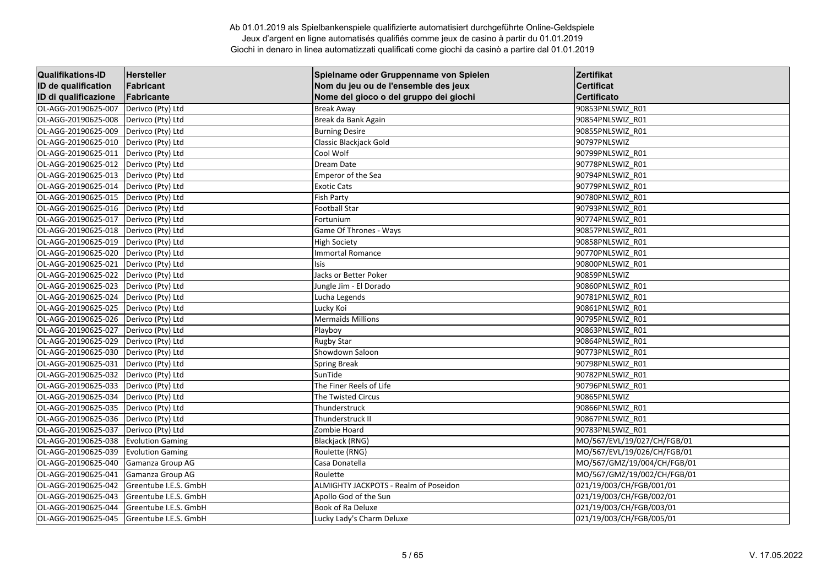| <b>Qualifikations-ID</b> | Hersteller              | Spielname oder Gruppenname von Spielen | Zertifikat                  |
|--------------------------|-------------------------|----------------------------------------|-----------------------------|
| ID de qualification      | Fabricant               | Nom du jeu ou de l'ensemble des jeux   | <b>Certificat</b>           |
| ID di qualificazione     | Fabricante              | Nome del gioco o del gruppo dei giochi | <b>Certificato</b>          |
| OL-AGG-20190625-007      | Derivco (Pty) Ltd       | <b>Break Away</b>                      | 90853PNLSWIZ R01            |
| OL-AGG-20190625-008      | Derivco (Pty) Ltd       | Break da Bank Again                    | 90854PNLSWIZ R01            |
| OL-AGG-20190625-009      | Derivco (Pty) Ltd       | <b>Burning Desire</b>                  | 90855PNLSWIZ R01            |
| OL-AGG-20190625-010      | Derivco (Pty) Ltd       | Classic Blackjack Gold                 | 90797PNLSWIZ                |
| OL-AGG-20190625-011      | Derivco (Pty) Ltd       | Cool Wolf                              | 90799PNLSWIZ R01            |
| OL-AGG-20190625-012      | Derivco (Pty) Ltd       | Dream Date                             | 90778PNLSWIZ_R01            |
| OL-AGG-20190625-013      | Derivco (Pty) Ltd       | Emperor of the Sea                     | 90794PNLSWIZ R01            |
| OL-AGG-20190625-014      | Derivco (Pty) Ltd       | <b>Exotic Cats</b>                     | 90779PNLSWIZ_R01            |
| OL-AGG-20190625-015      | Derivco (Pty) Ltd       | <b>Fish Party</b>                      | 90780PNLSWIZ R01            |
| OL-AGG-20190625-016      | Derivco (Pty) Ltd       | <b>Football Star</b>                   | 90793PNLSWIZ R01            |
| OL-AGG-20190625-017      | Derivco (Pty) Ltd       | Fortunium                              | 90774PNLSWIZ_R01            |
| OL-AGG-20190625-018      | Derivco (Pty) Ltd       | Game Of Thrones - Ways                 | 90857PNLSWIZ_R01            |
| OL-AGG-20190625-019      | Derivco (Pty) Ltd       | <b>High Society</b>                    | 90858PNLSWIZ R01            |
| OL-AGG-20190625-020      | Derivco (Pty) Ltd       | <b>Immortal Romance</b>                | 90770PNLSWIZ R01            |
| OL-AGG-20190625-021      | Derivco (Pty) Ltd       | Isis                                   | 90800PNLSWIZ R01            |
| OL-AGG-20190625-022      | Derivco (Pty) Ltd       | Jacks or Better Poker                  | 90859PNLSWIZ                |
| OL-AGG-20190625-023      | Derivco (Pty) Ltd       | Jungle Jim - El Dorado                 | 90860PNLSWIZ R01            |
| OL-AGG-20190625-024      | Derivco (Pty) Ltd       | Lucha Legends                          | 90781PNLSWIZ R01            |
| OL-AGG-20190625-025      | Derivco (Pty) Ltd       | Lucky Koi                              | 90861PNLSWIZ R01            |
| OL-AGG-20190625-026      | Derivco (Pty) Ltd       | <b>Mermaids Millions</b>               | 90795PNLSWIZ_R01            |
| OL-AGG-20190625-027      | Derivco (Pty) Ltd       | Playboy                                | 90863PNLSWIZ_R01            |
| OL-AGG-20190625-029      | Derivco (Pty) Ltd       | <b>Rugby Star</b>                      | 90864PNLSWIZ R01            |
| OL-AGG-20190625-030      | Derivco (Pty) Ltd       | Showdown Saloon                        | 90773PNLSWIZ R01            |
| OL-AGG-20190625-031      | Derivco (Pty) Ltd       | <b>Spring Break</b>                    | 90798PNLSWIZ R01            |
| OL-AGG-20190625-032      | Derivco (Pty) Ltd       | SunTide                                | 90782PNLSWIZ_R01            |
| OL-AGG-20190625-033      | Derivco (Pty) Ltd       | The Finer Reels of Life                | 90796PNLSWIZ R01            |
| OL-AGG-20190625-034      | Derivco (Pty) Ltd       | <b>The Twisted Circus</b>              | 90865PNLSWIZ                |
| OL-AGG-20190625-035      | Derivco (Pty) Ltd       | Thunderstruck                          | 90866PNLSWIZ R01            |
| OL-AGG-20190625-036      | Derivco (Pty) Ltd       | Thunderstruck II                       | 90867PNLSWIZ R01            |
| OL-AGG-20190625-037      | Derivco (Pty) Ltd       | Zombie Hoard                           | 90783PNLSWIZ R01            |
| OL-AGG-20190625-038      | <b>Evolution Gaming</b> | Blackjack (RNG)                        | MO/567/EVL/19/027/CH/FGB/01 |
| OL-AGG-20190625-039      | <b>Evolution Gaming</b> | Roulette (RNG)                         | MO/567/EVL/19/026/CH/FGB/01 |
| OL-AGG-20190625-040      | Gamanza Group AG        | Casa Donatella                         | MO/567/GMZ/19/004/CH/FGB/01 |
| OL-AGG-20190625-041      | Gamanza Group AG        | Roulette                               | MO/567/GMZ/19/002/CH/FGB/01 |
| OL-AGG-20190625-042      | Greentube I.E.S. GmbH   | ALMIGHTY JACKPOTS - Realm of Poseidon  | 021/19/003/CH/FGB/001/01    |
| OL-AGG-20190625-043      | Greentube I.E.S. GmbH   | Apollo God of the Sun                  | 021/19/003/CH/FGB/002/01    |
| OL-AGG-20190625-044      | Greentube I.E.S. GmbH   | Book of Ra Deluxe                      | 021/19/003/CH/FGB/003/01    |
| OL-AGG-20190625-045      | Greentube I.E.S. GmbH   | Lucky Lady's Charm Deluxe              | 021/19/003/CH/FGB/005/01    |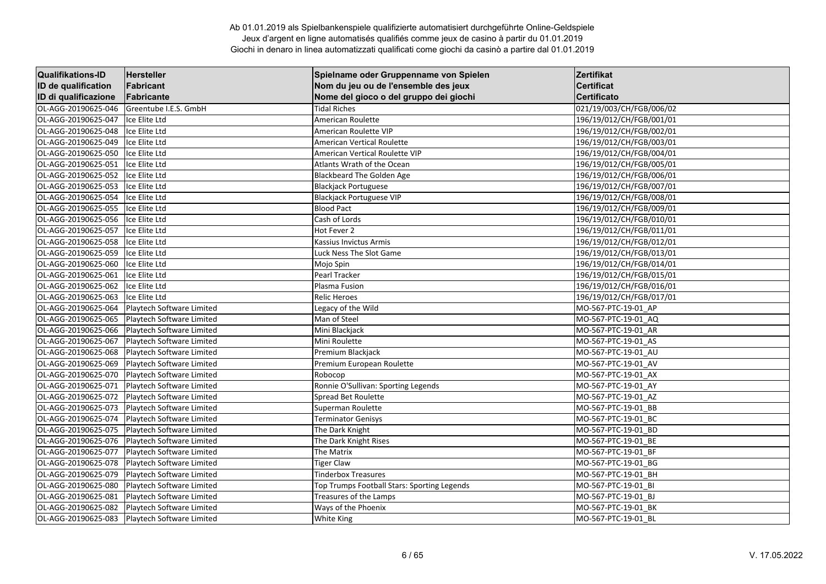| <b>Qualifikations-ID</b> | Hersteller                | Spielname oder Gruppenname von Spielen      | Zertifikat               |
|--------------------------|---------------------------|---------------------------------------------|--------------------------|
| ID de qualification      | Fabricant                 | Nom du jeu ou de l'ensemble des jeux        | <b>Certificat</b>        |
| ID di qualificazione     | Fabricante                | Nome del gioco o del gruppo dei giochi      | <b>Certificato</b>       |
| OL-AGG-20190625-046      | Greentube I.E.S. GmbH     | <b>Tidal Riches</b>                         | 021/19/003/CH/FGB/006/02 |
| OL-AGG-20190625-047      | Ice Elite Ltd             | American Roulette                           | 196/19/012/CH/FGB/001/01 |
| OL-AGG-20190625-048      | Ice Elite Ltd             | American Roulette VIP                       | 196/19/012/CH/FGB/002/01 |
| OL-AGG-20190625-049      | Ice Elite Ltd             | <b>American Vertical Roulette</b>           | 196/19/012/CH/FGB/003/01 |
| OL-AGG-20190625-050      | Ice Elite Ltd             | American Vertical Roulette VIP              | 196/19/012/CH/FGB/004/01 |
| OL-AGG-20190625-051      | Ice Elite Ltd             | Atlants Wrath of the Ocean                  | 196/19/012/CH/FGB/005/01 |
| OL-AGG-20190625-052      | Ice Elite Ltd             | Blackbeard The Golden Age                   | 196/19/012/CH/FGB/006/01 |
| OL-AGG-20190625-053      | Ice Elite Ltd             | <b>Blackjack Portuguese</b>                 | 196/19/012/CH/FGB/007/01 |
| OL-AGG-20190625-054      | Ice Elite Ltd             | <b>Blackjack Portuguese VIP</b>             | 196/19/012/CH/FGB/008/01 |
| OL-AGG-20190625-055      | Ice Elite Ltd             | <b>Blood Pact</b>                           | 196/19/012/CH/FGB/009/01 |
| OL-AGG-20190625-056      | Ice Elite Ltd             | Cash of Lords                               | 196/19/012/CH/FGB/010/01 |
| OL-AGG-20190625-057      | Ice Elite Ltd             | Hot Fever 2                                 | 196/19/012/CH/FGB/011/01 |
| OL-AGG-20190625-058      | Ice Elite Ltd             | Kassius Invictus Armis                      | 196/19/012/CH/FGB/012/01 |
| OL-AGG-20190625-059      | Ice Elite Ltd             | Luck Ness The Slot Game                     | 196/19/012/CH/FGB/013/01 |
| OL-AGG-20190625-060      | Ice Elite Ltd             | Mojo Spin                                   | 196/19/012/CH/FGB/014/01 |
| OL-AGG-20190625-061      | Ice Elite Ltd             | Pearl Tracker                               | 196/19/012/CH/FGB/015/01 |
| OL-AGG-20190625-062      | Ice Elite Ltd             | Plasma Fusion                               | 196/19/012/CH/FGB/016/01 |
| OL-AGG-20190625-063      | Ice Elite Ltd             | <b>Relic Heroes</b>                         | 196/19/012/CH/FGB/017/01 |
| OL-AGG-20190625-064      | Playtech Software Limited | Legacy of the Wild                          | MO-567-PTC-19-01 AP      |
| OL-AGG-20190625-065      | Playtech Software Limited | Man of Steel                                | MO-567-PTC-19-01 AQ      |
| OL-AGG-20190625-066      | Playtech Software Limited | Mini Blackjack                              | MO-567-PTC-19-01_AR      |
| OL-AGG-20190625-067      | Playtech Software Limited | Mini Roulette                               | MO-567-PTC-19-01 AS      |
| OL-AGG-20190625-068      | Playtech Software Limited | Premium Blackjack                           | MO-567-PTC-19-01 AU      |
| OL-AGG-20190625-069      | Playtech Software Limited | Premium European Roulette                   | MO-567-PTC-19-01 AV      |
| OL-AGG-20190625-070      | Playtech Software Limited | Robocop                                     | MO-567-PTC-19-01_AX      |
| OL-AGG-20190625-071      | Playtech Software Limited | Ronnie O'Sullivan: Sporting Legends         | MO-567-PTC-19-01_AY      |
| OL-AGG-20190625-072      | Playtech Software Limited | Spread Bet Roulette                         | MO-567-PTC-19-01 AZ      |
| OL-AGG-20190625-073      | Playtech Software Limited | Superman Roulette                           | MO-567-PTC-19-01 BB      |
| OL-AGG-20190625-074      | Playtech Software Limited | <b>Terminator Genisys</b>                   | MO-567-PTC-19-01 BC      |
| OL-AGG-20190625-075      | Playtech Software Limited | The Dark Knight                             | MO-567-PTC-19-01_BD      |
| OL-AGG-20190625-076      | Playtech Software Limited | The Dark Knight Rises                       | MO-567-PTC-19-01_BE      |
| OL-AGG-20190625-077      | Playtech Software Limited | The Matrix                                  | MO-567-PTC-19-01 BF      |
| OL-AGG-20190625-078      | Playtech Software Limited | <b>Tiger Claw</b>                           | MO-567-PTC-19-01 BG      |
| OL-AGG-20190625-079      | Playtech Software Limited | <b>Tinderbox Treasures</b>                  | MO-567-PTC-19-01 BH      |
| OL-AGG-20190625-080      | Playtech Software Limited | Top Trumps Football Stars: Sporting Legends | MO-567-PTC-19-01_BI      |
| OL-AGG-20190625-081      | Playtech Software Limited | Treasures of the Lamps                      | MO-567-PTC-19-01 BJ      |
| OL-AGG-20190625-082      | Playtech Software Limited | Ways of the Phoenix                         | MO-567-PTC-19-01 BK      |
| OL-AGG-20190625-083      | Playtech Software Limited | White King                                  | MO-567-PTC-19-01 BL      |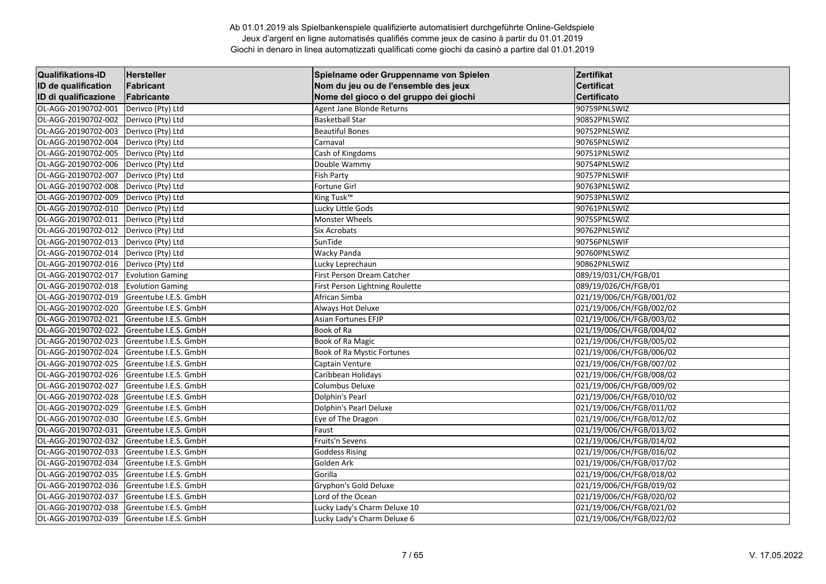| <b>Qualifikations-ID</b> | <b>Hersteller</b>       | Spielname oder Gruppenname von Spielen | Zertifikat               |
|--------------------------|-------------------------|----------------------------------------|--------------------------|
| ID de qualification      | Fabricant               | Nom du jeu ou de l'ensemble des jeux   | <b>Certificat</b>        |
| ID di qualificazione     | Fabricante              | Nome del gioco o del gruppo dei giochi | <b>Certificato</b>       |
| OL-AGG-20190702-001      | Derivco (Pty) Ltd       | Agent Jane Blonde Returns              | 90759PNLSWIZ             |
| OL-AGG-20190702-002      | Derivco (Pty) Ltd       | <b>Basketball Star</b>                 | 90852PNLSWIZ             |
| OL-AGG-20190702-003      | Derivco (Pty) Ltd       | <b>Beautiful Bones</b>                 | 90752PNLSWIZ             |
| OL-AGG-20190702-004      | Derivco (Pty) Ltd       | Carnaval                               | 90765PNLSWIZ             |
| OL-AGG-20190702-005      | Derivco (Pty) Ltd       | Cash of Kingdoms                       | 90751PNLSWIZ             |
| OL-AGG-20190702-006      | Derivco (Pty) Ltd       | Double Wammy                           | 90754PNLSWIZ             |
| OL-AGG-20190702-007      | Derivco (Pty) Ltd       | <b>Fish Party</b>                      | 90757PNLSWIF             |
| OL-AGG-20190702-008      | Derivco (Pty) Ltd       | Fortune Girl                           | 90763PNLSWIZ             |
| OL-AGG-20190702-009      | Derivco (Pty) Ltd       | King Tusk <sup>™</sup>                 | 90753PNLSWIZ             |
| OL-AGG-20190702-010      | Derivco (Pty) Ltd       | Lucky Little Gods                      | 90761PNLSWIZ             |
| OL-AGG-20190702-011      | Derivco (Pty) Ltd       | <b>Monster Wheels</b>                  | 90755PNLSWIZ             |
| OL-AGG-20190702-012      | Derivco (Pty) Ltd       | <b>Six Acrobats</b>                    | 90762PNLSWIZ             |
| OL-AGG-20190702-013      | Derivco (Pty) Ltd       | SunTide                                | 90756PNLSWIF             |
| OL-AGG-20190702-014      | Derivco (Pty) Ltd       | Wacky Panda                            | 90760PNLSWIZ             |
| OL-AGG-20190702-016      | Derivco (Pty) Ltd       | Lucky Leprechaun                       | 90862PNLSWIZ             |
| OL-AGG-20190702-017      | <b>Evolution Gaming</b> | First Person Dream Catcher             | 089/19/031/CH/FGB/01     |
| OL-AGG-20190702-018      | <b>Evolution Gaming</b> | First Person Lightning Roulette        | 089/19/026/CH/FGB/01     |
| OL-AGG-20190702-019      | Greentube I.E.S. GmbH   | African Simba                          | 021/19/006/CH/FGB/001/02 |
| OL-AGG-20190702-020      | Greentube I.E.S. GmbH   | Always Hot Deluxe                      | 021/19/006/CH/FGB/002/02 |
| OL-AGG-20190702-021      | Greentube I.E.S. GmbH   | Asian Fortunes EFJP                    | 021/19/006/CH/FGB/003/02 |
| OL-AGG-20190702-022      | Greentube I.E.S. GmbH   | Book of Ra                             | 021/19/006/CH/FGB/004/02 |
| OL-AGG-20190702-023      | Greentube I.E.S. GmbH   | Book of Ra Magic                       | 021/19/006/CH/FGB/005/02 |
| OL-AGG-20190702-024      | Greentube I.E.S. GmbH   | Book of Ra Mystic Fortunes             | 021/19/006/CH/FGB/006/02 |
| OL-AGG-20190702-025      | Greentube I.E.S. GmbH   | Captain Venture                        | 021/19/006/CH/FGB/007/02 |
| OL-AGG-20190702-026      | Greentube I.E.S. GmbH   | Caribbean Holidays                     | 021/19/006/CH/FGB/008/02 |
| OL-AGG-20190702-027      | Greentube I.E.S. GmbH   | Columbus Deluxe                        | 021/19/006/CH/FGB/009/02 |
| OL-AGG-20190702-028      | Greentube I.E.S. GmbH   | Dolphin's Pearl                        | 021/19/006/CH/FGB/010/02 |
| OL-AGG-20190702-029      | Greentube I.E.S. GmbH   | <b>Dolphin's Pearl Deluxe</b>          | 021/19/006/CH/FGB/011/02 |
| OL-AGG-20190702-030      | Greentube I.E.S. GmbH   | Eye of The Dragon                      | 021/19/006/CH/FGB/012/02 |
| OL-AGG-20190702-031      | Greentube I.E.S. GmbH   | Faust                                  | 021/19/006/CH/FGB/013/02 |
| OL-AGG-20190702-032      | Greentube I.E.S. GmbH   | Fruits'n Sevens                        | 021/19/006/CH/FGB/014/02 |
| OL-AGG-20190702-033      | Greentube I.E.S. GmbH   | <b>Goddess Rising</b>                  | 021/19/006/CH/FGB/016/02 |
| OL-AGG-20190702-034      | Greentube I.E.S. GmbH   | Golden Ark                             | 021/19/006/CH/FGB/017/02 |
| OL-AGG-20190702-035      | Greentube I.E.S. GmbH   | Gorilla                                | 021/19/006/CH/FGB/018/02 |
| OL-AGG-20190702-036      | Greentube I.E.S. GmbH   | Gryphon's Gold Deluxe                  | 021/19/006/CH/FGB/019/02 |
| OL-AGG-20190702-037      | Greentube I.E.S. GmbH   | Lord of the Ocean                      | 021/19/006/CH/FGB/020/02 |
| OL-AGG-20190702-038      | Greentube I.E.S. GmbH   | Lucky Lady's Charm Deluxe 10           | 021/19/006/CH/FGB/021/02 |
| OL-AGG-20190702-039      | Greentube I.E.S. GmbH   | Lucky Lady's Charm Deluxe 6            | 021/19/006/CH/FGB/022/02 |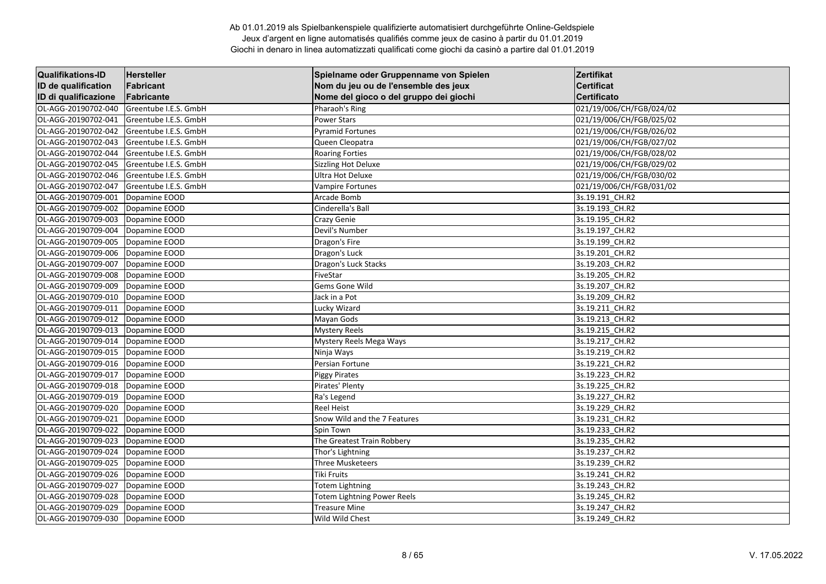| <b>Qualifikations-ID</b> | Hersteller            | Spielname oder Gruppenname von Spielen | Zertifikat               |
|--------------------------|-----------------------|----------------------------------------|--------------------------|
| ID de qualification      | Fabricant             | Nom du jeu ou de l'ensemble des jeux   | <b>Certificat</b>        |
| ID di qualificazione     | Fabricante            | Nome del gioco o del gruppo dei giochi | <b>Certificato</b>       |
| OL-AGG-20190702-040      | Greentube I.E.S. GmbH | Pharaoh's Ring                         | 021/19/006/CH/FGB/024/02 |
| OL-AGG-20190702-041      | Greentube I.E.S. GmbH | <b>Power Stars</b>                     | 021/19/006/CH/FGB/025/02 |
| OL-AGG-20190702-042      | Greentube I.E.S. GmbH | <b>Pyramid Fortunes</b>                | 021/19/006/CH/FGB/026/02 |
| OL-AGG-20190702-043      | Greentube I.E.S. GmbH | Queen Cleopatra                        | 021/19/006/CH/FGB/027/02 |
| OL-AGG-20190702-044      | Greentube I.E.S. GmbH | <b>Roaring Forties</b>                 | 021/19/006/CH/FGB/028/02 |
| OL-AGG-20190702-045      | Greentube I.E.S. GmbH | <b>Sizzling Hot Deluxe</b>             | 021/19/006/CH/FGB/029/02 |
| OL-AGG-20190702-046      | Greentube I.E.S. GmbH | <b>Ultra Hot Deluxe</b>                | 021/19/006/CH/FGB/030/02 |
| OL-AGG-20190702-047      | Greentube I.E.S. GmbH | <b>Vampire Fortunes</b>                | 021/19/006/CH/FGB/031/02 |
| OL-AGG-20190709-001      | Dopamine EOOD         | Arcade Bomb                            | 3s.19.191_CH.R2          |
| OL-AGG-20190709-002      | Dopamine EOOD         | Cinderella's Ball                      | 3s.19.193_CH.R2          |
| OL-AGG-20190709-003      | Dopamine EOOD         | Crazy Genie                            | 3s.19.195_CH.R2          |
| OL-AGG-20190709-004      | Dopamine EOOD         | Devil's Number                         | 3s.19.197_CH.R2          |
| OL-AGG-20190709-005      | Dopamine EOOD         | Dragon's Fire                          | 3s.19.199 CH.R2          |
| OL-AGG-20190709-006      | Dopamine EOOD         | Dragon's Luck                          | 3s.19.201 CH.R2          |
| OL-AGG-20190709-007      | Dopamine EOOD         | Dragon's Luck Stacks                   | 3s.19.203_CH.R2          |
| OL-AGG-20190709-008      | Dopamine EOOD         | FiveStar                               | 3s.19.205_CH.R2          |
| OL-AGG-20190709-009      | Dopamine EOOD         | Gems Gone Wild                         | 3s.19.207_CH.R2          |
| OL-AGG-20190709-010      | Dopamine EOOD         | Jack in a Pot                          | 3s.19.209 CH.R2          |
| OL-AGG-20190709-011      | Dopamine EOOD         | Lucky Wizard                           | 3s.19.211 CH.R2          |
| OL-AGG-20190709-012      | Dopamine EOOD         | Mayan Gods                             | 3s.19.213_CH.R2          |
| OL-AGG-20190709-013      | Dopamine EOOD         | <b>Mystery Reels</b>                   | 3s.19.215 CH.R2          |
| OL-AGG-20190709-014      | Dopamine EOOD         | Mystery Reels Mega Ways                | 3s.19.217 CH.R2          |
| OL-AGG-20190709-015      | Dopamine EOOD         | Ninja Ways                             | 3s.19.219 CH.R2          |
| OL-AGG-20190709-016      | Dopamine EOOD         | Persian Fortune                        | 3s.19.221 CH.R2          |
| OL-AGG-20190709-017      | Dopamine EOOD         | <b>Piggy Pirates</b>                   | 3s.19.223_CH.R2          |
| OL-AGG-20190709-018      | Dopamine EOOD         | Pirates' Plenty                        | 3s.19.225 CH.R2          |
| OL-AGG-20190709-019      | Dopamine EOOD         | Ra's Legend                            | 3s.19.227 CH.R2          |
| OL-AGG-20190709-020      | Dopamine EOOD         | <b>Reel Heist</b>                      | 3s.19.229 CH.R2          |
| OL-AGG-20190709-021      | Dopamine EOOD         | Snow Wild and the 7 Features           | 3s.19.231_CH.R2          |
| OL-AGG-20190709-022      | Dopamine EOOD         | Spin Town                              | 3s.19.233_CH.R2          |
| OL-AGG-20190709-023      | Dopamine EOOD         | The Greatest Train Robbery             | 3s.19.235_CH.R2          |
| OL-AGG-20190709-024      | Dopamine EOOD         | Thor's Lightning                       | 3s.19.237_CH.R2          |
| OL-AGG-20190709-025      | Dopamine EOOD         | Three Musketeers                       | 3s.19.239 CH.R2          |
| OL-AGG-20190709-026      | Dopamine EOOD         | <b>Tiki Fruits</b>                     | 3s.19.241 CH.R2          |
| OL-AGG-20190709-027      | Dopamine EOOD         | <b>Totem Lightning</b>                 | 3s.19.243_CH.R2          |
| OL-AGG-20190709-028      | Dopamine EOOD         | Totem Lightning Power Reels            | 3s.19.245_CH.R2          |
| OL-AGG-20190709-029      | Dopamine EOOD         | <b>Treasure Mine</b>                   | 3s.19.247_CH.R2          |
| OL-AGG-20190709-030      | Dopamine EOOD         | Wild Wild Chest                        | 3s.19.249 CH.R2          |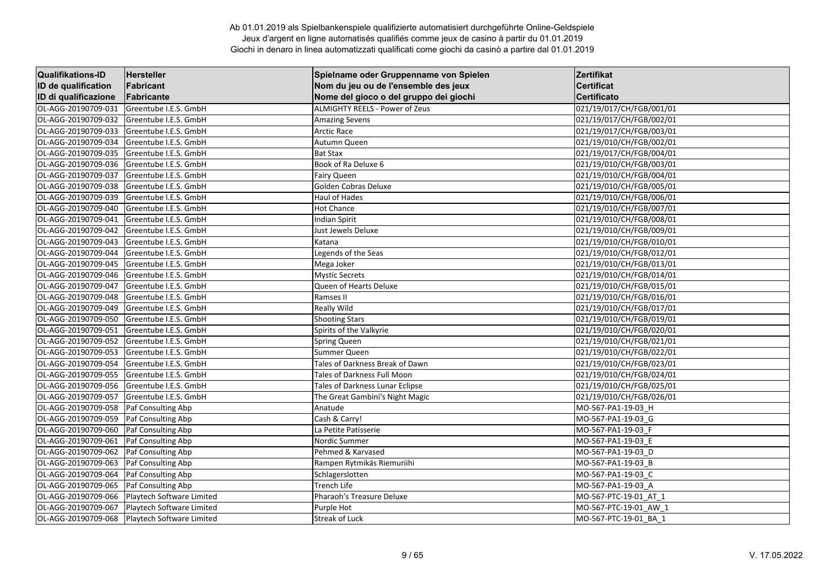| <b>Qualifikations-ID</b> | <b>Hersteller</b>         | Spielname oder Gruppenname von Spielen | Zertifikat               |
|--------------------------|---------------------------|----------------------------------------|--------------------------|
| ID de qualification      | Fabricant                 | Nom du jeu ou de l'ensemble des jeux   | <b>Certificat</b>        |
| ID di qualificazione     | Fabricante                | Nome del gioco o del gruppo dei giochi | Certificato              |
| OL-AGG-20190709-031      | Greentube I.E.S. GmbH     | <b>ALMIGHTY REELS - Power of Zeus</b>  | 021/19/017/CH/FGB/001/01 |
| OL-AGG-20190709-032      | Greentube I.E.S. GmbH     | <b>Amazing Sevens</b>                  | 021/19/017/CH/FGB/002/01 |
| OL-AGG-20190709-033      | Greentube I.E.S. GmbH     | <b>Arctic Race</b>                     | 021/19/017/CH/FGB/003/01 |
| OL-AGG-20190709-034      | Greentube I.E.S. GmbH     | Autumn Queen                           | 021/19/010/CH/FGB/002/01 |
| OL-AGG-20190709-035      | Greentube I.E.S. GmbH     | <b>Bat Stax</b>                        | 021/19/017/CH/FGB/004/01 |
| OL-AGG-20190709-036      | Greentube I.E.S. GmbH     | Book of Ra Deluxe 6                    | 021/19/010/CH/FGB/003/01 |
| OL-AGG-20190709-037      | Greentube I.E.S. GmbH     | <b>Fairy Queen</b>                     | 021/19/010/CH/FGB/004/01 |
| OL-AGG-20190709-038      | Greentube I.E.S. GmbH     | Golden Cobras Deluxe                   | 021/19/010/CH/FGB/005/01 |
| OL-AGG-20190709-039      | Greentube I.E.S. GmbH     | Haul of Hades                          | 021/19/010/CH/FGB/006/01 |
| OL-AGG-20190709-040      | Greentube I.E.S. GmbH     | <b>Hot Chance</b>                      | 021/19/010/CH/FGB/007/01 |
| OL-AGG-20190709-041      | Greentube I.E.S. GmbH     | <b>Indian Spirit</b>                   | 021/19/010/CH/FGB/008/01 |
| OL-AGG-20190709-042      | Greentube I.E.S. GmbH     | Just Jewels Deluxe                     | 021/19/010/CH/FGB/009/01 |
| OL-AGG-20190709-043      | Greentube I.E.S. GmbH     | Katana                                 | 021/19/010/CH/FGB/010/01 |
| OL-AGG-20190709-044      | Greentube I.E.S. GmbH     | Legends of the Seas                    | 021/19/010/CH/FGB/012/01 |
| OL-AGG-20190709-045      | Greentube I.E.S. GmbH     | Mega Joker                             | 021/19/010/CH/FGB/013/01 |
| OL-AGG-20190709-046      | Greentube I.E.S. GmbH     | <b>Mystic Secrets</b>                  | 021/19/010/CH/FGB/014/01 |
| OL-AGG-20190709-047      | Greentube I.E.S. GmbH     | Queen of Hearts Deluxe                 | 021/19/010/CH/FGB/015/01 |
| OL-AGG-20190709-048      | Greentube I.E.S. GmbH     | Ramses II                              | 021/19/010/CH/FGB/016/01 |
| OL-AGG-20190709-049      | Greentube I.E.S. GmbH     | <b>Really Wild</b>                     | 021/19/010/CH/FGB/017/01 |
| OL-AGG-20190709-050      | Greentube I.E.S. GmbH     | <b>Shooting Stars</b>                  | 021/19/010/CH/FGB/019/01 |
| OL-AGG-20190709-051      | Greentube I.E.S. GmbH     | Spirits of the Valkyrie                | 021/19/010/CH/FGB/020/01 |
| OL-AGG-20190709-052      | Greentube I.E.S. GmbH     | <b>Spring Queen</b>                    | 021/19/010/CH/FGB/021/01 |
| OL-AGG-20190709-053      | Greentube I.E.S. GmbH     | Summer Queen                           | 021/19/010/CH/FGB/022/01 |
| OL-AGG-20190709-054      | Greentube I.E.S. GmbH     | Tales of Darkness Break of Dawn        | 021/19/010/CH/FGB/023/01 |
| OL-AGG-20190709-055      | Greentube I.E.S. GmbH     | Tales of Darkness Full Moon            | 021/19/010/CH/FGB/024/01 |
| OL-AGG-20190709-056      | Greentube I.E.S. GmbH     | Tales of Darkness Lunar Eclipse        | 021/19/010/CH/FGB/025/01 |
| OL-AGG-20190709-057      | Greentube I.E.S. GmbH     | The Great Gambini's Night Magic        | 021/19/010/CH/FGB/026/01 |
| OL-AGG-20190709-058      | Paf Consulting Abp        | Anatude                                | MO-567-PA1-19-03 H       |
| OL-AGG-20190709-059      | Paf Consulting Abp        | Cash & Carry!                          | MO-567-PA1-19-03 G       |
| OL-AGG-20190709-060      | Paf Consulting Abp        | La Petite Patisserie                   | MO-567-PA1-19-03 F       |
| OL-AGG-20190709-061      | Paf Consulting Abp        | Nordic Summer                          | MO-567-PA1-19-03_E       |
| OL-AGG-20190709-062      | Paf Consulting Abp        | Pehmed & Karvased                      | MO-567-PA1-19-03 D       |
| OL-AGG-20190709-063      | Paf Consulting Abp        | Rampen Rytmikäs Riemuriihi             | MO-567-PA1-19-03 B       |
| OL-AGG-20190709-064      | Paf Consulting Abp        | Schlagerslotten                        | MO-567-PA1-19-03_C       |
| OL-AGG-20190709-065      | Paf Consulting Abp        | Trench Life                            | MO-567-PA1-19-03_A       |
| OL-AGG-20190709-066      | Playtech Software Limited | Pharaoh's Treasure Deluxe              | MO-567-PTC-19-01 AT 1    |
| OL-AGG-20190709-067      | Playtech Software Limited | Purple Hot                             | MO-567-PTC-19-01 AW 1    |
| OL-AGG-20190709-068      | Playtech Software Limited | <b>Streak of Luck</b>                  | MO-567-PTC-19-01 BA 1    |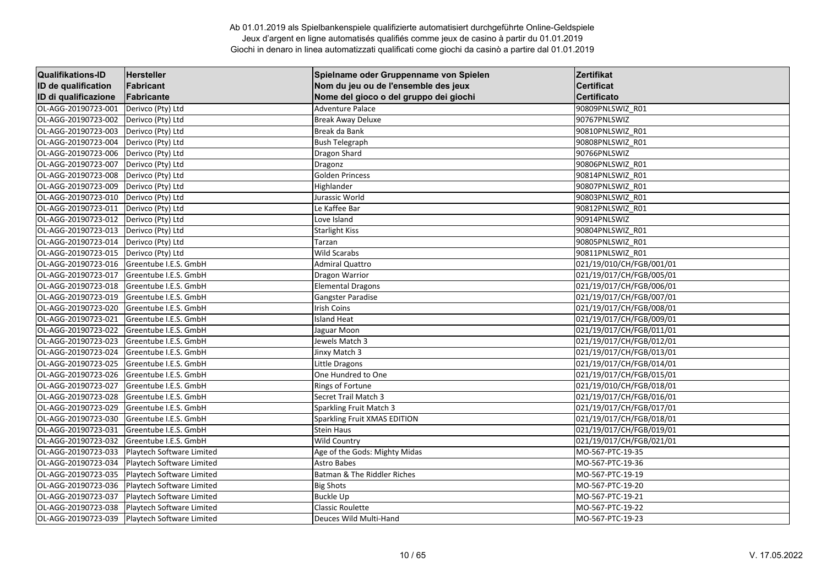| <b>Qualifikations-ID</b> | <b>Hersteller</b>         | Spielname oder Gruppenname von Spielen | Zertifikat               |
|--------------------------|---------------------------|----------------------------------------|--------------------------|
| ID de qualification      | Fabricant                 | Nom du jeu ou de l'ensemble des jeux   | <b>Certificat</b>        |
| ID di qualificazione     | Fabricante                | Nome del gioco o del gruppo dei giochi | <b>Certificato</b>       |
| OL-AGG-20190723-001      | Derivco (Pty) Ltd         | Adventure Palace                       | 90809PNLSWIZ R01         |
| OL-AGG-20190723-002      | Derivco (Pty) Ltd         | <b>Break Away Deluxe</b>               | 90767PNLSWIZ             |
| OL-AGG-20190723-003      | Derivco (Pty) Ltd         | Break da Bank                          | 90810PNLSWIZ R01         |
| OL-AGG-20190723-004      | Derivco (Pty) Ltd         | <b>Bush Telegraph</b>                  | 90808PNLSWIZ R01         |
| OL-AGG-20190723-006      | Derivco (Pty) Ltd         | Dragon Shard                           | 90766PNLSWIZ             |
| OL-AGG-20190723-007      | Derivco (Pty) Ltd         | Dragonz                                | 90806PNLSWIZ R01         |
| OL-AGG-20190723-008      | Derivco (Pty) Ltd         | <b>Golden Princess</b>                 | 90814PNLSWIZ_R01         |
| OL-AGG-20190723-009      | Derivco (Pty) Ltd         | Highlander                             | 90807PNLSWIZ R01         |
| OL-AGG-20190723-010      | Derivco (Pty) Ltd         | Jurassic World                         | 90803PNLSWIZ_R01         |
| OL-AGG-20190723-011      | Derivco (Pty) Ltd         | Le Kaffee Bar                          | 90812PNLSWIZ R01         |
| OL-AGG-20190723-012      | Derivco (Pty) Ltd         | Love Island                            | 90914PNLSWIZ             |
| OL-AGG-20190723-013      | Derivco (Pty) Ltd         | <b>Starlight Kiss</b>                  | 90804PNLSWIZ R01         |
| OL-AGG-20190723-014      | Derivco (Pty) Ltd         | Tarzan                                 | 90805PNLSWIZ R01         |
| OL-AGG-20190723-015      | Derivco (Pty) Ltd         | Wild Scarabs                           | 90811PNLSWIZ R01         |
| OL-AGG-20190723-016      | Greentube I.E.S. GmbH     | <b>Admiral Quattro</b>                 | 021/19/010/CH/FGB/001/01 |
| OL-AGG-20190723-017      | Greentube I.E.S. GmbH     | Dragon Warrior                         | 021/19/017/CH/FGB/005/01 |
| OL-AGG-20190723-018      | Greentube I.E.S. GmbH     | Elemental Dragons                      | 021/19/017/CH/FGB/006/01 |
| OL-AGG-20190723-019      | Greentube I.E.S. GmbH     | Gangster Paradise                      | 021/19/017/CH/FGB/007/01 |
| OL-AGG-20190723-020      | Greentube I.E.S. GmbH     | <b>Irish Coins</b>                     | 021/19/017/CH/FGB/008/01 |
| OL-AGG-20190723-021      | Greentube I.E.S. GmbH     | <b>Island Heat</b>                     | 021/19/017/CH/FGB/009/01 |
| OL-AGG-20190723-022      | Greentube I.E.S. GmbH     | Jaguar Moon                            | 021/19/017/CH/FGB/011/01 |
| OL-AGG-20190723-023      | Greentube I.E.S. GmbH     | Jewels Match 3                         | 021/19/017/CH/FGB/012/01 |
| OL-AGG-20190723-024      | Greentube I.E.S. GmbH     | Jinxy Match 3                          | 021/19/017/CH/FGB/013/01 |
| OL-AGG-20190723-025      | Greentube I.E.S. GmbH     | Little Dragons                         | 021/19/017/CH/FGB/014/01 |
| OL-AGG-20190723-026      | Greentube I.E.S. GmbH     | One Hundred to One                     | 021/19/017/CH/FGB/015/01 |
| OL-AGG-20190723-027      | Greentube I.E.S. GmbH     | Rings of Fortune                       | 021/19/010/CH/FGB/018/01 |
| OL-AGG-20190723-028      | Greentube I.E.S. GmbH     | Secret Trail Match 3                   | 021/19/017/CH/FGB/016/01 |
| OL-AGG-20190723-029      | Greentube I.E.S. GmbH     | <b>Sparkling Fruit Match 3</b>         | 021/19/017/CH/FGB/017/01 |
| OL-AGG-20190723-030      | Greentube I.E.S. GmbH     | Sparkling Fruit XMAS EDITION           | 021/19/017/CH/FGB/018/01 |
| OL-AGG-20190723-031      | Greentube I.E.S. GmbH     | <b>Stein Haus</b>                      | 021/19/017/CH/FGB/019/01 |
| OL-AGG-20190723-032      | Greentube I.E.S. GmbH     | <b>Wild Country</b>                    | 021/19/017/CH/FGB/021/01 |
| OL-AGG-20190723-033      | Playtech Software Limited | Age of the Gods: Mighty Midas          | MO-567-PTC-19-35         |
| OL-AGG-20190723-034      | Playtech Software Limited | Astro Babes                            | MO-567-PTC-19-36         |
| OL-AGG-20190723-035      | Playtech Software Limited | Batman & The Riddler Riches            | MO-567-PTC-19-19         |
| OL-AGG-20190723-036      | Playtech Software Limited | <b>Big Shots</b>                       | MO-567-PTC-19-20         |
| OL-AGG-20190723-037      | Playtech Software Limited | <b>Buckle Up</b>                       | MO-567-PTC-19-21         |
| OL-AGG-20190723-038      | Playtech Software Limited | <b>Classic Roulette</b>                | MO-567-PTC-19-22         |
| OL-AGG-20190723-039      | Playtech Software Limited | Deuces Wild Multi-Hand                 | MO-567-PTC-19-23         |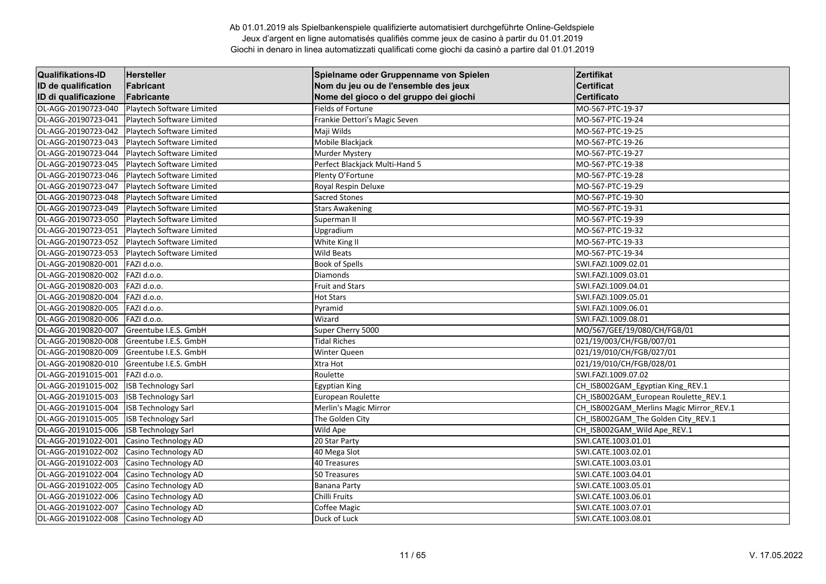| <b>Qualifikations-ID</b> | Hersteller                 | Spielname oder Gruppenname von Spielen | Zertifikat                              |
|--------------------------|----------------------------|----------------------------------------|-----------------------------------------|
| ID de qualification      | Fabricant                  | Nom du jeu ou de l'ensemble des jeux   | <b>Certificat</b>                       |
| ID di qualificazione     | Fabricante                 | Nome del gioco o del gruppo dei giochi | Certificato                             |
| OL-AGG-20190723-040      | Playtech Software Limited  | <b>Fields of Fortune</b>               | MO-567-PTC-19-37                        |
| OL-AGG-20190723-041      | Playtech Software Limited  | Frankie Dettori's Magic Seven          | MO-567-PTC-19-24                        |
| OL-AGG-20190723-042      | Playtech Software Limited  | Maji Wilds                             | MO-567-PTC-19-25                        |
| OL-AGG-20190723-043      | Playtech Software Limited  | Mobile Blackjack                       | MO-567-PTC-19-26                        |
| OL-AGG-20190723-044      | Playtech Software Limited  | Murder Mystery                         | MO-567-PTC-19-27                        |
| OL-AGG-20190723-045      | Playtech Software Limited  | Perfect Blackjack Multi-Hand 5         | MO-567-PTC-19-38                        |
| OL-AGG-20190723-046      | Playtech Software Limited  | Plenty O'Fortune                       | MO-567-PTC-19-28                        |
| OL-AGG-20190723-047      | Playtech Software Limited  | Royal Respin Deluxe                    | MO-567-PTC-19-29                        |
| OL-AGG-20190723-048      | Playtech Software Limited  | <b>Sacred Stones</b>                   | MO-567-PTC-19-30                        |
| OL-AGG-20190723-049      | Playtech Software Limited  | <b>Stars Awakening</b>                 | MO-567-PTC-19-31                        |
| OL-AGG-20190723-050      | Playtech Software Limited  | Superman II                            | MO-567-PTC-19-39                        |
| OL-AGG-20190723-051      | Playtech Software Limited  | Upgradium                              | MO-567-PTC-19-32                        |
| OL-AGG-20190723-052      | Playtech Software Limited  | White King II                          | MO-567-PTC-19-33                        |
| OL-AGG-20190723-053      | Playtech Software Limited  | <b>Wild Beats</b>                      | MO-567-PTC-19-34                        |
| OL-AGG-20190820-001      | FAZI d.o.o.                | <b>Book of Spells</b>                  | SWI.FAZI.1009.02.01                     |
| OL-AGG-20190820-002      | FAZI d.o.o.                | Diamonds                               | SWI.FAZI.1009.03.01                     |
| OL-AGG-20190820-003      | FAZI d.o.o.                | <b>Fruit and Stars</b>                 | SWI.FAZI.1009.04.01                     |
| OL-AGG-20190820-004      | FAZI d.o.o.                | <b>Hot Stars</b>                       | SWI.FAZI.1009.05.01                     |
| OL-AGG-20190820-005      | FAZI d.o.o.                | Pyramid                                | SWI.FAZI.1009.06.01                     |
| OL-AGG-20190820-006      | FAZI d.o.o.                | Wizard                                 | SWI.FAZI.1009.08.01                     |
| OL-AGG-20190820-007      | Greentube I.E.S. GmbH      | Super Cherry 5000                      | MO/567/GEE/19/080/CH/FGB/01             |
| OL-AGG-20190820-008      | Greentube I.E.S. GmbH      | <b>Tidal Riches</b>                    | 021/19/003/CH/FGB/007/01                |
| OL-AGG-20190820-009      | Greentube I.E.S. GmbH      | Winter Queen                           | 021/19/010/CH/FGB/027/01                |
| OL-AGG-20190820-010      | Greentube I.E.S. GmbH      | Xtra Hot                               | 021/19/010/CH/FGB/028/01                |
| OL-AGG-20191015-001      | FAZI d.o.o.                | Roulette                               | SWI.FAZI.1009.07.02                     |
| OL-AGG-20191015-002      | <b>ISB Technology Sarl</b> | Egyptian King                          | CH_ISB002GAM_Egyptian King_REV.1        |
| OL-AGG-20191015-003      | <b>ISB Technology Sarl</b> | European Roulette                      | CH ISB002GAM European Roulette REV.1    |
| OL-AGG-20191015-004      | <b>ISB Technology Sarl</b> | Merlin's Magic Mirror                  | CH_ISB002GAM_Merlins Magic Mirror_REV.1 |
| OL-AGG-20191015-005      | <b>ISB Technology Sarl</b> | The Golden City                        | CH ISB002GAM The Golden City REV.1      |
| OL-AGG-20191015-006      | <b>ISB Technology Sarl</b> | Wild Ape                               | CH_ISB002GAM_Wild Ape_REV.1             |
| OL-AGG-20191022-001      | Casino Technology AD       | 20 Star Party                          | SWI.CATE.1003.01.01                     |
| OL-AGG-20191022-002      | Casino Technology AD       | 40 Mega Slot                           | SWI.CATE.1003.02.01                     |
| OL-AGG-20191022-003      | Casino Technology AD       | 40 Treasures                           | SWI.CATE.1003.03.01                     |
| OL-AGG-20191022-004      | Casino Technology AD       | 50 Treasures                           | SWI.CATE.1003.04.01                     |
| OL-AGG-20191022-005      | Casino Technology AD       | <b>Banana Party</b>                    | SWI.CATE.1003.05.01                     |
| OL-AGG-20191022-006      | Casino Technology AD       | Chilli Fruits                          | SWI.CATE.1003.06.01                     |
| OL-AGG-20191022-007      | Casino Technology AD       | Coffee Magic                           | SWI.CATE.1003.07.01                     |
| OL-AGG-20191022-008      | Casino Technology AD       | Duck of Luck                           | SWI.CATE.1003.08.01                     |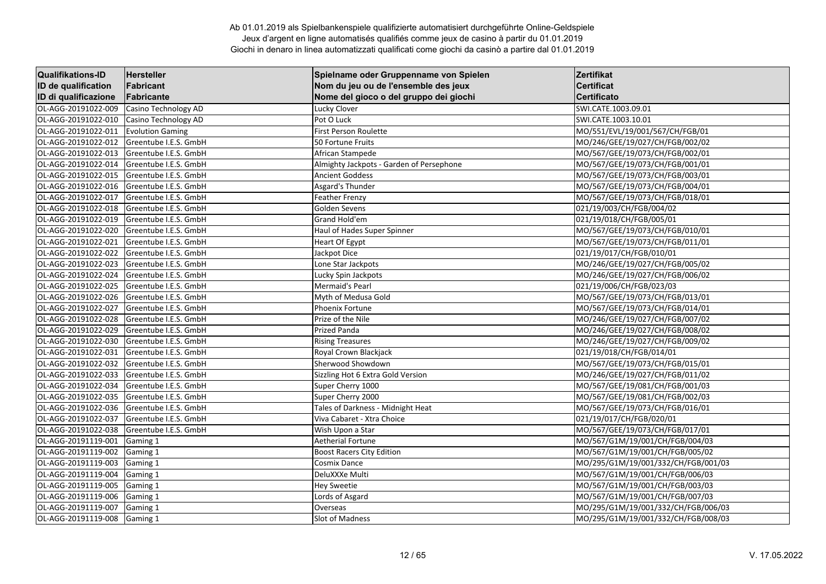| <b>Qualifikations-ID</b> | <b>Hersteller</b>       | Spielname oder Gruppenname von Spielen   | Zertifikat                          |
|--------------------------|-------------------------|------------------------------------------|-------------------------------------|
| ID de qualification      | Fabricant               | Nom du jeu ou de l'ensemble des jeux     | <b>Certificat</b>                   |
| ID di qualificazione     | Fabricante              | Nome del gioco o del gruppo dei giochi   | Certificato                         |
| OL-AGG-20191022-009      | Casino Technology AD    | Lucky Clover                             | SWI.CATE.1003.09.01                 |
| OL-AGG-20191022-010      | Casino Technology AD    | Pot O Luck                               | SWI.CATE.1003.10.01                 |
| OL-AGG-20191022-011      | <b>Evolution Gaming</b> | <b>First Person Roulette</b>             | MO/551/EVL/19/001/567/CH/FGB/01     |
| OL-AGG-20191022-012      | Greentube I.E.S. GmbH   | 50 Fortune Fruits                        | MO/246/GEE/19/027/CH/FGB/002/02     |
| OL-AGG-20191022-013      | Greentube I.E.S. GmbH   | African Stampede                         | MO/567/GEE/19/073/CH/FGB/002/01     |
| OL-AGG-20191022-014      | Greentube I.E.S. GmbH   | Almighty Jackpots - Garden of Persephone | MO/567/GEE/19/073/CH/FGB/001/01     |
| OL-AGG-20191022-015      | Greentube I.E.S. GmbH   | <b>Ancient Goddess</b>                   | MO/567/GEE/19/073/CH/FGB/003/01     |
| OL-AGG-20191022-016      | Greentube I.E.S. GmbH   | Asgard's Thunder                         | MO/567/GEE/19/073/CH/FGB/004/01     |
| OL-AGG-20191022-017      | Greentube I.E.S. GmbH   | <b>Feather Frenzy</b>                    | MO/567/GEE/19/073/CH/FGB/018/01     |
| OL-AGG-20191022-018      | Greentube I.E.S. GmbH   | Golden Sevens                            | 021/19/003/CH/FGB/004/02            |
| OL-AGG-20191022-019      | Greentube I.E.S. GmbH   | Grand Hold'em                            | 021/19/018/CH/FGB/005/01            |
| OL-AGG-20191022-020      | Greentube I.E.S. GmbH   | Haul of Hades Super Spinner              | MO/567/GEE/19/073/CH/FGB/010/01     |
| OL-AGG-20191022-021      | Greentube I.E.S. GmbH   | <b>Heart Of Egypt</b>                    | MO/567/GEE/19/073/CH/FGB/011/01     |
| OL-AGG-20191022-022      | Greentube I.E.S. GmbH   | Jackpot Dice                             | 021/19/017/CH/FGB/010/01            |
| OL-AGG-20191022-023      | Greentube I.E.S. GmbH   | Lone Star Jackpots                       | MO/246/GEE/19/027/CH/FGB/005/02     |
| OL-AGG-20191022-024      | Greentube I.E.S. GmbH   | Lucky Spin Jackpots                      | MO/246/GEE/19/027/CH/FGB/006/02     |
| OL-AGG-20191022-025      | Greentube I.E.S. GmbH   | Mermaid's Pearl                          | 021/19/006/CH/FGB/023/03            |
| OL-AGG-20191022-026      | Greentube I.E.S. GmbH   | Myth of Medusa Gold                      | MO/567/GEE/19/073/CH/FGB/013/01     |
| OL-AGG-20191022-027      | Greentube I.E.S. GmbH   | Phoenix Fortune                          | MO/567/GEE/19/073/CH/FGB/014/01     |
| OL-AGG-20191022-028      | Greentube I.E.S. GmbH   | Prize of the Nile                        | MO/246/GEE/19/027/CH/FGB/007/02     |
| OL-AGG-20191022-029      | Greentube I.E.S. GmbH   | Prized Panda                             | MO/246/GEE/19/027/CH/FGB/008/02     |
| OL-AGG-20191022-030      | Greentube I.E.S. GmbH   | <b>Rising Treasures</b>                  | MO/246/GEE/19/027/CH/FGB/009/02     |
| OL-AGG-20191022-031      | Greentube I.E.S. GmbH   | Royal Crown Blackjack                    | 021/19/018/CH/FGB/014/01            |
| OL-AGG-20191022-032      | Greentube I.E.S. GmbH   | Sherwood Showdown                        | MO/567/GEE/19/073/CH/FGB/015/01     |
| OL-AGG-20191022-033      | Greentube I.E.S. GmbH   | Sizzling Hot 6 Extra Gold Version        | MO/246/GEE/19/027/CH/FGB/011/02     |
| OL-AGG-20191022-034      | Greentube I.E.S. GmbH   | Super Cherry 1000                        | MO/567/GEE/19/081/CH/FGB/001/03     |
| OL-AGG-20191022-035      | Greentube I.E.S. GmbH   | Super Cherry 2000                        | MO/567/GEE/19/081/CH/FGB/002/03     |
| OL-AGG-20191022-036      | Greentube I.E.S. GmbH   | Tales of Darkness - Midnight Heat        | MO/567/GEE/19/073/CH/FGB/016/01     |
| OL-AGG-20191022-037      | Greentube I.E.S. GmbH   | Viva Cabaret - Xtra Choice               | 021/19/017/CH/FGB/020/01            |
| OL-AGG-20191022-038      | Greentube I.E.S. GmbH   | Wish Upon a Star                         | MO/567/GEE/19/073/CH/FGB/017/01     |
| OL-AGG-20191119-001      | Gaming 1                | Aetherial Fortune                        | MO/567/G1M/19/001/CH/FGB/004/03     |
| OL-AGG-20191119-002      | Gaming 1                | <b>Boost Racers City Edition</b>         | MO/567/G1M/19/001/CH/FGB/005/02     |
| OL-AGG-20191119-003      | Gaming 1                | Cosmix Dance                             | MO/295/G1M/19/001/332/CH/FGB/001/03 |
| OL-AGG-20191119-004      | Gaming 1                | DeluXXXe Multi                           | MO/567/G1M/19/001/CH/FGB/006/03     |
| OL-AGG-20191119-005      | Gaming 1                | <b>Hey Sweetie</b>                       | MO/567/G1M/19/001/CH/FGB/003/03     |
| OL-AGG-20191119-006      | Gaming 1                | Lords of Asgard                          | MO/567/G1M/19/001/CH/FGB/007/03     |
| OL-AGG-20191119-007      | Gaming 1                | Overseas                                 | MO/295/G1M/19/001/332/CH/FGB/006/03 |
| OL-AGG-20191119-008      | Gaming 1                | Slot of Madness                          | MO/295/G1M/19/001/332/CH/FGB/008/03 |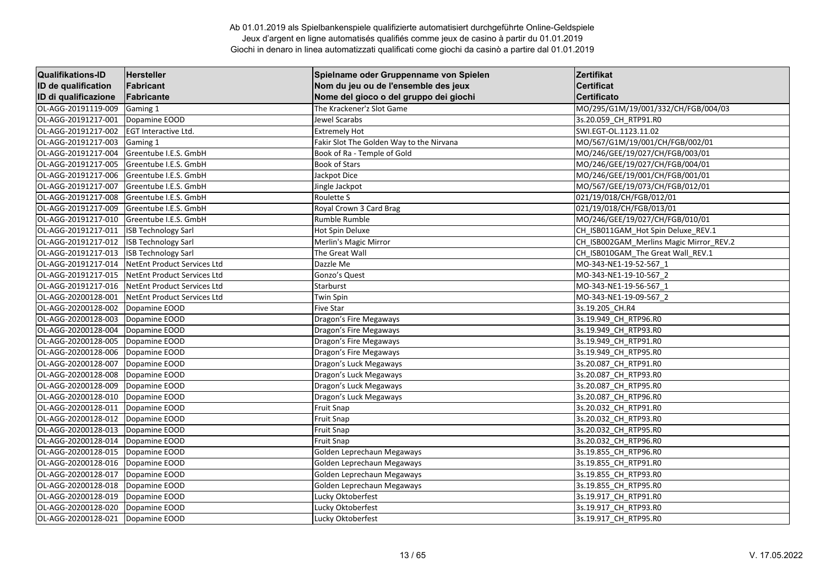| <b>Qualifikations-ID</b> | <b>Hersteller</b>           | Spielname oder Gruppenname von Spielen   | Zertifikat                              |
|--------------------------|-----------------------------|------------------------------------------|-----------------------------------------|
| ID de qualification      | Fabricant                   | Nom du jeu ou de l'ensemble des jeux     | <b>Certificat</b>                       |
| ID di qualificazione     | Fabricante                  | Nome del gioco o del gruppo dei giochi   | <b>Certificato</b>                      |
| OL-AGG-20191119-009      | Gaming 1                    | The Krackener'z Slot Game                | MO/295/G1M/19/001/332/CH/FGB/004/03     |
| OL-AGG-20191217-001      | Dopamine EOOD               | Jewel Scarabs                            | 3s.20.059 CH_RTP91.R0                   |
| OL-AGG-20191217-002      | EGT Interactive Ltd.        | <b>Extremely Hot</b>                     | SWI.EGT-OL.1123.11.02                   |
| OL-AGG-20191217-003      | Gaming 1                    | Fakir Slot The Golden Way to the Nirvana | MO/567/G1M/19/001/CH/FGB/002/01         |
| OL-AGG-20191217-004      | Greentube I.E.S. GmbH       | Book of Ra - Temple of Gold              | MO/246/GEE/19/027/CH/FGB/003/01         |
| OL-AGG-20191217-005      | Greentube I.E.S. GmbH       | <b>Book of Stars</b>                     | MO/246/GEE/19/027/CH/FGB/004/01         |
| OL-AGG-20191217-006      | Greentube I.E.S. GmbH       | Jackpot Dice                             | MO/246/GEE/19/001/CH/FGB/001/01         |
| OL-AGG-20191217-007      | Greentube I.E.S. GmbH       | Jingle Jackpot                           | MO/567/GEE/19/073/CH/FGB/012/01         |
| OL-AGG-20191217-008      | Greentube I.E.S. GmbH       | Roulette S                               | 021/19/018/CH/FGB/012/01                |
| OL-AGG-20191217-009      | Greentube I.E.S. GmbH       | Royal Crown 3 Card Brag                  | 021/19/018/CH/FGB/013/01                |
| OL-AGG-20191217-010      | Greentube I.E.S. GmbH       | Rumble Rumble                            | MO/246/GEE/19/027/CH/FGB/010/01         |
| OL-AGG-20191217-011      | <b>ISB Technology Sarl</b>  | Hot Spin Deluxe                          | CH_ISB011GAM_Hot Spin Deluxe_REV.1      |
| OL-AGG-20191217-012      | <b>ISB Technology Sarl</b>  | Merlin's Magic Mirror                    | CH_ISB002GAM_Merlins Magic Mirror_REV.2 |
| OL-AGG-20191217-013      | <b>ISB Technology Sarl</b>  | The Great Wall                           | CH ISB010GAM The Great Wall REV.1       |
| OL-AGG-20191217-014      | NetEnt Product Services Ltd | Dazzle Me                                | MO-343-NE1-19-52-567 1                  |
| OL-AGG-20191217-015      | NetEnt Product Services Ltd | Gonzo's Quest                            | MO-343-NE1-19-10-567_2                  |
| OL-AGG-20191217-016      | NetEnt Product Services Ltd | Starburst                                | MO-343-NE1-19-56-567 1                  |
| OL-AGG-20200128-001      | NetEnt Product Services Ltd | <b>Twin Spin</b>                         | MO-343-NE1-19-09-567 2                  |
| OL-AGG-20200128-002      | Dopamine EOOD               | <b>Five Star</b>                         | 3s.19.205 CH.R4                         |
| OL-AGG-20200128-003      | Dopamine EOOD               | Dragon's Fire Megaways                   | 3s.19.949_CH_RTP96.R0                   |
| OL-AGG-20200128-004      | Dopamine EOOD               | Dragon's Fire Megaways                   | 3s.19.949 CH RTP93.RO                   |
| OL-AGG-20200128-005      | Dopamine EOOD               | Dragon's Fire Megaways                   | 3s.19.949 CH RTP91.R0                   |
| OL-AGG-20200128-006      | Dopamine EOOD               | Dragon's Fire Megaways                   | 3s.19.949 CH_RTP95.R0                   |
| OL-AGG-20200128-007      | Dopamine EOOD               | Dragon's Luck Megaways                   | 3s.20.087 CH_RTP91.R0                   |
| OL-AGG-20200128-008      | Dopamine EOOD               | Dragon's Luck Megaways                   | 3s.20.087_CH_RTP93.R0                   |
| OL-AGG-20200128-009      | Dopamine EOOD               | Dragon's Luck Megaways                   | 3s.20.087 CH_RTP95.R0                   |
| OL-AGG-20200128-010      | Dopamine EOOD               | Dragon's Luck Megaways                   | 3s.20.087 CH_RTP96.R0                   |
| OL-AGG-20200128-011      | Dopamine EOOD               | <b>Fruit Snap</b>                        | 3s.20.032 CH RTP91.RO                   |
| OL-AGG-20200128-012      | Dopamine EOOD               | <b>Fruit Snap</b>                        | 3s.20.032 CH RTP93.R0                   |
| OL-AGG-20200128-013      | Dopamine EOOD               | <b>Fruit Snap</b>                        | 3s.20.032 CH RTP95.R0                   |
| OL-AGG-20200128-014      | Dopamine EOOD               | <b>Fruit Snap</b>                        | 3s.20.032 CH RTP96.R0                   |
| OL-AGG-20200128-015      | Dopamine EOOD               | Golden Leprechaun Megaways               | 3s.19.855_CH_RTP96.R0                   |
| OL-AGG-20200128-016      | Dopamine EOOD               | Golden Leprechaun Megaways               | 3s.19.855 CH_RTP91.R0                   |
| OL-AGG-20200128-017      | Dopamine EOOD               | Golden Leprechaun Megaways               | 3s.19.855 CH RTP93.RO                   |
| OL-AGG-20200128-018      | Dopamine EOOD               | Golden Leprechaun Megaways               | 3s.19.855 CH RTP95.RO                   |
| OL-AGG-20200128-019      | Dopamine EOOD               | Lucky Oktoberfest                        | 3s.19.917_CH_RTP91.R0                   |
| OL-AGG-20200128-020      | Dopamine EOOD               | Lucky Oktoberfest                        | 3s.19.917_CH_RTP93.R0                   |
| OL-AGG-20200128-021      | Dopamine EOOD               | Lucky Oktoberfest                        | 3s.19.917 CH RTP95.RO                   |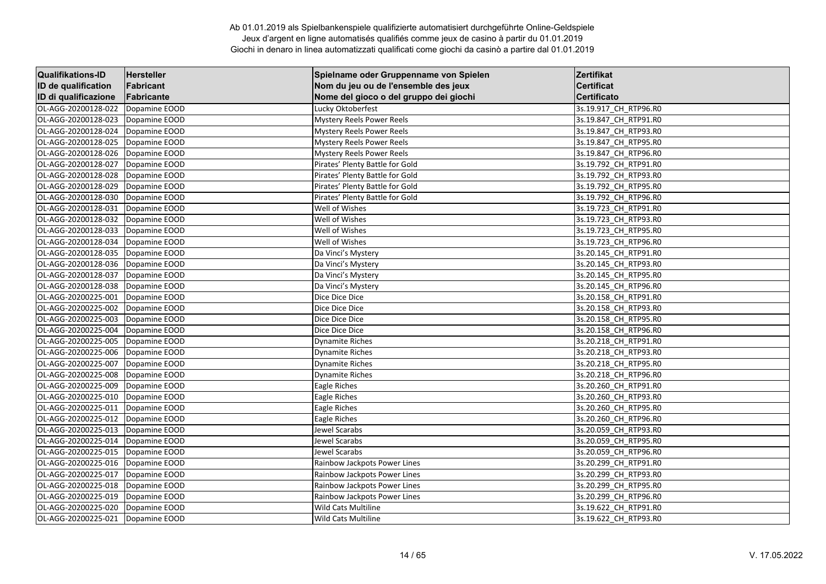| <b>Qualifikations-ID</b> | Hersteller    | Spielname oder Gruppenname von Spielen | Zertifikat            |
|--------------------------|---------------|----------------------------------------|-----------------------|
| ID de qualification      | Fabricant     | Nom du jeu ou de l'ensemble des jeux   | <b>Certificat</b>     |
| ID di qualificazione     | Fabricante    | Nome del gioco o del gruppo dei giochi | Certificato           |
| OL-AGG-20200128-022      | Dopamine EOOD | Lucky Oktoberfest                      | 3s.19.917_CH_RTP96.R0 |
| OL-AGG-20200128-023      | Dopamine EOOD | <b>Mystery Reels Power Reels</b>       | 3s.19.847 CH RTP91.R0 |
| OL-AGG-20200128-024      | Dopamine EOOD | <b>Mystery Reels Power Reels</b>       | 3s.19.847 CH RTP93.RO |
| OL-AGG-20200128-025      | Dopamine EOOD | <b>Mystery Reels Power Reels</b>       | 3s.19.847_CH_RTP95.R0 |
| OL-AGG-20200128-026      | Dopamine EOOD | <b>Mystery Reels Power Reels</b>       | 3s.19.847_CH_RTP96.R0 |
| OL-AGG-20200128-027      | Dopamine EOOD | Pirates' Plenty Battle for Gold        | 3s.19.792_CH_RTP91.R0 |
| OL-AGG-20200128-028      | Dopamine EOOD | Pirates' Plenty Battle for Gold        | 3s.19.792 CH RTP93.R0 |
| OL-AGG-20200128-029      | Dopamine EOOD | Pirates' Plenty Battle for Gold        | 3s.19.792_CH_RTP95.R0 |
| OL-AGG-20200128-030      | Dopamine EOOD | Pirates' Plenty Battle for Gold        | 3s.19.792_CH_RTP96.R0 |
| OL-AGG-20200128-031      | Dopamine EOOD | Well of Wishes                         | 3s.19.723 CH RTP91.RO |
| OL-AGG-20200128-032      | Dopamine EOOD | Well of Wishes                         | 3s.19.723 CH RTP93.RO |
| OL-AGG-20200128-033      | Dopamine EOOD | Well of Wishes                         | 3s.19.723_CH_RTP95.R0 |
| OL-AGG-20200128-034      | Dopamine EOOD | Well of Wishes                         | 3s.19.723 CH RTP96.RO |
| OL-AGG-20200128-035      | Dopamine EOOD | Da Vinci's Mystery                     | 3s.20.145 CH RTP91.R0 |
| OL-AGG-20200128-036      | Dopamine EOOD | Da Vinci's Mystery                     | 3s.20.145 CH RTP93.RO |
| OL-AGG-20200128-037      | Dopamine EOOD | Da Vinci's Mystery                     | 3s.20.145_CH_RTP95.R0 |
| OL-AGG-20200128-038      | Dopamine EOOD | Da Vinci's Mystery                     | 3s.20.145 CH RTP96.RO |
| OL-AGG-20200225-001      | Dopamine EOOD | Dice Dice Dice                         | 3s.20.158 CH RTP91.R0 |
| OL-AGG-20200225-002      | Dopamine EOOD | Dice Dice Dice                         | 3s.20.158 CH RTP93.RO |
| OL-AGG-20200225-003      | Dopamine EOOD | Dice Dice Dice                         | 3s.20.158 CH RTP95.RO |
| OL-AGG-20200225-004      | Dopamine EOOD | Dice Dice Dice                         | 3s.20.158_CH_RTP96.R0 |
| OL-AGG-20200225-005      | Dopamine EOOD | <b>Dynamite Riches</b>                 | 3s.20.218 CH RTP91.R0 |
| OL-AGG-20200225-006      | Dopamine EOOD | <b>Dynamite Riches</b>                 | 3s.20.218 CH RTP93.RO |
| OL-AGG-20200225-007      | Dopamine EOOD | <b>Dynamite Riches</b>                 | 3s.20.218_CH_RTP95.R0 |
| OL-AGG-20200225-008      | Dopamine EOOD | <b>Dynamite Riches</b>                 | 3s.20.218_CH_RTP96.R0 |
| OL-AGG-20200225-009      | Dopamine EOOD | Eagle Riches                           | 3s.20.260 CH RTP91.R0 |
| OL-AGG-20200225-010      | Dopamine EOOD | Eagle Riches                           | 3s.20.260_CH_RTP93.R0 |
| OL-AGG-20200225-011      | Dopamine EOOD | Eagle Riches                           | 3s.20.260_CH_RTP95.R0 |
| OL-AGG-20200225-012      | Dopamine EOOD | Eagle Riches                           | 3s.20.260 CH RTP96.R0 |
| OL-AGG-20200225-013      | Dopamine EOOD | Jewel Scarabs                          | 3s.20.059_CH_RTP93.R0 |
| OL-AGG-20200225-014      | Dopamine EOOD | Jewel Scarabs                          | 3s.20.059 CH RTP95.R0 |
| OL-AGG-20200225-015      | Dopamine EOOD | Jewel Scarabs                          | 3s.20.059_CH_RTP96.R0 |
| OL-AGG-20200225-016      | Dopamine EOOD | Rainbow Jackpots Power Lines           | 3s.20.299 CH RTP91.R0 |
| OL-AGG-20200225-017      | Dopamine EOOD | Rainbow Jackpots Power Lines           | 3s.20.299 CH RTP93.RO |
| OL-AGG-20200225-018      | Dopamine EOOD | Rainbow Jackpots Power Lines           | 3s.20.299 CH RTP95.R0 |
| OL-AGG-20200225-019      | Dopamine EOOD | Rainbow Jackpots Power Lines           | 3s.20.299_CH_RTP96.R0 |
| OL-AGG-20200225-020      | Dopamine EOOD | Wild Cats Multiline                    | 3s.19.622_CH_RTP91.R0 |
| OL-AGG-20200225-021      | Dopamine EOOD | Wild Cats Multiline                    | 3s.19.622 CH RTP93.RO |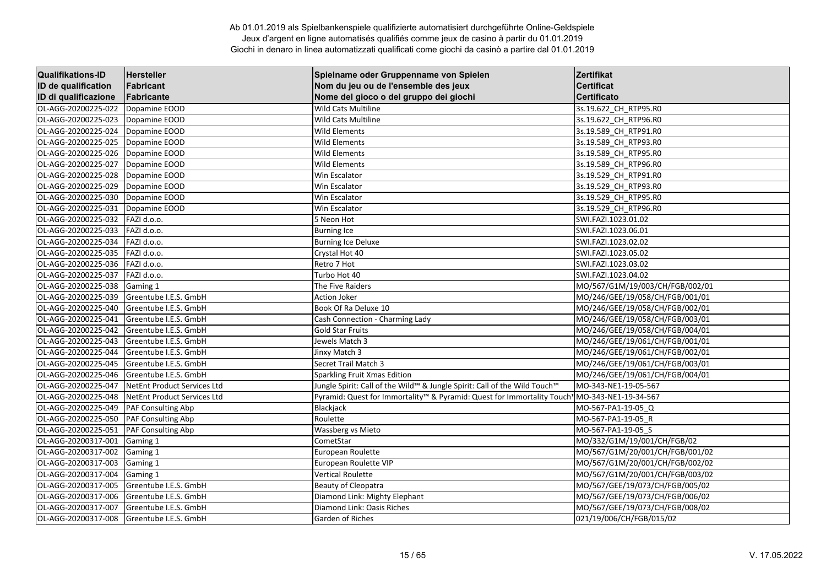| <b>Qualifikations-ID</b> | <b>Hersteller</b>           | Spielname oder Gruppenname von Spielen                                                      | Zertifikat                      |
|--------------------------|-----------------------------|---------------------------------------------------------------------------------------------|---------------------------------|
| ID de qualification      | Fabricant                   | Nom du jeu ou de l'ensemble des jeux                                                        | <b>Certificat</b>               |
| ID di qualificazione     | Fabricante                  | Nome del gioco o del gruppo dei giochi                                                      | <b>Certificato</b>              |
| OL-AGG-20200225-022      | Dopamine EOOD               | <b>Wild Cats Multiline</b>                                                                  | 3s.19.622 CH_RTP95.R0           |
| OL-AGG-20200225-023      | Dopamine EOOD               | Wild Cats Multiline                                                                         | 3s.19.622 CH_RTP96.R0           |
| OL-AGG-20200225-024      | Dopamine EOOD               | <b>Wild Elements</b>                                                                        | 3s.19.589_CH_RTP91.R0           |
| OL-AGG-20200225-025      | Dopamine EOOD               | <b>Wild Elements</b>                                                                        | 3s.19.589_CH_RTP93.R0           |
| OL-AGG-20200225-026      | Dopamine EOOD               | <b>Wild Elements</b>                                                                        | 3s.19.589_CH_RTP95.R0           |
| OL-AGG-20200225-027      | Dopamine EOOD               | <b>Wild Elements</b>                                                                        | 3s.19.589_CH_RTP96.R0           |
| OL-AGG-20200225-028      | Dopamine EOOD               | Win Escalator                                                                               | 3s.19.529 CH RTP91.R0           |
| OL-AGG-20200225-029      | Dopamine EOOD               | Win Escalator                                                                               | 3s.19.529_CH_RTP93.R0           |
| OL-AGG-20200225-030      | Dopamine EOOD               | Win Escalator                                                                               | 3s.19.529 CH RTP95.RO           |
| OL-AGG-20200225-031      | Dopamine EOOD               | Win Escalator                                                                               | 3s.19.529_CH_RTP96.R0           |
| OL-AGG-20200225-032      | FAZI d.o.o.                 | 5 Neon Hot                                                                                  | SWI.FAZI.1023.01.02             |
| OL-AGG-20200225-033      | FAZI d.o.o.                 | <b>Burning Ice</b>                                                                          | SWI.FAZI.1023.06.01             |
| OL-AGG-20200225-034      | FAZI d.o.o.                 | <b>Burning Ice Deluxe</b>                                                                   | SWI.FAZI.1023.02.02             |
| OL-AGG-20200225-035      | FAZI d.o.o.                 | Crystal Hot 40                                                                              | SWI.FAZI.1023.05.02             |
| OL-AGG-20200225-036      | FAZI d.o.o.                 | Retro 7 Hot                                                                                 | SWI.FAZI.1023.03.02             |
| OL-AGG-20200225-037      | FAZI d.o.o.                 | Turbo Hot 40                                                                                | SWI.FAZI.1023.04.02             |
| OL-AGG-20200225-038      | Gaming 1                    | The Five Raiders                                                                            | MO/567/G1M/19/003/CH/FGB/002/01 |
| OL-AGG-20200225-039      | Greentube I.E.S. GmbH       | <b>Action Joker</b>                                                                         | MO/246/GEE/19/058/CH/FGB/001/01 |
| OL-AGG-20200225-040      | Greentube I.E.S. GmbH       | Book Of Ra Deluxe 10                                                                        | MO/246/GEE/19/058/CH/FGB/002/01 |
| OL-AGG-20200225-041      | Greentube I.E.S. GmbH       | Cash Connection - Charming Lady                                                             | MO/246/GEE/19/058/CH/FGB/003/01 |
| OL-AGG-20200225-042      | Greentube I.E.S. GmbH       | <b>Gold Star Fruits</b>                                                                     | MO/246/GEE/19/058/CH/FGB/004/01 |
| OL-AGG-20200225-043      | Greentube I.E.S. GmbH       | Jewels Match 3                                                                              | MO/246/GEE/19/061/CH/FGB/001/01 |
| OL-AGG-20200225-044      | Greentube I.E.S. GmbH       | Jinxy Match 3                                                                               | MO/246/GEE/19/061/CH/FGB/002/01 |
| OL-AGG-20200225-045      | Greentube I.E.S. GmbH       | Secret Trail Match 3                                                                        | MO/246/GEE/19/061/CH/FGB/003/01 |
| OL-AGG-20200225-046      | Greentube I.E.S. GmbH       | Sparkling Fruit Xmas Edition                                                                | MO/246/GEE/19/061/CH/FGB/004/01 |
| OL-AGG-20200225-047      | NetEnt Product Services Ltd | Jungle Spirit: Call of the Wild™ & Jungle Spirit: Call of the Wild Touch™                   | MO-343-NE1-19-05-567            |
| OL-AGG-20200225-048      | NetEnt Product Services Ltd | Pyramid: Quest for Immortality™ & Pyramid: Quest for Immortality Touch1MO-343-NE1-19-34-567 |                                 |
| OL-AGG-20200225-049      | PAF Consulting Abp          | Blackjack                                                                                   | MO-567-PA1-19-05 Q              |
| OL-AGG-20200225-050      | PAF Consulting Abp          | Roulette                                                                                    | MO-567-PA1-19-05_R              |
| OL-AGG-20200225-051      | PAF Consulting Abp          | <b>Wassberg vs Mieto</b>                                                                    | MO-567-PA1-19-05 S              |
| OL-AGG-20200317-001      | Gaming 1                    | CometStar                                                                                   | MO/332/G1M/19/001/CH/FGB/02     |
| OL-AGG-20200317-002      | Gaming 1                    | European Roulette                                                                           | MO/567/G1M/20/001/CH/FGB/001/02 |
| OL-AGG-20200317-003      | Gaming 1                    | European Roulette VIP                                                                       | MO/567/G1M/20/001/CH/FGB/002/02 |
| OL-AGG-20200317-004      | Gaming 1                    | <b>Vertical Roulette</b>                                                                    | MO/567/G1M/20/001/CH/FGB/003/02 |
| OL-AGG-20200317-005      | Greentube I.E.S. GmbH       | <b>Beauty of Cleopatra</b>                                                                  | MO/567/GEE/19/073/CH/FGB/005/02 |
| OL-AGG-20200317-006      | Greentube I.E.S. GmbH       | Diamond Link: Mighty Elephant                                                               | MO/567/GEE/19/073/CH/FGB/006/02 |
| OL-AGG-20200317-007      | Greentube I.E.S. GmbH       | Diamond Link: Oasis Riches                                                                  | MO/567/GEE/19/073/CH/FGB/008/02 |
| OL-AGG-20200317-008      | Greentube I.E.S. GmbH       | Garden of Riches                                                                            | 021/19/006/CH/FGB/015/02        |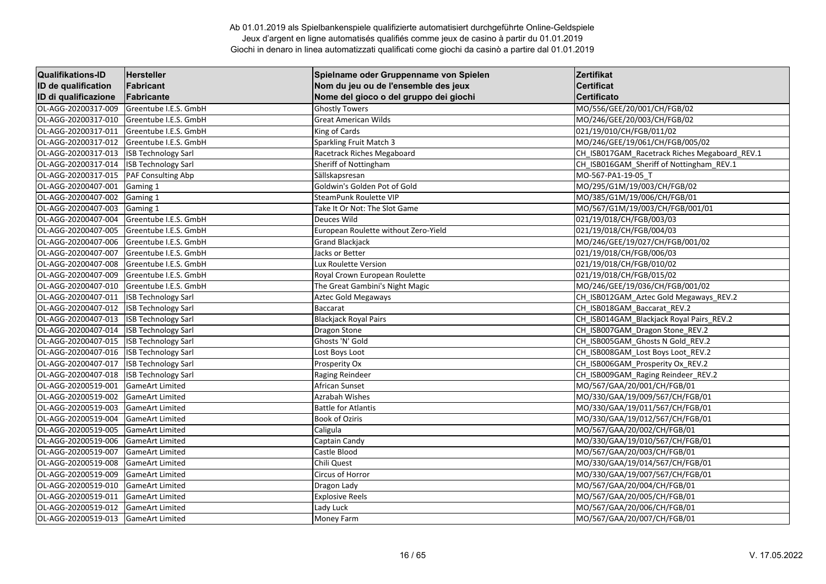| <b>Qualifikations-ID</b> | <b>Hersteller</b>          | Spielname oder Gruppenname von Spielen | Zertifikat                                    |
|--------------------------|----------------------------|----------------------------------------|-----------------------------------------------|
| ID de qualification      | Fabricant                  | Nom du jeu ou de l'ensemble des jeux   | <b>Certificat</b>                             |
| ID di qualificazione     | Fabricante                 | Nome del gioco o del gruppo dei giochi | <b>Certificato</b>                            |
| OL-AGG-20200317-009      | Greentube I.E.S. GmbH      | <b>Ghostly Towers</b>                  | MO/556/GEE/20/001/CH/FGB/02                   |
| OL-AGG-20200317-010      | Greentube I.E.S. GmbH      | <b>Great American Wilds</b>            | MO/246/GEE/20/003/CH/FGB/02                   |
| OL-AGG-20200317-011      | Greentube I.E.S. GmbH      | King of Cards                          | 021/19/010/CH/FGB/011/02                      |
| OL-AGG-20200317-012      | Greentube I.E.S. GmbH      | Sparkling Fruit Match 3                | MO/246/GEE/19/061/CH/FGB/005/02               |
| OL-AGG-20200317-013      | <b>ISB Technology Sarl</b> | Racetrack Riches Megaboard             | CH_ISB017GAM_Racetrack Riches Megaboard_REV.1 |
| OL-AGG-20200317-014      | <b>ISB Technology Sarl</b> | Sheriff of Nottingham                  | CH ISB016GAM Sheriff of Nottingham REV.1      |
| OL-AGG-20200317-015      | PAF Consulting Abp         | Sällskapsresan                         | MO-567-PA1-19-05 T                            |
| OL-AGG-20200407-001      | Gaming 1                   | Goldwin's Golden Pot of Gold           | MO/295/G1M/19/003/CH/FGB/02                   |
| OL-AGG-20200407-002      | Gaming 1                   | <b>SteamPunk Roulette VIP</b>          | MO/385/G1M/19/006/CH/FGB/01                   |
| OL-AGG-20200407-003      | Gaming 1                   | Take It Or Not: The Slot Game          | MO/567/G1M/19/003/CH/FGB/001/01               |
| OL-AGG-20200407-004      | Greentube I.E.S. GmbH      | <b>Deuces Wild</b>                     | 021/19/018/CH/FGB/003/03                      |
| OL-AGG-20200407-005      | Greentube I.E.S. GmbH      | European Roulette without Zero-Yield   | 021/19/018/CH/FGB/004/03                      |
| OL-AGG-20200407-006      | Greentube I.E.S. GmbH      | <b>Grand Blackjack</b>                 | MO/246/GEE/19/027/CH/FGB/001/02               |
| OL-AGG-20200407-007      | Greentube I.E.S. GmbH      | Jacks or Better                        | 021/19/018/CH/FGB/006/03                      |
| OL-AGG-20200407-008      | Greentube I.E.S. GmbH      | Lux Roulette Version                   | 021/19/018/CH/FGB/010/02                      |
| OL-AGG-20200407-009      | Greentube I.E.S. GmbH      | Royal Crown European Roulette          | 021/19/018/CH/FGB/015/02                      |
| OL-AGG-20200407-010      | Greentube I.E.S. GmbH      | The Great Gambini's Night Magic        | MO/246/GEE/19/036/CH/FGB/001/02               |
| OL-AGG-20200407-011      | <b>ISB Technology Sarl</b> | Aztec Gold Megaways                    | CH ISB012GAM Aztec Gold Megaways REV.2        |
| OL-AGG-20200407-012      | <b>ISB Technology Sarl</b> | <b>Baccarat</b>                        | CH_ISB018GAM_Baccarat_REV.2                   |
| OL-AGG-20200407-013      | <b>ISB Technology Sarl</b> | <b>Blackjack Royal Pairs</b>           | CH ISB014GAM Blackjack Royal Pairs REV.2      |
| OL-AGG-20200407-014      | <b>ISB Technology Sarl</b> | <b>Dragon Stone</b>                    | CH_ISB007GAM_Dragon Stone_REV.2               |
| OL-AGG-20200407-015      | <b>ISB Technology Sarl</b> | Ghosts 'N' Gold                        | CH ISB005GAM Ghosts N Gold REV.2              |
| OL-AGG-20200407-016      | <b>ISB Technology Sarl</b> | Lost Boys Loot                         | CH ISB008GAM Lost Boys Loot REV.2             |
| OL-AGG-20200407-017      | <b>ISB Technology Sarl</b> | Prosperity Ox                          | CH ISB006GAM Prosperity Ox REV.2              |
| OL-AGG-20200407-018      | <b>ISB Technology Sarl</b> | Raging Reindeer                        | CH_ISB009GAM_Raging Reindeer_REV.2            |
| OL-AGG-20200519-001      | <b>GameArt Limited</b>     | African Sunset                         | MO/567/GAA/20/001/CH/FGB/01                   |
| OL-AGG-20200519-002      | <b>GameArt Limited</b>     | Azrabah Wishes                         | MO/330/GAA/19/009/567/CH/FGB/01               |
| OL-AGG-20200519-003      | <b>GameArt Limited</b>     | <b>Battle for Atlantis</b>             | MO/330/GAA/19/011/567/CH/FGB/01               |
| OL-AGG-20200519-004      | <b>GameArt Limited</b>     | Book of Oziris                         | MO/330/GAA/19/012/567/CH/FGB/01               |
| OL-AGG-20200519-005      | <b>GameArt Limited</b>     | Caligula                               | MO/567/GAA/20/002/CH/FGB/01                   |
| OL-AGG-20200519-006      | <b>GameArt Limited</b>     | Captain Candy                          | MO/330/GAA/19/010/567/CH/FGB/01               |
| OL-AGG-20200519-007      | <b>GameArt Limited</b>     | Castle Blood                           | MO/567/GAA/20/003/CH/FGB/01                   |
| OL-AGG-20200519-008      | <b>GameArt Limited</b>     | Chili Quest                            | MO/330/GAA/19/014/567/CH/FGB/01               |
| OL-AGG-20200519-009      | <b>GameArt Limited</b>     | Circus of Horror                       | MO/330/GAA/19/007/567/CH/FGB/01               |
| OL-AGG-20200519-010      | <b>GameArt Limited</b>     | Dragon Lady                            | MO/567/GAA/20/004/CH/FGB/01                   |
| OL-AGG-20200519-011      | <b>GameArt Limited</b>     | <b>Explosive Reels</b>                 | MO/567/GAA/20/005/CH/FGB/01                   |
| OL-AGG-20200519-012      | <b>GameArt Limited</b>     | Lady Luck                              | MO/567/GAA/20/006/CH/FGB/01                   |
| OL-AGG-20200519-013      | <b>GameArt Limited</b>     | Money Farm                             | MO/567/GAA/20/007/CH/FGB/01                   |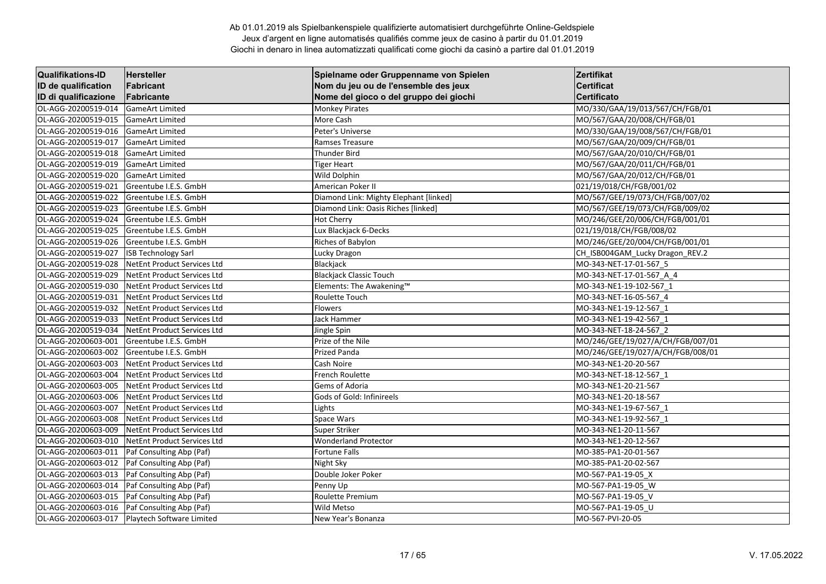| <b>Qualifikations-ID</b> | <b>Hersteller</b>           | Spielname oder Gruppenname von Spielen | Zertifikat                        |
|--------------------------|-----------------------------|----------------------------------------|-----------------------------------|
| ID de qualification      | Fabricant                   | Nom du jeu ou de l'ensemble des jeux   | <b>Certificat</b>                 |
| ID di qualificazione     | Fabricante                  | Nome del gioco o del gruppo dei giochi | Certificato                       |
| OL-AGG-20200519-014      | <b>GameArt Limited</b>      | <b>Monkey Pirates</b>                  | MO/330/GAA/19/013/567/CH/FGB/01   |
| OL-AGG-20200519-015      | <b>GameArt Limited</b>      | More Cash                              | MO/567/GAA/20/008/CH/FGB/01       |
| OL-AGG-20200519-016      | <b>GameArt Limited</b>      | Peter's Universe                       | MO/330/GAA/19/008/567/CH/FGB/01   |
| OL-AGG-20200519-017      | <b>GameArt Limited</b>      | Ramses Treasure                        | MO/567/GAA/20/009/CH/FGB/01       |
| OL-AGG-20200519-018      | <b>GameArt Limited</b>      | Thunder Bird                           | MO/567/GAA/20/010/CH/FGB/01       |
| OL-AGG-20200519-019      | <b>GameArt Limited</b>      | <b>Tiger Heart</b>                     | MO/567/GAA/20/011/CH/FGB/01       |
| OL-AGG-20200519-020      | <b>GameArt Limited</b>      | <b>Wild Dolphin</b>                    | MO/567/GAA/20/012/CH/FGB/01       |
| OL-AGG-20200519-021      | Greentube I.E.S. GmbH       | American Poker II                      | 021/19/018/CH/FGB/001/02          |
| OL-AGG-20200519-022      | Greentube I.E.S. GmbH       | Diamond Link: Mighty Elephant [linked] | MO/567/GEE/19/073/CH/FGB/007/02   |
| OL-AGG-20200519-023      | Greentube I.E.S. GmbH       | Diamond Link: Oasis Riches [linked]    | MO/567/GEE/19/073/CH/FGB/009/02   |
| OL-AGG-20200519-024      | Greentube I.E.S. GmbH       | <b>Hot Cherry</b>                      | MO/246/GEE/20/006/CH/FGB/001/01   |
| OL-AGG-20200519-025      | Greentube I.E.S. GmbH       | Lux Blackjack 6-Decks                  | 021/19/018/CH/FGB/008/02          |
| OL-AGG-20200519-026      | Greentube I.E.S. GmbH       | Riches of Babylon                      | MO/246/GEE/20/004/CH/FGB/001/01   |
| OL-AGG-20200519-027      | <b>ISB Technology Sarl</b>  | Lucky Dragon                           | CH_ISB004GAM_Lucky Dragon_REV.2   |
| OL-AGG-20200519-028      | NetEnt Product Services Ltd | Blackjack                              | MO-343-NET-17-01-567 5            |
| OL-AGG-20200519-029      | NetEnt Product Services Ltd | <b>Blackjack Classic Touch</b>         | MO-343-NET-17-01-567 A 4          |
| OL-AGG-20200519-030      | NetEnt Product Services Ltd | Elements: The Awakening™               | MO-343-NE1-19-102-567 1           |
| OL-AGG-20200519-031      | NetEnt Product Services Ltd | Roulette Touch                         | MO-343-NET-16-05-567 4            |
| OL-AGG-20200519-032      | NetEnt Product Services Ltd | Flowers                                | MO-343-NE1-19-12-567 1            |
| OL-AGG-20200519-033      | NetEnt Product Services Ltd | Jack Hammer                            | MO-343-NE1-19-42-567 1            |
| OL-AGG-20200519-034      | NetEnt Product Services Ltd | Jingle Spin                            | MO-343-NET-18-24-567 2            |
| OL-AGG-20200603-001      | Greentube I.E.S. GmbH       | Prize of the Nile                      | MO/246/GEE/19/027/A/CH/FGB/007/01 |
| OL-AGG-20200603-002      | Greentube I.E.S. GmbH       | <b>Prized Panda</b>                    | MO/246/GEE/19/027/A/CH/FGB/008/01 |
| OL-AGG-20200603-003      | NetEnt Product Services Ltd | Cash Noire                             | MO-343-NE1-20-20-567              |
| OL-AGG-20200603-004      | NetEnt Product Services Ltd | French Roulette                        | MO-343-NET-18-12-567 1            |
| OL-AGG-20200603-005      | NetEnt Product Services Ltd | Gems of Adoria                         | MO-343-NE1-20-21-567              |
| OL-AGG-20200603-006      | NetEnt Product Services Ltd | Gods of Gold: Infinireels              | MO-343-NE1-20-18-567              |
| OL-AGG-20200603-007      | NetEnt Product Services Ltd | Lights                                 | MO-343-NE1-19-67-567 1            |
| OL-AGG-20200603-008      | NetEnt Product Services Ltd | Space Wars                             | MO-343-NE1-19-92-567 1            |
| OL-AGG-20200603-009      | NetEnt Product Services Ltd | <b>Super Striker</b>                   | MO-343-NE1-20-11-567              |
| OL-AGG-20200603-010      | NetEnt Product Services Ltd | <b>Wonderland Protector</b>            | MO-343-NE1-20-12-567              |
| OL-AGG-20200603-011      | Paf Consulting Abp (Paf)    | <b>Fortune Falls</b>                   | MO-385-PA1-20-01-567              |
| OL-AGG-20200603-012      | Paf Consulting Abp (Paf)    | Night Sky                              | MO-385-PA1-20-02-567              |
| OL-AGG-20200603-013      | Paf Consulting Abp (Paf)    | Double Joker Poker                     | MO-567-PA1-19-05 X                |
| OL-AGG-20200603-014      | Paf Consulting Abp (Paf)    | Penny Up                               | MO-567-PA1-19-05 W                |
| OL-AGG-20200603-015      | Paf Consulting Abp (Paf)    | Roulette Premium                       | MO-567-PA1-19-05 V                |
| OL-AGG-20200603-016      | Paf Consulting Abp (Paf)    | Wild Metso                             | MO-567-PA1-19-05_U                |
| OL-AGG-20200603-017      | Playtech Software Limited   | New Year's Bonanza                     | MO-567-PVI-20-05                  |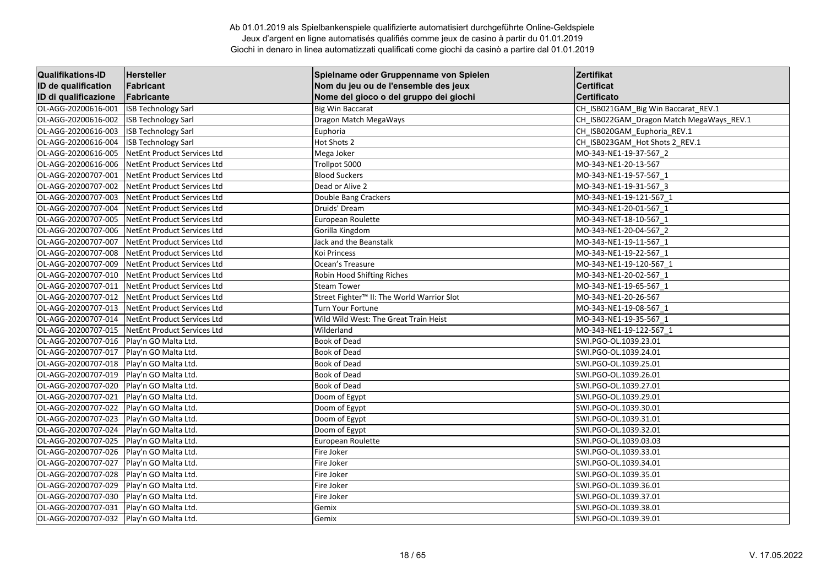| <b>Qualifikations-ID</b> | <b>Hersteller</b>                  | Spielname oder Gruppenname von Spielen                 | Zertifikat                               |
|--------------------------|------------------------------------|--------------------------------------------------------|------------------------------------------|
| ID de qualification      | Fabricant                          | Nom du jeu ou de l'ensemble des jeux                   | <b>Certificat</b>                        |
| ID di qualificazione     | Fabricante                         | Nome del gioco o del gruppo dei giochi                 | <b>Certificato</b>                       |
| OL-AGG-20200616-001      | <b>ISB Technology Sarl</b>         | <b>Big Win Baccarat</b>                                | CH_ISB021GAM_Big Win Baccarat_REV.1      |
| OL-AGG-20200616-002      | <b>ISB Technology Sarl</b>         | Dragon Match MegaWays                                  | CH ISB022GAM Dragon Match MegaWays REV.1 |
| OL-AGG-20200616-003      | <b>ISB Technology Sarl</b>         | Euphoria                                               | CH ISB020GAM Euphoria REV.1              |
| OL-AGG-20200616-004      | <b>ISB Technology Sarl</b>         | Hot Shots 2                                            | CH_ISB023GAM_Hot Shots 2_REV.1           |
| OL-AGG-20200616-005      | <b>NetEnt Product Services Ltd</b> | Mega Joker                                             | MO-343-NE1-19-37-567 2                   |
| OL-AGG-20200616-006      | <b>NetEnt Product Services Ltd</b> | Trollpot 5000                                          | MO-343-NE1-20-13-567                     |
| OL-AGG-20200707-001      | NetEnt Product Services Ltd        | <b>Blood Suckers</b>                                   | MO-343-NE1-19-57-567 1                   |
| OL-AGG-20200707-002      | NetEnt Product Services Ltd        | Dead or Alive 2                                        | MO-343-NE1-19-31-567 3                   |
| OL-AGG-20200707-003      | NetEnt Product Services Ltd        | Double Bang Crackers                                   | MO-343-NE1-19-121-567 1                  |
| OL-AGG-20200707-004      | <b>NetEnt Product Services Ltd</b> | Druids' Dream                                          | MO-343-NE1-20-01-567 1                   |
| OL-AGG-20200707-005      | <b>NetEnt Product Services Ltd</b> | European Roulette                                      | MO-343-NET-18-10-567 1                   |
| OL-AGG-20200707-006      | <b>NetEnt Product Services Ltd</b> | Gorilla Kingdom                                        | MO-343-NE1-20-04-567 2                   |
| OL-AGG-20200707-007      | <b>NetEnt Product Services Ltd</b> | Jack and the Beanstalk                                 | MO-343-NE1-19-11-567 1                   |
| OL-AGG-20200707-008      | NetEnt Product Services Ltd        | Koi Princess                                           | MO-343-NE1-19-22-567 1                   |
| OL-AGG-20200707-009      | <b>NetEnt Product Services Ltd</b> | Ocean's Treasure                                       | MO-343-NE1-19-120-567 1                  |
| OL-AGG-20200707-010      | <b>NetEnt Product Services Ltd</b> | Robin Hood Shifting Riches                             | MO-343-NE1-20-02-567_1                   |
| OL-AGG-20200707-011      | NetEnt Product Services Ltd        | <b>Steam Tower</b>                                     | MO-343-NE1-19-65-567 1                   |
| OL-AGG-20200707-012      | NetEnt Product Services Ltd        | Street Fighter <sup>™</sup> II: The World Warrior Slot | MO-343-NE1-20-26-567                     |
| OL-AGG-20200707-013      | NetEnt Product Services Ltd        | Turn Your Fortune                                      | MO-343-NE1-19-08-567 1                   |
| OL-AGG-20200707-014      | NetEnt Product Services Ltd        | Wild Wild West: The Great Train Heist                  | MO-343-NE1-19-35-567 1                   |
| OL-AGG-20200707-015      | <b>NetEnt Product Services Ltd</b> | Wilderland                                             | MO-343-NE1-19-122-567_1                  |
| OL-AGG-20200707-016      | Play'n GO Malta Ltd.               | <b>Book of Dead</b>                                    | SWI.PGO-OL.1039.23.01                    |
| OL-AGG-20200707-017      | Play'n GO Malta Ltd.               | <b>Book of Dead</b>                                    | SWI.PGO-OL.1039.24.01                    |
| OL-AGG-20200707-018      | Play'n GO Malta Ltd.               | Book of Dead                                           | SWI.PGO-OL.1039.25.01                    |
| OL-AGG-20200707-019      | Play'n GO Malta Ltd.               | <b>Book of Dead</b>                                    | SWI.PGO-OL.1039.26.01                    |
| OL-AGG-20200707-020      | Play'n GO Malta Ltd.               | Book of Dead                                           | SWI.PGO-OL.1039.27.01                    |
| OL-AGG-20200707-021      | Play'n GO Malta Ltd.               | Doom of Egypt                                          | SWI.PGO-OL.1039.29.01                    |
| OL-AGG-20200707-022      | Play'n GO Malta Ltd.               | Doom of Egypt                                          | SWI.PGO-OL.1039.30.01                    |
| OL-AGG-20200707-023      | Play'n GO Malta Ltd.               | Doom of Egypt                                          | SWI.PGO-OL.1039.31.01                    |
| OL-AGG-20200707-024      | Play'n GO Malta Ltd.               | Doom of Egypt                                          | SWI.PGO-OL.1039.32.01                    |
| OL-AGG-20200707-025      | Play'n GO Malta Ltd.               | European Roulette                                      | SWI.PGO-OL.1039.03.03                    |
| OL-AGG-20200707-026      | Play'n GO Malta Ltd.               | Fire Joker                                             | SWI.PGO-OL.1039.33.01                    |
| OL-AGG-20200707-027      | Play'n GO Malta Ltd.               | Fire Joker                                             | SWI.PGO-OL.1039.34.01                    |
| OL-AGG-20200707-028      | Play'n GO Malta Ltd.               | Fire Joker                                             | SWI.PGO-OL.1039.35.01                    |
| OL-AGG-20200707-029      | Play'n GO Malta Ltd.               | Fire Joker                                             | SWI.PGO-OL.1039.36.01                    |
| OL-AGG-20200707-030      | Play'n GO Malta Ltd.               | Fire Joker                                             | SWI.PGO-OL.1039.37.01                    |
| OL-AGG-20200707-031      | Play'n GO Malta Ltd.               | Gemix                                                  | SWI.PGO-OL.1039.38.01                    |
| OL-AGG-20200707-032      | Play'n GO Malta Ltd.               | Gemix                                                  | SWI.PGO-OL.1039.39.01                    |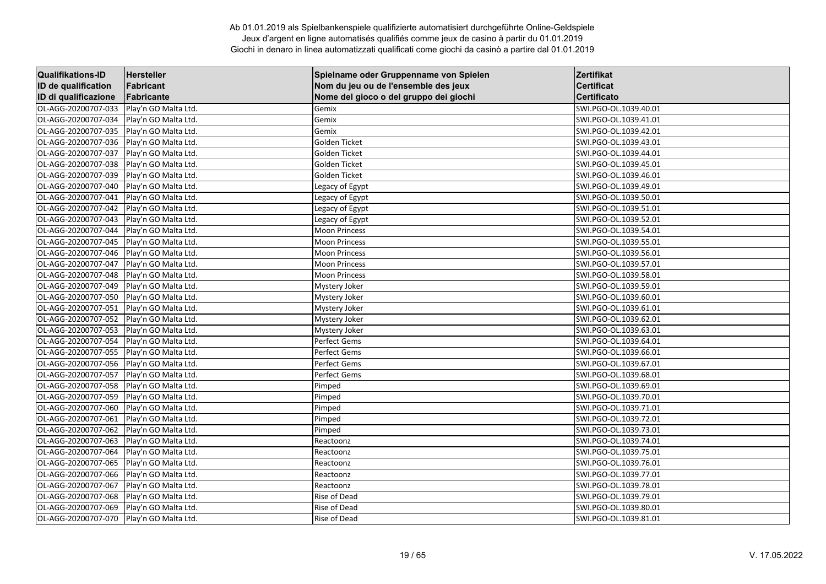| <b>Qualifikations-ID</b> | Hersteller           | Spielname oder Gruppenname von Spielen | Zertifikat            |
|--------------------------|----------------------|----------------------------------------|-----------------------|
| ID de qualification      | Fabricant            | Nom du jeu ou de l'ensemble des jeux   | <b>Certificat</b>     |
| ID di qualificazione     | Fabricante           | Nome del gioco o del gruppo dei giochi | Certificato           |
| OL-AGG-20200707-033      | Play'n GO Malta Ltd. | Gemix                                  | SWI.PGO-OL.1039.40.01 |
| OL-AGG-20200707-034      | Play'n GO Malta Ltd. | Gemix                                  | SWI.PGO-OL.1039.41.01 |
| OL-AGG-20200707-035      | Play'n GO Malta Ltd. | Gemix                                  | SWI.PGO-OL.1039.42.01 |
| OL-AGG-20200707-036      | Play'n GO Malta Ltd. | Golden Ticket                          | SWI.PGO-OL.1039.43.01 |
| OL-AGG-20200707-037      | Play'n GO Malta Ltd. | Golden Ticket                          | SWI.PGO-OL.1039.44.01 |
| OL-AGG-20200707-038      | Play'n GO Malta Ltd. | Golden Ticket                          | SWI.PGO-OL.1039.45.01 |
| OL-AGG-20200707-039      | Play'n GO Malta Ltd. | Golden Ticket                          | SWI.PGO-OL.1039.46.01 |
| OL-AGG-20200707-040      | Play'n GO Malta Ltd. | Legacy of Egypt                        | SWI.PGO-OL.1039.49.01 |
| OL-AGG-20200707-041      | Play'n GO Malta Ltd. | Legacy of Egypt                        | SWI.PGO-OL.1039.50.01 |
| OL-AGG-20200707-042      | Play'n GO Malta Ltd. | Legacy of Egypt                        | SWI.PGO-OL.1039.51.01 |
| OL-AGG-20200707-043      | Play'n GO Malta Ltd. | Legacy of Egypt                        | SWI.PGO-OL.1039.52.01 |
| OL-AGG-20200707-044      | Play'n GO Malta Ltd. | <b>Moon Princess</b>                   | SWI.PGO-OL.1039.54.01 |
| OL-AGG-20200707-045      | Play'n GO Malta Ltd. | <b>Moon Princess</b>                   | SWI.PGO-OL.1039.55.01 |
| OL-AGG-20200707-046      | Play'n GO Malta Ltd. | <b>Moon Princess</b>                   | SWI.PGO-OL.1039.56.01 |
| OL-AGG-20200707-047      | Play'n GO Malta Ltd. | <b>Moon Princess</b>                   | SWI.PGO-OL.1039.57.01 |
| OL-AGG-20200707-048      | Play'n GO Malta Ltd. | <b>Moon Princess</b>                   | SWI.PGO-OL.1039.58.01 |
| OL-AGG-20200707-049      | Play'n GO Malta Ltd. | Mystery Joker                          | SWI.PGO-OL.1039.59.01 |
| OL-AGG-20200707-050      | Play'n GO Malta Ltd. | Mystery Joker                          | SWI.PGO-OL.1039.60.01 |
| OL-AGG-20200707-051      | Play'n GO Malta Ltd. | Mystery Joker                          | SWI.PGO-OL.1039.61.01 |
| OL-AGG-20200707-052      | Play'n GO Malta Ltd. | Mystery Joker                          | SWI.PGO-OL.1039.62.01 |
| OL-AGG-20200707-053      | Play'n GO Malta Ltd. | <b>Mystery Joker</b>                   | SWI.PGO-OL.1039.63.01 |
| OL-AGG-20200707-054      | Play'n GO Malta Ltd. | Perfect Gems                           | SWI.PGO-OL.1039.64.01 |
| OL-AGG-20200707-055      | Play'n GO Malta Ltd. | <b>Perfect Gems</b>                    | SWI.PGO-OL.1039.66.01 |
| OL-AGG-20200707-056      | Play'n GO Malta Ltd. | Perfect Gems                           | SWI.PGO-OL.1039.67.01 |
| OL-AGG-20200707-057      | Play'n GO Malta Ltd. | Perfect Gems                           | SWI.PGO-OL.1039.68.01 |
| OL-AGG-20200707-058      | Play'n GO Malta Ltd. | Pimped                                 | SWI.PGO-OL.1039.69.01 |
| OL-AGG-20200707-059      | Play'n GO Malta Ltd. | Pimped                                 | SWI.PGO-OL.1039.70.01 |
| OL-AGG-20200707-060      | Play'n GO Malta Ltd. | Pimped                                 | SWI.PGO-OL.1039.71.01 |
| OL-AGG-20200707-061      | Play'n GO Malta Ltd. | Pimped                                 | SWI.PGO-OL.1039.72.01 |
| OL-AGG-20200707-062      | Play'n GO Malta Ltd. | Pimped                                 | SWI.PGO-OL.1039.73.01 |
| OL-AGG-20200707-063      | Play'n GO Malta Ltd. | Reactoonz                              | SWI.PGO-OL.1039.74.01 |
| OL-AGG-20200707-064      | Play'n GO Malta Ltd. | Reactoonz                              | SWI.PGO-OL.1039.75.01 |
| OL-AGG-20200707-065      | Play'n GO Malta Ltd. | Reactoonz                              | SWI.PGO-OL.1039.76.01 |
| OL-AGG-20200707-066      | Play'n GO Malta Ltd. | Reactoonz                              | SWI.PGO-OL.1039.77.01 |
| OL-AGG-20200707-067      | Play'n GO Malta Ltd. | Reactoonz                              | SWI.PGO-OL.1039.78.01 |
| OL-AGG-20200707-068      | Play'n GO Malta Ltd. | Rise of Dead                           | SWI.PGO-OL.1039.79.01 |
| OL-AGG-20200707-069      | Play'n GO Malta Ltd. | Rise of Dead                           | SWI.PGO-OL.1039.80.01 |
| OL-AGG-20200707-070      | Play'n GO Malta Ltd. | Rise of Dead                           | SWI.PGO-OL.1039.81.01 |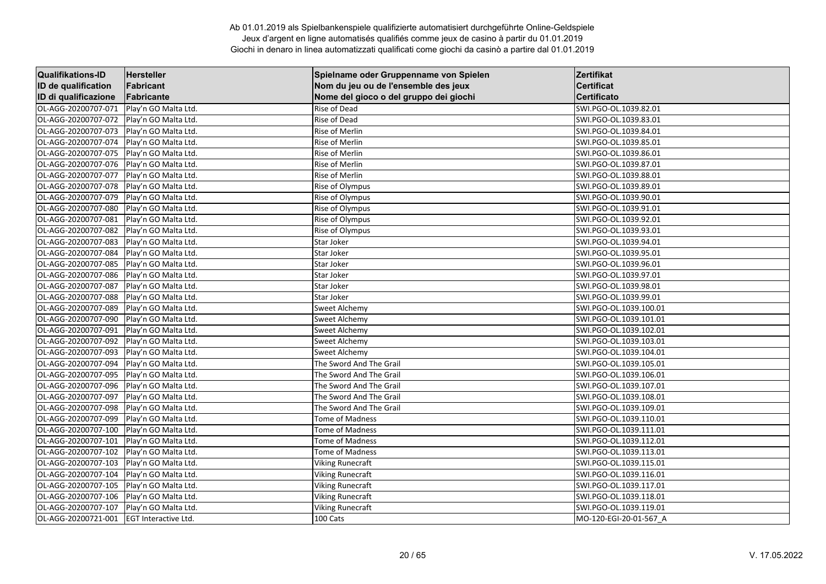| <b>Qualifikations-ID</b> | Hersteller                  | Spielname oder Gruppenname von Spielen | Zertifikat             |
|--------------------------|-----------------------------|----------------------------------------|------------------------|
| ID de qualification      | Fabricant                   | Nom du jeu ou de l'ensemble des jeux   | <b>Certificat</b>      |
| ID di qualificazione     | Fabricante                  | Nome del gioco o del gruppo dei giochi | Certificato            |
| OL-AGG-20200707-071      | Play'n GO Malta Ltd.        | Rise of Dead                           | SWI.PGO-OL.1039.82.01  |
| OL-AGG-20200707-072      | Play'n GO Malta Ltd.        | Rise of Dead                           | SWI.PGO-OL.1039.83.01  |
| OL-AGG-20200707-073      | Play'n GO Malta Ltd.        | Rise of Merlin                         | SWI.PGO-OL.1039.84.01  |
| OL-AGG-20200707-074      | Play'n GO Malta Ltd.        | Rise of Merlin                         | SWI.PGO-OL.1039.85.01  |
| OL-AGG-20200707-075      | Play'n GO Malta Ltd.        | Rise of Merlin                         | SWI.PGO-OL.1039.86.01  |
| OL-AGG-20200707-076      | Play'n GO Malta Ltd.        | Rise of Merlin                         | SWI.PGO-OL.1039.87.01  |
| OL-AGG-20200707-077      | Play'n GO Malta Ltd.        | Rise of Merlin                         | SWI.PGO-OL.1039.88.01  |
| OL-AGG-20200707-078      | Play'n GO Malta Ltd.        | Rise of Olympus                        | SWI.PGO-OL.1039.89.01  |
| OL-AGG-20200707-079      | Play'n GO Malta Ltd.        | Rise of Olympus                        | SWI.PGO-OL.1039.90.01  |
| OL-AGG-20200707-080      | Play'n GO Malta Ltd.        | Rise of Olympus                        | SWI.PGO-OL.1039.91.01  |
| OL-AGG-20200707-081      | Play'n GO Malta Ltd.        | Rise of Olympus                        | SWI.PGO-OL.1039.92.01  |
| OL-AGG-20200707-082      | Play'n GO Malta Ltd.        | Rise of Olympus                        | SWI.PGO-OL.1039.93.01  |
| OL-AGG-20200707-083      | Play'n GO Malta Ltd.        | Star Joker                             | SWI.PGO-OL.1039.94.01  |
| OL-AGG-20200707-084      | Play'n GO Malta Ltd.        | Star Joker                             | SWI.PGO-OL.1039.95.01  |
| OL-AGG-20200707-085      | Play'n GO Malta Ltd.        | Star Joker                             | SWI.PGO-OL.1039.96.01  |
| OL-AGG-20200707-086      | Play'n GO Malta Ltd.        | Star Joker                             | SWI.PGO-OL.1039.97.01  |
| OL-AGG-20200707-087      | Play'n GO Malta Ltd.        | Star Joker                             | SWI.PGO-OL.1039.98.01  |
| OL-AGG-20200707-088      | Play'n GO Malta Ltd.        | Star Joker                             | SWI.PGO-OL.1039.99.01  |
| OL-AGG-20200707-089      | Play'n GO Malta Ltd.        | Sweet Alchemy                          | SWI.PGO-OL.1039.100.01 |
| OL-AGG-20200707-090      | Play'n GO Malta Ltd.        | Sweet Alchemy                          | SWI.PGO-OL.1039.101.01 |
| OL-AGG-20200707-091      | Play'n GO Malta Ltd.        | Sweet Alchemy                          | SWI.PGO-OL.1039.102.01 |
| OL-AGG-20200707-092      | Play'n GO Malta Ltd.        | <b>Sweet Alchemy</b>                   | SWI.PGO-OL.1039.103.01 |
| OL-AGG-20200707-093      | Play'n GO Malta Ltd.        | Sweet Alchemy                          | SWI.PGO-OL.1039.104.01 |
| OL-AGG-20200707-094      | Play'n GO Malta Ltd.        | The Sword And The Grail                | SWI.PGO-OL.1039.105.01 |
| OL-AGG-20200707-095      | Play'n GO Malta Ltd.        | The Sword And The Grail                | SWI.PGO-OL.1039.106.01 |
| OL-AGG-20200707-096      | Play'n GO Malta Ltd.        | The Sword And The Grail                | SWI.PGO-OL.1039.107.01 |
| OL-AGG-20200707-097      | Play'n GO Malta Ltd.        | The Sword And The Grail                | SWI.PGO-OL.1039.108.01 |
| OL-AGG-20200707-098      | Play'n GO Malta Ltd.        | The Sword And The Grail                | SWI.PGO-OL.1039.109.01 |
| OL-AGG-20200707-099      | Play'n GO Malta Ltd.        | <b>Tome of Madness</b>                 | SWI.PGO-OL.1039.110.01 |
| OL-AGG-20200707-100      | Play'n GO Malta Ltd.        | <b>Tome of Madness</b>                 | SWI.PGO-OL.1039.111.01 |
| OL-AGG-20200707-101      | Play'n GO Malta Ltd.        | Tome of Madness                        | SWI.PGO-OL.1039.112.01 |
| OL-AGG-20200707-102      | Play'n GO Malta Ltd.        | Tome of Madness                        | SWI.PGO-OL.1039.113.01 |
| OL-AGG-20200707-103      | Play'n GO Malta Ltd.        | <b>Viking Runecraft</b>                | SWI.PGO-OL.1039.115.01 |
| OL-AGG-20200707-104      | Play'n GO Malta Ltd.        | <b>Viking Runecraft</b>                | SWI.PGO-OL.1039.116.01 |
| OL-AGG-20200707-105      | Play'n GO Malta Ltd.        | <b>Viking Runecraft</b>                | SWI.PGO-OL.1039.117.01 |
| OL-AGG-20200707-106      | Play'n GO Malta Ltd.        | <b>Viking Runecraft</b>                | SWI.PGO-OL.1039.118.01 |
| OL-AGG-20200707-107      | Play'n GO Malta Ltd.        | <b>Viking Runecraft</b>                | SWI.PGO-OL.1039.119.01 |
| OL-AGG-20200721-001      | <b>EGT Interactive Ltd.</b> | 100 Cats                               | MO-120-EGI-20-01-567 A |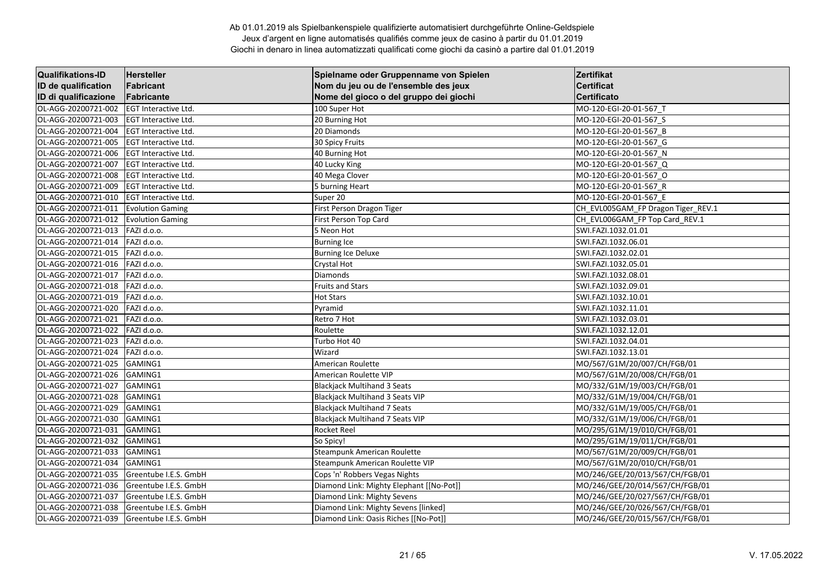| <b>Qualifikations-ID</b> | <b>Hersteller</b>           | Spielname oder Gruppenname von Spielen   | Zertifikat                         |
|--------------------------|-----------------------------|------------------------------------------|------------------------------------|
| ID de qualification      | Fabricant                   | Nom du jeu ou de l'ensemble des jeux     | <b>Certificat</b>                  |
| ID di qualificazione     | Fabricante                  | Nome del gioco o del gruppo dei giochi   | <b>Certificato</b>                 |
| OL-AGG-20200721-002      | EGT Interactive Ltd.        | 100 Super Hot                            | MO-120-EGI-20-01-567_T             |
| OL-AGG-20200721-003      | EGT Interactive Ltd.        | 20 Burning Hot                           | MO-120-EGI-20-01-567 S             |
| OL-AGG-20200721-004      | <b>EGT Interactive Ltd.</b> | 20 Diamonds                              | MO-120-EGI-20-01-567_B             |
| OL-AGG-20200721-005      | EGT Interactive Ltd.        | 30 Spicy Fruits                          | MO-120-EGI-20-01-567_G             |
| OL-AGG-20200721-006      | EGT Interactive Ltd.        | 40 Burning Hot                           | MO-120-EGI-20-01-567 N             |
| OL-AGG-20200721-007      | EGT Interactive Ltd.        | 40 Lucky King                            | MO-120-EGI-20-01-567_Q             |
| OL-AGG-20200721-008      | EGT Interactive Ltd.        | 40 Mega Clover                           | MO-120-EGI-20-01-567 O             |
| OL-AGG-20200721-009      | EGT Interactive Ltd.        | 5 burning Heart                          | MO-120-EGI-20-01-567_R             |
| OL-AGG-20200721-010      | EGT Interactive Ltd.        | Super 20                                 | MO-120-EGI-20-01-567 E             |
| OL-AGG-20200721-011      | <b>Evolution Gaming</b>     | First Person Dragon Tiger                | CH EVL005GAM FP Dragon Tiger REV.1 |
| OL-AGG-20200721-012      | <b>Evolution Gaming</b>     | First Person Top Card                    | CH_EVL006GAM_FP Top Card_REV.1     |
| OL-AGG-20200721-013      | FAZI d.o.o.                 | 5 Neon Hot                               | SWI.FAZI.1032.01.01                |
| OL-AGG-20200721-014      | FAZI d.o.o.                 | <b>Burning Ice</b>                       | SWI.FAZI.1032.06.01                |
| OL-AGG-20200721-015      | FAZI d.o.o.                 | <b>Burning Ice Deluxe</b>                | SWI.FAZI.1032.02.01                |
| OL-AGG-20200721-016      | FAZI d.o.o.                 | Crystal Hot                              | SWI.FAZI.1032.05.01                |
| OL-AGG-20200721-017      | FAZI d.o.o.                 | <b>Diamonds</b>                          | SWI.FAZI.1032.08.01                |
| OL-AGG-20200721-018      | FAZI d.o.o.                 | <b>Fruits and Stars</b>                  | SWI.FAZI.1032.09.01                |
| OL-AGG-20200721-019      | FAZI d.o.o.                 | <b>Hot Stars</b>                         | SWI.FAZI.1032.10.01                |
| OL-AGG-20200721-020      | FAZI d.o.o.                 | Pyramid                                  | SWI.FAZI.1032.11.01                |
| OL-AGG-20200721-021      | FAZI d.o.o.                 | Retro 7 Hot                              | SWI.FAZI.1032.03.01                |
| OL-AGG-20200721-022      | FAZI d.o.o.                 | Roulette                                 | SWI.FAZI.1032.12.01                |
| OL-AGG-20200721-023      | FAZI d.o.o.                 | Turbo Hot 40                             | SWI.FAZI.1032.04.01                |
| OL-AGG-20200721-024      | FAZI d.o.o.                 | Wizard                                   | SWI.FAZI.1032.13.01                |
| OL-AGG-20200721-025      | GAMING1                     | <b>American Roulette</b>                 | MO/567/G1M/20/007/CH/FGB/01        |
| OL-AGG-20200721-026      | GAMING1                     | American Roulette VIP                    | MO/567/G1M/20/008/CH/FGB/01        |
| OL-AGG-20200721-027      | GAMING1                     | <b>Blackjack Multihand 3 Seats</b>       | MO/332/G1M/19/003/CH/FGB/01        |
| OL-AGG-20200721-028      | GAMING1                     | <b>Blackjack Multihand 3 Seats VIP</b>   | MO/332/G1M/19/004/CH/FGB/01        |
| OL-AGG-20200721-029      | GAMING1                     | <b>Blackjack Multihand 7 Seats</b>       | MO/332/G1M/19/005/CH/FGB/01        |
| OL-AGG-20200721-030      | GAMING1                     | <b>Blackjack Multihand 7 Seats VIP</b>   | MO/332/G1M/19/006/CH/FGB/01        |
| OL-AGG-20200721-031      | GAMING1                     | <b>Rocket Reel</b>                       | MO/295/G1M/19/010/CH/FGB/01        |
| OL-AGG-20200721-032      | GAMING1                     | So Spicy!                                | MO/295/G1M/19/011/CH/FGB/01        |
| OL-AGG-20200721-033      | GAMING1                     | Steampunk American Roulette              | MO/567/G1M/20/009/CH/FGB/01        |
| OL-AGG-20200721-034      | <b>GAMING1</b>              | Steampunk American Roulette VIP          | MO/567/G1M/20/010/CH/FGB/01        |
| OL-AGG-20200721-035      | Greentube I.E.S. GmbH       | Cops 'n' Robbers Vegas Nights            | MO/246/GEE/20/013/567/CH/FGB/01    |
| OL-AGG-20200721-036      | Greentube I.E.S. GmbH       | Diamond Link: Mighty Elephant [[No-Pot]] | MO/246/GEE/20/014/567/CH/FGB/01    |
| OL-AGG-20200721-037      | Greentube I.E.S. GmbH       | Diamond Link: Mighty Sevens              | MO/246/GEE/20/027/567/CH/FGB/01    |
| OL-AGG-20200721-038      | Greentube I.E.S. GmbH       | Diamond Link: Mighty Sevens [linked]     | MO/246/GEE/20/026/567/CH/FGB/01    |
| OL-AGG-20200721-039      | Greentube I.E.S. GmbH       | Diamond Link: Oasis Riches [[No-Pot]]    | MO/246/GEE/20/015/567/CH/FGB/01    |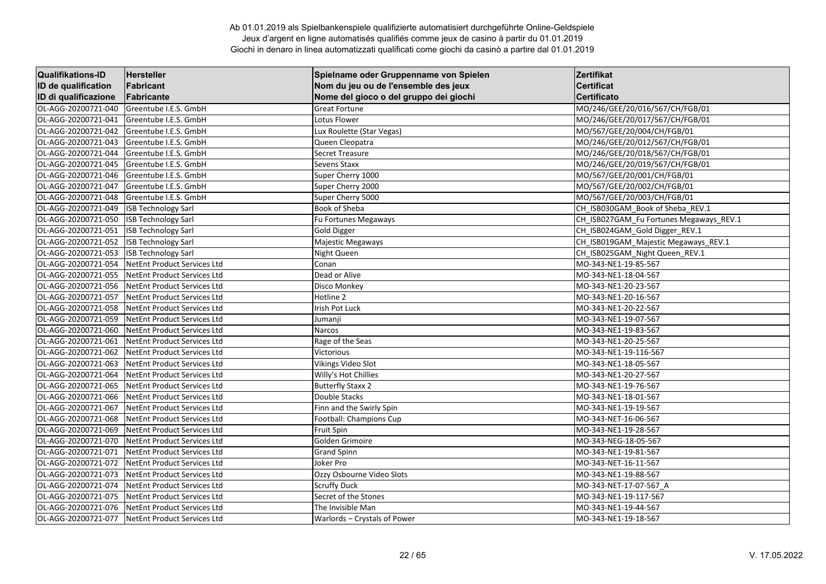| <b>Qualifikations-ID</b> | Hersteller                         | Spielname oder Gruppenname von Spielen | Zertifikat                              |
|--------------------------|------------------------------------|----------------------------------------|-----------------------------------------|
| ID de qualification      | Fabricant                          | Nom du jeu ou de l'ensemble des jeux   | <b>Certificat</b>                       |
| ID di qualificazione     | Fabricante                         | Nome del gioco o del gruppo dei giochi | <b>Certificato</b>                      |
| OL-AGG-20200721-040      | Greentube I.E.S. GmbH              | <b>Great Fortune</b>                   | MO/246/GEE/20/016/567/CH/FGB/01         |
| OL-AGG-20200721-041      | Greentube I.E.S. GmbH              | Lotus Flower                           | MO/246/GEE/20/017/567/CH/FGB/01         |
| OL-AGG-20200721-042      | Greentube I.E.S. GmbH              | Lux Roulette (Star Vegas)              | MO/567/GEE/20/004/CH/FGB/01             |
| OL-AGG-20200721-043      | Greentube I.E.S. GmbH              | Queen Cleopatra                        | MO/246/GEE/20/012/567/CH/FGB/01         |
| OL-AGG-20200721-044      | Greentube I.E.S. GmbH              | Secret Treasure                        | MO/246/GEE/20/018/567/CH/FGB/01         |
| OL-AGG-20200721-045      | Greentube I.E.S. GmbH              | Sevens Staxx                           | MO/246/GEE/20/019/567/CH/FGB/01         |
| OL-AGG-20200721-046      | Greentube I.E.S. GmbH              | Super Cherry 1000                      | MO/567/GEE/20/001/CH/FGB/01             |
| OL-AGG-20200721-047      | Greentube I.E.S. GmbH              | Super Cherry 2000                      | MO/567/GEE/20/002/CH/FGB/01             |
| OL-AGG-20200721-048      | Greentube I.E.S. GmbH              | Super Cherry 5000                      | MO/567/GEE/20/003/CH/FGB/01             |
| OL-AGG-20200721-049      | <b>ISB Technology Sarl</b>         | Book of Sheba                          | CH ISB030GAM Book of Sheba REV.1        |
| OL-AGG-20200721-050      | <b>ISB Technology Sarl</b>         | Fu Fortunes Megaways                   | CH_ISB027GAM_Fu Fortunes Megaways_REV.1 |
| OL-AGG-20200721-051      | <b>ISB Technology Sarl</b>         | <b>Gold Digger</b>                     | CH_ISB024GAM_Gold Digger_REV.1          |
| OL-AGG-20200721-052      | <b>ISB Technology Sarl</b>         | Majestic Megaways                      | CH ISB019GAM Majestic Megaways REV.1    |
| OL-AGG-20200721-053      | <b>ISB Technology Sarl</b>         | Night Queen                            | CH ISB025GAM Night Queen REV.1          |
| OL-AGG-20200721-054      | NetEnt Product Services Ltd        | Conan                                  | MO-343-NE1-19-85-567                    |
| OL-AGG-20200721-055      | NetEnt Product Services Ltd        | Dead or Alive                          | MO-343-NE1-18-04-567                    |
| OL-AGG-20200721-056      | NetEnt Product Services Ltd        | Disco Monkey                           | MO-343-NE1-20-23-567                    |
| OL-AGG-20200721-057      | NetEnt Product Services Ltd        | Hotline 2                              | MO-343-NE1-20-16-567                    |
| OL-AGG-20200721-058      | NetEnt Product Services Ltd        | Irish Pot Luck                         | MO-343-NE1-20-22-567                    |
| OL-AGG-20200721-059      | NetEnt Product Services Ltd        | Jumanji                                | MO-343-NE1-19-07-567                    |
| OL-AGG-20200721-060      | NetEnt Product Services Ltd        | Narcos                                 | MO-343-NE1-19-83-567                    |
| OL-AGG-20200721-061      | NetEnt Product Services Ltd        | Rage of the Seas                       | MO-343-NE1-20-25-567                    |
| OL-AGG-20200721-062      | NetEnt Product Services Ltd        | Victorious                             | MO-343-NE1-19-116-567                   |
| OL-AGG-20200721-063      | NetEnt Product Services Ltd        | <b>Vikings Video Slot</b>              | MO-343-NE1-18-05-567                    |
| OL-AGG-20200721-064      | <b>NetEnt Product Services Ltd</b> | Willy's Hot Chillies                   | MO-343-NE1-20-27-567                    |
| OL-AGG-20200721-065      | NetEnt Product Services Ltd        | <b>Butterfly Staxx 2</b>               | MO-343-NE1-19-76-567                    |
| OL-AGG-20200721-066      | NetEnt Product Services Ltd        | Double Stacks                          | MO-343-NE1-18-01-567                    |
| OL-AGG-20200721-067      | NetEnt Product Services Ltd        | Finn and the Swirly Spin               | MO-343-NE1-19-19-567                    |
| OL-AGG-20200721-068      | NetEnt Product Services Ltd        | Football: Champions Cup                | MO-343-NET-16-06-567                    |
| OL-AGG-20200721-069      | <b>NetEnt Product Services Ltd</b> | <b>Fruit Spin</b>                      | MO-343-NE1-19-28-567                    |
| OL-AGG-20200721-070      | NetEnt Product Services Ltd        | Golden Grimoire                        | MO-343-NEG-18-05-567                    |
| OL-AGG-20200721-071      | NetEnt Product Services Ltd        | <b>Grand Spinn</b>                     | MO-343-NE1-19-81-567                    |
| OL-AGG-20200721-072      | NetEnt Product Services Ltd        | Joker Pro                              | MO-343-NET-16-11-567                    |
| OL-AGG-20200721-073      | NetEnt Product Services Ltd        | Ozzy Osbourne Video Slots              | MO-343-NE1-19-88-567                    |
| OL-AGG-20200721-074      | NetEnt Product Services Ltd        | <b>Scruffy Duck</b>                    | MO-343-NET-17-07-567_A                  |
| OL-AGG-20200721-075      | NetEnt Product Services Ltd        | Secret of the Stones                   | MO-343-NE1-19-117-567                   |
| OL-AGG-20200721-076      | NetEnt Product Services Ltd        | The Invisible Man                      | MO-343-NE1-19-44-567                    |
| OL-AGG-20200721-077      | NetEnt Product Services Ltd        | Warlords - Crystals of Power           | MO-343-NE1-19-18-567                    |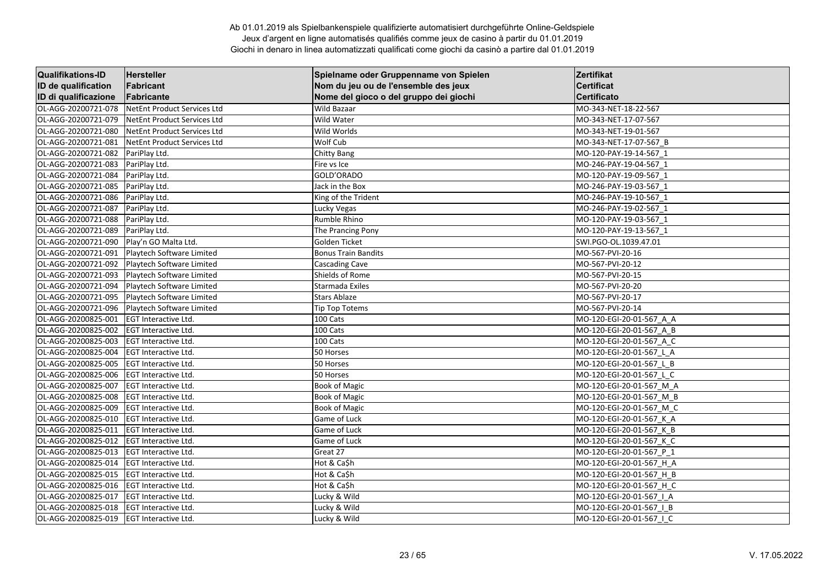| <b>Qualifikations-ID</b> | <b>Hersteller</b>           | Spielname oder Gruppenname von Spielen | Zertifikat               |
|--------------------------|-----------------------------|----------------------------------------|--------------------------|
| ID de qualification      | Fabricant                   | Nom du jeu ou de l'ensemble des jeux   | <b>Certificat</b>        |
| ID di qualificazione     | Fabricante                  | Nome del gioco o del gruppo dei giochi | <b>Certificato</b>       |
| OL-AGG-20200721-078      | NetEnt Product Services Ltd | Wild Bazaar                            | MO-343-NET-18-22-567     |
| OL-AGG-20200721-079      | NetEnt Product Services Ltd | Wild Water                             | MO-343-NET-17-07-567     |
| OL-AGG-20200721-080      | NetEnt Product Services Ltd | Wild Worlds                            | MO-343-NET-19-01-567     |
| OL-AGG-20200721-081      | NetEnt Product Services Ltd | Wolf Cub                               | MO-343-NET-17-07-567 B   |
| OL-AGG-20200721-082      | PariPlay Ltd.               | <b>Chitty Bang</b>                     | MO-120-PAY-19-14-567 1   |
| OL-AGG-20200721-083      | PariPlay Ltd.               | Fire vs Ice                            | MO-246-PAY-19-04-567 1   |
| OL-AGG-20200721-084      | PariPlay Ltd.               | GOLD'ORADO                             | MO-120-PAY-19-09-567_1   |
| OL-AGG-20200721-085      | PariPlay Ltd.               | Jack in the Box                        | MO-246-PAY-19-03-567 1   |
| OL-AGG-20200721-086      | PariPlay Ltd.               | King of the Trident                    | MO-246-PAY-19-10-567 1   |
| OL-AGG-20200721-087      | PariPlay Ltd.               | Lucky Vegas                            | MO-246-PAY-19-02-567 1   |
| OL-AGG-20200721-088      | PariPlay Ltd.               | Rumble Rhino                           | MO-120-PAY-19-03-567 1   |
| OL-AGG-20200721-089      | PariPlay Ltd.               | The Prancing Pony                      | MO-120-PAY-19-13-567 1   |
| OL-AGG-20200721-090      | Play'n GO Malta Ltd.        | Golden Ticket                          | SWI.PGO-OL.1039.47.01    |
| OL-AGG-20200721-091      | Playtech Software Limited   | <b>Bonus Train Bandits</b>             | MO-567-PVI-20-16         |
| OL-AGG-20200721-092      | Playtech Software Limited   | Cascading Cave                         | MO-567-PVI-20-12         |
| OL-AGG-20200721-093      | Playtech Software Limited   | Shields of Rome                        | MO-567-PVI-20-15         |
| OL-AGG-20200721-094      | Playtech Software Limited   | Starmada Exiles                        | MO-567-PVI-20-20         |
| OL-AGG-20200721-095      | Playtech Software Limited   | <b>Stars Ablaze</b>                    | MO-567-PVI-20-17         |
| OL-AGG-20200721-096      | Playtech Software Limited   | <b>Tip Top Totems</b>                  | MO-567-PVI-20-14         |
| OL-AGG-20200825-001      | EGT Interactive Ltd.        | 100 Cats                               | MO-120-EGI-20-01-567 A A |
| OL-AGG-20200825-002      | <b>EGT Interactive Ltd.</b> | 100 Cats                               | MO-120-EGI-20-01-567 A B |
| OL-AGG-20200825-003      | <b>EGT Interactive Ltd.</b> | 100 Cats                               | MO-120-EGI-20-01-567 A C |
| OL-AGG-20200825-004      | EGT Interactive Ltd.        | 50 Horses                              | MO-120-EGI-20-01-567 L A |
| OL-AGG-20200825-005      | EGT Interactive Ltd.        | 50 Horses                              | MO-120-EGI-20-01-567 L B |
| OL-AGG-20200825-006      | <b>EGT Interactive Ltd.</b> | 50 Horses                              | MO-120-EGI-20-01-567 L C |
| OL-AGG-20200825-007      | <b>EGT Interactive Ltd.</b> | <b>Book of Magic</b>                   | MO-120-EGI-20-01-567 M A |
| OL-AGG-20200825-008      | EGT Interactive Ltd.        | <b>Book of Magic</b>                   | MO-120-EGI-20-01-567 M B |
| OL-AGG-20200825-009      | EGT Interactive Ltd.        | <b>Book of Magic</b>                   | MO-120-EGI-20-01-567 M C |
| OL-AGG-20200825-010      | EGT Interactive Ltd.        | Game of Luck                           | MO-120-EGI-20-01-567_K_A |
| OL-AGG-20200825-011      | EGT Interactive Ltd.        | Game of Luck                           | MO-120-EGI-20-01-567 K B |
| OL-AGG-20200825-012      | EGT Interactive Ltd.        | Game of Luck                           | MO-120-EGI-20-01-567_K_C |
| OL-AGG-20200825-013      | EGT Interactive Ltd.        | Great 27                               | MO-120-EGI-20-01-567 P 1 |
| OL-AGG-20200825-014      | <b>EGT Interactive Ltd.</b> | Hot & Ca\$h                            | MO-120-EGI-20-01-567 H A |
| OL-AGG-20200825-015      | <b>EGT Interactive Ltd.</b> | Hot & Ca\$h                            | MO-120-EGI-20-01-567 H B |
| OL-AGG-20200825-016      | EGT Interactive Ltd.        | Hot & Ca\$h                            | MO-120-EGI-20-01-567_H_C |
| OL-AGG-20200825-017      | EGT Interactive Ltd.        | Lucky & Wild                           | MO-120-EGI-20-01-567   A |
| OL-AGG-20200825-018      | EGT Interactive Ltd.        | Lucky & Wild                           | MO-120-EGI-20-01-567   B |
| OL-AGG-20200825-019      | <b>EGT Interactive Ltd.</b> | Lucky & Wild                           | MO-120-EGI-20-01-567 I C |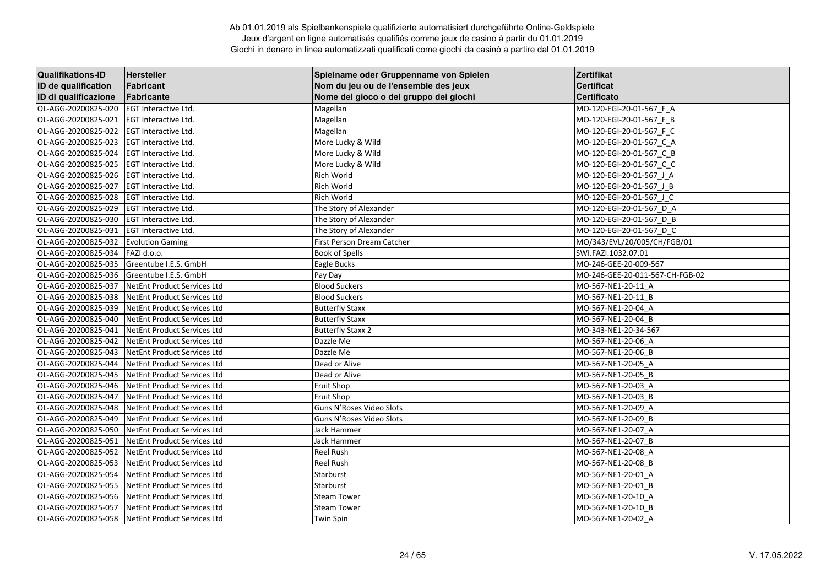| <b>Qualifikations-ID</b> | Hersteller                         | Spielname oder Gruppenname von Spielen | Zertifikat                      |
|--------------------------|------------------------------------|----------------------------------------|---------------------------------|
| ID de qualification      | Fabricant                          | Nom du jeu ou de l'ensemble des jeux   | <b>Certificat</b>               |
| ID di qualificazione     | Fabricante                         | Nome del gioco o del gruppo dei giochi | <b>Certificato</b>              |
| OL-AGG-20200825-020      | EGT Interactive Ltd.               | Magellan                               | MO-120-EGI-20-01-567_F_A        |
| OL-AGG-20200825-021      | <b>EGT Interactive Ltd.</b>        | Magellan                               | MO-120-EGI-20-01-567 F B        |
| OL-AGG-20200825-022      | <b>EGT Interactive Ltd.</b>        | Magellan                               | MO-120-EGI-20-01-567 F C        |
| OL-AGG-20200825-023      | <b>EGT Interactive Ltd.</b>        | More Lucky & Wild                      | MO-120-EGI-20-01-567 C A        |
| OL-AGG-20200825-024      | <b>EGT Interactive Ltd.</b>        | More Lucky & Wild                      | MO-120-EGI-20-01-567 C B        |
| OL-AGG-20200825-025      | <b>EGT Interactive Ltd.</b>        | More Lucky & Wild                      | MO-120-EGI-20-01-567_C_C        |
| OL-AGG-20200825-026      | <b>EGT Interactive Ltd.</b>        | Rich World                             | MO-120-EGI-20-01-567 J A        |
| OL-AGG-20200825-027      | <b>EGT Interactive Ltd.</b>        | Rich World                             | MO-120-EGI-20-01-567 J B        |
| OL-AGG-20200825-028      | EGT Interactive Ltd.               | <b>Rich World</b>                      | MO-120-EGI-20-01-567 J C        |
| OL-AGG-20200825-029      | <b>EGT Interactive Ltd.</b>        | The Story of Alexander                 | MO-120-EGI-20-01-567 D A        |
| OL-AGG-20200825-030      | <b>EGT Interactive Ltd.</b>        | The Story of Alexander                 | MO-120-EGI-20-01-567_D_B        |
| OL-AGG-20200825-031      | <b>EGT Interactive Ltd.</b>        | The Story of Alexander                 | MO-120-EGI-20-01-567 D C        |
| OL-AGG-20200825-032      | <b>Evolution Gaming</b>            | First Person Dream Catcher             | MO/343/EVL/20/005/CH/FGB/01     |
| OL-AGG-20200825-034      | FAZI d.o.o.                        | <b>Book of Spells</b>                  | SWI.FAZI.1032.07.01             |
| OL-AGG-20200825-035      | Greentube I.E.S. GmbH              | Eagle Bucks                            | MO-246-GEE-20-009-567           |
| OL-AGG-20200825-036      | Greentube I.E.S. GmbH              | Pay Day                                | MO-246-GEE-20-011-567-CH-FGB-02 |
| OL-AGG-20200825-037      | NetEnt Product Services Ltd        | <b>Blood Suckers</b>                   | MO-567-NE1-20-11 A              |
| OL-AGG-20200825-038      | NetEnt Product Services Ltd        | <b>Blood Suckers</b>                   | MO-567-NE1-20-11 B              |
| OL-AGG-20200825-039      | NetEnt Product Services Ltd        | <b>Butterfly Staxx</b>                 | MO-567-NE1-20-04 A              |
| OL-AGG-20200825-040      | <b>NetEnt Product Services Ltd</b> | <b>Butterfly Staxx</b>                 | MO-567-NE1-20-04 B              |
| OL-AGG-20200825-041      | NetEnt Product Services Ltd        | <b>Butterfly Staxx 2</b>               | MO-343-NE1-20-34-567            |
| OL-AGG-20200825-042      | NetEnt Product Services Ltd        | Dazzle Me                              | MO-567-NE1-20-06 A              |
| OL-AGG-20200825-043      | <b>NetEnt Product Services Ltd</b> | Dazzle Me                              | MO-567-NE1-20-06 B              |
| OL-AGG-20200825-044      | <b>NetEnt Product Services Ltd</b> | Dead or Alive                          | MO-567-NE1-20-05 A              |
| OL-AGG-20200825-045      | <b>NetEnt Product Services Ltd</b> | Dead or Alive                          | MO-567-NE1-20-05 B              |
| OL-AGG-20200825-046      | NetEnt Product Services Ltd        | <b>Fruit Shop</b>                      | MO-567-NE1-20-03 A              |
| OL-AGG-20200825-047      | <b>NetEnt Product Services Ltd</b> | <b>Fruit Shop</b>                      | MO-567-NE1-20-03 B              |
| OL-AGG-20200825-048      | NetEnt Product Services Ltd        | Guns N'Roses Video Slots               | MO-567-NE1-20-09 A              |
| OL-AGG-20200825-049      | NetEnt Product Services Ltd        | Guns N'Roses Video Slots               | MO-567-NE1-20-09 B              |
| OL-AGG-20200825-050      | <b>NetEnt Product Services Ltd</b> | Jack Hammer                            | MO-567-NE1-20-07 A              |
| OL-AGG-20200825-051      | <b>NetEnt Product Services Ltd</b> | Jack Hammer                            | MO-567-NE1-20-07 B              |
| OL-AGG-20200825-052      | <b>NetEnt Product Services Ltd</b> | <b>Reel Rush</b>                       | MO-567-NE1-20-08 A              |
| OL-AGG-20200825-053      | <b>NetEnt Product Services Ltd</b> | <b>Reel Rush</b>                       | MO-567-NE1-20-08 B              |
| OL-AGG-20200825-054      | <b>NetEnt Product Services Ltd</b> | Starburst                              | MO-567-NE1-20-01 A              |
| OL-AGG-20200825-055      | <b>NetEnt Product Services Ltd</b> | Starburst                              | MO-567-NE1-20-01_B              |
| OL-AGG-20200825-056      | NetEnt Product Services Ltd        | <b>Steam Tower</b>                     | MO-567-NE1-20-10 A              |
| OL-AGG-20200825-057      | <b>NetEnt Product Services Ltd</b> | <b>Steam Tower</b>                     | MO-567-NE1-20-10 B              |
| OL-AGG-20200825-058      | NetEnt Product Services Ltd        | <b>Twin Spin</b>                       | MO-567-NE1-20-02 A              |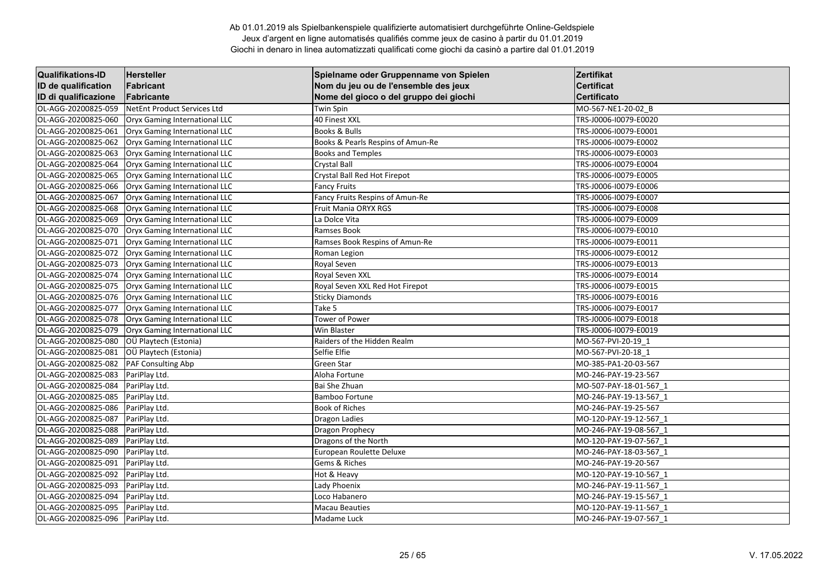| <b>Qualifikations-ID</b> | Hersteller                    | Spielname oder Gruppenname von Spielen | Zertifikat             |
|--------------------------|-------------------------------|----------------------------------------|------------------------|
| ID de qualification      | Fabricant                     | Nom du jeu ou de l'ensemble des jeux   | <b>Certificat</b>      |
| ID di qualificazione     | Fabricante                    | Nome del gioco o del gruppo dei giochi | <b>Certificato</b>     |
| OL-AGG-20200825-059      | NetEnt Product Services Ltd   | Twin Spin                              | MO-567-NE1-20-02 B     |
| OL-AGG-20200825-060      | Oryx Gaming International LLC | 40 Finest XXL                          | TRS-J0006-I0079-E0020  |
| OL-AGG-20200825-061      | Oryx Gaming International LLC | Books & Bulls                          | TRS-J0006-I0079-E0001  |
| OL-AGG-20200825-062      | Oryx Gaming International LLC | Books & Pearls Respins of Amun-Re      | TRS-J0006-I0079-E0002  |
| OL-AGG-20200825-063      | Oryx Gaming International LLC | <b>Books and Temples</b>               | TRS-J0006-I0079-E0003  |
| OL-AGG-20200825-064      | Oryx Gaming International LLC | Crystal Ball                           | TRS-J0006-I0079-E0004  |
| OL-AGG-20200825-065      | Oryx Gaming International LLC | Crystal Ball Red Hot Firepot           | TRS-J0006-I0079-E0005  |
| OL-AGG-20200825-066      | Oryx Gaming International LLC | <b>Fancy Fruits</b>                    | TRS-J0006-I0079-E0006  |
| OL-AGG-20200825-067      | Oryx Gaming International LLC | Fancy Fruits Respins of Amun-Re        | TRS-J0006-I0079-E0007  |
| OL-AGG-20200825-068      | Oryx Gaming International LLC | Fruit Mania ORYX RGS                   | TRS-J0006-I0079-E0008  |
| OL-AGG-20200825-069      | Oryx Gaming International LLC | La Dolce Vita                          | TRS-J0006-I0079-E0009  |
| OL-AGG-20200825-070      | Oryx Gaming International LLC | Ramses Book                            | TRS-J0006-I0079-E0010  |
| OL-AGG-20200825-071      | Oryx Gaming International LLC | Ramses Book Respins of Amun-Re         | TRS-J0006-I0079-E0011  |
| OL-AGG-20200825-072      | Oryx Gaming International LLC | Roman Legion                           | TRS-J0006-I0079-E0012  |
| OL-AGG-20200825-073      | Oryx Gaming International LLC | Royal Seven                            | TRS-J0006-I0079-E0013  |
| OL-AGG-20200825-074      | Oryx Gaming International LLC | Royal Seven XXL                        | TRS-J0006-I0079-E0014  |
| OL-AGG-20200825-075      | Oryx Gaming International LLC | Royal Seven XXL Red Hot Firepot        | TRS-J0006-I0079-E0015  |
| OL-AGG-20200825-076      | Oryx Gaming International LLC | <b>Sticky Diamonds</b>                 | TRS-J0006-I0079-E0016  |
| OL-AGG-20200825-077      | Oryx Gaming International LLC | Take 5                                 | TRS-J0006-I0079-E0017  |
| OL-AGG-20200825-078      | Oryx Gaming International LLC | Tower of Power                         | TRS-J0006-I0079-E0018  |
| OL-AGG-20200825-079      | Oryx Gaming International LLC | Win Blaster                            | TRS-J0006-I0079-E0019  |
| OL-AGG-20200825-080      | OÜ Playtech (Estonia)         | Raiders of the Hidden Realm            | MO-567-PVI-20-19 1     |
| OL-AGG-20200825-081      | OÜ Playtech (Estonia)         | Selfie Elfie                           | MO-567-PVI-20-18 1     |
| OL-AGG-20200825-082      | PAF Consulting Abp            | Green Star                             | MO-385-PA1-20-03-567   |
| OL-AGG-20200825-083      | PariPlay Ltd.                 | Aloha Fortune                          | MO-246-PAY-19-23-567   |
| OL-AGG-20200825-084      | PariPlay Ltd.                 | Bai She Zhuan                          | MO-507-PAY-18-01-567 1 |
| OL-AGG-20200825-085      | PariPlay Ltd.                 | <b>Bamboo Fortune</b>                  | MO-246-PAY-19-13-567 1 |
| OL-AGG-20200825-086      | PariPlay Ltd.                 | <b>Book of Riches</b>                  | MO-246-PAY-19-25-567   |
| OL-AGG-20200825-087      | PariPlay Ltd.                 | <b>Dragon Ladies</b>                   | MO-120-PAY-19-12-567 1 |
| OL-AGG-20200825-088      | PariPlay Ltd.                 | Dragon Prophecy                        | MO-246-PAY-19-08-567_1 |
| OL-AGG-20200825-089      | PariPlay Ltd.                 | Dragons of the North                   | MO-120-PAY-19-07-567_1 |
| OL-AGG-20200825-090      | PariPlay Ltd.                 | European Roulette Deluxe               | MO-246-PAY-18-03-567 1 |
| OL-AGG-20200825-091      | PariPlay Ltd.                 | Gems & Riches                          | MO-246-PAY-19-20-567   |
| OL-AGG-20200825-092      | PariPlay Ltd.                 | Hot & Heavy                            | MO-120-PAY-19-10-567 1 |
| OL-AGG-20200825-093      | PariPlay Ltd.                 | Lady Phoenix                           | MO-246-PAY-19-11-567_1 |
| OL-AGG-20200825-094      | PariPlay Ltd.                 | Loco Habanero                          | MO-246-PAY-19-15-567 1 |
| OL-AGG-20200825-095      | PariPlay Ltd.                 | <b>Macau Beauties</b>                  | MO-120-PAY-19-11-567 1 |
| OL-AGG-20200825-096      | PariPlay Ltd.                 | Madame Luck                            | MO-246-PAY-19-07-567 1 |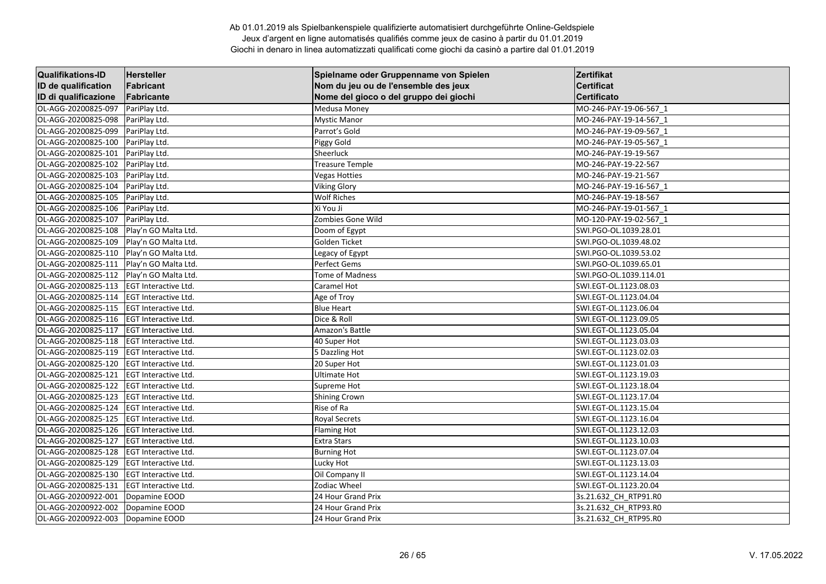| <b>Qualifikations-ID</b> | Hersteller                   | Spielname oder Gruppenname von Spielen | Zertifikat             |
|--------------------------|------------------------------|----------------------------------------|------------------------|
| ID de qualification      | Fabricant                    | Nom du jeu ou de l'ensemble des jeux   | <b>Certificat</b>      |
| ID di qualificazione     | Fabricante                   | Nome del gioco o del gruppo dei giochi | <b>Certificato</b>     |
| OL-AGG-20200825-097      | PariPlay Ltd.                | Medusa Money                           | MO-246-PAY-19-06-567 1 |
| OL-AGG-20200825-098      | PariPlay Ltd.                | <b>Mystic Manor</b>                    | MO-246-PAY-19-14-567 1 |
| OL-AGG-20200825-099      | PariPlay Ltd.                | Parrot's Gold                          | MO-246-PAY-19-09-567_1 |
| OL-AGG-20200825-100      | PariPlay Ltd.                | Piggy Gold                             | MO-246-PAY-19-05-567_1 |
| OL-AGG-20200825-101      | PariPlay Ltd.                | Sheerluck                              | MO-246-PAY-19-19-567   |
| OL-AGG-20200825-102      | PariPlay Ltd.                | <b>Treasure Temple</b>                 | MO-246-PAY-19-22-567   |
| OL-AGG-20200825-103      | PariPlay Ltd.                | <b>Vegas Hotties</b>                   | MO-246-PAY-19-21-567   |
| OL-AGG-20200825-104      | PariPlay Ltd.                | <b>Viking Glory</b>                    | MO-246-PAY-19-16-567_1 |
| OL-AGG-20200825-105      | PariPlay Ltd.                | <b>Wolf Riches</b>                     | MO-246-PAY-19-18-567   |
| OL-AGG-20200825-106      | PariPlay Ltd.                | Xi You Ji                              | MO-246-PAY-19-01-567 1 |
| OL-AGG-20200825-107      | PariPlay Ltd.                | Zombies Gone Wild                      | MO-120-PAY-19-02-567 1 |
| OL-AGG-20200825-108      | Play'n GO Malta Ltd.         | Doom of Egypt                          | SWI.PGO-OL.1039.28.01  |
| OL-AGG-20200825-109      | Play'n GO Malta Ltd.         | Golden Ticket                          | SWI.PGO-OL.1039.48.02  |
| OL-AGG-20200825-110      | Play'n GO Malta Ltd.         | Legacy of Egypt                        | SWI.PGO-OL.1039.53.02  |
| OL-AGG-20200825-111      | Play'n GO Malta Ltd.         | Perfect Gems                           | SWI.PGO-OL.1039.65.01  |
| OL-AGG-20200825-112      | Play'n GO Malta Ltd.         | Tome of Madness                        | SWI.PGO-OL.1039.114.01 |
| OL-AGG-20200825-113      | <b>EGT Interactive Ltd.</b>  | Caramel Hot                            | SWI.EGT-OL.1123.08.03  |
| OL-AGG-20200825-114      | <b>EGT Interactive Ltd.</b>  | Age of Troy                            | SWI.EGT-OL.1123.04.04  |
| OL-AGG-20200825-115      | EGT Interactive Ltd.         | <b>Blue Heart</b>                      | SWI.EGT-OL.1123.06.04  |
| OL-AGG-20200825-116      | EGT Interactive Ltd.         | Dice & Roll                            | SWI.EGT-OL.1123.09.05  |
| OL-AGG-20200825-117      | <b>EGT Interactive Ltd.</b>  | Amazon's Battle                        | SWI.EGT-OL.1123.05.04  |
| OL-AGG-20200825-118      | <b>EGT Interactive Ltd.</b>  | 40 Super Hot                           | SWI.EGT-OL.1123.03.03  |
| OL-AGG-20200825-119      | EGT Interactive Ltd.         | 5 Dazzling Hot                         | SWI.EGT-OL.1123.02.03  |
| OL-AGG-20200825-120      | EGT Interactive Ltd.         | 20 Super Hot                           | SWI.EGT-OL.1123.01.03  |
| OL-AGG-20200825-121      | EGT Interactive Ltd.         | <b>Ultimate Hot</b>                    | SWI.EGT-OL.1123.19.03  |
| OL-AGG-20200825-122      | <b>EGT Interactive Ltd.</b>  | Supreme Hot                            | SWI.EGT-OL.1123.18.04  |
| OL-AGG-20200825-123      | <b>EGT Interactive Ltd.</b>  | <b>Shining Crown</b>                   | SWI.EGT-OL.1123.17.04  |
| OL-AGG-20200825-124      | <b>IEGT Interactive Ltd.</b> | Rise of Ra                             | SWI.EGT-OL.1123.15.04  |
| OL-AGG-20200825-125      | <b>EGT Interactive Ltd.</b>  | <b>Royal Secrets</b>                   | SWI.EGT-OL.1123.16.04  |
| OL-AGG-20200825-126      | <b>EGT Interactive Ltd.</b>  | <b>Flaming Hot</b>                     | SWI.EGT-OL.1123.12.03  |
| OL-AGG-20200825-127      | <b>EGT Interactive Ltd.</b>  | <b>Extra Stars</b>                     | SWI.EGT-OL.1123.10.03  |
| OL-AGG-20200825-128      | <b>EGT Interactive Ltd.</b>  | <b>Burning Hot</b>                     | SWI.EGT-OL.1123.07.04  |
| OL-AGG-20200825-129      | <b>EGT Interactive Ltd.</b>  | Lucky Hot                              | SWI.EGT-OL.1123.13.03  |
| OL-AGG-20200825-130      | <b>EGT Interactive Ltd.</b>  | Oil Company II                         | SWI.EGT-OL.1123.14.04  |
| OL-AGG-20200825-131      | EGT Interactive Ltd.         | Zodiac Wheel                           | SWI.EGT-OL.1123.20.04  |
| OL-AGG-20200922-001      | Dopamine EOOD                | 24 Hour Grand Prix                     | 3s.21.632_CH_RTP91.R0  |
| OL-AGG-20200922-002      | Dopamine EOOD                | 24 Hour Grand Prix                     | 3s.21.632_CH_RTP93.R0  |
| OL-AGG-20200922-003      | Dopamine EOOD                | 24 Hour Grand Prix                     | 3s.21.632 CH RTP95.R0  |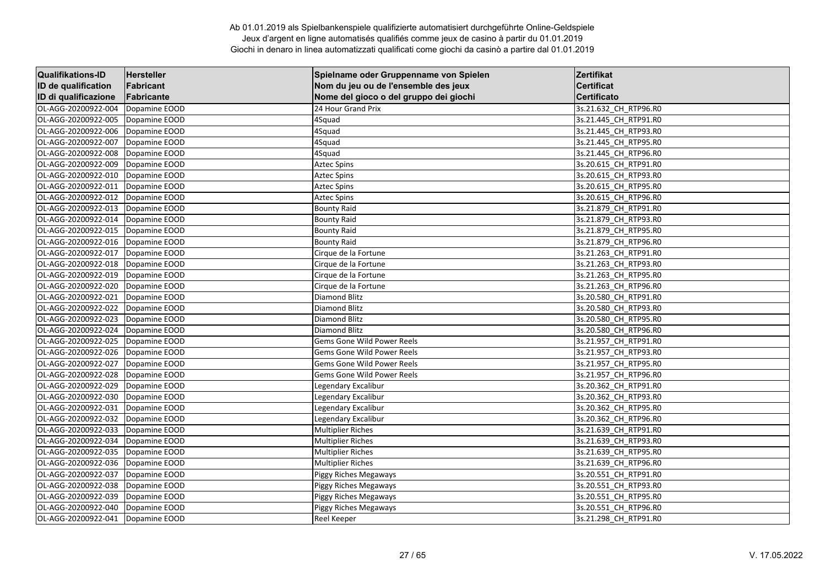| <b>Qualifikations-ID</b> | Hersteller    | Spielname oder Gruppenname von Spielen | Zertifikat            |
|--------------------------|---------------|----------------------------------------|-----------------------|
| ID de qualification      | Fabricant     | Nom du jeu ou de l'ensemble des jeux   | <b>Certificat</b>     |
| ID di qualificazione     | Fabricante    | Nome del gioco o del gruppo dei giochi | <b>Certificato</b>    |
| OL-AGG-20200922-004      | Dopamine EOOD | 24 Hour Grand Prix                     | 3s.21.632 CH_RTP96.R0 |
| OL-AGG-20200922-005      | Dopamine EOOD | 4Squad                                 | 3s.21.445 CH RTP91.R0 |
| OL-AGG-20200922-006      | Dopamine EOOD | 4Squad                                 | 3s.21.445 CH RTP93.RO |
| OL-AGG-20200922-007      | Dopamine EOOD | 4Squad                                 | 3s.21.445_CH_RTP95.R0 |
| OL-AGG-20200922-008      | Dopamine EOOD | 4Squad                                 | 3s.21.445_CH_RTP96.R0 |
| OL-AGG-20200922-009      | Dopamine EOOD | <b>Aztec Spins</b>                     | 3s.20.615 CH RTP91.R0 |
| OL-AGG-20200922-010      | Dopamine EOOD | <b>Aztec Spins</b>                     | 3s.20.615_CH_RTP93.R0 |
| OL-AGG-20200922-011      | Dopamine EOOD | <b>Aztec Spins</b>                     | 3s.20.615_CH_RTP95.R0 |
| OL-AGG-20200922-012      | Dopamine EOOD | <b>Aztec Spins</b>                     | 3s.20.615_CH_RTP96.R0 |
| OL-AGG-20200922-013      | Dopamine EOOD | <b>Bounty Raid</b>                     | 3s.21.879 CH RTP91.R0 |
| OL-AGG-20200922-014      | Dopamine EOOD | <b>Bounty Raid</b>                     | 3s.21.879 CH RTP93.R0 |
| OL-AGG-20200922-015      | Dopamine EOOD | <b>Bounty Raid</b>                     | 3s.21.879_CH_RTP95.R0 |
| OL-AGG-20200922-016      | Dopamine EOOD | <b>Bounty Raid</b>                     | 3s.21.879 CH RTP96.R0 |
| OL-AGG-20200922-017      | Dopamine EOOD | Cirque de la Fortune                   | 3s.21.263 CH_RTP91.R0 |
| OL-AGG-20200922-018      | Dopamine EOOD | Cirque de la Fortune                   | 3s.21.263 CH RTP93.R0 |
| OL-AGG-20200922-019      | Dopamine EOOD | Cirque de la Fortune                   | 3s.21.263_CH_RTP95.R0 |
| OL-AGG-20200922-020      | Dopamine EOOD | Cirque de la Fortune                   | 3s.21.263 CH RTP96.RO |
| OL-AGG-20200922-021      | Dopamine EOOD | Diamond Blitz                          | 3s.20.580 CH_RTP91.R0 |
| OL-AGG-20200922-022      | Dopamine EOOD | <b>Diamond Blitz</b>                   | 3s.20.580 CH_RTP93.R0 |
| OL-AGG-20200922-023      | Dopamine EOOD | <b>Diamond Blitz</b>                   | 3s.20.580_CH_RTP95.R0 |
| OL-AGG-20200922-024      | Dopamine EOOD | Diamond Blitz                          | 3s.20.580_CH_RTP96.R0 |
| OL-AGG-20200922-025      | Dopamine EOOD | Gems Gone Wild Power Reels             | 3s.21.957 CH_RTP91.R0 |
| OL-AGG-20200922-026      | Dopamine EOOD | <b>Gems Gone Wild Power Reels</b>      | 3s.21.957 CH_RTP93.R0 |
| OL-AGG-20200922-027      | Dopamine EOOD | <b>Gems Gone Wild Power Reels</b>      | 3s.21.957 CH RTP95.RO |
| OL-AGG-20200922-028      | Dopamine EOOD | Gems Gone Wild Power Reels             | 3s.21.957_CH_RTP96.R0 |
| OL-AGG-20200922-029      | Dopamine EOOD | Legendary Excalibur                    | 3s.20.362 CH_RTP91.R0 |
| OL-AGG-20200922-030      | Dopamine EOOD | Legendary Excalibur                    | 3s.20.362 CH RTP93.RO |
| OL-AGG-20200922-031      | Dopamine EOOD | Legendary Excalibur                    | 3s.20.362_CH_RTP95.R0 |
| OL-AGG-20200922-032      | Dopamine EOOD | Legendary Excalibur                    | 3s.20.362 CH RTP96.R0 |
| OL-AGG-20200922-033      | Dopamine EOOD | <b>Multiplier Riches</b>               | 3s.21.639 CH RTP91.RO |
| OL-AGG-20200922-034      | Dopamine EOOD | <b>Multiplier Riches</b>               | 3s.21.639 CH RTP93.RO |
| OL-AGG-20200922-035      | Dopamine EOOD | <b>Multiplier Riches</b>               | 3s.21.639_CH_RTP95.R0 |
| OL-AGG-20200922-036      | Dopamine EOOD | <b>Multiplier Riches</b>               | 3s.21.639 CH RTP96.RO |
| OL-AGG-20200922-037      | Dopamine EOOD | Piggy Riches Megaways                  | 3s.20.551 CH_RTP91.R0 |
| OL-AGG-20200922-038      | Dopamine EOOD | Piggy Riches Megaways                  | 3s.20.551 CH_RTP93.R0 |
| OL-AGG-20200922-039      | Dopamine EOOD | Piggy Riches Megaways                  | 3s.20.551_CH_RTP95.R0 |
| OL-AGG-20200922-040      | Dopamine EOOD | Piggy Riches Megaways                  | 3s.20.551_CH_RTP96.R0 |
| OL-AGG-20200922-041      | Dopamine EOOD | Reel Keeper                            | 3s.21.298 CH_RTP91.R0 |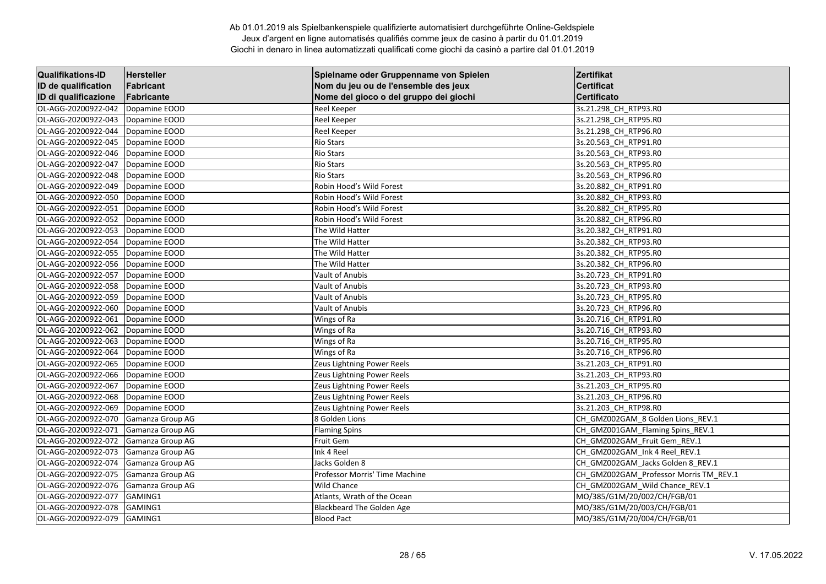| <b>Qualifikations-ID</b> | Hersteller       | Spielname oder Gruppenname von Spielen | Zertifikat                             |
|--------------------------|------------------|----------------------------------------|----------------------------------------|
| ID de qualification      | Fabricant        | Nom du jeu ou de l'ensemble des jeux   | <b>Certificat</b>                      |
| ID di qualificazione     | Fabricante       | Nome del gioco o del gruppo dei giochi | <b>Certificato</b>                     |
| OL-AGG-20200922-042      | Dopamine EOOD    | <b>Reel Keeper</b>                     | 3s.21.298_CH_RTP93.R0                  |
| OL-AGG-20200922-043      | Dopamine EOOD    | <b>Reel Keeper</b>                     | 3s.21.298 CH RTP95.R0                  |
| OL-AGG-20200922-044      | Dopamine EOOD    | Reel Keeper                            | 3s.21.298 CH RTP96.R0                  |
| OL-AGG-20200922-045      | Dopamine EOOD    | <b>Rio Stars</b>                       | 3s.20.563 CH RTP91.R0                  |
| OL-AGG-20200922-046      | Dopamine EOOD    | <b>Rio Stars</b>                       | 3s.20.563 CH RTP93.RO                  |
| OL-AGG-20200922-047      | Dopamine EOOD    | <b>Rio Stars</b>                       | 3s.20.563_CH_RTP95.R0                  |
| OL-AGG-20200922-048      | Dopamine EOOD    | <b>Rio Stars</b>                       | 3s.20.563 CH RTP96.RO                  |
| OL-AGG-20200922-049      | Dopamine EOOD    | Robin Hood's Wild Forest               | 3s.20.882 CH RTP91.R0                  |
| OL-AGG-20200922-050      | Dopamine EOOD    | Robin Hood's Wild Forest               | 3s.20.882 CH_RTP93.R0                  |
| OL-AGG-20200922-051      | Dopamine EOOD    | Robin Hood's Wild Forest               | 3s.20.882 CH RTP95.RO                  |
| OL-AGG-20200922-052      | Dopamine EOOD    | Robin Hood's Wild Forest               | 3s.20.882_CH_RTP96.R0                  |
| OL-AGG-20200922-053      | Dopamine EOOD    | The Wild Hatter                        | 3s.20.382_CH_RTP91.R0                  |
| OL-AGG-20200922-054      | Dopamine EOOD    | The Wild Hatter                        | 3s.20.382 CH_RTP93.R0                  |
| OL-AGG-20200922-055      | Dopamine EOOD    | The Wild Hatter                        | 3s.20.382 CH_RTP95.R0                  |
| OL-AGG-20200922-056      | Dopamine EOOD    | The Wild Hatter                        | 3s.20.382 CH RTP96.RO                  |
| OL-AGG-20200922-057      | Dopamine EOOD    | Vault of Anubis                        | 3s.20.723_CH_RTP91.R0                  |
| OL-AGG-20200922-058      | Dopamine EOOD    | Vault of Anubis                        | 3s.20.723_CH_RTP93.R0                  |
| OL-AGG-20200922-059      | Dopamine EOOD    | Vault of Anubis                        | 3s.20.723 CH_RTP95.R0                  |
| OL-AGG-20200922-060      | Dopamine EOOD    | Vault of Anubis                        | 3s.20.723 CH_RTP96.R0                  |
| OL-AGG-20200922-061      | Dopamine EOOD    | Wings of Ra                            | 3s.20.716 CH RTP91.RO                  |
| OL-AGG-20200922-062      | Dopamine EOOD    | Wings of Ra                            | 3s.20.716_CH_RTP93.R0                  |
| OL-AGG-20200922-063      | Dopamine EOOD    | Wings of Ra                            | 3s.20.716 CH RTP95.R0                  |
| OL-AGG-20200922-064      | Dopamine EOOD    | Wings of Ra                            | 3s.20.716 CH RTP96.R0                  |
| OL-AGG-20200922-065      | Dopamine EOOD    | Zeus Lightning Power Reels             | 3s.21.203_CH_RTP91.R0                  |
| OL-AGG-20200922-066      | Dopamine EOOD    | Zeus Lightning Power Reels             | 3s.21.203_CH_RTP93.R0                  |
| OL-AGG-20200922-067      | Dopamine EOOD    | Zeus Lightning Power Reels             | 3s.21.203_CH_RTP95.R0                  |
| OL-AGG-20200922-068      | Dopamine EOOD    | Zeus Lightning Power Reels             | 3s.21.203_CH_RTP96.R0                  |
| OL-AGG-20200922-069      | Dopamine EOOD    | Zeus Lightning Power Reels             | 3s.21.203 CH_RTP98.R0                  |
| OL-AGG-20200922-070      | Gamanza Group AG | 8 Golden Lions                         | CH GMZ002GAM 8 Golden Lions REV.1      |
| OL-AGG-20200922-071      | Gamanza Group AG | <b>Flaming Spins</b>                   | CH_GMZ001GAM_Flaming Spins_REV.1       |
| OL-AGG-20200922-072      | Gamanza Group AG | Fruit Gem                              | CH_GMZ002GAM_Fruit Gem_REV.1           |
| OL-AGG-20200922-073      | Gamanza Group AG | Ink 4 Reel                             | CH GMZ002GAM Ink 4 Reel REV.1          |
| OL-AGG-20200922-074      | Gamanza Group AG | Jacks Golden 8                         | CH_GMZ002GAM_Jacks Golden 8_REV.1      |
| OL-AGG-20200922-075      | Gamanza Group AG | Professor Morris' Time Machine         | CH GMZ002GAM Professor Morris TM REV.1 |
| OL-AGG-20200922-076      | Gamanza Group AG | <b>Wild Chance</b>                     | CH_GMZ002GAM_Wild Chance_REV.1         |
| OL-AGG-20200922-077      | GAMING1          | Atlants, Wrath of the Ocean            | MO/385/G1M/20/002/CH/FGB/01            |
| OL-AGG-20200922-078      | GAMING1          | <b>Blackbeard The Golden Age</b>       | MO/385/G1M/20/003/CH/FGB/01            |
| OL-AGG-20200922-079      | GAMING1          | <b>Blood Pact</b>                      | MO/385/G1M/20/004/CH/FGB/01            |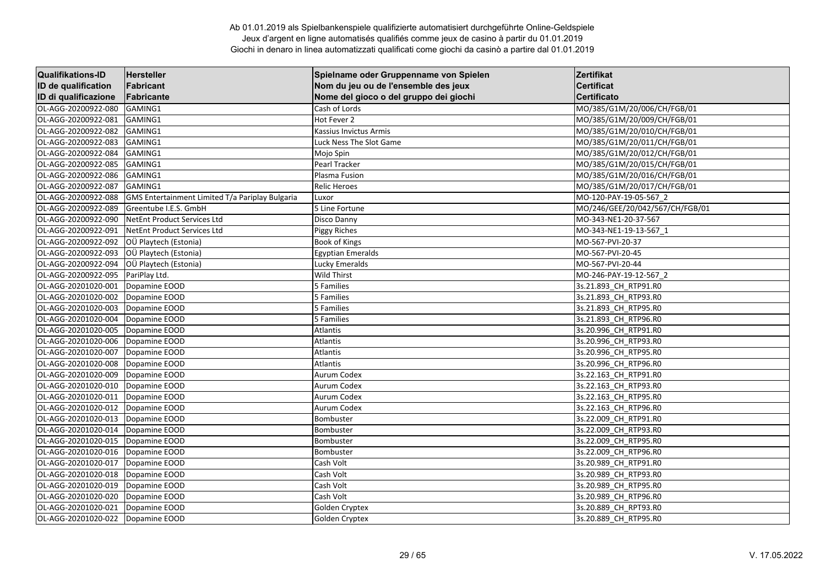| <b>Qualifikations-ID</b> | Hersteller                                      | Spielname oder Gruppenname von Spielen | Zertifikat                      |
|--------------------------|-------------------------------------------------|----------------------------------------|---------------------------------|
| ID de qualification      | Fabricant                                       | Nom du jeu ou de l'ensemble des jeux   | <b>Certificat</b>               |
| ID di qualificazione     | Fabricante                                      | Nome del gioco o del gruppo dei giochi | <b>Certificato</b>              |
| OL-AGG-20200922-080      | GAMING1                                         | Cash of Lords                          | MO/385/G1M/20/006/CH/FGB/01     |
| OL-AGG-20200922-081      | GAMING1                                         | Hot Fever 2                            | MO/385/G1M/20/009/CH/FGB/01     |
| OL-AGG-20200922-082      | GAMING1                                         | Kassius Invictus Armis                 | MO/385/G1M/20/010/CH/FGB/01     |
| OL-AGG-20200922-083      | GAMING1                                         | Luck Ness The Slot Game                | MO/385/G1M/20/011/CH/FGB/01     |
| OL-AGG-20200922-084      | GAMING1                                         | Mojo Spin                              | MO/385/G1M/20/012/CH/FGB/01     |
| OL-AGG-20200922-085      | GAMING1                                         | Pearl Tracker                          | MO/385/G1M/20/015/CH/FGB/01     |
| OL-AGG-20200922-086      | GAMING1                                         | Plasma Fusion                          | MO/385/G1M/20/016/CH/FGB/01     |
| OL-AGG-20200922-087      | GAMING1                                         | <b>Relic Heroes</b>                    | MO/385/G1M/20/017/CH/FGB/01     |
| OL-AGG-20200922-088      | GMS Entertainment Limited T/a Pariplay Bulgaria | Luxor                                  | MO-120-PAY-19-05-567 2          |
| OL-AGG-20200922-089      | Greentube I.E.S. GmbH                           | 5 Line Fortune                         | MO/246/GEE/20/042/567/CH/FGB/01 |
| OL-AGG-20200922-090      | NetEnt Product Services Ltd                     | Disco Danny                            | MO-343-NE1-20-37-567            |
| OL-AGG-20200922-091      | NetEnt Product Services Ltd                     | <b>Piggy Riches</b>                    | MO-343-NE1-19-13-567 1          |
| OL-AGG-20200922-092      | OÜ Playtech (Estonia)                           | <b>Book of Kings</b>                   | MO-567-PVI-20-37                |
| OL-AGG-20200922-093      | OÜ Playtech (Estonia)                           | <b>Egyptian Emeralds</b>               | MO-567-PVI-20-45                |
| OL-AGG-20200922-094      | OÜ Playtech (Estonia)                           | Lucky Emeralds                         | MO-567-PVI-20-44                |
| OL-AGG-20200922-095      | PariPlay Ltd.                                   | Wild Thirst                            | MO-246-PAY-19-12-567 2          |
| OL-AGG-20201020-001      | Dopamine EOOD                                   | 5 Families                             | 3s.21.893 CH RTP91.R0           |
| OL-AGG-20201020-002      | Dopamine EOOD                                   | 5 Families                             | 3s.21.893 CH RTP93.RO           |
| OL-AGG-20201020-003      | Dopamine EOOD                                   | 5 Families                             | 3s.21.893 CH RTP95.RO           |
| OL-AGG-20201020-004      | Dopamine EOOD                                   | 5 Families                             | 3s.21.893 CH RTP96.RO           |
| OL-AGG-20201020-005      | Dopamine EOOD                                   | Atlantis                               | 3s.20.996_CH_RTP91.R0           |
| OL-AGG-20201020-006      | Dopamine EOOD                                   | Atlantis                               | 3s.20.996 CH RTP93.R0           |
| OL-AGG-20201020-007      | Dopamine EOOD                                   | Atlantis                               | 3s.20.996 CH RTP95.R0           |
| OL-AGG-20201020-008      | Dopamine EOOD                                   | <b>Atlantis</b>                        | 3s.20.996 CH RTP96.R0           |
| OL-AGG-20201020-009      | Dopamine EOOD                                   | Aurum Codex                            | 3s.22.163 CH RTP91.RO           |
| OL-AGG-20201020-010      | Dopamine EOOD                                   | <b>Aurum Codex</b>                     | 3s.22.163_CH_RTP93.R0           |
| OL-AGG-20201020-011      | Dopamine EOOD                                   | <b>Aurum Codex</b>                     | 3s.22.163_CH_RTP95.R0           |
| OL-AGG-20201020-012      | Dopamine EOOD                                   | Aurum Codex                            | 3s.22.163 CH RTP96.RO           |
| OL-AGG-20201020-013      | Dopamine EOOD                                   | Bombuster                              | 3s.22.009 CH RTP91.R0           |
| OL-AGG-20201020-014      | Dopamine EOOD                                   | Bombuster                              | 3s.22.009 CH RTP93.RO           |
| OL-AGG-20201020-015      | Dopamine EOOD                                   | Bombuster                              | 3s.22.009_CH_RTP95.R0           |
| OL-AGG-20201020-016      | Dopamine EOOD                                   | Bombuster                              | 3s.22.009 CH RTP96.R0           |
| OL-AGG-20201020-017      | Dopamine EOOD                                   | Cash Volt                              | 3s.20.989 CH_RTP91.R0           |
| OL-AGG-20201020-018      | Dopamine EOOD                                   | Cash Volt                              | 3s.20.989 CH RTP93.R0           |
| OL-AGG-20201020-019      | Dopamine EOOD                                   | Cash Volt                              | 3s.20.989 CH RTP95.RO           |
| OL-AGG-20201020-020      | Dopamine EOOD                                   | Cash Volt                              | 3s.20.989_CH_RTP96.R0           |
| OL-AGG-20201020-021      | Dopamine EOOD                                   | Golden Cryptex                         | 3s.20.889_CH_RPT93.R0           |
| OL-AGG-20201020-022      | Dopamine EOOD                                   | Golden Cryptex                         | 3s.20.889 CH RTP95.R0           |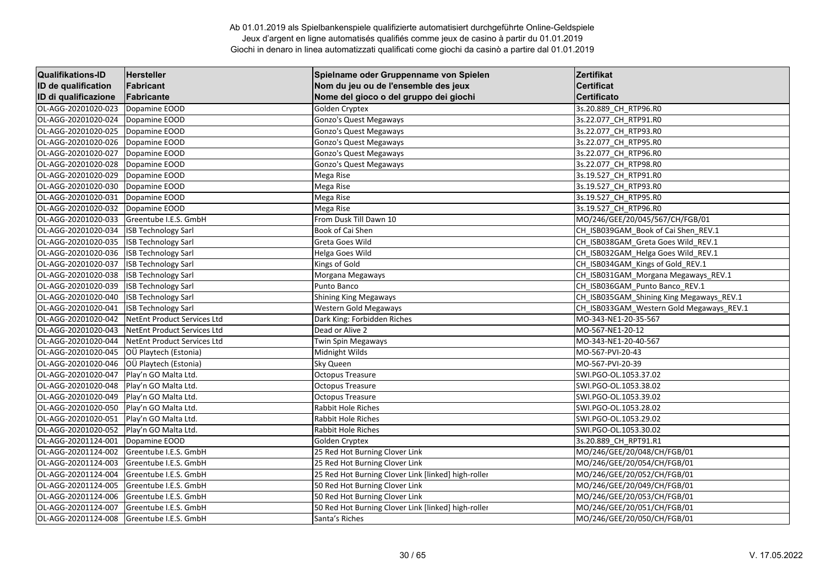| <b>Qualifikations-ID</b> | Hersteller                  | Spielname oder Gruppenname von Spielen              | Zertifikat                               |
|--------------------------|-----------------------------|-----------------------------------------------------|------------------------------------------|
| ID de qualification      | Fabricant                   | Nom du jeu ou de l'ensemble des jeux                | <b>Certificat</b>                        |
| ID di qualificazione     | Fabricante                  | Nome del gioco o del gruppo dei giochi              | Certificato                              |
| OL-AGG-20201020-023      | Dopamine EOOD               | Golden Cryptex                                      | 3s.20.889_CH_RTP96.R0                    |
| OL-AGG-20201020-024      | Dopamine EOOD               | Gonzo's Quest Megaways                              | 3s.22.077 CH RTP91.R0                    |
| OL-AGG-20201020-025      | Dopamine EOOD               | Gonzo's Quest Megaways                              | 3s.22.077 CH RTP93.RO                    |
| OL-AGG-20201020-026      | Dopamine EOOD               | Gonzo's Quest Megaways                              | 3s.22.077_CH_RTP95.R0                    |
| OL-AGG-20201020-027      | Dopamine EOOD               | Gonzo's Quest Megaways                              | 3s.22.077_CH_RTP96.R0                    |
| OL-AGG-20201020-028      | Dopamine EOOD               | Gonzo's Quest Megaways                              | 3s.22.077_CH_RTP98.R0                    |
| OL-AGG-20201020-029      | Dopamine EOOD               | Mega Rise                                           | 3s.19.527_CH_RTP91.R0                    |
| OL-AGG-20201020-030      | Dopamine EOOD               | Mega Rise                                           | 3s.19.527_CH_RTP93.R0                    |
| OL-AGG-20201020-031      | Dopamine EOOD               | Mega Rise                                           | 3s.19.527_CH_RTP95.R0                    |
| OL-AGG-20201020-032      | Dopamine EOOD               | Mega Rise                                           | 3s.19.527 CH RTP96.RO                    |
| OL-AGG-20201020-033      | Greentube I.E.S. GmbH       | From Dusk Till Dawn 10                              | MO/246/GEE/20/045/567/CH/FGB/01          |
| OL-AGG-20201020-034      | <b>ISB Technology Sarl</b>  | Book of Cai Shen                                    | CH ISB039GAM Book of Cai Shen REV.1      |
| OL-AGG-20201020-035      | <b>ISB Technology Sarl</b>  | Greta Goes Wild                                     | CH_ISB038GAM_Greta Goes Wild_REV.1       |
| OL-AGG-20201020-036      | <b>ISB Technology Sarl</b>  | Helga Goes Wild                                     | CH ISB032GAM Helga Goes Wild REV.1       |
| OL-AGG-20201020-037      | <b>ISB Technology Sarl</b>  | Kings of Gold                                       | CH_ISB034GAM_Kings of Gold_REV.1         |
| OL-AGG-20201020-038      | <b>ISB Technology Sarl</b>  | Morgana Megaways                                    | CH_ISB031GAM_Morgana Megaways_REV.1      |
| OL-AGG-20201020-039      | <b>ISB Technology Sarl</b>  | Punto Banco                                         | CH ISB036GAM Punto Banco REV.1           |
| OL-AGG-20201020-040      | <b>ISB Technology Sarl</b>  | <b>Shining King Megaways</b>                        | CH ISB035GAM Shining King Megaways REV.1 |
| OL-AGG-20201020-041      | <b>ISB Technology Sarl</b>  | Western Gold Megaways                               | CH_ISB033GAM_Western Gold Megaways_REV.1 |
| OL-AGG-20201020-042      | NetEnt Product Services Ltd | Dark King: Forbidden Riches                         | MO-343-NE1-20-35-567                     |
| OL-AGG-20201020-043      | NetEnt Product Services Ltd | Dead or Alive 2                                     | MO-567-NE1-20-12                         |
| OL-AGG-20201020-044      | NetEnt Product Services Ltd | Twin Spin Megaways                                  | MO-343-NE1-20-40-567                     |
| OL-AGG-20201020-045      | OÜ Playtech (Estonia)       | Midnight Wilds                                      | MO-567-PVI-20-43                         |
| OL-AGG-20201020-046      | OÜ Playtech (Estonia)       | Sky Queen                                           | MO-567-PVI-20-39                         |
| OL-AGG-20201020-047      | Play'n GO Malta Ltd.        | <b>Octopus Treasure</b>                             | SWI.PGO-OL.1053.37.02                    |
| OL-AGG-20201020-048      | Play'n GO Malta Ltd.        | <b>Octopus Treasure</b>                             | SWI.PGO-OL.1053.38.02                    |
| OL-AGG-20201020-049      | Play'n GO Malta Ltd.        | <b>Octopus Treasure</b>                             | SWI.PGO-OL.1053.39.02                    |
| OL-AGG-20201020-050      | Play'n GO Malta Ltd.        | <b>Rabbit Hole Riches</b>                           | SWI.PGO-OL.1053.28.02                    |
| OL-AGG-20201020-051      | Play'n GO Malta Ltd.        | Rabbit Hole Riches                                  | SWI.PGO-OL.1053.29.02                    |
| OL-AGG-20201020-052      | Play'n GO Malta Ltd.        | Rabbit Hole Riches                                  | SWI.PGO-OL.1053.30.02                    |
| OL-AGG-20201124-001      | Dopamine EOOD               | Golden Cryptex                                      | 3s.20.889_CH_RPT91.R1                    |
| OL-AGG-20201124-002      | Greentube I.E.S. GmbH       | 25 Red Hot Burning Clover Link                      | MO/246/GEE/20/048/CH/FGB/01              |
| OL-AGG-20201124-003      | Greentube I.E.S. GmbH       | 25 Red Hot Burning Clover Link                      | MO/246/GEE/20/054/CH/FGB/01              |
| OL-AGG-20201124-004      | Greentube I.E.S. GmbH       | 25 Red Hot Burning Clover Link [linked] high-roller | MO/246/GEE/20/052/CH/FGB/01              |
| OL-AGG-20201124-005      | Greentube I.E.S. GmbH       | 50 Red Hot Burning Clover Link                      | MO/246/GEE/20/049/CH/FGB/01              |
| OL-AGG-20201124-006      | Greentube I.E.S. GmbH       | 50 Red Hot Burning Clover Link                      | MO/246/GEE/20/053/CH/FGB/01              |
| OL-AGG-20201124-007      | Greentube I.E.S. GmbH       | 50 Red Hot Burning Clover Link [linked] high-roller | MO/246/GEE/20/051/CH/FGB/01              |
| OL-AGG-20201124-008      | Greentube I.E.S. GmbH       | Santa's Riches                                      | MO/246/GEE/20/050/CH/FGB/01              |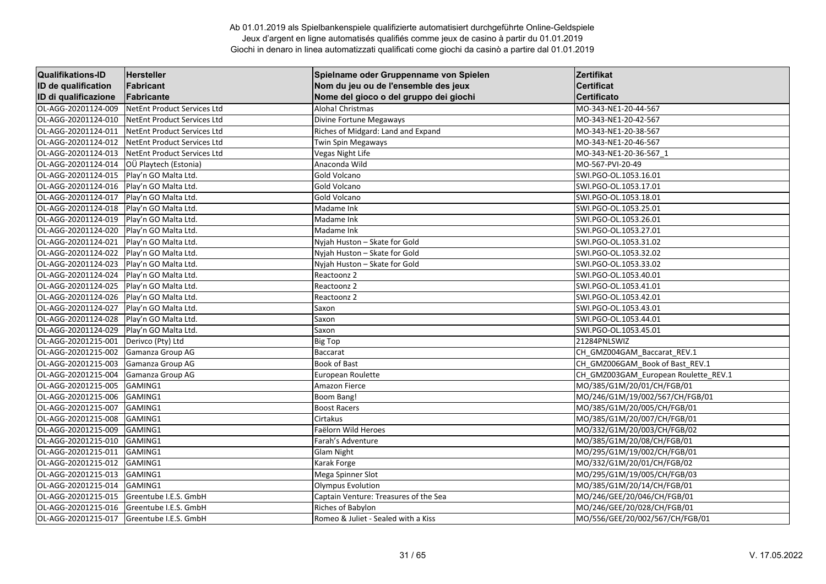| <b>Qualifikations-ID</b> | <b>Hersteller</b>           | Spielname oder Gruppenname von Spielen | Zertifikat                           |
|--------------------------|-----------------------------|----------------------------------------|--------------------------------------|
| ID de qualification      | Fabricant                   | Nom du jeu ou de l'ensemble des jeux   | <b>Certificat</b>                    |
| ID di qualificazione     | Fabricante                  | Nome del gioco o del gruppo dei giochi | <b>Certificato</b>                   |
| OL-AGG-20201124-009      | NetEnt Product Services Ltd | Aloha! Christmas                       | MO-343-NE1-20-44-567                 |
| OL-AGG-20201124-010      | NetEnt Product Services Ltd | Divine Fortune Megaways                | MO-343-NE1-20-42-567                 |
| OL-AGG-20201124-011      | NetEnt Product Services Ltd | Riches of Midgard: Land and Expand     | MO-343-NE1-20-38-567                 |
| OL-AGG-20201124-012      | NetEnt Product Services Ltd | Twin Spin Megaways                     | MO-343-NE1-20-46-567                 |
| OL-AGG-20201124-013      | NetEnt Product Services Ltd | Vegas Night Life                       | MO-343-NE1-20-36-567 1               |
| OL-AGG-20201124-014      | OÜ Playtech (Estonia)       | Anaconda Wild                          | MO-567-PVI-20-49                     |
| OL-AGG-20201124-015      | Play'n GO Malta Ltd.        | Gold Volcano                           | SWI.PGO-OL.1053.16.01                |
| OL-AGG-20201124-016      | Play'n GO Malta Ltd.        | Gold Volcano                           | SWI.PGO-OL.1053.17.01                |
| OL-AGG-20201124-017      | Play'n GO Malta Ltd.        | Gold Volcano                           | SWI.PGO-OL.1053.18.01                |
| OL-AGG-20201124-018      | Play'n GO Malta Ltd.        | Madame Ink                             | SWI.PGO-OL.1053.25.01                |
| OL-AGG-20201124-019      | Play'n GO Malta Ltd.        | Madame Ink                             | SWI.PGO-OL.1053.26.01                |
| OL-AGG-20201124-020      | Play'n GO Malta Ltd.        | Madame Ink                             | SWI.PGO-OL.1053.27.01                |
| OL-AGG-20201124-021      | Play'n GO Malta Ltd.        | Nyjah Huston - Skate for Gold          | SWI.PGO-OL.1053.31.02                |
| OL-AGG-20201124-022      | Play'n GO Malta Ltd.        | Nyjah Huston - Skate for Gold          | SWI.PGO-OL.1053.32.02                |
| OL-AGG-20201124-023      | Play'n GO Malta Ltd.        | Nyjah Huston - Skate for Gold          | SWI.PGO-OL.1053.33.02                |
| OL-AGG-20201124-024      | Play'n GO Malta Ltd.        | Reactoonz 2                            | SWI.PGO-OL.1053.40.01                |
| OL-AGG-20201124-025      | Play'n GO Malta Ltd.        | Reactoonz 2                            | SWI.PGO-OL.1053.41.01                |
| OL-AGG-20201124-026      | Play'n GO Malta Ltd.        | Reactoonz 2                            | SWI.PGO-OL.1053.42.01                |
| OL-AGG-20201124-027      | Play'n GO Malta Ltd.        | Saxon                                  | SWI.PGO-OL.1053.43.01                |
| OL-AGG-20201124-028      | Play'n GO Malta Ltd.        | Saxon                                  | SWI.PGO-OL.1053.44.01                |
| OL-AGG-20201124-029      | Play'n GO Malta Ltd.        | Saxon                                  | SWI.PGO-OL.1053.45.01                |
| OL-AGG-20201215-001      | Derivco (Pty) Ltd           | <b>Big Top</b>                         | 21284PNLSWIZ                         |
| OL-AGG-20201215-002      | Gamanza Group AG            | <b>Baccarat</b>                        | CH_GMZ004GAM_Baccarat_REV.1          |
| OL-AGG-20201215-003      | Gamanza Group AG            | Book of Bast                           | CH GMZ006GAM Book of Bast REV.1      |
| OL-AGG-20201215-004      | Gamanza Group AG            | European Roulette                      | CH GMZ003GAM European Roulette REV.1 |
| OL-AGG-20201215-005      | GAMING1                     | Amazon Fierce                          | MO/385/G1M/20/01/CH/FGB/01           |
| OL-AGG-20201215-006      | GAMING1                     | <b>Boom Bang!</b>                      | MO/246/G1M/19/002/567/CH/FGB/01      |
| OL-AGG-20201215-007      | <b>GAMING1</b>              | <b>Boost Racers</b>                    | MO/385/G1M/20/005/CH/FGB/01          |
| OL-AGG-20201215-008      | GAMING1                     | Cirtakus                               | MO/385/G1M/20/007/CH/FGB/01          |
| OL-AGG-20201215-009      | GAMING1                     | Faëlorn Wild Heroes                    | MO/332/G1M/20/003/CH/FGB/02          |
| OL-AGG-20201215-010      | GAMING1                     | Farah's Adventure                      | MO/385/G1M/20/08/CH/FGB/01           |
| OL-AGG-20201215-011      | GAMING1                     | Glam Night                             | MO/295/G1M/19/002/CH/FGB/01          |
| OL-AGG-20201215-012      | GAMING1                     | Karak Forge                            | MO/332/G1M/20/01/CH/FGB/02           |
| OL-AGG-20201215-013      | GAMING1                     | Mega Spinner Slot                      | MO/295/G1M/19/005/CH/FGB/03          |
| OL-AGG-20201215-014      | <b>GAMING1</b>              | <b>Olympus Evolution</b>               | MO/385/G1M/20/14/CH/FGB/01           |
| OL-AGG-20201215-015      | Greentube I.E.S. GmbH       | Captain Venture: Treasures of the Sea  | MO/246/GEE/20/046/CH/FGB/01          |
| OL-AGG-20201215-016      | Greentube I.E.S. GmbH       | Riches of Babylon                      | MO/246/GEE/20/028/CH/FGB/01          |
| OL-AGG-20201215-017      | Greentube I.E.S. GmbH       | Romeo & Juliet - Sealed with a Kiss    | MO/556/GEE/20/002/567/CH/FGB/01      |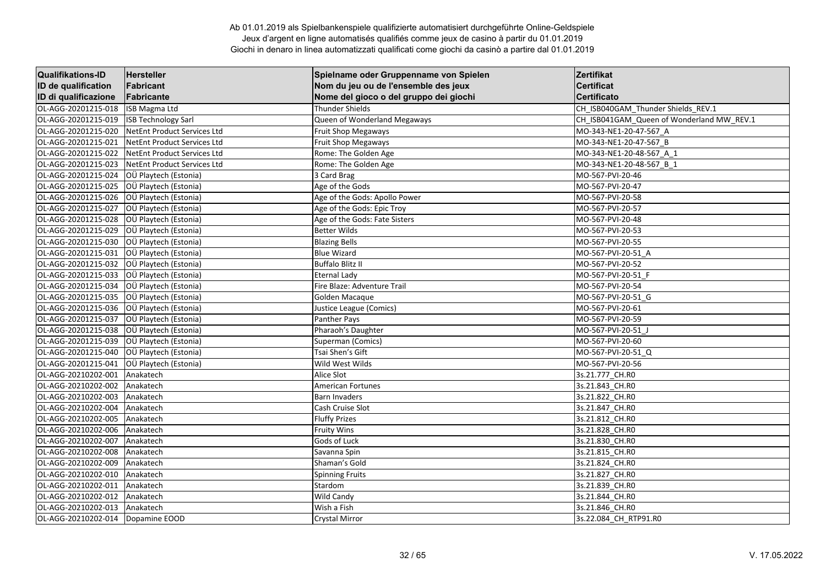| <b>Qualifikations-ID</b> | Hersteller                  | Spielname oder Gruppenname von Spielen | Zertifikat                                |
|--------------------------|-----------------------------|----------------------------------------|-------------------------------------------|
| ID de qualification      | Fabricant                   | Nom du jeu ou de l'ensemble des jeux   | <b>Certificat</b>                         |
| ID di qualificazione     | Fabricante                  | Nome del gioco o del gruppo dei giochi | <b>Certificato</b>                        |
| OL-AGG-20201215-018      | <b>ISB</b> Magma Ltd        | <b>Thunder Shields</b>                 | CH_ISB040GAM_Thunder Shields_REV.1        |
| OL-AGG-20201215-019      | <b>ISB Technology Sarl</b>  | Queen of Wonderland Megaways           | CH_ISB041GAM_Queen of Wonderland MW_REV.1 |
| OL-AGG-20201215-020      | NetEnt Product Services Ltd | Fruit Shop Megaways                    | MO-343-NE1-20-47-567 A                    |
| OL-AGG-20201215-021      | NetEnt Product Services Ltd | Fruit Shop Megaways                    | MO-343-NE1-20-47-567 B                    |
| OL-AGG-20201215-022      | NetEnt Product Services Ltd | Rome: The Golden Age                   | MO-343-NE1-20-48-567 A 1                  |
| OL-AGG-20201215-023      | NetEnt Product Services Ltd | Rome: The Golden Age                   | MO-343-NE1-20-48-567 B 1                  |
| OL-AGG-20201215-024      | OÜ Playtech (Estonia)       | 3 Card Brag                            | MO-567-PVI-20-46                          |
| OL-AGG-20201215-025      | OÜ Playtech (Estonia)       | Age of the Gods                        | MO-567-PVI-20-47                          |
| OL-AGG-20201215-026      | OÜ Playtech (Estonia)       | Age of the Gods: Apollo Power          | MO-567-PVI-20-58                          |
| OL-AGG-20201215-027      | OÜ Playtech (Estonia)       | Age of the Gods: Epic Troy             | MO-567-PVI-20-57                          |
| OL-AGG-20201215-028      | OÜ Playtech (Estonia)       | Age of the Gods: Fate Sisters          | MO-567-PVI-20-48                          |
| OL-AGG-20201215-029      | OÜ Playtech (Estonia)       | <b>Better Wilds</b>                    | MO-567-PVI-20-53                          |
| OL-AGG-20201215-030      | OÜ Playtech (Estonia)       | <b>Blazing Bells</b>                   | MO-567-PVI-20-55                          |
| OL-AGG-20201215-031      | OÜ Playtech (Estonia)       | <b>Blue Wizard</b>                     | MO-567-PVI-20-51 A                        |
| OL-AGG-20201215-032      | OÜ Playtech (Estonia)       | <b>Buffalo Blitz II</b>                | MO-567-PVI-20-52                          |
| OL-AGG-20201215-033      | OÜ Playtech (Estonia)       | <b>Eternal Lady</b>                    | MO-567-PVI-20-51_F                        |
| OL-AGG-20201215-034      | OÜ Playtech (Estonia)       | Fire Blaze: Adventure Trail            | MO-567-PVI-20-54                          |
| OL-AGG-20201215-035      | OÜ Playtech (Estonia)       | Golden Macaque                         | MO-567-PVI-20-51 G                        |
| OL-AGG-20201215-036      | OÜ Playtech (Estonia)       | Justice League (Comics)                | MO-567-PVI-20-61                          |
| OL-AGG-20201215-037      | OÜ Playtech (Estonia)       | Panther Pays                           | MO-567-PVI-20-59                          |
| OL-AGG-20201215-038      | OÜ Playtech (Estonia)       | Pharaoh's Daughter                     | MO-567-PVI-20-51_J                        |
| OL-AGG-20201215-039      | OÜ Playtech (Estonia)       | Superman (Comics)                      | MO-567-PVI-20-60                          |
| OL-AGG-20201215-040      | OÜ Playtech (Estonia)       | Tsai Shen's Gift                       | MO-567-PVI-20-51 Q                        |
| OL-AGG-20201215-041      | OÜ Playtech (Estonia)       | Wild West Wilds                        | MO-567-PVI-20-56                          |
| OL-AGG-20210202-001      | Anakatech                   | Alice Slot                             | 3s.21.777_CH.R0                           |
| OL-AGG-20210202-002      | Anakatech                   | American Fortunes                      | 3s.21.843 CH.RO                           |
| OL-AGG-20210202-003      | Anakatech                   | <b>Barn Invaders</b>                   | 3s.21.822 CH.RO                           |
| OL-AGG-20210202-004      | Anakatech                   | <b>Cash Cruise Slot</b>                | 3s.21.847_CH.RO                           |
| OL-AGG-20210202-005      | Anakatech                   | <b>Fluffy Prizes</b>                   | 3s.21.812 CH.RO                           |
| OL-AGG-20210202-006      | Anakatech                   | <b>Fruity Wins</b>                     | 3s.21.828_CH.R0                           |
| OL-AGG-20210202-007      | Anakatech                   | Gods of Luck                           | 3s.21.830 CH.RO                           |
| OL-AGG-20210202-008      | Anakatech                   | Savanna Spin                           | 3s.21.815_CH.R0                           |
| OL-AGG-20210202-009      | Anakatech                   | Shaman's Gold                          | 3s.21.824 CH.RO                           |
| OL-AGG-20210202-010      | Anakatech                   | <b>Spinning Fruits</b>                 | 3s.21.827 CH.RO                           |
| OL-AGG-20210202-011      | Anakatech                   | Stardom                                | 3s.21.839_CH.R0                           |
| OL-AGG-20210202-012      | Anakatech                   | <b>Wild Candy</b>                      | 3s.21.844_CH.R0                           |
| OL-AGG-20210202-013      | Anakatech                   | Wish a Fish                            | 3s.21.846_CH.RO                           |
| OL-AGG-20210202-014      | Dopamine EOOD               | <b>Crystal Mirror</b>                  | 3s.22.084 CH_RTP91.R0                     |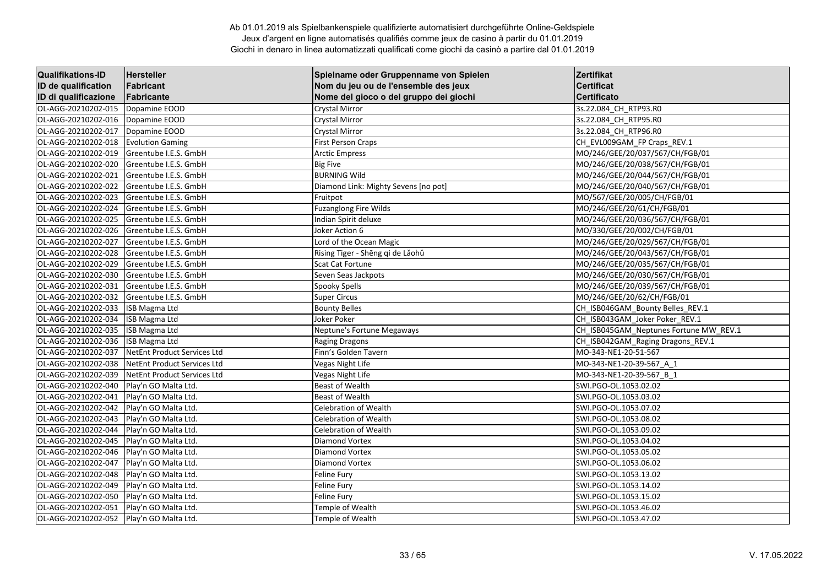| <b>Qualifikations-ID</b> | <b>Hersteller</b>           | Spielname oder Gruppenname von Spielen | Zertifikat                             |
|--------------------------|-----------------------------|----------------------------------------|----------------------------------------|
| ID de qualification      | Fabricant                   | Nom du jeu ou de l'ensemble des jeux   | <b>Certificat</b>                      |
| ID di qualificazione     | Fabricante                  | Nome del gioco o del gruppo dei giochi | <b>Certificato</b>                     |
| OL-AGG-20210202-015      | Dopamine EOOD               | <b>Crystal Mirror</b>                  | 3s.22.084_CH_RTP93.R0                  |
| OL-AGG-20210202-016      | Dopamine EOOD               | <b>Crystal Mirror</b>                  | 3s.22.084 CH RTP95.R0                  |
| OL-AGG-20210202-017      | Dopamine EOOD               | Crystal Mirror                         | 3s.22.084 CH RTP96.R0                  |
| OL-AGG-20210202-018      | <b>Evolution Gaming</b>     | <b>First Person Craps</b>              | CH_EVL009GAM_FP Craps_REV.1            |
| OL-AGG-20210202-019      | Greentube I.E.S. GmbH       | <b>Arctic Empress</b>                  | MO/246/GEE/20/037/567/CH/FGB/01        |
| OL-AGG-20210202-020      | Greentube I.E.S. GmbH       | <b>Big Five</b>                        | MO/246/GEE/20/038/567/CH/FGB/01        |
| OL-AGG-20210202-021      | Greentube I.E.S. GmbH       | <b>BURNING Wild</b>                    | MO/246/GEE/20/044/567/CH/FGB/01        |
| OL-AGG-20210202-022      | Greentube I.E.S. GmbH       | Diamond Link: Mighty Sevens [no pot]   | MO/246/GEE/20/040/567/CH/FGB/01        |
| OL-AGG-20210202-023      | Greentube I.E.S. GmbH       | Fruitpot                               | MO/567/GEE/20/005/CH/FGB/01            |
| OL-AGG-20210202-024      | Greentube I.E.S. GmbH       | <b>Fuzanglong Fire Wilds</b>           | MO/246/GEE/20/61/CH/FGB/01             |
| OL-AGG-20210202-025      | Greentube I.E.S. GmbH       | Indian Spirit deluxe                   | MO/246/GEE/20/036/567/CH/FGB/01        |
| OL-AGG-20210202-026      | Greentube I.E.S. GmbH       | Joker Action 6                         | MO/330/GEE/20/002/CH/FGB/01            |
| OL-AGG-20210202-027      | Greentube I.E.S. GmbH       | Lord of the Ocean Magic                | MO/246/GEE/20/029/567/CH/FGB/01        |
| OL-AGG-20210202-028      | Greentube I.E.S. GmbH       | Rising Tiger - Shēng qi de Lǎohǔ       | MO/246/GEE/20/043/567/CH/FGB/01        |
| OL-AGG-20210202-029      | Greentube I.E.S. GmbH       | Scat Cat Fortune                       | MO/246/GEE/20/035/567/CH/FGB/01        |
| OL-AGG-20210202-030      | Greentube I.E.S. GmbH       | Seven Seas Jackpots                    | MO/246/GEE/20/030/567/CH/FGB/01        |
| OL-AGG-20210202-031      | Greentube I.E.S. GmbH       | Spooky Spells                          | MO/246/GEE/20/039/567/CH/FGB/01        |
| OL-AGG-20210202-032      | Greentube I.E.S. GmbH       | <b>Super Circus</b>                    | MO/246/GEE/20/62/CH/FGB/01             |
| OL-AGG-20210202-033      | ISB Magma Ltd               | <b>Bounty Belles</b>                   | CH_ISB046GAM_Bounty Belles_REV.1       |
| OL-AGG-20210202-034      | <b>ISB Magma Ltd</b>        | Joker Poker                            | CH ISB043GAM Joker Poker REV.1         |
| OL-AGG-20210202-035      | <b>ISB Magma Ltd</b>        | Neptune's Fortune Megaways             | CH_ISB045GAM_Neptunes Fortune MW_REV.1 |
| OL-AGG-20210202-036      | ISB Magma Ltd               | Raging Dragons                         | CH_ISB042GAM_Raging Dragons_REV.1      |
| OL-AGG-20210202-037      | NetEnt Product Services Ltd | Finn's Golden Tavern                   | MO-343-NE1-20-51-567                   |
| OL-AGG-20210202-038      | NetEnt Product Services Ltd | Vegas Night Life                       | MO-343-NE1-20-39-567_A_1               |
| OL-AGG-20210202-039      | NetEnt Product Services Ltd | Vegas Night Life                       | MO-343-NE1-20-39-567 B 1               |
| OL-AGG-20210202-040      | Play'n GO Malta Ltd.        | <b>Beast of Wealth</b>                 | SWI.PGO-OL.1053.02.02                  |
| OL-AGG-20210202-041      | Play'n GO Malta Ltd.        | <b>Beast of Wealth</b>                 | SWI.PGO-OL.1053.03.02                  |
| OL-AGG-20210202-042      | Play'n GO Malta Ltd.        | Celebration of Wealth                  | SWI.PGO-OL.1053.07.02                  |
| OL-AGG-20210202-043      | Play'n GO Malta Ltd.        | Celebration of Wealth                  | SWI.PGO-OL.1053.08.02                  |
| OL-AGG-20210202-044      | Play'n GO Malta Ltd.        | <b>Celebration of Wealth</b>           | SWI.PGO-OL.1053.09.02                  |
| OL-AGG-20210202-045      | Play'n GO Malta Ltd.        | <b>Diamond Vortex</b>                  | SWI.PGO-OL.1053.04.02                  |
| OL-AGG-20210202-046      | Play'n GO Malta Ltd.        | <b>Diamond Vortex</b>                  | SWI.PGO-OL.1053.05.02                  |
| OL-AGG-20210202-047      | Play'n GO Malta Ltd.        | <b>Diamond Vortex</b>                  | SWI.PGO-OL.1053.06.02                  |
| OL-AGG-20210202-048      | Play'n GO Malta Ltd.        | Feline Fury                            | SWI.PGO-OL.1053.13.02                  |
| OL-AGG-20210202-049      | Play'n GO Malta Ltd.        | Feline Fury                            | SWI.PGO-OL.1053.14.02                  |
| OL-AGG-20210202-050      | Play'n GO Malta Ltd.        | Feline Fury                            | SWI.PGO-OL.1053.15.02                  |
| OL-AGG-20210202-051      | Play'n GO Malta Ltd.        | Temple of Wealth                       | SWI.PGO-OL.1053.46.02                  |
| OL-AGG-20210202-052      | Play'n GO Malta Ltd.        | Temple of Wealth                       | SWI.PGO-OL.1053.47.02                  |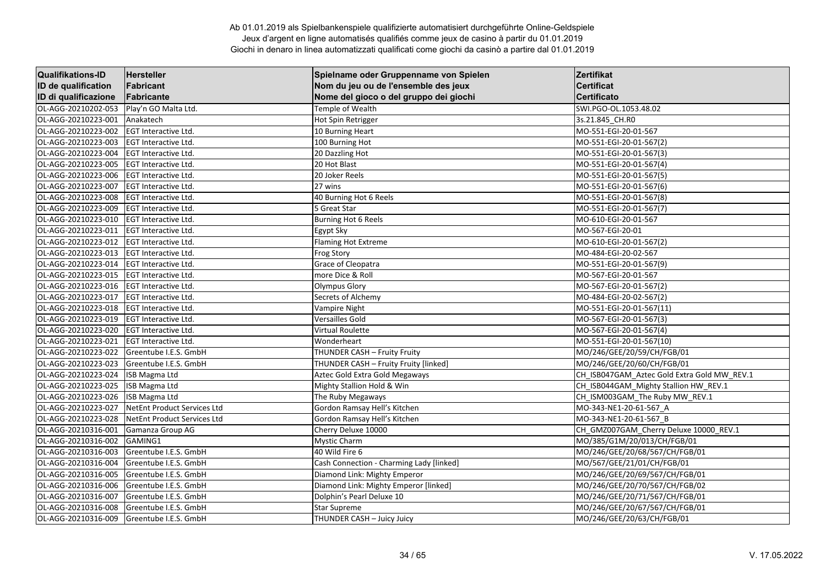| <b>Qualifikations-ID</b> | <b>Hersteller</b>           | Spielname oder Gruppenname von Spielen   | Zertifikat                                  |
|--------------------------|-----------------------------|------------------------------------------|---------------------------------------------|
| ID de qualification      | Fabricant                   | Nom du jeu ou de l'ensemble des jeux     | <b>Certificat</b>                           |
| ID di qualificazione     | Fabricante                  | Nome del gioco o del gruppo dei giochi   | <b>Certificato</b>                          |
| OL-AGG-20210202-053      | Play'n GO Malta Ltd.        | Temple of Wealth                         | SWI.PGO-OL.1053.48.02                       |
| OL-AGG-20210223-001      | Anakatech                   | Hot Spin Retrigger                       | 3s.21.845_CH.RO                             |
| OL-AGG-20210223-002      | EGT Interactive Ltd.        | 10 Burning Heart                         | MO-551-EGI-20-01-567                        |
| OL-AGG-20210223-003      | EGT Interactive Ltd.        | 100 Burning Hot                          | MO-551-EGI-20-01-567(2)                     |
| OL-AGG-20210223-004      | EGT Interactive Ltd.        | 20 Dazzling Hot                          | MO-551-EGI-20-01-567(3)                     |
| OL-AGG-20210223-005      | EGT Interactive Ltd.        | 20 Hot Blast                             | MO-551-EGI-20-01-567(4)                     |
| OL-AGG-20210223-006      | EGT Interactive Ltd.        | 20 Joker Reels                           | MO-551-EGI-20-01-567(5)                     |
| OL-AGG-20210223-007      | <b>EGT Interactive Ltd.</b> | 27 wins                                  | MO-551-EGI-20-01-567(6)                     |
| OL-AGG-20210223-008      | EGT Interactive Ltd.        | 40 Burning Hot 6 Reels                   | MO-551-EGI-20-01-567(8)                     |
| OL-AGG-20210223-009      | EGT Interactive Ltd.        | 5 Great Star                             | MO-551-EGI-20-01-567(7)                     |
| OL-AGG-20210223-010      | <b>EGT Interactive Ltd.</b> | <b>Burning Hot 6 Reels</b>               | MO-610-EGI-20-01-567                        |
| OL-AGG-20210223-011      | EGT Interactive Ltd.        | Egypt Sky                                | MO-567-EGI-20-01                            |
| OL-AGG-20210223-012      | <b>EGT Interactive Ltd.</b> | Flaming Hot Extreme                      | MO-610-EGI-20-01-567(2)                     |
| OL-AGG-20210223-013      | EGT Interactive Ltd.        | <b>Frog Story</b>                        | MO-484-EGI-20-02-567                        |
| OL-AGG-20210223-014      | <b>EGT Interactive Ltd.</b> | Grace of Cleopatra                       | MO-551-EGI-20-01-567(9)                     |
| OL-AGG-20210223-015      | EGT Interactive Ltd.        | more Dice & Roll                         | MO-567-EGI-20-01-567                        |
| OL-AGG-20210223-016      | <b>EGT Interactive Ltd.</b> | <b>Olympus Glory</b>                     | MO-567-EGI-20-01-567(2)                     |
| OL-AGG-20210223-017      | <b>EGT Interactive Ltd.</b> | Secrets of Alchemy                       | MO-484-EGI-20-02-567(2)                     |
| OL-AGG-20210223-018      | EGT Interactive Ltd.        | Vampire Night                            | MO-551-EGI-20-01-567(11)                    |
| OL-AGG-20210223-019      | EGT Interactive Ltd.        | Versailles Gold                          | MO-567-EGI-20-01-567(3)                     |
| OL-AGG-20210223-020      | EGT Interactive Ltd.        | Virtual Roulette                         | MO-567-EGI-20-01-567(4)                     |
| OL-AGG-20210223-021      | <b>EGT Interactive Ltd.</b> | Wonderheart                              | MO-551-EGI-20-01-567(10)                    |
| OL-AGG-20210223-022      | Greentube I.E.S. GmbH       | THUNDER CASH - Fruity Fruity             | MO/246/GEE/20/59/CH/FGB/01                  |
| OL-AGG-20210223-023      | Greentube I.E.S. GmbH       | THUNDER CASH - Fruity Fruity [linked]    | MO/246/GEE/20/60/CH/FGB/01                  |
| OL-AGG-20210223-024      | <b>ISB Magma Ltd</b>        | Aztec Gold Extra Gold Megaways           | CH_ISB047GAM_Aztec Gold Extra Gold MW_REV.1 |
| OL-AGG-20210223-025      | <b>ISB Magma Ltd</b>        | Mighty Stallion Hold & Win               | CH_ISB044GAM_Mighty Stallion HW_REV.1       |
| OL-AGG-20210223-026      | <b>ISB Magma Ltd</b>        | The Ruby Megaways                        | CH ISM003GAM The Ruby MW_REV.1              |
| OL-AGG-20210223-027      | NetEnt Product Services Ltd | Gordon Ramsay Hell's Kitchen             | MO-343-NE1-20-61-567_A                      |
| OL-AGG-20210223-028      | NetEnt Product Services Ltd | Gordon Ramsay Hell's Kitchen             | MO-343-NE1-20-61-567 B                      |
| OL-AGG-20210316-001      | Gamanza Group AG            | Cherry Deluxe 10000                      | CH_GMZ007GAM_Cherry Deluxe 10000_REV.1      |
| OL-AGG-20210316-002      | GAMING1                     | <b>Mystic Charm</b>                      | MO/385/G1M/20/013/CH/FGB/01                 |
| OL-AGG-20210316-003      | Greentube I.E.S. GmbH       | 40 Wild Fire 6                           | MO/246/GEE/20/68/567/CH/FGB/01              |
| OL-AGG-20210316-004      | Greentube I.E.S. GmbH       | Cash Connection - Charming Lady [linked] | MO/567/GEE/21/01/CH/FGB/01                  |
| OL-AGG-20210316-005      | Greentube I.E.S. GmbH       | Diamond Link: Mighty Emperor             | MO/246/GEE/20/69/567/CH/FGB/01              |
| OL-AGG-20210316-006      | Greentube I.E.S. GmbH       | Diamond Link: Mighty Emperor [linked]    | MO/246/GEE/20/70/567/CH/FGB/02              |
| OL-AGG-20210316-007      | Greentube I.E.S. GmbH       | Dolphin's Pearl Deluxe 10                | MO/246/GEE/20/71/567/CH/FGB/01              |
| OL-AGG-20210316-008      | Greentube I.E.S. GmbH       | <b>Star Supreme</b>                      | MO/246/GEE/20/67/567/CH/FGB/01              |
| OL-AGG-20210316-009      | Greentube I.E.S. GmbH       | THUNDER CASH - Juicy Juicy               | MO/246/GEE/20/63/CH/FGB/01                  |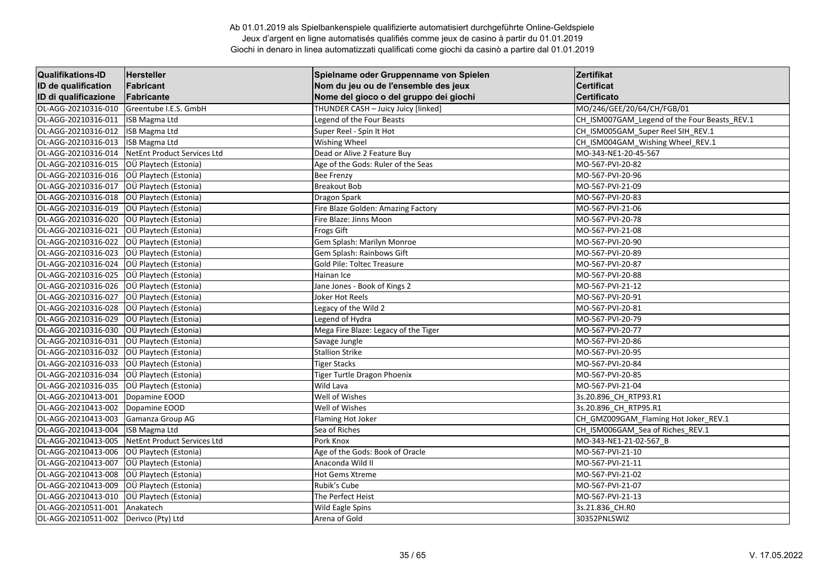| <b>Qualifikations-ID</b> | <b>Hersteller</b>           | Spielname oder Gruppenname von Spielen | Zertifikat                                   |
|--------------------------|-----------------------------|----------------------------------------|----------------------------------------------|
| ID de qualification      | Fabricant                   | Nom du jeu ou de l'ensemble des jeux   | <b>Certificat</b>                            |
| ID di qualificazione     | Fabricante                  | Nome del gioco o del gruppo dei giochi | <b>Certificato</b>                           |
| OL-AGG-20210316-010      | Greentube I.E.S. GmbH       | THUNDER CASH - Juicy Juicy [linked]    | MO/246/GEE/20/64/CH/FGB/01                   |
| OL-AGG-20210316-011      | <b>ISB Magma Ltd</b>        | Legend of the Four Beasts              | CH_ISM007GAM_Legend of the Four Beasts_REV.1 |
| OL-AGG-20210316-012      | ISB Magma Ltd               | Super Reel - Spin It Hot               | CH ISM005GAM Super Reel SIH REV.1            |
| OL-AGG-20210316-013      | <b>ISB Magma Ltd</b>        | Wishing Wheel                          | CH ISM004GAM Wishing Wheel REV.1             |
| OL-AGG-20210316-014      | NetEnt Product Services Ltd | Dead or Alive 2 Feature Buy            | MO-343-NE1-20-45-567                         |
| OL-AGG-20210316-015      | OÜ Playtech (Estonia)       | Age of the Gods: Ruler of the Seas     | MO-567-PVI-20-82                             |
| OL-AGG-20210316-016      | OÜ Playtech (Estonia)       | <b>Bee Frenzy</b>                      | MO-567-PVI-20-96                             |
| OL-AGG-20210316-017      | OÜ Playtech (Estonia)       | <b>Breakout Bob</b>                    | MO-567-PVI-21-09                             |
| OL-AGG-20210316-018      | OÜ Playtech (Estonia)       | Dragon Spark                           | MO-567-PVI-20-83                             |
| OL-AGG-20210316-019      | OÜ Playtech (Estonia)       | Fire Blaze Golden: Amazing Factory     | MO-567-PVI-21-06                             |
| OL-AGG-20210316-020      | OÜ Playtech (Estonia)       | Fire Blaze: Jinns Moon                 | MO-567-PVI-20-78                             |
| OL-AGG-20210316-021      | OÜ Playtech (Estonia)       | <b>Frogs Gift</b>                      | MO-567-PVI-21-08                             |
| OL-AGG-20210316-022      | OÜ Playtech (Estonia)       | Gem Splash: Marilyn Monroe             | MO-567-PVI-20-90                             |
| OL-AGG-20210316-023      | OÜ Playtech (Estonia)       | Gem Splash: Rainbows Gift              | MO-567-PVI-20-89                             |
| OL-AGG-20210316-024      | OÜ Playtech (Estonia)       | Gold Pile: Toltec Treasure             | MO-567-PVI-20-87                             |
| OL-AGG-20210316-025      | OÜ Playtech (Estonia)       | Hainan Ice                             | MO-567-PVI-20-88                             |
| OL-AGG-20210316-026      | OÜ Playtech (Estonia)       | Jane Jones - Book of Kings 2           | MO-567-PVI-21-12                             |
| OL-AGG-20210316-027      | OÜ Playtech (Estonia)       | Joker Hot Reels                        | MO-567-PVI-20-91                             |
| OL-AGG-20210316-028      | OÜ Playtech (Estonia)       | Legacy of the Wild 2                   | MO-567-PVI-20-81                             |
| OL-AGG-20210316-029      | OÜ Playtech (Estonia)       | Legend of Hydra                        | MO-567-PVI-20-79                             |
| OL-AGG-20210316-030      | OÜ Playtech (Estonia)       | Mega Fire Blaze: Legacy of the Tiger   | MO-567-PVI-20-77                             |
| OL-AGG-20210316-031      | OÜ Playtech (Estonia)       | Savage Jungle                          | MO-567-PVI-20-86                             |
| OL-AGG-20210316-032      | OÜ Playtech (Estonia)       | <b>Stallion Strike</b>                 | MO-567-PVI-20-95                             |
| OL-AGG-20210316-033      | OÜ Playtech (Estonia)       | <b>Tiger Stacks</b>                    | MO-567-PVI-20-84                             |
| OL-AGG-20210316-034      | OÜ Playtech (Estonia)       | Tiger Turtle Dragon Phoenix            | MO-567-PVI-20-85                             |
| OL-AGG-20210316-035      | OÜ Playtech (Estonia)       | Wild Lava                              | MO-567-PVI-21-04                             |
| OL-AGG-20210413-001      | Dopamine EOOD               | Well of Wishes                         | 3s.20.896_CH_RTP93.R1                        |
| OL-AGG-20210413-002      | Dopamine EOOD               | Well of Wishes                         | 3s.20.896_CH_RTP95.R1                        |
| OL-AGG-20210413-003      | Gamanza Group AG            | Flaming Hot Joker                      | CH GMZ009GAM Flaming Hot Joker REV.1         |
| OL-AGG-20210413-004      | <b>ISB Magma Ltd</b>        | Sea of Riches                          | CH ISM006GAM Sea of Riches REV.1             |
| OL-AGG-20210413-005      | NetEnt Product Services Ltd | Pork Knox                              | MO-343-NE1-21-02-567 B                       |
| OL-AGG-20210413-006      | OÜ Playtech (Estonia)       | Age of the Gods: Book of Oracle        | MO-567-PVI-21-10                             |
| OL-AGG-20210413-007      | OÜ Playtech (Estonia)       | Anaconda Wild II                       | MO-567-PVI-21-11                             |
| OL-AGG-20210413-008      | OÜ Playtech (Estonia)       | <b>Hot Gems Xtreme</b>                 | MO-567-PVI-21-02                             |
| OL-AGG-20210413-009      | OÜ Playtech (Estonia)       | Rubik's Cube                           | MO-567-PVI-21-07                             |
| OL-AGG-20210413-010      | OÜ Playtech (Estonia)       | The Perfect Heist                      | MO-567-PVI-21-13                             |
| OL-AGG-20210511-001      | Anakatech                   | Wild Eagle Spins                       | 3s.21.836_CH.RO                              |
| OL-AGG-20210511-002      | Derivco (Pty) Ltd           | Arena of Gold                          | 30352PNLSWIZ                                 |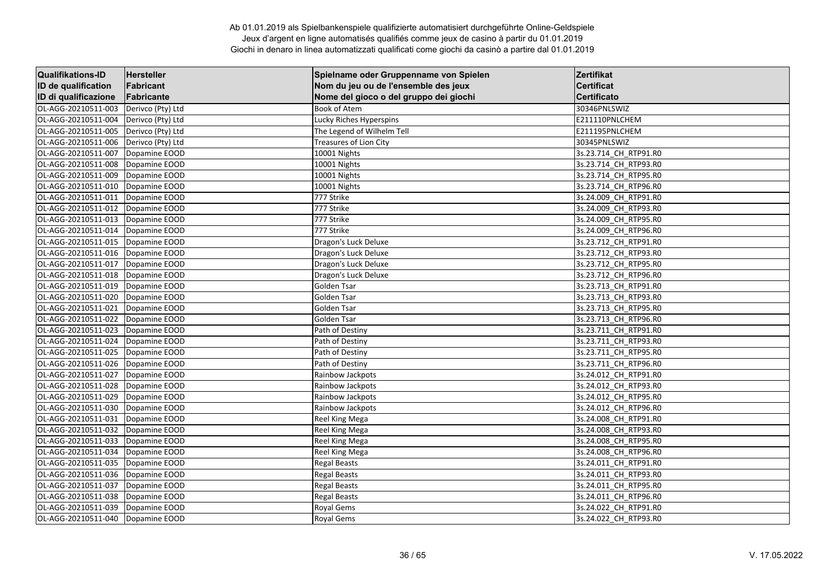| <b>Qualifikations-ID</b> | Hersteller        | Spielname oder Gruppenname von Spielen | Zertifikat            |
|--------------------------|-------------------|----------------------------------------|-----------------------|
| ID de qualification      | Fabricant         | Nom du jeu ou de l'ensemble des jeux   | <b>Certificat</b>     |
| ID di qualificazione     | Fabricante        | Nome del gioco o del gruppo dei giochi | <b>Certificato</b>    |
| OL-AGG-20210511-003      | Derivco (Pty) Ltd | <b>Book of Atem</b>                    | 30346PNLSWIZ          |
| OL-AGG-20210511-004      | Derivco (Pty) Ltd | Lucky Riches Hyperspins                | E211110PNLCHEM        |
| OL-AGG-20210511-005      | Derivco (Pty) Ltd | The Legend of Wilhelm Tell             | E211195PNLCHEM        |
| OL-AGG-20210511-006      | Derivco (Pty) Ltd | <b>Treasures of Lion City</b>          | 30345PNLSWIZ          |
| OL-AGG-20210511-007      | Dopamine EOOD     | 10001 Nights                           | 3s.23.714_CH_RTP91.R0 |
| OL-AGG-20210511-008      | Dopamine EOOD     | 10001 Nights                           | 3s.23.714_CH_RTP93.R0 |
| OL-AGG-20210511-009      | Dopamine EOOD     | 10001 Nights                           | 3s.23.714 CH RTP95.R0 |
| OL-AGG-20210511-010      | Dopamine EOOD     | 10001 Nights                           | 3s.23.714_CH_RTP96.R0 |
| OL-AGG-20210511-011      | Dopamine EOOD     | 777 Strike                             | 3s.24.009_CH_RTP91.R0 |
| OL-AGG-20210511-012      | Dopamine EOOD     | 777 Strike                             | 3s.24.009 CH RTP93.R0 |
| OL-AGG-20210511-013      | Dopamine EOOD     | 777 Strike                             | 3s.24.009 CH RTP95.R0 |
| OL-AGG-20210511-014      | Dopamine EOOD     | 777 Strike                             | 3s.24.009_CH_RTP96.R0 |
| OL-AGG-20210511-015      | Dopamine EOOD     | Dragon's Luck Deluxe                   | 3s.23.712 CH RTP91.R0 |
| OL-AGG-20210511-016      | Dopamine EOOD     | Dragon's Luck Deluxe                   | 3s.23.712 CH RTP93.R0 |
| OL-AGG-20210511-017      | Dopamine EOOD     | Dragon's Luck Deluxe                   | 3s.23.712 CH RTP95.R0 |
| OL-AGG-20210511-018      | Dopamine EOOD     | Dragon's Luck Deluxe                   | 3s.23.712_CH_RTP96.R0 |
| OL-AGG-20210511-019      | Dopamine EOOD     | Golden Tsar                            | 3s.23.713_CH_RTP91.R0 |
| OL-AGG-20210511-020      | Dopamine EOOD     | Golden Tsar                            | 3s.23.713 CH RTP93.R0 |
| OL-AGG-20210511-021      | Dopamine EOOD     | Golden Tsar                            | 3s.23.713 CH RTP95.R0 |
| OL-AGG-20210511-022      | Dopamine EOOD     | Golden Tsar                            | 3s.23.713 CH RTP96.R0 |
| OL-AGG-20210511-023      | Dopamine EOOD     | Path of Destiny                        | 3s.23.711_CH_RTP91.R0 |
| OL-AGG-20210511-024      | Dopamine EOOD     | Path of Destiny                        | 3s.23.711 CH RTP93.R0 |
| OL-AGG-20210511-025      | Dopamine EOOD     | Path of Destiny                        | 3s.23.711 CH_RTP95.R0 |
| OL-AGG-20210511-026      | Dopamine EOOD     | Path of Destiny                        | 3s.23.711_CH_RTP96.R0 |
| OL-AGG-20210511-027      | Dopamine EOOD     | Rainbow Jackpots                       | 3s.24.012_CH_RTP91.R0 |
| OL-AGG-20210511-028      | Dopamine EOOD     | Rainbow Jackpots                       | 3s.24.012 CH RTP93.R0 |
| OL-AGG-20210511-029      | Dopamine EOOD     | Rainbow Jackpots                       | 3s.24.012 CH RTP95.R0 |
| OL-AGG-20210511-030      | Dopamine EOOD     | Rainbow Jackpots                       | 3s.24.012_CH_RTP96.R0 |
| OL-AGG-20210511-031      | Dopamine EOOD     | Reel King Mega                         | 3s.24.008_CH_RTP91.R0 |
| OL-AGG-20210511-032      | Dopamine EOOD     | Reel King Mega                         | 3s.24.008_CH_RTP93.R0 |
| OL-AGG-20210511-033      | Dopamine EOOD     | Reel King Mega                         | 3s.24.008 CH RTP95.R0 |
| OL-AGG-20210511-034      | Dopamine EOOD     | Reel King Mega                         | 3s.24.008_CH_RTP96.R0 |
| OL-AGG-20210511-035      | Dopamine EOOD     | <b>Regal Beasts</b>                    | 3s.24.011 CH RTP91.R0 |
| OL-AGG-20210511-036      | Dopamine EOOD     | <b>Regal Beasts</b>                    | 3s.24.011 CH RTP93.R0 |
| OL-AGG-20210511-037      | Dopamine EOOD     | <b>Regal Beasts</b>                    | 3s.24.011 CH RTP95.R0 |
| OL-AGG-20210511-038      | Dopamine EOOD     | <b>Regal Beasts</b>                    | 3s.24.011_CH_RTP96.R0 |
| OL-AGG-20210511-039      | Dopamine EOOD     | Royal Gems                             | 3s.24.022_CH_RTP91.R0 |
| OL-AGG-20210511-040      | Dopamine EOOD     | Royal Gems                             | 3s.24.022_CH_RTP93.R0 |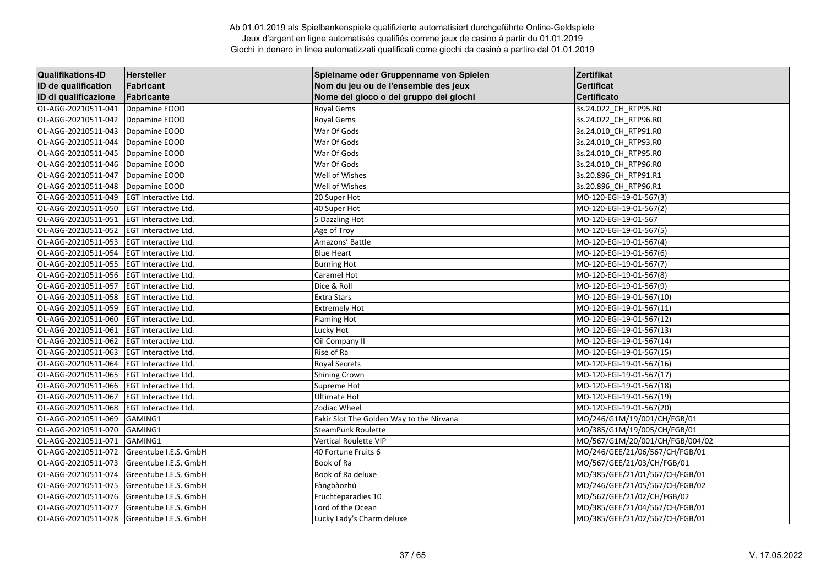| <b>Qualifikations-ID</b> | Hersteller                  | Spielname oder Gruppenname von Spielen   | Zertifikat                      |
|--------------------------|-----------------------------|------------------------------------------|---------------------------------|
| ID de qualification      | Fabricant                   | Nom du jeu ou de l'ensemble des jeux     | <b>Certificat</b>               |
| ID di qualificazione     | Fabricante                  | Nome del gioco o del gruppo dei giochi   | Certificato                     |
| OL-AGG-20210511-041      | Dopamine EOOD               | Royal Gems                               | 3s.24.022_CH_RTP95.R0           |
| OL-AGG-20210511-042      | Dopamine EOOD               | <b>Royal Gems</b>                        | 3s.24.022 CH RTP96.RO           |
| OL-AGG-20210511-043      | Dopamine EOOD               | War Of Gods                              | 3s.24.010 CH RTP91.R0           |
| OL-AGG-20210511-044      | Dopamine EOOD               | War Of Gods                              | 3s.24.010_CH_RTP93.R0           |
| OL-AGG-20210511-045      | Dopamine EOOD               | War Of Gods                              | 3s.24.010_CH_RTP95.R0           |
| OL-AGG-20210511-046      | Dopamine EOOD               | War Of Gods                              | 3s.24.010_CH_RTP96.R0           |
| OL-AGG-20210511-047      | Dopamine EOOD               | Well of Wishes                           | 3s.20.896 CH RTP91.R1           |
| OL-AGG-20210511-048      | Dopamine EOOD               | Well of Wishes                           | 3s.20.896_CH_RTP96.R1           |
| OL-AGG-20210511-049      | EGT Interactive Ltd.        | 20 Super Hot                             | MO-120-EGI-19-01-567(3)         |
| OL-AGG-20210511-050      | <b>EGT Interactive Ltd.</b> | 40 Super Hot                             | MO-120-EGI-19-01-567(2)         |
| OL-AGG-20210511-051      | <b>EGT Interactive Ltd.</b> | 5 Dazzling Hot                           | MO-120-EGI-19-01-567            |
| OL-AGG-20210511-052      | <b>EGT Interactive Ltd.</b> | Age of Troy                              | MO-120-EGI-19-01-567(5)         |
| OL-AGG-20210511-053      | <b>EGT Interactive Ltd.</b> | Amazons' Battle                          | MO-120-EGI-19-01-567(4)         |
| OL-AGG-20210511-054      | EGT Interactive Ltd.        | <b>Blue Heart</b>                        | MO-120-EGI-19-01-567(6)         |
| OL-AGG-20210511-055      | <b>EGT Interactive Ltd.</b> | <b>Burning Hot</b>                       | MO-120-EGI-19-01-567(7)         |
| OL-AGG-20210511-056      | <b>EGT Interactive Ltd.</b> | Caramel Hot                              | MO-120-EGI-19-01-567(8)         |
| OL-AGG-20210511-057      | <b>EGT Interactive Ltd.</b> | Dice & Roll                              | MO-120-EGI-19-01-567(9)         |
| OL-AGG-20210511-058      | <b>EGT Interactive Ltd.</b> | <b>Extra Stars</b>                       | MO-120-EGI-19-01-567(10)        |
| OL-AGG-20210511-059      | EGT Interactive Ltd.        | <b>Extremely Hot</b>                     | MO-120-EGI-19-01-567(11)        |
| OL-AGG-20210511-060      | <b>EGT Interactive Ltd.</b> | <b>Flaming Hot</b>                       | MO-120-EGI-19-01-567(12)        |
| OL-AGG-20210511-061      | <b>EGT Interactive Ltd.</b> | Lucky Hot                                | MO-120-EGI-19-01-567(13)        |
| OL-AGG-20210511-062      | <b>EGT Interactive Ltd.</b> | Oil Company II                           | MO-120-EGI-19-01-567(14)        |
| OL-AGG-20210511-063      | EGT Interactive Ltd.        | Rise of Ra                               | MO-120-EGI-19-01-567(15)        |
| OL-AGG-20210511-064      | EGT Interactive Ltd.        | <b>Royal Secrets</b>                     | MO-120-EGI-19-01-567(16)        |
| OL-AGG-20210511-065      | EGT Interactive Ltd.        | Shining Crown                            | MO-120-EGI-19-01-567(17)        |
| OL-AGG-20210511-066      | <b>EGT Interactive Ltd.</b> | Supreme Hot                              | MO-120-EGI-19-01-567(18)        |
| OL-AGG-20210511-067      | <b>EGT Interactive Ltd.</b> | <b>Ultimate Hot</b>                      | MO-120-EGI-19-01-567(19)        |
| OL-AGG-20210511-068      | <b>EGT Interactive Ltd.</b> | Zodiac Wheel                             | MO-120-EGI-19-01-567(20)        |
| OL-AGG-20210511-069      | GAMING1                     | Fakir Slot The Golden Way to the Nirvana | MO/246/G1M/19/001/CH/FGB/01     |
| OL-AGG-20210511-070      | GAMING1                     | SteamPunk Roulette                       | MO/385/G1M/19/005/CH/FGB/01     |
| OL-AGG-20210511-071      | GAMING1                     | <b>Vertical Roulette VIP</b>             | MO/567/G1M/20/001/CH/FGB/004/02 |
| OL-AGG-20210511-072      | Greentube I.E.S. GmbH       | 40 Fortune Fruits 6                      | MO/246/GEE/21/06/567/CH/FGB/01  |
| OL-AGG-20210511-073      | Greentube I.E.S. GmbH       | Book of Ra                               | MO/567/GEE/21/03/CH/FGB/01      |
| OL-AGG-20210511-074      | Greentube I.E.S. GmbH       | Book of Ra deluxe                        | MO/385/GEE/21/01/567/CH/FGB/01  |
| OL-AGG-20210511-075      | Greentube I.E.S. GmbH       | Fàngbàozhú                               | MO/246/GEE/21/05/567/CH/FGB/02  |
| OL-AGG-20210511-076      | Greentube I.E.S. GmbH       | Früchteparadies 10                       | MO/567/GEE/21/02/CH/FGB/02      |
| OL-AGG-20210511-077      | Greentube I.E.S. GmbH       | Lord of the Ocean                        | MO/385/GEE/21/04/567/CH/FGB/01  |
| OL-AGG-20210511-078      | Greentube I.E.S. GmbH       | Lucky Lady's Charm deluxe                | MO/385/GEE/21/02/567/CH/FGB/01  |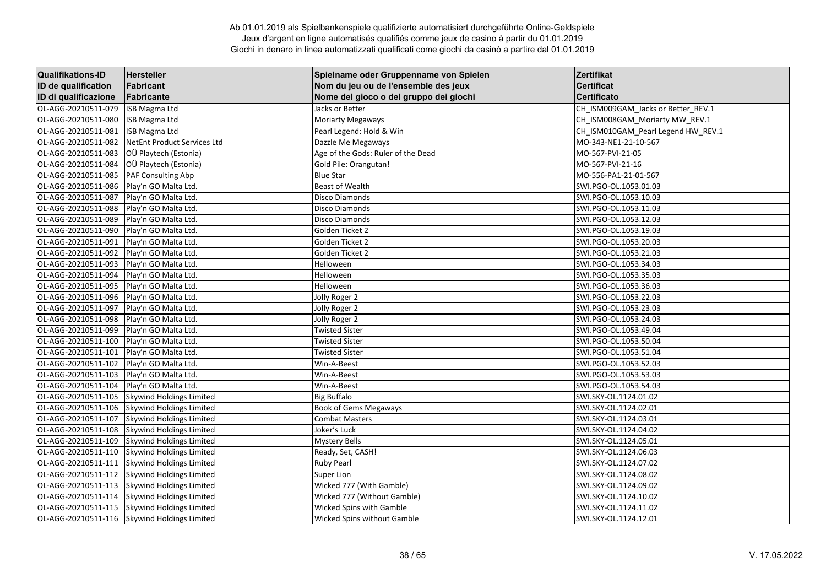| <b>Qualifikations-ID</b> | Hersteller                      | Spielname oder Gruppenname von Spielen | Zertifikat                         |
|--------------------------|---------------------------------|----------------------------------------|------------------------------------|
| ID de qualification      | Fabricant                       | Nom du jeu ou de l'ensemble des jeux   | <b>Certificat</b>                  |
| ID di qualificazione     | Fabricante                      | Nome del gioco o del gruppo dei giochi | <b>Certificato</b>                 |
| OL-AGG-20210511-079      | <b>ISB Magma Ltd</b>            | Jacks or Better                        | CH_ISM009GAM_Jacks or Better_REV.1 |
| OL-AGG-20210511-080      | <b>ISB Magma Ltd</b>            | <b>Moriarty Megaways</b>               | CH ISM008GAM Moriarty MW REV.1     |
| OL-AGG-20210511-081      | <b>ISB Magma Ltd</b>            | Pearl Legend: Hold & Win               | CH ISM010GAM Pearl Legend HW REV.1 |
| OL-AGG-20210511-082      | NetEnt Product Services Ltd     | Dazzle Me Megaways                     | MO-343-NE1-21-10-567               |
| OL-AGG-20210511-083      | OÜ Playtech (Estonia)           | Age of the Gods: Ruler of the Dead     | MO-567-PVI-21-05                   |
| OL-AGG-20210511-084      | OÜ Playtech (Estonia)           | Gold Pile: Orangutan!                  | MO-567-PVI-21-16                   |
| OL-AGG-20210511-085      | PAF Consulting Abp              | <b>Blue Star</b>                       | MO-556-PA1-21-01-567               |
| OL-AGG-20210511-086      | Play'n GO Malta Ltd.            | <b>Beast of Wealth</b>                 | SWI.PGO-OL.1053.01.03              |
| OL-AGG-20210511-087      | Play'n GO Malta Ltd.            | <b>Disco Diamonds</b>                  | SWI.PGO-OL.1053.10.03              |
| OL-AGG-20210511-088      | Play'n GO Malta Ltd.            | <b>Disco Diamonds</b>                  | SWI.PGO-OL.1053.11.03              |
| OL-AGG-20210511-089      | Play'n GO Malta Ltd.            | <b>Disco Diamonds</b>                  | SWI.PGO-OL.1053.12.03              |
| OL-AGG-20210511-090      | Play'n GO Malta Ltd.            | Golden Ticket 2                        | SWI.PGO-OL.1053.19.03              |
| OL-AGG-20210511-091      | Play'n GO Malta Ltd.            | Golden Ticket 2                        | SWI.PGO-OL.1053.20.03              |
| OL-AGG-20210511-092      | Play'n GO Malta Ltd.            | Golden Ticket 2                        | SWI.PGO-OL.1053.21.03              |
| OL-AGG-20210511-093      | Play'n GO Malta Ltd.            | Helloween                              | SWI.PGO-OL.1053.34.03              |
| OL-AGG-20210511-094      | Play'n GO Malta Ltd.            | Helloween                              | SWI.PGO-OL.1053.35.03              |
| OL-AGG-20210511-095      | Play'n GO Malta Ltd.            | Helloween                              | SWI.PGO-OL.1053.36.03              |
| OL-AGG-20210511-096      | Play'n GO Malta Ltd.            | Jolly Roger 2                          | SWI.PGO-OL.1053.22.03              |
| OL-AGG-20210511-097      | Play'n GO Malta Ltd.            | Jolly Roger 2                          | SWI.PGO-OL.1053.23.03              |
| OL-AGG-20210511-098      | Play'n GO Malta Ltd.            | Jolly Roger 2                          | SWI.PGO-OL.1053.24.03              |
| OL-AGG-20210511-099      | Play'n GO Malta Ltd.            | <b>Twisted Sister</b>                  | SWI.PGO-OL.1053.49.04              |
| OL-AGG-20210511-100      | Play'n GO Malta Ltd.            | <b>Twisted Sister</b>                  | SWI.PGO-OL.1053.50.04              |
| OL-AGG-20210511-101      | Play'n GO Malta Ltd.            | <b>Twisted Sister</b>                  | SWI.PGO-OL.1053.51.04              |
| OL-AGG-20210511-102      | Play'n GO Malta Ltd.            | Win-A-Beest                            | SWI.PGO-OL.1053.52.03              |
| OL-AGG-20210511-103      | Play'n GO Malta Ltd.            | Win-A-Beest                            | SWI.PGO-OL.1053.53.03              |
| OL-AGG-20210511-104      | Play'n GO Malta Ltd.            | Win-A-Beest                            | SWI.PGO-OL.1053.54.03              |
| OL-AGG-20210511-105      | Skywind Holdings Limited        | <b>Big Buffalo</b>                     | SWI.SKY-OL.1124.01.02              |
| OL-AGG-20210511-106      | <b>Skywind Holdings Limited</b> | <b>Book of Gems Megaways</b>           | SWI.SKY-OL.1124.02.01              |
| OL-AGG-20210511-107      | Skywind Holdings Limited        | <b>Combat Masters</b>                  | SWI.SKY-OL.1124.03.01              |
| OL-AGG-20210511-108      | Skywind Holdings Limited        | Joker's Luck                           | SWI.SKY-OL.1124.04.02              |
| OL-AGG-20210511-109      | Skywind Holdings Limited        | Mystery Bells                          | SWI.SKY-OL.1124.05.01              |
| OL-AGG-20210511-110      | Skywind Holdings Limited        | Ready, Set, CASH!                      | SWI.SKY-OL.1124.06.03              |
| OL-AGG-20210511-111      | Skywind Holdings Limited        | <b>Ruby Pearl</b>                      | SWI.SKY-OL.1124.07.02              |
| OL-AGG-20210511-112      | <b>Skywind Holdings Limited</b> | Super Lion                             | SWI.SKY-OL.1124.08.02              |
| OL-AGG-20210511-113      | Skywind Holdings Limited        | Wicked 777 (With Gamble)               | SWI.SKY-OL.1124.09.02              |
| OL-AGG-20210511-114      | Skywind Holdings Limited        | Wicked 777 (Without Gamble)            | SWI.SKY-OL.1124.10.02              |
| OL-AGG-20210511-115      | Skywind Holdings Limited        | Wicked Spins with Gamble               | SWI.SKY-OL.1124.11.02              |
| OL-AGG-20210511-116      | Skywind Holdings Limited        | <b>Wicked Spins without Gamble</b>     | SWI.SKY-OL.1124.12.01              |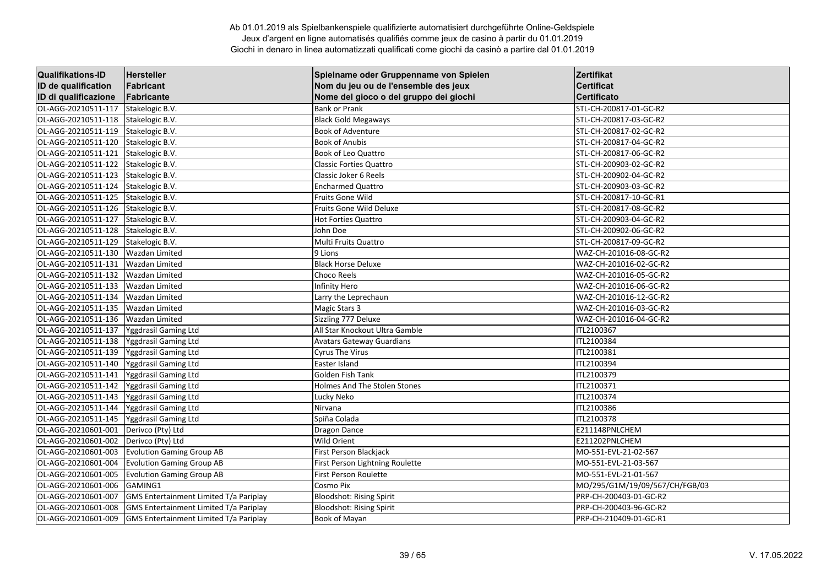| <b>Qualifikations-ID</b> | Hersteller                             | Spielname oder Gruppenname von Spielen | Zertifikat                     |
|--------------------------|----------------------------------------|----------------------------------------|--------------------------------|
| ID de qualification      | Fabricant                              | Nom du jeu ou de l'ensemble des jeux   | <b>Certificat</b>              |
| ID di qualificazione     | Fabricante                             | Nome del gioco o del gruppo dei giochi | Certificato                    |
| OL-AGG-20210511-117      | Stakelogic B.V.                        | <b>Bank or Prank</b>                   | STL-CH-200817-01-GC-R2         |
| OL-AGG-20210511-118      | Stakelogic B.V.                        | <b>Black Gold Megaways</b>             | STL-CH-200817-03-GC-R2         |
| OL-AGG-20210511-119      | Stakelogic B.V.                        | <b>Book of Adventure</b>               | STL-CH-200817-02-GC-R2         |
| OL-AGG-20210511-120      | Stakelogic B.V.                        | <b>Book of Anubis</b>                  | STL-CH-200817-04-GC-R2         |
| OL-AGG-20210511-121      | Stakelogic B.V.                        | Book of Leo Quattro                    | STL-CH-200817-06-GC-R2         |
| OL-AGG-20210511-122      | Stakelogic B.V.                        | <b>Classic Forties Quattro</b>         | STL-CH-200903-02-GC-R2         |
| OL-AGG-20210511-123      | Stakelogic B.V.                        | Classic Joker 6 Reels                  | STL-CH-200902-04-GC-R2         |
| OL-AGG-20210511-124      | Stakelogic B.V.                        | <b>Encharmed Quattro</b>               | STL-CH-200903-03-GC-R2         |
| OL-AGG-20210511-125      | Stakelogic B.V.                        | Fruits Gone Wild                       | STL-CH-200817-10-GC-R1         |
| OL-AGG-20210511-126      | Stakelogic B.V.                        | Fruits Gone Wild Deluxe                | STL-CH-200817-08-GC-R2         |
| OL-AGG-20210511-127      | Stakelogic B.V.                        | <b>Hot Forties Quattro</b>             | STL-CH-200903-04-GC-R2         |
| OL-AGG-20210511-128      | Stakelogic B.V.                        | John Doe                               | STL-CH-200902-06-GC-R2         |
| OL-AGG-20210511-129      | Stakelogic B.V.                        | Multi Fruits Quattro                   | STL-CH-200817-09-GC-R2         |
| OL-AGG-20210511-130      | <b>Wazdan Limited</b>                  | 9 Lions                                | WAZ-CH-201016-08-GC-R2         |
| OL-AGG-20210511-131      | <b>Wazdan Limited</b>                  | <b>Black Horse Deluxe</b>              | WAZ-CH-201016-02-GC-R2         |
| OL-AGG-20210511-132      | <b>Wazdan Limited</b>                  | Choco Reels                            | WAZ-CH-201016-05-GC-R2         |
| OL-AGG-20210511-133      | <b>Wazdan Limited</b>                  | Infinity Hero                          | WAZ-CH-201016-06-GC-R2         |
| OL-AGG-20210511-134      | <b>Wazdan Limited</b>                  | Larry the Leprechaun                   | WAZ-CH-201016-12-GC-R2         |
| OL-AGG-20210511-135      | <b>Wazdan Limited</b>                  | Magic Stars 3                          | WAZ-CH-201016-03-GC-R2         |
| OL-AGG-20210511-136      | <b>Wazdan Limited</b>                  | Sizzling 777 Deluxe                    | WAZ-CH-201016-04-GC-R2         |
| OL-AGG-20210511-137      | Yggdrasil Gaming Ltd                   | All Star Knockout Ultra Gamble         | ITL2100367                     |
| OL-AGG-20210511-138      | Yggdrasil Gaming Ltd                   | <b>Avatars Gateway Guardians</b>       | ITL2100384                     |
| OL-AGG-20210511-139      | <b>Yggdrasil Gaming Ltd</b>            | <b>Cyrus The Virus</b>                 | ITL2100381                     |
| OL-AGG-20210511-140      | Yggdrasil Gaming Ltd                   | Easter Island                          | ITL2100394                     |
| OL-AGG-20210511-141      | Yggdrasil Gaming Ltd                   | Golden Fish Tank                       | ITL2100379                     |
| OL-AGG-20210511-142      | Yggdrasil Gaming Ltd                   | Holmes And The Stolen Stones           | ITL2100371                     |
| OL-AGG-20210511-143      | Yggdrasil Gaming Ltd                   | Lucky Neko                             | ITL2100374                     |
| OL-AGG-20210511-144      | Yggdrasil Gaming Ltd                   | Nirvana                                | ITL2100386                     |
| OL-AGG-20210511-145      | Yggdrasil Gaming Ltd                   | Spiña Colada                           | ITL2100378                     |
| OL-AGG-20210601-001      | Derivco (Pty) Ltd                      | <b>Dragon Dance</b>                    | E211148PNLCHEM                 |
| OL-AGG-20210601-002      | Derivco (Pty) Ltd                      | Wild Orient                            | E211202PNLCHEM                 |
| OL-AGG-20210601-003      | <b>Evolution Gaming Group AB</b>       | First Person Blackjack                 | MO-551-EVL-21-02-567           |
| OL-AGG-20210601-004      | <b>Evolution Gaming Group AB</b>       | First Person Lightning Roulette        | MO-551-EVL-21-03-567           |
| OL-AGG-20210601-005      | <b>Evolution Gaming Group AB</b>       | <b>First Person Roulette</b>           | MO-551-EVL-21-01-567           |
| OL-AGG-20210601-006      | GAMING1                                | Cosmo Pix                              | MO/295/G1M/19/09/567/CH/FGB/03 |
| OL-AGG-20210601-007      | GMS Entertainment Limited T/a Pariplay | <b>Bloodshot: Rising Spirit</b>        | PRP-CH-200403-01-GC-R2         |
| OL-AGG-20210601-008      | GMS Entertainment Limited T/a Pariplay | <b>Bloodshot: Rising Spirit</b>        | PRP-CH-200403-96-GC-R2         |
| OL-AGG-20210601-009      | GMS Entertainment Limited T/a Pariplay | Book of Mayan                          | PRP-CH-210409-01-GC-R1         |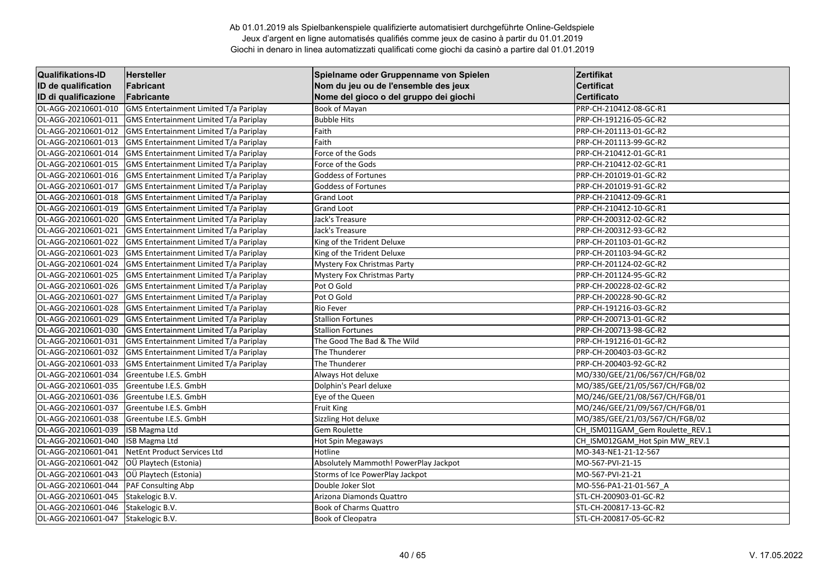| <b>Qualifikations-ID</b> | <b>Hersteller</b>                             | Spielname oder Gruppenname von Spielen | Zertifikat                      |
|--------------------------|-----------------------------------------------|----------------------------------------|---------------------------------|
| ID de qualification      | Fabricant                                     | Nom du jeu ou de l'ensemble des jeux   | <b>Certificat</b>               |
| ID di qualificazione     | Fabricante                                    | Nome del gioco o del gruppo dei giochi | <b>Certificato</b>              |
| OL-AGG-20210601-010      | GMS Entertainment Limited T/a Pariplay        | Book of Mayan                          | PRP-CH-210412-08-GC-R1          |
| OL-AGG-20210601-011      | GMS Entertainment Limited T/a Pariplay        | <b>Bubble Hits</b>                     | PRP-CH-191216-05-GC-R2          |
| OL-AGG-20210601-012      | GMS Entertainment Limited T/a Pariplay        | Faith                                  | PRP-CH-201113-01-GC-R2          |
| OL-AGG-20210601-013      | GMS Entertainment Limited T/a Pariplay        | Faith                                  | PRP-CH-201113-99-GC-R2          |
| OL-AGG-20210601-014      | <b>GMS Entertainment Limited T/a Pariplay</b> | Force of the Gods                      | PRP-CH-210412-01-GC-R1          |
| OL-AGG-20210601-015      | GMS Entertainment Limited T/a Pariplay        | Force of the Gods                      | PRP-CH-210412-02-GC-R1          |
| OL-AGG-20210601-016      | GMS Entertainment Limited T/a Pariplay        | <b>Goddess of Fortunes</b>             | PRP-CH-201019-01-GC-R2          |
| OL-AGG-20210601-017      | GMS Entertainment Limited T/a Pariplay        | <b>Goddess of Fortunes</b>             | PRP-CH-201019-91-GC-R2          |
| OL-AGG-20210601-018      | GMS Entertainment Limited T/a Pariplay        | <b>Grand Loot</b>                      | PRP-CH-210412-09-GC-R1          |
| OL-AGG-20210601-019      | <b>GMS Entertainment Limited T/a Pariplay</b> | <b>Grand Loot</b>                      | PRP-CH-210412-10-GC-R1          |
| OL-AGG-20210601-020      | GMS Entertainment Limited T/a Pariplay        | Jack's Treasure                        | PRP-CH-200312-02-GC-R2          |
| OL-AGG-20210601-021      | GMS Entertainment Limited T/a Pariplay        | Jack's Treasure                        | PRP-CH-200312-93-GC-R2          |
| OL-AGG-20210601-022      | GMS Entertainment Limited T/a Pariplay        | King of the Trident Deluxe             | PRP-CH-201103-01-GC-R2          |
| OL-AGG-20210601-023      | GMS Entertainment Limited T/a Pariplay        | King of the Trident Deluxe             | PRP-CH-201103-94-GC-R2          |
| OL-AGG-20210601-024      | <b>GMS Entertainment Limited T/a Pariplay</b> | <b>Mystery Fox Christmas Party</b>     | PRP-CH-201124-02-GC-R2          |
| OL-AGG-20210601-025      | GMS Entertainment Limited T/a Pariplay        | <b>Mystery Fox Christmas Party</b>     | PRP-CH-201124-95-GC-R2          |
| OL-AGG-20210601-026      | GMS Entertainment Limited T/a Pariplay        | Pot O Gold                             | PRP-CH-200228-02-GC-R2          |
| OL-AGG-20210601-027      | <b>GMS Entertainment Limited T/a Pariplay</b> | Pot O Gold                             | PRP-CH-200228-90-GC-R2          |
| OL-AGG-20210601-028      | GMS Entertainment Limited T/a Pariplay        | Rio Fever                              | PRP-CH-191216-03-GC-R2          |
| OL-AGG-20210601-029      | GMS Entertainment Limited T/a Pariplay        | <b>Stallion Fortunes</b>               | PRP-CH-200713-01-GC-R2          |
| OL-AGG-20210601-030      | GMS Entertainment Limited T/a Pariplay        | <b>Stallion Fortunes</b>               | PRP-CH-200713-98-GC-R2          |
| OL-AGG-20210601-031      | GMS Entertainment Limited T/a Pariplay        | The Good The Bad & The Wild            | PRP-CH-191216-01-GC-R2          |
| OL-AGG-20210601-032      | GMS Entertainment Limited T/a Pariplay        | The Thunderer                          | PRP-CH-200403-03-GC-R2          |
| OL-AGG-20210601-033      | <b>GMS Entertainment Limited T/a Pariplay</b> | The Thunderer                          | PRP-CH-200403-92-GC-R2          |
| OL-AGG-20210601-034      | Greentube I.E.S. GmbH                         | Always Hot deluxe                      | MO/330/GEE/21/06/567/CH/FGB/02  |
| OL-AGG-20210601-035      | Greentube I.E.S. GmbH                         | Dolphin's Pearl deluxe                 | MO/385/GEE/21/05/567/CH/FGB/02  |
| OL-AGG-20210601-036      | Greentube I.E.S. GmbH                         | Eye of the Queen                       | MO/246/GEE/21/08/567/CH/FGB/01  |
| OL-AGG-20210601-037      | Greentube I.E.S. GmbH                         | <b>Fruit King</b>                      | MO/246/GEE/21/09/567/CH/FGB/01  |
| OL-AGG-20210601-038      | Greentube I.E.S. GmbH                         | Sizzling Hot deluxe                    | MO/385/GEE/21/03/567/CH/FGB/02  |
| OL-AGG-20210601-039      | <b>ISB Magma Ltd</b>                          | <b>Gem Roulette</b>                    | CH_ISM011GAM_Gem Roulette_REV.1 |
| OL-AGG-20210601-040      | <b>ISB Magma Ltd</b>                          | Hot Spin Megaways                      | CH_ISM012GAM_Hot Spin MW_REV.1  |
| OL-AGG-20210601-041      | NetEnt Product Services Ltd                   | Hotline                                | MO-343-NE1-21-12-567            |
| OL-AGG-20210601-042      | OÜ Playtech (Estonia)                         | Absolutely Mammoth! PowerPlay Jackpot  | MO-567-PVI-21-15                |
| OL-AGG-20210601-043      | OÜ Playtech (Estonia)                         | Storms of Ice PowerPlay Jackpot        | MO-567-PVI-21-21                |
| OL-AGG-20210601-044      | PAF Consulting Abp                            | Double Joker Slot                      | MO-556-PA1-21-01-567_A          |
| OL-AGG-20210601-045      | Stakelogic B.V.                               | Arizona Diamonds Quattro               | STL-CH-200903-01-GC-R2          |
| OL-AGG-20210601-046      | Stakelogic B.V.                               | <b>Book of Charms Quattro</b>          | STL-CH-200817-13-GC-R2          |
| OL-AGG-20210601-047      | Stakelogic B.V.                               | <b>Book of Cleopatra</b>               | STL-CH-200817-05-GC-R2          |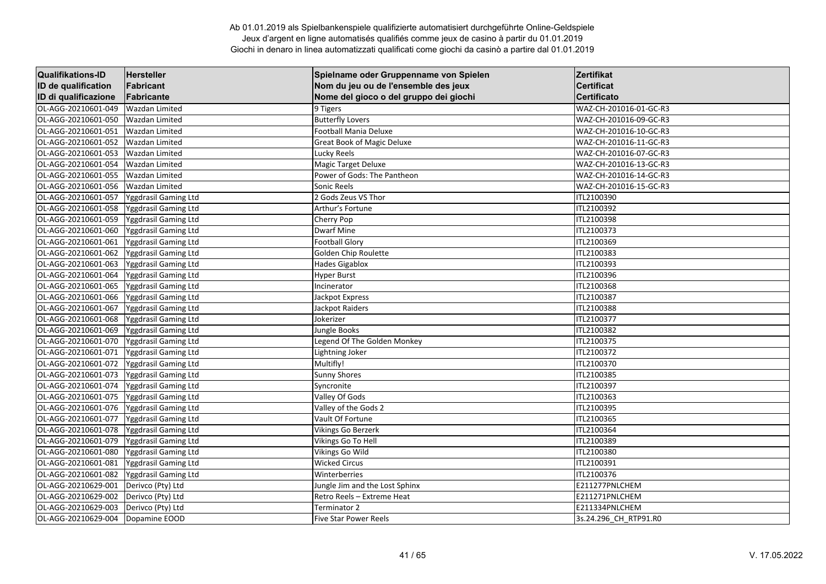| <b>Qualifikations-ID</b> | Hersteller            | Spielname oder Gruppenname von Spielen | Zertifikat             |
|--------------------------|-----------------------|----------------------------------------|------------------------|
| ID de qualification      | Fabricant             | Nom du jeu ou de l'ensemble des jeux   | <b>Certificat</b>      |
| ID di qualificazione     | Fabricante            | Nome del gioco o del gruppo dei giochi | <b>Certificato</b>     |
| OL-AGG-20210601-049      | <b>Wazdan Limited</b> | 9 Tigers                               | WAZ-CH-201016-01-GC-R3 |
| OL-AGG-20210601-050      | Wazdan Limited        | <b>Butterfly Lovers</b>                | WAZ-CH-201016-09-GC-R3 |
| OL-AGG-20210601-051      | Wazdan Limited        | Football Mania Deluxe                  | WAZ-CH-201016-10-GC-R3 |
| OL-AGG-20210601-052      | <b>Wazdan Limited</b> | <b>Great Book of Magic Deluxe</b>      | WAZ-CH-201016-11-GC-R3 |
| OL-AGG-20210601-053      | <b>Wazdan Limited</b> | Lucky Reels                            | WAZ-CH-201016-07-GC-R3 |
| OL-AGG-20210601-054      | <b>Wazdan Limited</b> | Magic Target Deluxe                    | WAZ-CH-201016-13-GC-R3 |
| OL-AGG-20210601-055      | <b>Wazdan Limited</b> | Power of Gods: The Pantheon            | WAZ-CH-201016-14-GC-R3 |
| OL-AGG-20210601-056      | <b>Wazdan Limited</b> | Sonic Reels                            | WAZ-CH-201016-15-GC-R3 |
| OL-AGG-20210601-057      | Yggdrasil Gaming Ltd  | 2 Gods Zeus VS Thor                    | ITL2100390             |
| OL-AGG-20210601-058      | Yggdrasil Gaming Ltd  | Arthur's Fortune                       | ITL2100392             |
| OL-AGG-20210601-059      | Yggdrasil Gaming Ltd  | Cherry Pop                             | ITL2100398             |
| OL-AGG-20210601-060      | Yggdrasil Gaming Ltd  | <b>Dwarf Mine</b>                      | ITL2100373             |
| OL-AGG-20210601-061      | Yggdrasil Gaming Ltd  | <b>Football Glory</b>                  | ITL2100369             |
| OL-AGG-20210601-062      | Yggdrasil Gaming Ltd  | Golden Chip Roulette                   | ITL2100383             |
| OL-AGG-20210601-063      | Yggdrasil Gaming Ltd  | <b>Hades Gigablox</b>                  | ITL2100393             |
| OL-AGG-20210601-064      | Yggdrasil Gaming Ltd  | <b>Hyper Burst</b>                     | ITL2100396             |
| OL-AGG-20210601-065      | Yggdrasil Gaming Ltd  | Incinerator                            | ITL2100368             |
| OL-AGG-20210601-066      | Yggdrasil Gaming Ltd  | Jackpot Express                        | ITL2100387             |
| OL-AGG-20210601-067      | Yggdrasil Gaming Ltd  | Jackpot Raiders                        | ITL2100388             |
| OL-AGG-20210601-068      | Yggdrasil Gaming Ltd  | Jokerizer                              | ITL2100377             |
| OL-AGG-20210601-069      | Yggdrasil Gaming Ltd  | Jungle Books                           | ITL2100382             |
| OL-AGG-20210601-070      | Yggdrasil Gaming Ltd  | Legend Of The Golden Monkey            | ITL2100375             |
| OL-AGG-20210601-071      | Yggdrasil Gaming Ltd  | Lightning Joker                        | ITL2100372             |
| OL-AGG-20210601-072      | Yggdrasil Gaming Ltd  | Multifly!                              | ITL2100370             |
| OL-AGG-20210601-073      | Yggdrasil Gaming Ltd  | <b>Sunny Shores</b>                    | ITL2100385             |
| OL-AGG-20210601-074      | Yggdrasil Gaming Ltd  | Syncronite                             | ITL2100397             |
| OL-AGG-20210601-075      | Yggdrasil Gaming Ltd  | Valley Of Gods                         | ITL2100363             |
| OL-AGG-20210601-076      | Yggdrasil Gaming Ltd  | Valley of the Gods 2                   | ITL2100395             |
| OL-AGG-20210601-077      | Yggdrasil Gaming Ltd  | Vault Of Fortune                       | ITL2100365             |
| OL-AGG-20210601-078      | Yggdrasil Gaming Ltd  | Vikings Go Berzerk                     | ITL2100364             |
| OL-AGG-20210601-079      | Yggdrasil Gaming Ltd  | Vikings Go To Hell                     | ITL2100389             |
| OL-AGG-20210601-080      | Yggdrasil Gaming Ltd  | Vikings Go Wild                        | ITL2100380             |
| OL-AGG-20210601-081      | Yggdrasil Gaming Ltd  | <b>Wicked Circus</b>                   | ITL2100391             |
| OL-AGG-20210601-082      | Yggdrasil Gaming Ltd  | Winterberries                          | ITL2100376             |
| OL-AGG-20210629-001      | Derivco (Pty) Ltd     | Jungle Jim and the Lost Sphinx         | E211277PNLCHEM         |
| OL-AGG-20210629-002      | Derivco (Pty) Ltd     | Retro Reels - Extreme Heat             | E211271PNLCHEM         |
| OL-AGG-20210629-003      | Derivco (Pty) Ltd     | Terminator 2                           | E211334PNLCHEM         |
| OL-AGG-20210629-004      | Dopamine EOOD         | <b>Five Star Power Reels</b>           | 3s.24.296 CH_RTP91.R0  |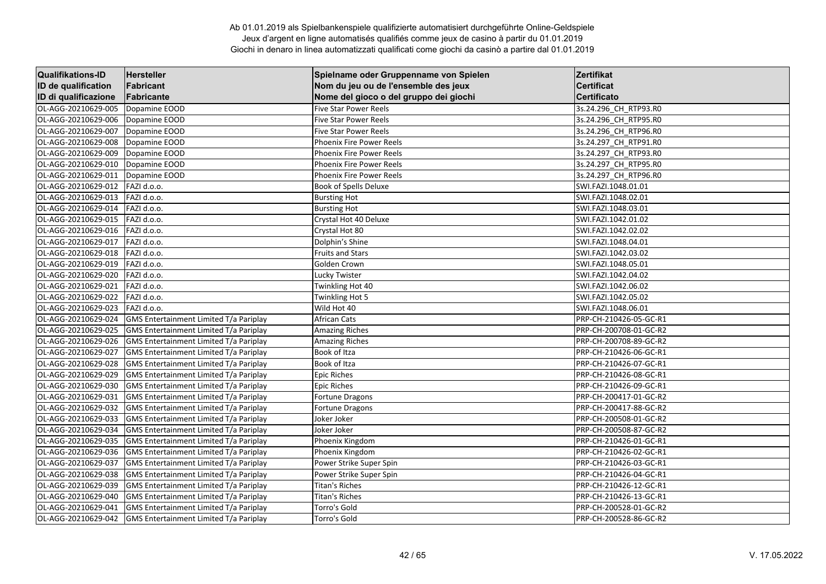| <b>Qualifikations-ID</b> | Hersteller                                    | Spielname oder Gruppenname von Spielen | <b>Zertifikat</b>      |
|--------------------------|-----------------------------------------------|----------------------------------------|------------------------|
| ID de qualification      | Fabricant                                     | Nom du jeu ou de l'ensemble des jeux   | <b>Certificat</b>      |
| ID di qualificazione     | Fabricante                                    | Nome del gioco o del gruppo dei giochi | <b>Certificato</b>     |
| OL-AGG-20210629-005      | Dopamine EOOD                                 | <b>Five Star Power Reels</b>           | 3s.24.296 CH RTP93.RO  |
| OL-AGG-20210629-006      | Dopamine EOOD                                 | <b>Five Star Power Reels</b>           | 3s.24.296 CH RTP95.R0  |
| OL-AGG-20210629-007      | Dopamine EOOD                                 | Five Star Power Reels                  | 3s.24.296 CH RTP96.R0  |
| OL-AGG-20210629-008      | Dopamine EOOD                                 | Phoenix Fire Power Reels               | 3s.24.297_CH_RTP91.R0  |
| OL-AGG-20210629-009      | Dopamine EOOD                                 | <b>Phoenix Fire Power Reels</b>        | 3s.24.297 CH RTP93.R0  |
| OL-AGG-20210629-010      | Dopamine EOOD                                 | Phoenix Fire Power Reels               | 3s.24.297_CH_RTP95.R0  |
| OL-AGG-20210629-011      | Dopamine EOOD                                 | Phoenix Fire Power Reels               | 3s.24.297_CH_RTP96.R0  |
| OL-AGG-20210629-012      | FAZI d.o.o.                                   | Book of Spells Deluxe                  | SWI.FAZI.1048.01.01    |
| OL-AGG-20210629-013      | FAZI d.o.o.                                   | <b>Bursting Hot</b>                    | SWI.FAZI.1048.02.01    |
| OL-AGG-20210629-014      | FAZI d.o.o.                                   | <b>Bursting Hot</b>                    | SWI.FAZI.1048.03.01    |
| OL-AGG-20210629-015      | FAZI d.o.o.                                   | Crystal Hot 40 Deluxe                  | SWI.FAZI.1042.01.02    |
| OL-AGG-20210629-016      | FAZI d.o.o.                                   | Crystal Hot 80                         | SWI.FAZI.1042.02.02    |
| OL-AGG-20210629-017      | FAZI d.o.o.                                   | Dolphin's Shine                        | SWI.FAZI.1048.04.01    |
| OL-AGG-20210629-018      | FAZI d.o.o.                                   | <b>Fruits and Stars</b>                | SWI.FAZI.1042.03.02    |
| OL-AGG-20210629-019      | FAZI d.o.o.                                   | Golden Crown                           | SWI.FAZI.1048.05.01    |
| OL-AGG-20210629-020      | FAZI d.o.o.                                   | Lucky Twister                          | SWI.FAZI.1042.04.02    |
| OL-AGG-20210629-021      | FAZI d.o.o.                                   | Twinkling Hot 40                       | SWI.FAZI.1042.06.02    |
| OL-AGG-20210629-022      | FAZI d.o.o.                                   | Twinkling Hot 5                        | SWI.FAZI.1042.05.02    |
| OL-AGG-20210629-023      | FAZI d.o.o.                                   | Wild Hot 40                            | SWI.FAZI.1048.06.01    |
| OL-AGG-20210629-024      | GMS Entertainment Limited T/a Pariplay        | African Cats                           | PRP-CH-210426-05-GC-R1 |
| OL-AGG-20210629-025      | GMS Entertainment Limited T/a Pariplay        | <b>Amazing Riches</b>                  | PRP-CH-200708-01-GC-R2 |
| OL-AGG-20210629-026      | GMS Entertainment Limited T/a Pariplay        | <b>Amazing Riches</b>                  | PRP-CH-200708-89-GC-R2 |
| OL-AGG-20210629-027      | GMS Entertainment Limited T/a Pariplay        | Book of Itza                           | PRP-CH-210426-06-GC-R1 |
| OL-AGG-20210629-028      | GMS Entertainment Limited T/a Pariplay        | Book of Itza                           | PRP-CH-210426-07-GC-R1 |
| OL-AGG-20210629-029      | GMS Entertainment Limited T/a Pariplay        | <b>Epic Riches</b>                     | PRP-CH-210426-08-GC-R1 |
| OL-AGG-20210629-030      | GMS Entertainment Limited T/a Pariplay        | <b>Epic Riches</b>                     | PRP-CH-210426-09-GC-R1 |
| OL-AGG-20210629-031      | GMS Entertainment Limited T/a Pariplay        | Fortune Dragons                        | PRP-CH-200417-01-GC-R2 |
| OL-AGG-20210629-032      | GMS Entertainment Limited T/a Pariplay        | Fortune Dragons                        | PRP-CH-200417-88-GC-R2 |
| OL-AGG-20210629-033      | GMS Entertainment Limited T/a Pariplay        | Joker Joker                            | PRP-CH-200508-01-GC-R2 |
| OL-AGG-20210629-034      | GMS Entertainment Limited T/a Pariplay        | Joker Joker                            | PRP-CH-200508-87-GC-R2 |
| OL-AGG-20210629-035      | GMS Entertainment Limited T/a Pariplay        | Phoenix Kingdom                        | PRP-CH-210426-01-GC-R1 |
| OL-AGG-20210629-036      | GMS Entertainment Limited T/a Pariplay        | Phoenix Kingdom                        | PRP-CH-210426-02-GC-R1 |
| OL-AGG-20210629-037      | GMS Entertainment Limited T/a Pariplay        | Power Strike Super Spin                | PRP-CH-210426-03-GC-R1 |
| OL-AGG-20210629-038      | <b>GMS Entertainment Limited T/a Pariplay</b> | Power Strike Super Spin                | PRP-CH-210426-04-GC-R1 |
| OL-AGG-20210629-039      | GMS Entertainment Limited T/a Pariplay        | Titan's Riches                         | PRP-CH-210426-12-GC-R1 |
| OL-AGG-20210629-040      | GMS Entertainment Limited T/a Pariplay        | Titan's Riches                         | PRP-CH-210426-13-GC-R1 |
| OL-AGG-20210629-041      | GMS Entertainment Limited T/a Pariplay        | Torro's Gold                           | PRP-CH-200528-01-GC-R2 |
| OL-AGG-20210629-042      | <b>GMS Entertainment Limited T/a Pariplay</b> | Torro's Gold                           | PRP-CH-200528-86-GC-R2 |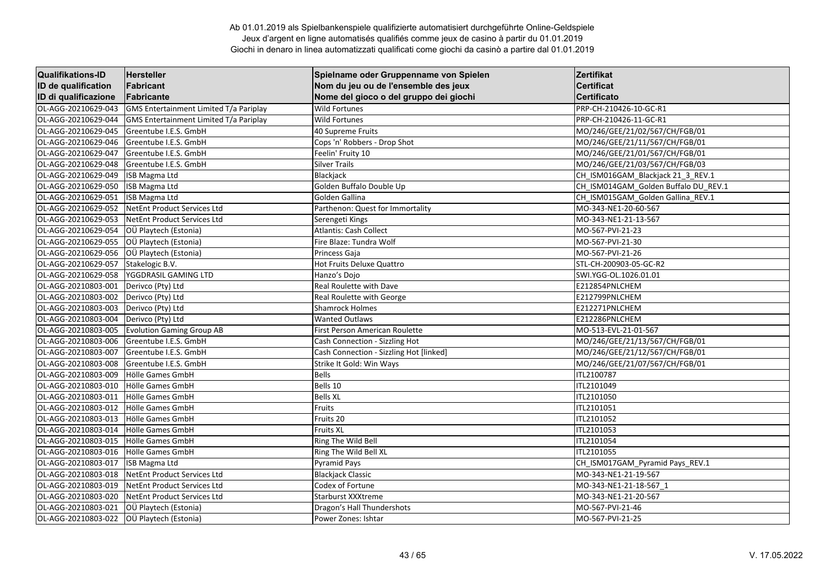| <b>Qualifikations-ID</b> | Hersteller                             | Spielname oder Gruppenname von Spielen  | Zertifikat                           |
|--------------------------|----------------------------------------|-----------------------------------------|--------------------------------------|
| ID de qualification      | Fabricant                              | Nom du jeu ou de l'ensemble des jeux    | <b>Certificat</b>                    |
| ID di qualificazione     | Fabricante                             | Nome del gioco o del gruppo dei giochi  | <b>Certificato</b>                   |
| OL-AGG-20210629-043      | GMS Entertainment Limited T/a Pariplay | <b>Wild Fortunes</b>                    | PRP-CH-210426-10-GC-R1               |
| OL-AGG-20210629-044      | GMS Entertainment Limited T/a Pariplay | <b>Wild Fortunes</b>                    | PRP-CH-210426-11-GC-R1               |
| OL-AGG-20210629-045      | Greentube I.E.S. GmbH                  | 40 Supreme Fruits                       | MO/246/GEE/21/02/567/CH/FGB/01       |
| OL-AGG-20210629-046      | Greentube I.E.S. GmbH                  | Cops 'n' Robbers - Drop Shot            | MO/246/GEE/21/11/567/CH/FGB/01       |
| OL-AGG-20210629-047      | Greentube I.E.S. GmbH                  | Feelin' Fruity 10                       | MO/246/GEE/21/01/567/CH/FGB/01       |
| OL-AGG-20210629-048      | Greentube I.E.S. GmbH                  | <b>Silver Trails</b>                    | MO/246/GEE/21/03/567/CH/FGB/03       |
| OL-AGG-20210629-049      | <b>ISB Magma Ltd</b>                   | Blackjack                               | CH_ISM016GAM_Blackjack 21_3_REV.1    |
| OL-AGG-20210629-050      | <b>ISB Magma Ltd</b>                   | Golden Buffalo Double Up                | CH_ISM014GAM_Golden Buffalo DU_REV.1 |
| OL-AGG-20210629-051      | ISB Magma Ltd                          | Golden Gallina                          | CH_ISM015GAM_Golden Gallina_REV.1    |
| OL-AGG-20210629-052      | NetEnt Product Services Ltd            | Parthenon: Quest for Immortality        | MO-343-NE1-20-60-567                 |
| OL-AGG-20210629-053      | NetEnt Product Services Ltd            | Serengeti Kings                         | MO-343-NE1-21-13-567                 |
| OL-AGG-20210629-054      | OÜ Playtech (Estonia)                  | <b>Atlantis: Cash Collect</b>           | MO-567-PVI-21-23                     |
| OL-AGG-20210629-055      | OÜ Playtech (Estonia)                  | Fire Blaze: Tundra Wolf                 | MO-567-PVI-21-30                     |
| OL-AGG-20210629-056      | OÜ Playtech (Estonia)                  | Princess Gaja                           | MO-567-PVI-21-26                     |
| OL-AGG-20210629-057      | Stakelogic B.V.                        | Hot Fruits Deluxe Quattro               | STL-CH-200903-05-GC-R2               |
| OL-AGG-20210629-058      | YGGDRASIL GAMING LTD                   | Hanzo's Dojo                            | SWI.YGG-OL.1026.01.01                |
| OL-AGG-20210803-001      | Derivco (Pty) Ltd                      | Real Roulette with Dave                 | E212854PNLCHEM                       |
| OL-AGG-20210803-002      | Derivco (Pty) Ltd                      | Real Roulette with George               | E212799PNLCHEM                       |
| OL-AGG-20210803-003      | Derivco (Pty) Ltd                      | <b>Shamrock Holmes</b>                  | E212271PNLCHEM                       |
| OL-AGG-20210803-004      | Derivco (Pty) Ltd                      | <b>Wanted Outlaws</b>                   | E212286PNLCHEM                       |
| OL-AGG-20210803-005      | <b>Evolution Gaming Group AB</b>       | First Person American Roulette          | MO-513-EVL-21-01-567                 |
| OL-AGG-20210803-006      | Greentube I.E.S. GmbH                  | Cash Connection - Sizzling Hot          | MO/246/GEE/21/13/567/CH/FGB/01       |
| OL-AGG-20210803-007      | Greentube I.E.S. GmbH                  | Cash Connection - Sizzling Hot [linked] | MO/246/GEE/21/12/567/CH/FGB/01       |
| OL-AGG-20210803-008      | Greentube I.E.S. GmbH                  | Strike It Gold: Win Ways                | MO/246/GEE/21/07/567/CH/FGB/01       |
| OL-AGG-20210803-009      | Hölle Games GmbH                       | <b>Bells</b>                            | ITL2100787                           |
| OL-AGG-20210803-010      | Hölle Games GmbH                       | Bells 10                                | ITL2101049                           |
| OL-AGG-20210803-011      | Hölle Games GmbH                       | <b>Bells XL</b>                         | ITL2101050                           |
| OL-AGG-20210803-012      | <b>Hölle Games GmbH</b>                | Fruits                                  | ITL2101051                           |
| OL-AGG-20210803-013      | Hölle Games GmbH                       | Fruits 20                               | ITL2101052                           |
| OL-AGG-20210803-014      | Hölle Games GmbH                       | <b>Fruits XL</b>                        | ITL2101053                           |
| OL-AGG-20210803-015      | Hölle Games GmbH                       | Ring The Wild Bell                      | ITL2101054                           |
| OL-AGG-20210803-016      | Hölle Games GmbH                       | Ring The Wild Bell XL                   | ITL2101055                           |
| OL-AGG-20210803-017      | <b>ISB Magma Ltd</b>                   | <b>Pyramid Pays</b>                     | CH_ISM017GAM_Pyramid Pays_REV.1      |
| OL-AGG-20210803-018      | NetEnt Product Services Ltd            | <b>Blackjack Classic</b>                | MO-343-NE1-21-19-567                 |
| OL-AGG-20210803-019      | NetEnt Product Services Ltd            | Codex of Fortune                        | MO-343-NE1-21-18-567 1               |
| OL-AGG-20210803-020      | NetEnt Product Services Ltd            | Starburst XXXtreme                      | MO-343-NE1-21-20-567                 |
| OL-AGG-20210803-021      | OÜ Playtech (Estonia)                  | Dragon's Hall Thundershots              | MO-567-PVI-21-46                     |
| OL-AGG-20210803-022      | OÜ Playtech (Estonia)                  | Power Zones: Ishtar                     | MO-567-PVI-21-25                     |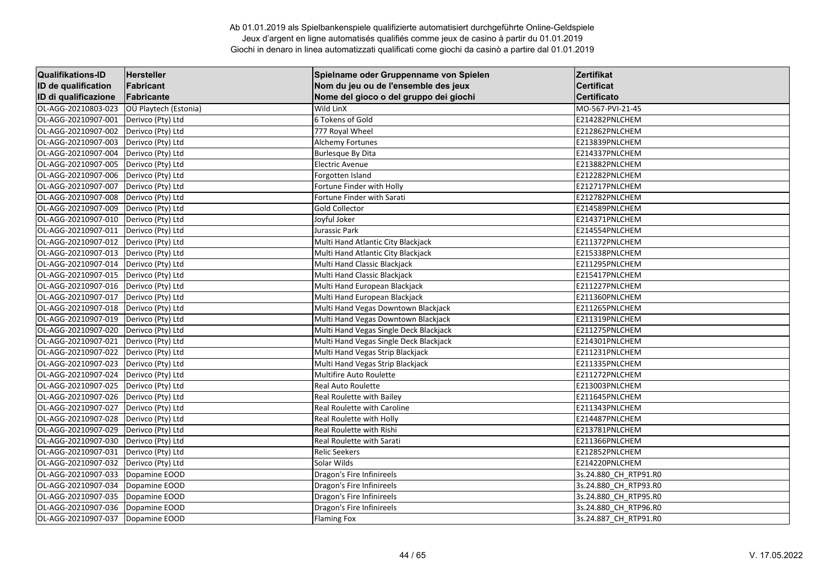| <b>Qualifikations-ID</b> | <b>Hersteller</b>     | Spielname oder Gruppenname von Spielen | Zertifikat            |
|--------------------------|-----------------------|----------------------------------------|-----------------------|
| ID de qualification      | Fabricant             | Nom du jeu ou de l'ensemble des jeux   | <b>Certificat</b>     |
| ID di qualificazione     | Fabricante            | Nome del gioco o del gruppo dei giochi | <b>Certificato</b>    |
| OL-AGG-20210803-023      | OÜ Playtech (Estonia) | Wild LinX                              | MO-567-PVI-21-45      |
| OL-AGG-20210907-001      | Derivco (Pty) Ltd     | 6 Tokens of Gold                       | E214282PNLCHEM        |
| OL-AGG-20210907-002      | Derivco (Pty) Ltd     | 777 Royal Wheel                        | E212862PNLCHEM        |
| OL-AGG-20210907-003      | Derivco (Pty) Ltd     | <b>Alchemy Fortunes</b>                | E213839PNLCHEM        |
| OL-AGG-20210907-004      | Derivco (Pty) Ltd     | <b>Burlesque By Dita</b>               | E214337PNLCHEM        |
| OL-AGG-20210907-005      | Derivco (Pty) Ltd     | <b>Electric Avenue</b>                 | E213882PNLCHEM        |
| OL-AGG-20210907-006      | Derivco (Pty) Ltd     | Forgotten Island                       | E212282PNLCHEM        |
| OL-AGG-20210907-007      | Derivco (Pty) Ltd     | Fortune Finder with Holly              | E212717PNLCHEM        |
| OL-AGG-20210907-008      | Derivco (Pty) Ltd     | Fortune Finder with Sarati             | E212782PNLCHEM        |
| OL-AGG-20210907-009      | Derivco (Pty) Ltd     | <b>Gold Collector</b>                  | E214589PNLCHEM        |
| OL-AGG-20210907-010      | Derivco (Pty) Ltd     | Joyful Joker                           | E214371PNLCHEM        |
| OL-AGG-20210907-011      | Derivco (Pty) Ltd     | Jurassic Park                          | E214554PNLCHEM        |
| OL-AGG-20210907-012      | Derivco (Pty) Ltd     | Multi Hand Atlantic City Blackjack     | E211372PNLCHEM        |
| OL-AGG-20210907-013      | Derivco (Pty) Ltd     | Multi Hand Atlantic City Blackjack     | E215338PNLCHEM        |
| OL-AGG-20210907-014      | Derivco (Pty) Ltd     | Multi Hand Classic Blackjack           | E211295PNLCHEM        |
| OL-AGG-20210907-015      | Derivco (Pty) Ltd     | Multi Hand Classic Blackjack           | E215417PNLCHEM        |
| OL-AGG-20210907-016      | Derivco (Pty) Ltd     | Multi Hand European Blackjack          | E211227PNLCHEM        |
| OL-AGG-20210907-017      | Derivco (Pty) Ltd     | Multi Hand European Blackjack          | E211360PNLCHEM        |
| OL-AGG-20210907-018      | Derivco (Pty) Ltd     | Multi Hand Vegas Downtown Blackjack    | E211265PNLCHEM        |
| OL-AGG-20210907-019      | Derivco (Pty) Ltd     | Multi Hand Vegas Downtown Blackjack    | E211319PNLCHEM        |
| OL-AGG-20210907-020      | Derivco (Pty) Ltd     | Multi Hand Vegas Single Deck Blackjack | E211275PNLCHEM        |
| OL-AGG-20210907-021      | Derivco (Pty) Ltd     | Multi Hand Vegas Single Deck Blackjack | E214301PNLCHEM        |
| OL-AGG-20210907-022      | Derivco (Pty) Ltd     | Multi Hand Vegas Strip Blackjack       | E211231PNLCHEM        |
| OL-AGG-20210907-023      | Derivco (Pty) Ltd     | Multi Hand Vegas Strip Blackjack       | E211335PNLCHEM        |
| OL-AGG-20210907-024      | Derivco (Pty) Ltd     | Multifire Auto Roulette                | E211272PNLCHEM        |
| OL-AGG-20210907-025      | Derivco (Pty) Ltd     | Real Auto Roulette                     | E213003PNLCHEM        |
| OL-AGG-20210907-026      | Derivco (Pty) Ltd     | Real Roulette with Bailey              | E211645PNLCHEM        |
| OL-AGG-20210907-027      | Derivco (Pty) Ltd     | <b>Real Roulette with Caroline</b>     | E211343PNLCHEM        |
| OL-AGG-20210907-028      | Derivco (Pty) Ltd     | Real Roulette with Holly               | E214487PNLCHEM        |
| OL-AGG-20210907-029      | Derivco (Pty) Ltd     | Real Roulette with Rishi               | E213781PNLCHEM        |
| OL-AGG-20210907-030      | Derivco (Pty) Ltd     | Real Roulette with Sarati              | E211366PNLCHEM        |
| OL-AGG-20210907-031      | Derivco (Pty) Ltd     | <b>Relic Seekers</b>                   | E212852PNLCHEM        |
| OL-AGG-20210907-032      | Derivco (Pty) Ltd     | Solar Wilds                            | E214220PNLCHEM        |
| OL-AGG-20210907-033      | Dopamine EOOD         | Dragon's Fire Infinireels              | 3s.24.880 CH RTP91.R0 |
| OL-AGG-20210907-034      | Dopamine EOOD         | Dragon's Fire Infinireels              | 3s.24.880 CH RTP93.R0 |
| OL-AGG-20210907-035      | Dopamine EOOD         | Dragon's Fire Infinireels              | 3s.24.880_CH_RTP95.R0 |
| OL-AGG-20210907-036      | Dopamine EOOD         | Dragon's Fire Infinireels              | 3s.24.880_CH_RTP96.R0 |
| OL-AGG-20210907-037      | Dopamine EOOD         | <b>Flaming Fox</b>                     | 3s.24.887 CH_RTP91.R0 |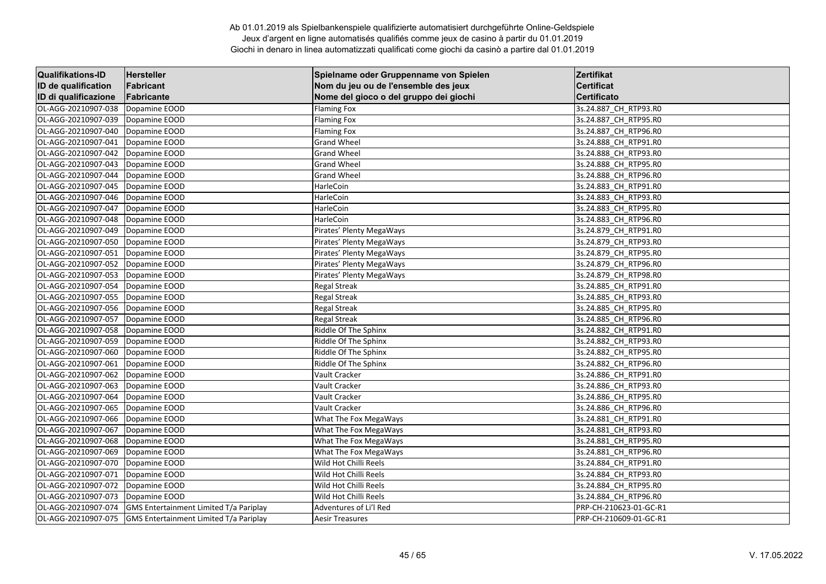| <b>Qualifikations-ID</b> | Hersteller                             | Spielname oder Gruppenname von Spielen | Zertifikat             |
|--------------------------|----------------------------------------|----------------------------------------|------------------------|
| ID de qualification      | Fabricant                              | Nom du jeu ou de l'ensemble des jeux   | <b>Certificat</b>      |
| ID di qualificazione     | Fabricante                             | Nome del gioco o del gruppo dei giochi | <b>Certificato</b>     |
| OL-AGG-20210907-038      | Dopamine EOOD                          | <b>Flaming Fox</b>                     | 3s.24.887_CH_RTP93.R0  |
| OL-AGG-20210907-039      | Dopamine EOOD                          | <b>Flaming Fox</b>                     | 3s.24.887 CH RTP95.R0  |
| OL-AGG-20210907-040      | Dopamine EOOD                          | <b>Flaming Fox</b>                     | 3s.24.887 CH RTP96.R0  |
| OL-AGG-20210907-041      | Dopamine EOOD                          | <b>Grand Wheel</b>                     | 3s.24.888 CH RTP91.R0  |
| OL-AGG-20210907-042      | Dopamine EOOD                          | <b>Grand Wheel</b>                     | 3s.24.888 CH RTP93.RO  |
| OL-AGG-20210907-043      | Dopamine EOOD                          | <b>Grand Wheel</b>                     | 3s.24.888_CH_RTP95.R0  |
| OL-AGG-20210907-044      | Dopamine EOOD                          | <b>Grand Wheel</b>                     | 3s.24.888 CH RTP96.R0  |
| OL-AGG-20210907-045      | Dopamine EOOD                          | HarleCoin                              | 3s.24.883 CH RTP91.R0  |
| OL-AGG-20210907-046      | Dopamine EOOD                          | HarleCoin                              | 3s.24.883 CH RTP93.RO  |
| OL-AGG-20210907-047      | Dopamine EOOD                          | HarleCoin                              | 3s.24.883 CH RTP95.RO  |
| OL-AGG-20210907-048      | Dopamine EOOD                          | HarleCoin                              | 3s.24.883_CH_RTP96.R0  |
| OL-AGG-20210907-049      | Dopamine EOOD                          | Pirates' Plenty MegaWays               | 3s.24.879_CH_RTP91.R0  |
| OL-AGG-20210907-050      | Dopamine EOOD                          | Pirates' Plenty MegaWays               | 3s.24.879 CH_RTP93.R0  |
| OL-AGG-20210907-051      | Dopamine EOOD                          | Pirates' Plenty MegaWays               | 3s.24.879 CH_RTP95.R0  |
| OL-AGG-20210907-052      | Dopamine EOOD                          | Pirates' Plenty MegaWays               | 3s.24.879 CH RTP96.RO  |
| OL-AGG-20210907-053      | Dopamine EOOD                          | Pirates' Plenty MegaWays               | 3s.24.879_CH_RTP98.R0  |
| OL-AGG-20210907-054      | Dopamine EOOD                          | <b>Regal Streak</b>                    | 3s.24.885_CH_RTP91.R0  |
| OL-AGG-20210907-055      | Dopamine EOOD                          | <b>Regal Streak</b>                    | 3s.24.885 CH RTP93.RO  |
| OL-AGG-20210907-056      | Dopamine EOOD                          | <b>Regal Streak</b>                    | 3s.24.885 CH RTP95.RO  |
| OL-AGG-20210907-057      | Dopamine EOOD                          | <b>Regal Streak</b>                    | 3s.24.885 CH RTP96.RO  |
| OL-AGG-20210907-058      | Dopamine EOOD                          | Riddle Of The Sphinx                   | 3s.24.882_CH_RTP91.R0  |
| OL-AGG-20210907-059      | Dopamine EOOD                          | Riddle Of The Sphinx                   | 3s.24.882 CH RTP93.R0  |
| OL-AGG-20210907-060      | Dopamine EOOD                          | Riddle Of The Sphinx                   | 3s.24.882 CH RTP95.R0  |
| OL-AGG-20210907-061      | Dopamine EOOD                          | Riddle Of The Sphinx                   | 3s.24.882 CH RTP96.RO  |
| OL-AGG-20210907-062      | Dopamine EOOD                          | Vault Cracker                          | 3s.24.886_CH_RTP91.R0  |
| OL-AGG-20210907-063      | Dopamine EOOD                          | Vault Cracker                          | 3s.24.886_CH_RTP93.R0  |
| OL-AGG-20210907-064      | Dopamine EOOD                          | Vault Cracker                          | 3s.24.886_CH_RTP95.R0  |
| OL-AGG-20210907-065      | Dopamine EOOD                          | Vault Cracker                          | 3s.24.886 CH RTP96.R0  |
| OL-AGG-20210907-066      | Dopamine EOOD                          | What The Fox MegaWays                  | 3s.24.881_CH_RTP91.R0  |
| OL-AGG-20210907-067      | Dopamine EOOD                          | What The Fox MegaWays                  | 3s.24.881_CH_RTP93.R0  |
| OL-AGG-20210907-068      | Dopamine EOOD                          | What The Fox MegaWays                  | 3s.24.881_CH_RTP95.R0  |
| OL-AGG-20210907-069      | Dopamine EOOD                          | What The Fox MegaWays                  | 3s.24.881 CH RTP96.R0  |
| OL-AGG-20210907-070      | Dopamine EOOD                          | Wild Hot Chilli Reels                  | 3s.24.884 CH RTP91.R0  |
| OL-AGG-20210907-071      | Dopamine EOOD                          | Wild Hot Chilli Reels                  | 3s.24.884 CH RTP93.RO  |
| OL-AGG-20210907-072      | Dopamine EOOD                          | Wild Hot Chilli Reels                  | 3s.24.884_CH_RTP95.R0  |
| OL-AGG-20210907-073      | Dopamine EOOD                          | Wild Hot Chilli Reels                  | 3s.24.884_CH_RTP96.R0  |
| OL-AGG-20210907-074      | GMS Entertainment Limited T/a Pariplay | Adventures of Li'l Red                 | PRP-CH-210623-01-GC-R1 |
| OL-AGG-20210907-075      | GMS Entertainment Limited T/a Pariplay | <b>Aesir Treasures</b>                 | PRP-CH-210609-01-GC-R1 |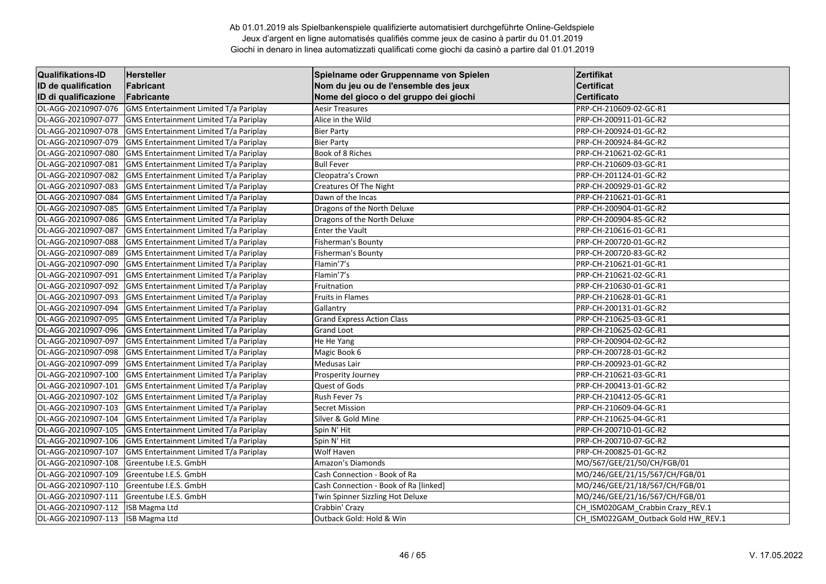| <b>Qualifikations-ID</b> | <b>Hersteller</b>                             | Spielname oder Gruppenname von Spielen | Zertifikat                         |
|--------------------------|-----------------------------------------------|----------------------------------------|------------------------------------|
| ID de qualification      | Fabricant                                     | Nom du jeu ou de l'ensemble des jeux   | <b>Certificat</b>                  |
| ID di qualificazione     | Fabricante                                    | Nome del gioco o del gruppo dei giochi | <b>Certificato</b>                 |
| OL-AGG-20210907-076      | GMS Entertainment Limited T/a Pariplay        | <b>Aesir Treasures</b>                 | PRP-CH-210609-02-GC-R1             |
| OL-AGG-20210907-077      | GMS Entertainment Limited T/a Pariplay        | Alice in the Wild                      | PRP-CH-200911-01-GC-R2             |
| OL-AGG-20210907-078      | GMS Entertainment Limited T/a Pariplay        | <b>Bier Party</b>                      | PRP-CH-200924-01-GC-R2             |
| OL-AGG-20210907-079      | GMS Entertainment Limited T/a Pariplay        | <b>Bier Party</b>                      | PRP-CH-200924-84-GC-R2             |
| OL-AGG-20210907-080      | <b>GMS Entertainment Limited T/a Pariplay</b> | Book of 8 Riches                       | PRP-CH-210621-02-GC-R1             |
| OL-AGG-20210907-081      | GMS Entertainment Limited T/a Pariplay        | <b>Bull Fever</b>                      | PRP-CH-210609-03-GC-R1             |
| OL-AGG-20210907-082      | GMS Entertainment Limited T/a Pariplay        | Cleopatra's Crown                      | PRP-CH-201124-01-GC-R2             |
| OL-AGG-20210907-083      | GMS Entertainment Limited T/a Pariplay        | Creatures Of The Night                 | PRP-CH-200929-01-GC-R2             |
| OL-AGG-20210907-084      | GMS Entertainment Limited T/a Pariplay        | Dawn of the Incas                      | PRP-CH-210621-01-GC-R1             |
| OL-AGG-20210907-085      | <b>GMS Entertainment Limited T/a Pariplay</b> | Dragons of the North Deluxe            | PRP-CH-200904-01-GC-R2             |
| OL-AGG-20210907-086      | GMS Entertainment Limited T/a Pariplay        | Dragons of the North Deluxe            | PRP-CH-200904-85-GC-R2             |
| OL-AGG-20210907-087      | GMS Entertainment Limited T/a Pariplay        | <b>Enter the Vault</b>                 | PRP-CH-210616-01-GC-R1             |
| OL-AGG-20210907-088      | GMS Entertainment Limited T/a Pariplay        | <b>Fisherman's Bounty</b>              | PRP-CH-200720-01-GC-R2             |
| OL-AGG-20210907-089      | GMS Entertainment Limited T/a Pariplay        | <b>Fisherman's Bounty</b>              | PRP-CH-200720-83-GC-R2             |
| OL-AGG-20210907-090      | <b>GMS Entertainment Limited T/a Pariplay</b> | Flamin'7's                             | PRP-CH-210621-01-GC-R1             |
| OL-AGG-20210907-091      | GMS Entertainment Limited T/a Pariplay        | Flamin'7's                             | PRP-CH-210621-02-GC-R1             |
| OL-AGG-20210907-092      | GMS Entertainment Limited T/a Pariplay        | Fruitnation                            | PRP-CH-210630-01-GC-R1             |
| OL-AGG-20210907-093      | GMS Entertainment Limited T/a Pariplay        | <b>Fruits in Flames</b>                | PRP-CH-210628-01-GC-R1             |
| OL-AGG-20210907-094      | GMS Entertainment Limited T/a Pariplay        | Gallantry                              | PRP-CH-200131-01-GC-R2             |
| OL-AGG-20210907-095      | <b>GMS Entertainment Limited T/a Pariplay</b> | <b>Grand Express Action Class</b>      | PRP-CH-210625-03-GC-R1             |
| OL-AGG-20210907-096      | GMS Entertainment Limited T/a Pariplay        | Grand Loot                             | PRP-CH-210625-02-GC-R1             |
| OL-AGG-20210907-097      | GMS Entertainment Limited T/a Pariplay        | He He Yang                             | PRP-CH-200904-02-GC-R2             |
| OL-AGG-20210907-098      | GMS Entertainment Limited T/a Pariplay        | Magic Book 6                           | PRP-CH-200728-01-GC-R2             |
| OL-AGG-20210907-099      | GMS Entertainment Limited T/a Pariplay        | Medusas Lair                           | PRP-CH-200923-01-GC-R2             |
| OL-AGG-20210907-100      | <b>GMS Entertainment Limited T/a Pariplay</b> | Prosperity Journey                     | PRP-CH-210621-03-GC-R1             |
| OL-AGG-20210907-101      | GMS Entertainment Limited T/a Pariplay        | Quest of Gods                          | PRP-CH-200413-01-GC-R2             |
| OL-AGG-20210907-102      | GMS Entertainment Limited T/a Pariplay        | Rush Fever 7s                          | PRP-CH-210412-05-GC-R1             |
| OL-AGG-20210907-103      | GMS Entertainment Limited T/a Pariplay        | <b>Secret Mission</b>                  | PRP-CH-210609-04-GC-R1             |
| OL-AGG-20210907-104      | GMS Entertainment Limited T/a Pariplay        | Silver & Gold Mine                     | PRP-CH-210625-04-GC-R1             |
| OL-AGG-20210907-105      | <b>GMS Entertainment Limited T/a Pariplay</b> | Spin N' Hit                            | PRP-CH-200710-01-GC-R2             |
| OL-AGG-20210907-106      | GMS Entertainment Limited T/a Pariplay        | Spin N' Hit                            | PRP-CH-200710-07-GC-R2             |
| OL-AGG-20210907-107      | GMS Entertainment Limited T/a Pariplay        | Wolf Haven                             | PRP-CH-200825-01-GC-R2             |
| OL-AGG-20210907-108      | Greentube I.E.S. GmbH                         | Amazon's Diamonds                      | MO/567/GEE/21/50/CH/FGB/01         |
| OL-AGG-20210907-109      | Greentube I.E.S. GmbH                         | Cash Connection - Book of Ra           | MO/246/GEE/21/15/567/CH/FGB/01     |
| OL-AGG-20210907-110      | Greentube I.E.S. GmbH                         | Cash Connection - Book of Ra [linked]  | MO/246/GEE/21/18/567/CH/FGB/01     |
| OL-AGG-20210907-111      | Greentube I.E.S. GmbH                         | Twin Spinner Sizzling Hot Deluxe       | MO/246/GEE/21/16/567/CH/FGB/01     |
| OL-AGG-20210907-112      | ISB Magma Ltd                                 | Crabbin' Crazy                         | CH_ISM020GAM_Crabbin Crazy_REV.1   |
| OL-AGG-20210907-113      | ISB Magma Ltd                                 | Outback Gold: Hold & Win               | CH ISM022GAM Outback Gold HW REV.1 |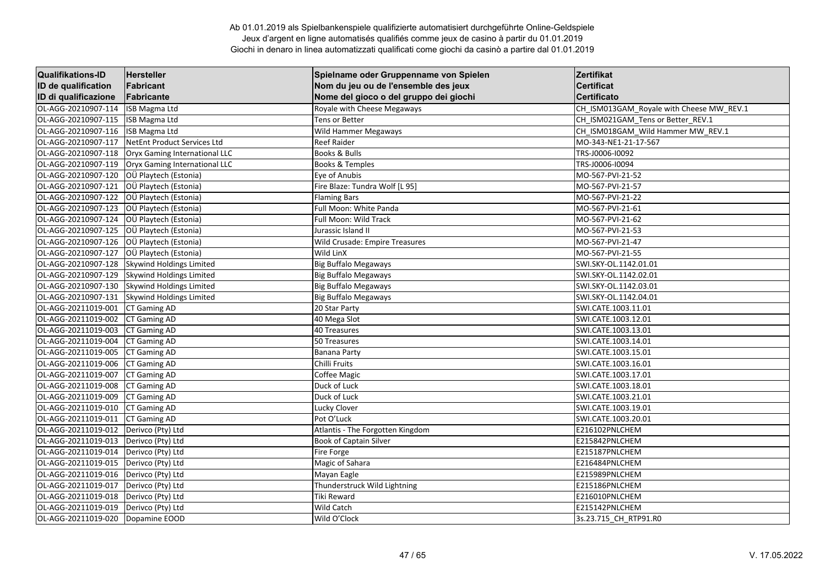| <b>Qualifikations-ID</b> | <b>Hersteller</b>               | Spielname oder Gruppenname von Spielen | Zertifikat                               |
|--------------------------|---------------------------------|----------------------------------------|------------------------------------------|
| ID de qualification      | Fabricant                       | Nom du jeu ou de l'ensemble des jeux   | <b>Certificat</b>                        |
| ID di qualificazione     | Fabricante                      | Nome del gioco o del gruppo dei giochi | <b>Certificato</b>                       |
| OL-AGG-20210907-114      | ISB Magma Ltd                   | Royale with Cheese Megaways            | CH_ISM013GAM_Royale with Cheese MW_REV.1 |
| OL-AGG-20210907-115      | ISB Magma Ltd                   | Tens or Better                         | CH ISM021GAM Tens or Better_REV.1        |
| OL-AGG-20210907-116      | ISB Magma Ltd                   | Wild Hammer Megaways                   | CH_ISM018GAM_Wild Hammer MW_REV.1        |
| OL-AGG-20210907-117      | NetEnt Product Services Ltd     | <b>Reef Raider</b>                     | MO-343-NE1-21-17-567                     |
| OL-AGG-20210907-118      | Oryx Gaming International LLC   | Books & Bulls                          | TRS-J0006-I0092                          |
| OL-AGG-20210907-119      | Oryx Gaming International LLC   | <b>Books &amp; Temples</b>             | TRS-J0006-I0094                          |
| OL-AGG-20210907-120      | OÜ Playtech (Estonia)           | Eye of Anubis                          | MO-567-PVI-21-52                         |
| OL-AGG-20210907-121      | OÜ Playtech (Estonia)           | Fire Blaze: Tundra Wolf [L95]          | MO-567-PVI-21-57                         |
| OL-AGG-20210907-122      | OÜ Playtech (Estonia)           | <b>Flaming Bars</b>                    | MO-567-PVI-21-22                         |
| OL-AGG-20210907-123      | OÜ Playtech (Estonia)           | Full Moon: White Panda                 | MO-567-PVI-21-61                         |
| OL-AGG-20210907-124      | OÜ Playtech (Estonia)           | Full Moon: Wild Track                  | MO-567-PVI-21-62                         |
| OL-AGG-20210907-125      | OÜ Playtech (Estonia)           | Jurassic Island II                     | MO-567-PVI-21-53                         |
| OL-AGG-20210907-126      | OÜ Playtech (Estonia)           | Wild Crusade: Empire Treasures         | MO-567-PVI-21-47                         |
| OL-AGG-20210907-127      | OÜ Playtech (Estonia)           | Wild LinX                              | MO-567-PVI-21-55                         |
| OL-AGG-20210907-128      | Skywind Holdings Limited        | <b>Big Buffalo Megaways</b>            | SWI.SKY-OL.1142.01.01                    |
| OL-AGG-20210907-129      | <b>Skywind Holdings Limited</b> | <b>Big Buffalo Megaways</b>            | SWI.SKY-OL.1142.02.01                    |
| OL-AGG-20210907-130      | Skywind Holdings Limited        | <b>Big Buffalo Megaways</b>            | SWI.SKY-OL.1142.03.01                    |
| OL-AGG-20210907-131      | Skywind Holdings Limited        | <b>Big Buffalo Megaways</b>            | SWI.SKY-OL.1142.04.01                    |
| OL-AGG-20211019-001      | CT Gaming AD                    | 20 Star Party                          | SWI.CATE.1003.11.01                      |
| OL-AGG-20211019-002      | CT Gaming AD                    | 40 Mega Slot                           | SWI.CATE.1003.12.01                      |
| OL-AGG-20211019-003      | CT Gaming AD                    | 40 Treasures                           | SWI.CATE.1003.13.01                      |
| OL-AGG-20211019-004      | CT Gaming AD                    | 50 Treasures                           | SWI.CATE.1003.14.01                      |
| OL-AGG-20211019-005      | CT Gaming AD                    | <b>Banana Party</b>                    | SWI.CATE.1003.15.01                      |
| OL-AGG-20211019-006      | CT Gaming AD                    | Chilli Fruits                          | SWI.CATE.1003.16.01                      |
| OL-AGG-20211019-007      | <b>CT Gaming AD</b>             | Coffee Magic                           | SWI.CATE.1003.17.01                      |
| OL-AGG-20211019-008      | <b>CT Gaming AD</b>             | Duck of Luck                           | SWI.CATE.1003.18.01                      |
| OL-AGG-20211019-009      | CT Gaming AD                    | Duck of Luck                           | SWI.CATE.1003.21.01                      |
| OL-AGG-20211019-010      | CT Gaming AD                    | Lucky Clover                           | SWI.CATE.1003.19.01                      |
| OL-AGG-20211019-011      | CT Gaming AD                    | Pot O'Luck                             | SWI.CATE.1003.20.01                      |
| OL-AGG-20211019-012      | Derivco (Pty) Ltd               | Atlantis - The Forgotten Kingdom       | E216102PNLCHEM                           |
| OL-AGG-20211019-013      | Derivco (Pty) Ltd               | Book of Captain Silver                 | E215842PNLCHEM                           |
| OL-AGG-20211019-014      | Derivco (Pty) Ltd               | Fire Forge                             | E215187PNLCHEM                           |
| OL-AGG-20211019-015      | Derivco (Pty) Ltd               | Magic of Sahara                        | E216484PNLCHEM                           |
| OL-AGG-20211019-016      | Derivco (Pty) Ltd               | Mayan Eagle                            | E215989PNLCHEM                           |
| OL-AGG-20211019-017      | Derivco (Pty) Ltd               | Thunderstruck Wild Lightning           | E215186PNLCHEM                           |
| OL-AGG-20211019-018      | Derivco (Pty) Ltd               | Tiki Reward                            | E216010PNLCHEM                           |
| OL-AGG-20211019-019      | Derivco (Pty) Ltd               | Wild Catch                             | E215142PNLCHEM                           |
| OL-AGG-20211019-020      | Dopamine EOOD                   | Wild O'Clock                           | 3s.23.715 CH RTP91.R0                    |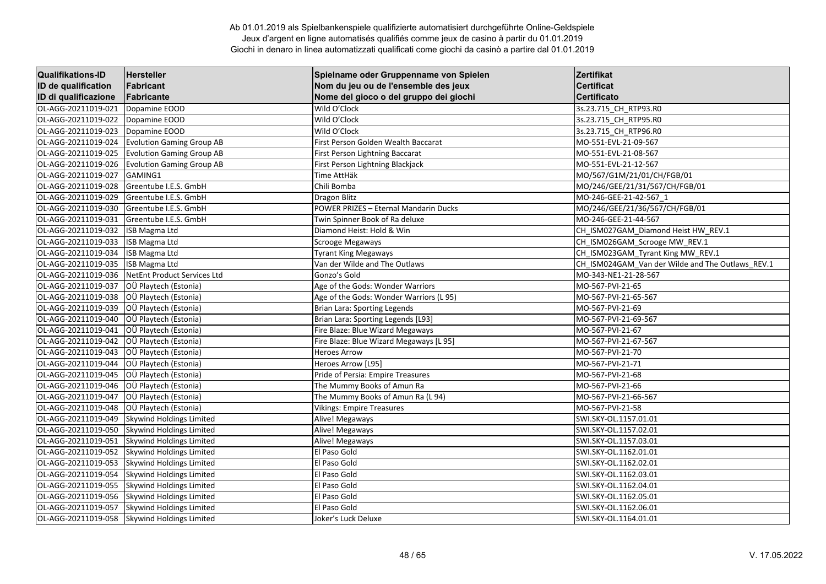| <b>Qualifikations-ID</b> | <b>Hersteller</b>                | Spielname oder Gruppenname von Spielen  | Zertifikat                                       |
|--------------------------|----------------------------------|-----------------------------------------|--------------------------------------------------|
| ID de qualification      | Fabricant                        | Nom du jeu ou de l'ensemble des jeux    | <b>Certificat</b>                                |
| ID di qualificazione     | Fabricante                       | Nome del gioco o del gruppo dei giochi  | <b>Certificato</b>                               |
| OL-AGG-20211019-021      | Dopamine EOOD                    | Wild O'Clock                            | 3s.23.715 CH RTP93.R0                            |
| OL-AGG-20211019-022      | Dopamine EOOD                    | Wild O'Clock                            | 3s.23.715_CH_RTP95.R0                            |
| OL-AGG-20211019-023      | Dopamine EOOD                    | Wild O'Clock                            | 3s.23.715 CH RTP96.R0                            |
| OL-AGG-20211019-024      | <b>Evolution Gaming Group AB</b> | First Person Golden Wealth Baccarat     | MO-551-EVL-21-09-567                             |
| OL-AGG-20211019-025      | <b>Evolution Gaming Group AB</b> | First Person Lightning Baccarat         | MO-551-EVL-21-08-567                             |
| OL-AGG-20211019-026      | <b>Evolution Gaming Group AB</b> | First Person Lightning Blackjack        | MO-551-EVL-21-12-567                             |
| OL-AGG-20211019-027      | GAMING1                          | Time AttHäk                             | MO/567/G1M/21/01/CH/FGB/01                       |
| OL-AGG-20211019-028      | Greentube I.E.S. GmbH            | Chili Bomba                             | MO/246/GEE/21/31/567/CH/FGB/01                   |
| OL-AGG-20211019-029      | Greentube I.E.S. GmbH            | <b>Dragon Blitz</b>                     | MO-246-GEE-21-42-567 1                           |
| OL-AGG-20211019-030      | Greentube I.E.S. GmbH            | POWER PRIZES - Eternal Mandarin Ducks   | MO/246/GEE/21/36/567/CH/FGB/01                   |
| OL-AGG-20211019-031      | Greentube I.E.S. GmbH            | Twin Spinner Book of Ra deluxe          | MO-246-GEE-21-44-567                             |
| OL-AGG-20211019-032      | ISB Magma Ltd                    | Diamond Heist: Hold & Win               | CH_ISM027GAM_Diamond Heist HW_REV.1              |
| OL-AGG-20211019-033      | <b>ISB Magma Ltd</b>             | Scrooge Megaways                        | CH_ISM026GAM_Scrooge MW_REV.1                    |
| OL-AGG-20211019-034      | <b>ISB Magma Ltd</b>             | <b>Tyrant King Megaways</b>             | CH_ISM023GAM_Tyrant King MW_REV.1                |
| OL-AGG-20211019-035      | <b>ISB Magma Ltd</b>             | Van der Wilde and The Outlaws           | CH_ISM024GAM_Van der Wilde and The Outlaws_REV.1 |
| OL-AGG-20211019-036      | NetEnt Product Services Ltd      | Gonzo's Gold                            | MO-343-NE1-21-28-567                             |
| OL-AGG-20211019-037      | OÜ Playtech (Estonia)            | Age of the Gods: Wonder Warriors        | MO-567-PVI-21-65                                 |
| OL-AGG-20211019-038      | OÜ Playtech (Estonia)            | Age of the Gods: Wonder Warriors (L 95) | MO-567-PVI-21-65-567                             |
| OL-AGG-20211019-039      | OÜ Playtech (Estonia)            | Brian Lara: Sporting Legends            | MO-567-PVI-21-69                                 |
| OL-AGG-20211019-040      | OÜ Playtech (Estonia)            | Brian Lara: Sporting Legends [L93]      | MO-567-PVI-21-69-567                             |
| OL-AGG-20211019-041      | OÜ Playtech (Estonia)            | Fire Blaze: Blue Wizard Megaways        | MO-567-PVI-21-67                                 |
| OL-AGG-20211019-042      | OÜ Playtech (Estonia)            | Fire Blaze: Blue Wizard Megaways [L 95] | MO-567-PVI-21-67-567                             |
| OL-AGG-20211019-043      | OÜ Playtech (Estonia)            | <b>Heroes Arrow</b>                     | MO-567-PVI-21-70                                 |
| OL-AGG-20211019-044      | OÜ Playtech (Estonia)            | Heroes Arrow [L95]                      | MO-567-PVI-21-71                                 |
| OL-AGG-20211019-045      | OÜ Playtech (Estonia)            | Pride of Persia: Empire Treasures       | MO-567-PVI-21-68                                 |
| OL-AGG-20211019-046      | OÜ Playtech (Estonia)            | The Mummy Books of Amun Ra              | MO-567-PVI-21-66                                 |
| OL-AGG-20211019-047      | OÜ Playtech (Estonia)            | The Mummy Books of Amun Ra (L 94)       | MO-567-PVI-21-66-567                             |
| OL-AGG-20211019-048      | OÜ Playtech (Estonia)            | <b>Vikings: Empire Treasures</b>        | MO-567-PVI-21-58                                 |
| OL-AGG-20211019-049      | Skywind Holdings Limited         | Alive! Megaways                         | SWI.SKY-OL.1157.01.01                            |
| OL-AGG-20211019-050      | Skywind Holdings Limited         | Alive! Megaways                         | SWI.SKY-OL.1157.02.01                            |
| OL-AGG-20211019-051      | Skywind Holdings Limited         | Alive! Megaways                         | SWI.SKY-OL.1157.03.01                            |
| OL-AGG-20211019-052      | Skywind Holdings Limited         | El Paso Gold                            | SWI.SKY-OL.1162.01.01                            |
| OL-AGG-20211019-053      | Skywind Holdings Limited         | El Paso Gold                            | SWI.SKY-OL.1162.02.01                            |
| OL-AGG-20211019-054      | <b>Skywind Holdings Limited</b>  | El Paso Gold                            | SWI.SKY-OL.1162.03.01                            |
| OL-AGG-20211019-055      | Skywind Holdings Limited         | El Paso Gold                            | SWI.SKY-OL.1162.04.01                            |
| OL-AGG-20211019-056      | Skywind Holdings Limited         | El Paso Gold                            | SWI.SKY-OL.1162.05.01                            |
| OL-AGG-20211019-057      | Skywind Holdings Limited         | El Paso Gold                            | SWI.SKY-OL.1162.06.01                            |
| OL-AGG-20211019-058      | <b>Skywind Holdings Limited</b>  | Joker's Luck Deluxe                     | SWI.SKY-OL.1164.01.01                            |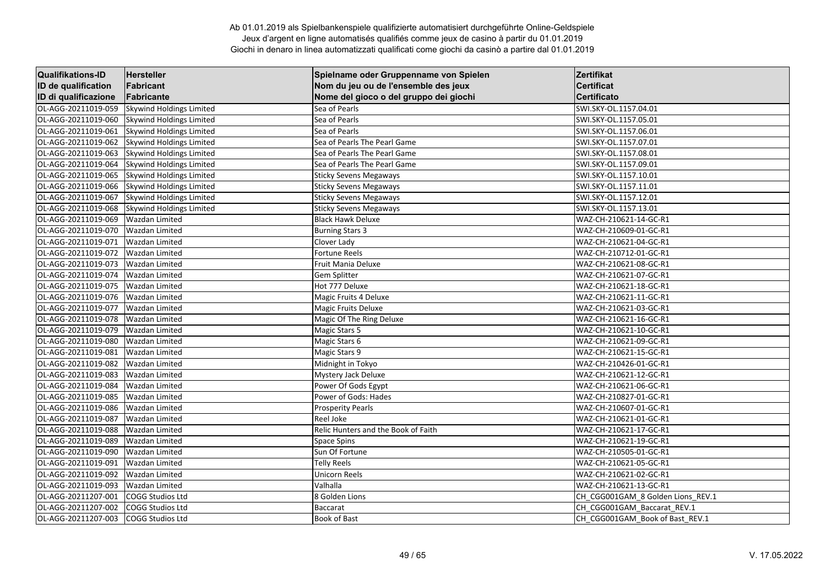| <b>Qualifikations-ID</b> | <b>Hersteller</b>               | Spielname oder Gruppenname von Spielen | Zertifikat                        |
|--------------------------|---------------------------------|----------------------------------------|-----------------------------------|
| ID de qualification      | Fabricant                       | Nom du jeu ou de l'ensemble des jeux   | <b>Certificat</b>                 |
| ID di qualificazione     | Fabricante                      | Nome del gioco o del gruppo dei giochi | <b>Certificato</b>                |
| OL-AGG-20211019-059      | Skywind Holdings Limited        | Sea of Pearls                          | SWI.SKY-OL.1157.04.01             |
| OL-AGG-20211019-060      | Skywind Holdings Limited        | Sea of Pearls                          | SWI.SKY-OL.1157.05.01             |
| OL-AGG-20211019-061      | Skywind Holdings Limited        | Sea of Pearls                          | SWI.SKY-OL.1157.06.01             |
| OL-AGG-20211019-062      | Skywind Holdings Limited        | Sea of Pearls The Pearl Game           | SWI.SKY-OL.1157.07.01             |
| OL-AGG-20211019-063      | Skywind Holdings Limited        | Sea of Pearls The Pearl Game           | SWI.SKY-OL.1157.08.01             |
| OL-AGG-20211019-064      | <b>Skywind Holdings Limited</b> | Sea of Pearls The Pearl Game           | SWI.SKY-OL.1157.09.01             |
| OL-AGG-20211019-065      | Skywind Holdings Limited        | <b>Sticky Sevens Megaways</b>          | SWI.SKY-OL.1157.10.01             |
| OL-AGG-20211019-066      | Skywind Holdings Limited        | <b>Sticky Sevens Megaways</b>          | SWI.SKY-OL.1157.11.01             |
| OL-AGG-20211019-067      | Skywind Holdings Limited        | <b>Sticky Sevens Megaways</b>          | SWI.SKY-OL.1157.12.01             |
| OL-AGG-20211019-068      | Skywind Holdings Limited        | <b>Sticky Sevens Megaways</b>          | SWI.SKY-OL.1157.13.01             |
| OL-AGG-20211019-069      | <b>Wazdan Limited</b>           | <b>Black Hawk Deluxe</b>               | WAZ-CH-210621-14-GC-R1            |
| OL-AGG-20211019-070      | <b>Wazdan Limited</b>           | <b>Burning Stars 3</b>                 | WAZ-CH-210609-01-GC-R1            |
| OL-AGG-20211019-071      | <b>Wazdan Limited</b>           | Clover Lady                            | WAZ-CH-210621-04-GC-R1            |
| OL-AGG-20211019-072      | <b>Wazdan Limited</b>           | <b>Fortune Reels</b>                   | WAZ-CH-210712-01-GC-R1            |
| OL-AGG-20211019-073      | <b>Wazdan Limited</b>           | Fruit Mania Deluxe                     | WAZ-CH-210621-08-GC-R1            |
| OL-AGG-20211019-074      | <b>Wazdan Limited</b>           | Gem Splitter                           | WAZ-CH-210621-07-GC-R1            |
| OL-AGG-20211019-075      | <b>Wazdan Limited</b>           | Hot 777 Deluxe                         | WAZ-CH-210621-18-GC-R1            |
| OL-AGG-20211019-076      | <b>Wazdan Limited</b>           | Magic Fruits 4 Deluxe                  | WAZ-CH-210621-11-GC-R1            |
| OL-AGG-20211019-077      | <b>Wazdan Limited</b>           | Magic Fruits Deluxe                    | WAZ-CH-210621-03-GC-R1            |
| OL-AGG-20211019-078      | <b>Wazdan Limited</b>           | Magic Of The Ring Deluxe               | WAZ-CH-210621-16-GC-R1            |
| OL-AGG-20211019-079      | <b>Wazdan Limited</b>           | Magic Stars 5                          | WAZ-CH-210621-10-GC-R1            |
| OL-AGG-20211019-080      | <b>Wazdan Limited</b>           | Magic Stars 6                          | WAZ-CH-210621-09-GC-R1            |
| OL-AGG-20211019-081      | <b>Wazdan Limited</b>           | Magic Stars 9                          | WAZ-CH-210621-15-GC-R1            |
| OL-AGG-20211019-082      | <b>Wazdan Limited</b>           | Midnight in Tokyo                      | WAZ-CH-210426-01-GC-R1            |
| OL-AGG-20211019-083      | <b>Wazdan Limited</b>           | Mystery Jack Deluxe                    | WAZ-CH-210621-12-GC-R1            |
| OL-AGG-20211019-084      | <b>Wazdan Limited</b>           | Power Of Gods Egypt                    | WAZ-CH-210621-06-GC-R1            |
| OL-AGG-20211019-085      | <b>Wazdan Limited</b>           | Power of Gods: Hades                   | WAZ-CH-210827-01-GC-R1            |
| OL-AGG-20211019-086      | <b>Wazdan Limited</b>           | <b>Prosperity Pearls</b>               | WAZ-CH-210607-01-GC-R1            |
| OL-AGG-20211019-087      | <b>Wazdan Limited</b>           | Reel Joke                              | WAZ-CH-210621-01-GC-R1            |
| OL-AGG-20211019-088      | <b>Wazdan Limited</b>           | Relic Hunters and the Book of Faith    | WAZ-CH-210621-17-GC-R1            |
| OL-AGG-20211019-089      | <b>Wazdan Limited</b>           | Space Spins                            | WAZ-CH-210621-19-GC-R1            |
| OL-AGG-20211019-090      | <b>Wazdan Limited</b>           | Sun Of Fortune                         | WAZ-CH-210505-01-GC-R1            |
| OL-AGG-20211019-091      | <b>Wazdan Limited</b>           | <b>Telly Reels</b>                     | WAZ-CH-210621-05-GC-R1            |
| OL-AGG-20211019-092      | <b>Wazdan Limited</b>           | Unicorn Reels                          | WAZ-CH-210621-02-GC-R1            |
| OL-AGG-20211019-093      | <b>Wazdan Limited</b>           | Valhalla                               | WAZ-CH-210621-13-GC-R1            |
| OL-AGG-20211207-001      | <b>COGG Studios Ltd</b>         | 8 Golden Lions                         | CH_CGG001GAM_8 Golden Lions_REV.1 |
| OL-AGG-20211207-002      | <b>COGG Studios Ltd</b>         | <b>Baccarat</b>                        | CH_CGG001GAM_Baccarat_REV.1       |
| OL-AGG-20211207-003      | <b>COGG Studios Ltd</b>         | Book of Bast                           | CH CGG001GAM Book of Bast REV.1   |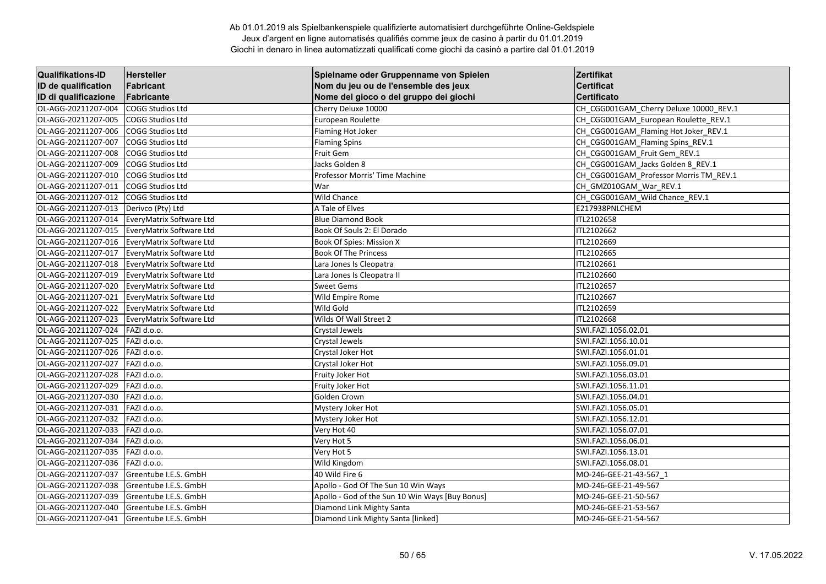| <b>Qualifikations-ID</b> | <b>Hersteller</b>        | Spielname oder Gruppenname von Spielen          | <b>Zertifikat</b>                      |
|--------------------------|--------------------------|-------------------------------------------------|----------------------------------------|
| ID de qualification      | <b>Fabricant</b>         | Nom du jeu ou de l'ensemble des jeux            | <b>Certificat</b>                      |
| ID di qualificazione     | Fabricante               | Nome del gioco o del gruppo dei giochi          | <b>Certificato</b>                     |
| OL-AGG-20211207-004      | <b>COGG Studios Ltd</b>  | Cherry Deluxe 10000                             | CH_CGG001GAM_Cherry Deluxe 10000_REV.1 |
| OL-AGG-20211207-005      | COGG Studios Ltd         | European Roulette                               | CH CGG001GAM European Roulette REV.1   |
| OL-AGG-20211207-006      | COGG Studios Ltd         | Flaming Hot Joker                               | CH_CGG001GAM_Flaming Hot Joker_REV.1   |
| OL-AGG-20211207-007      | COGG Studios Ltd         | <b>Flaming Spins</b>                            | CH_CGG001GAM_Flaming Spins_REV.1       |
| OL-AGG-20211207-008      | COGG Studios Ltd         | Fruit Gem                                       | CH CGG001GAM Fruit Gem REV.1           |
| OL-AGG-20211207-009      | <b>COGG Studios Ltd</b>  | Jacks Golden 8                                  | CH_CGG001GAM_Jacks Golden 8_REV.1      |
| OL-AGG-20211207-010      | COGG Studios Ltd         | Professor Morris' Time Machine                  | CH CGG001GAM Professor Morris TM REV.1 |
| OL-AGG-20211207-011      | <b>COGG Studios Ltd</b>  | War                                             | CH GMZ010GAM War REV.1                 |
| OL-AGG-20211207-012      | COGG Studios Ltd         | <b>Wild Chance</b>                              | CH_CGG001GAM_Wild Chance_REV.1         |
| OL-AGG-20211207-013      | Derivco (Pty) Ltd        | A Tale of Elves                                 | E217938PNLCHEM                         |
| OL-AGG-20211207-014      | EveryMatrix Software Ltd | <b>Blue Diamond Book</b>                        | ITL2102658                             |
| OL-AGG-20211207-015      | EveryMatrix Software Ltd | Book Of Souls 2: El Dorado                      | ITL2102662                             |
| OL-AGG-20211207-016      | EveryMatrix Software Ltd | Book Of Spies: Mission X                        | ITL2102669                             |
| OL-AGG-20211207-017      | EveryMatrix Software Ltd | <b>Book Of The Princess</b>                     | ITL2102665                             |
| OL-AGG-20211207-018      | EveryMatrix Software Ltd | Lara Jones Is Cleopatra                         | ITL2102661                             |
| OL-AGG-20211207-019      | EveryMatrix Software Ltd | Lara Jones Is Cleopatra II                      | ITL2102660                             |
| OL-AGG-20211207-020      | EveryMatrix Software Ltd | <b>Sweet Gems</b>                               | ITL2102657                             |
| OL-AGG-20211207-021      | EveryMatrix Software Ltd | Wild Empire Rome                                | ITL2102667                             |
| OL-AGG-20211207-022      | EveryMatrix Software Ltd | Wild Gold                                       | ITL2102659                             |
| OL-AGG-20211207-023      | EveryMatrix Software Ltd | Wilds Of Wall Street 2                          | ITL2102668                             |
| OL-AGG-20211207-024      | FAZI d.o.o.              | Crystal Jewels                                  | SWI.FAZI.1056.02.01                    |
| OL-AGG-20211207-025      | FAZI d.o.o.              | Crystal Jewels                                  | SWI.FAZI.1056.10.01                    |
| OL-AGG-20211207-026      | FAZI d.o.o.              | Crystal Joker Hot                               | SWI.FAZI.1056.01.01                    |
| OL-AGG-20211207-027      | FAZI d.o.o.              | Crystal Joker Hot                               | SWI.FAZI.1056.09.01                    |
| OL-AGG-20211207-028      | FAZI d.o.o.              | Fruity Joker Hot                                | SWI.FAZI.1056.03.01                    |
| OL-AGG-20211207-029      | FAZI d.o.o.              | Fruity Joker Hot                                | SWI.FAZI.1056.11.01                    |
| OL-AGG-20211207-030      | FAZI d.o.o.              | Golden Crown                                    | SWI.FAZI.1056.04.01                    |
| OL-AGG-20211207-031      | FAZI d.o.o.              | Mystery Joker Hot                               | SWI.FAZI.1056.05.01                    |
| OL-AGG-20211207-032      | FAZI d.o.o.              | Mystery Joker Hot                               | SWI.FAZI.1056.12.01                    |
| OL-AGG-20211207-033      | FAZI d.o.o.              | Very Hot 40                                     | SWI.FAZI.1056.07.01                    |
| OL-AGG-20211207-034      | FAZI d.o.o.              | Very Hot 5                                      | SWI.FAZI.1056.06.01                    |
| OL-AGG-20211207-035      | FAZI d.o.o.              | Very Hot 5                                      | SWI.FAZI.1056.13.01                    |
| OL-AGG-20211207-036      | FAZI d.o.o.              | Wild Kingdom                                    | SWI.FAZI.1056.08.01                    |
| OL-AGG-20211207-037      | Greentube I.E.S. GmbH    | 40 Wild Fire 6                                  | MO-246-GEE-21-43-567 1                 |
| OL-AGG-20211207-038      | Greentube I.E.S. GmbH    | Apollo - God Of The Sun 10 Win Ways             | MO-246-GEE-21-49-567                   |
| OL-AGG-20211207-039      | Greentube I.E.S. GmbH    | Apollo - God of the Sun 10 Win Ways [Buy Bonus] | MO-246-GEE-21-50-567                   |
| OL-AGG-20211207-040      | Greentube I.E.S. GmbH    | Diamond Link Mighty Santa                       | MO-246-GEE-21-53-567                   |
| OL-AGG-20211207-041      | Greentube I.E.S. GmbH    | Diamond Link Mighty Santa [linked]              | MO-246-GEE-21-54-567                   |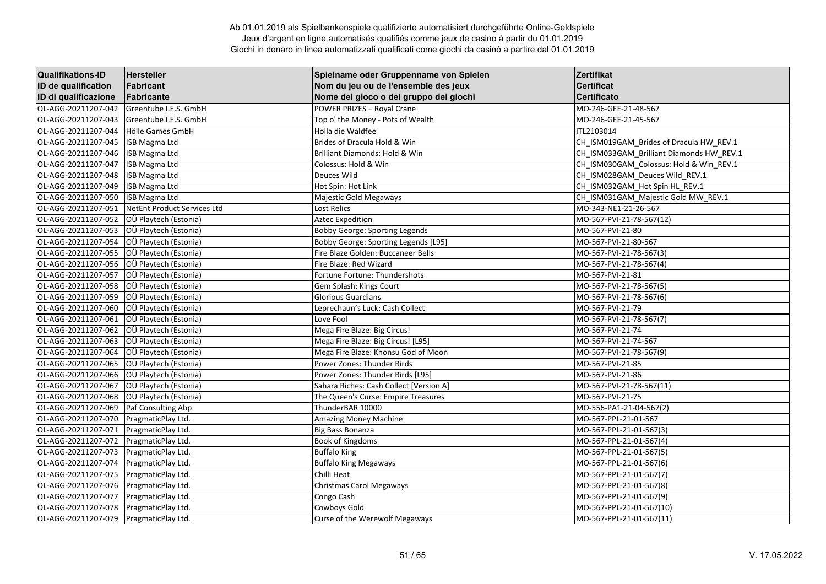| <b>Qualifikations-ID</b> | <b>Hersteller</b>           | Spielname oder Gruppenname von Spielen  | Zertifikat                               |
|--------------------------|-----------------------------|-----------------------------------------|------------------------------------------|
| ID de qualification      | Fabricant                   | Nom du jeu ou de l'ensemble des jeux    | <b>Certificat</b>                        |
| ID di qualificazione     | Fabricante                  | Nome del gioco o del gruppo dei giochi  | <b>Certificato</b>                       |
| OL-AGG-20211207-042      | Greentube I.E.S. GmbH       | POWER PRIZES - Royal Crane              | MO-246-GEE-21-48-567                     |
| OL-AGG-20211207-043      | Greentube I.E.S. GmbH       | Top o' the Money - Pots of Wealth       | MO-246-GEE-21-45-567                     |
| OL-AGG-20211207-044      | Hölle Games GmbH            | Holla die Waldfee                       | <b>ITL2103014</b>                        |
| OL-AGG-20211207-045      | ISB Magma Ltd               | Brides of Dracula Hold & Win            | CH_ISM019GAM_Brides of Dracula HW_REV.1  |
| OL-AGG-20211207-046      | <b>ISB Magma Ltd</b>        | Brilliant Diamonds: Hold & Win          | CH_ISM033GAM_Brilliant Diamonds HW_REV.1 |
| OL-AGG-20211207-047      | <b>ISB Magma Ltd</b>        | Colossus: Hold & Win                    | CH_ISM030GAM_Colossus: Hold & Win_REV.1  |
| OL-AGG-20211207-048      | ISB Magma Ltd               | Deuces Wild                             | CH_ISM028GAM_Deuces Wild_REV.1           |
| OL-AGG-20211207-049      | <b>ISB Magma Ltd</b>        | Hot Spin: Hot Link                      | CH_ISM032GAM_Hot Spin HL_REV.1           |
| OL-AGG-20211207-050      | ISB Magma Ltd               | Majestic Gold Megaways                  | CH ISM031GAM Majestic Gold MW REV.1      |
| OL-AGG-20211207-051      | NetEnt Product Services Ltd | Lost Relics                             | MO-343-NE1-21-26-567                     |
| OL-AGG-20211207-052      | OÜ Playtech (Estonia)       | <b>Aztec Expedition</b>                 | MO-567-PVI-21-78-567(12)                 |
| OL-AGG-20211207-053      | OÜ Playtech (Estonia)       | <b>Bobby George: Sporting Legends</b>   | MO-567-PVI-21-80                         |
| OL-AGG-20211207-054      | OÜ Playtech (Estonia)       | Bobby George: Sporting Legends [L95]    | MO-567-PVI-21-80-567                     |
| OL-AGG-20211207-055      | OÜ Playtech (Estonia)       | Fire Blaze Golden: Buccaneer Bells      | MO-567-PVI-21-78-567(3)                  |
| OL-AGG-20211207-056      | OÜ Playtech (Estonia)       | Fire Blaze: Red Wizard                  | MO-567-PVI-21-78-567(4)                  |
| OL-AGG-20211207-057      | OÜ Playtech (Estonia)       | Fortune Fortune: Thundershots           | MO-567-PVI-21-81                         |
| OL-AGG-20211207-058      | OÜ Playtech (Estonia)       | Gem Splash: Kings Court                 | MO-567-PVI-21-78-567(5)                  |
| OL-AGG-20211207-059      | OÜ Playtech (Estonia)       | <b>Glorious Guardians</b>               | MO-567-PVI-21-78-567(6)                  |
| OL-AGG-20211207-060      | OÜ Playtech (Estonia)       | Leprechaun's Luck: Cash Collect         | MO-567-PVI-21-79                         |
| OL-AGG-20211207-061      | OÜ Playtech (Estonia)       | Love Fool                               | MO-567-PVI-21-78-567(7)                  |
| OL-AGG-20211207-062      | OÜ Playtech (Estonia)       | Mega Fire Blaze: Big Circus!            | MO-567-PVI-21-74                         |
| OL-AGG-20211207-063      | OÜ Playtech (Estonia)       | Mega Fire Blaze: Big Circus! [L95]      | MO-567-PVI-21-74-567                     |
| OL-AGG-20211207-064      | OÜ Playtech (Estonia)       | Mega Fire Blaze: Khonsu God of Moon     | MO-567-PVI-21-78-567(9)                  |
| OL-AGG-20211207-065      | OÜ Playtech (Estonia)       | Power Zones: Thunder Birds              | MO-567-PVI-21-85                         |
| OL-AGG-20211207-066      | OÜ Playtech (Estonia)       | Power Zones: Thunder Birds [L95]        | MO-567-PVI-21-86                         |
| OL-AGG-20211207-067      | OÜ Playtech (Estonia)       | Sahara Riches: Cash Collect [Version A] | MO-567-PVI-21-78-567(11)                 |
| OL-AGG-20211207-068      | OÜ Playtech (Estonia)       | The Queen's Curse: Empire Treasures     | MO-567-PVI-21-75                         |
| OL-AGG-20211207-069      | Paf Consulting Abp          | ThunderBAR 10000                        | MO-556-PA1-21-04-567(2)                  |
| OL-AGG-20211207-070      | PragmaticPlay Ltd.          | <b>Amazing Money Machine</b>            | MO-567-PPL-21-01-567                     |
| OL-AGG-20211207-071      | PragmaticPlay Ltd.          | <b>Big Bass Bonanza</b>                 | MO-567-PPL-21-01-567(3)                  |
| OL-AGG-20211207-072      | PragmaticPlay Ltd.          | Book of Kingdoms                        | MO-567-PPL-21-01-567(4)                  |
| OL-AGG-20211207-073      | PragmaticPlay Ltd.          | <b>Buffalo King</b>                     | MO-567-PPL-21-01-567(5)                  |
| OL-AGG-20211207-074      | PragmaticPlay Ltd.          | <b>Buffalo King Megaways</b>            | MO-567-PPL-21-01-567(6)                  |
| OL-AGG-20211207-075      | PragmaticPlay Ltd.          | Chilli Heat                             | MO-567-PPL-21-01-567(7)                  |
| OL-AGG-20211207-076      | PragmaticPlay Ltd.          | Christmas Carol Megaways                | MO-567-PPL-21-01-567(8)                  |
| OL-AGG-20211207-077      | PragmaticPlay Ltd.          | Congo Cash                              | MO-567-PPL-21-01-567(9)                  |
| OL-AGG-20211207-078      | PragmaticPlay Ltd.          | Cowboys Gold                            | MO-567-PPL-21-01-567(10)                 |
| OL-AGG-20211207-079      | PragmaticPlay Ltd.          | Curse of the Werewolf Megaways          | MO-567-PPL-21-01-567(11)                 |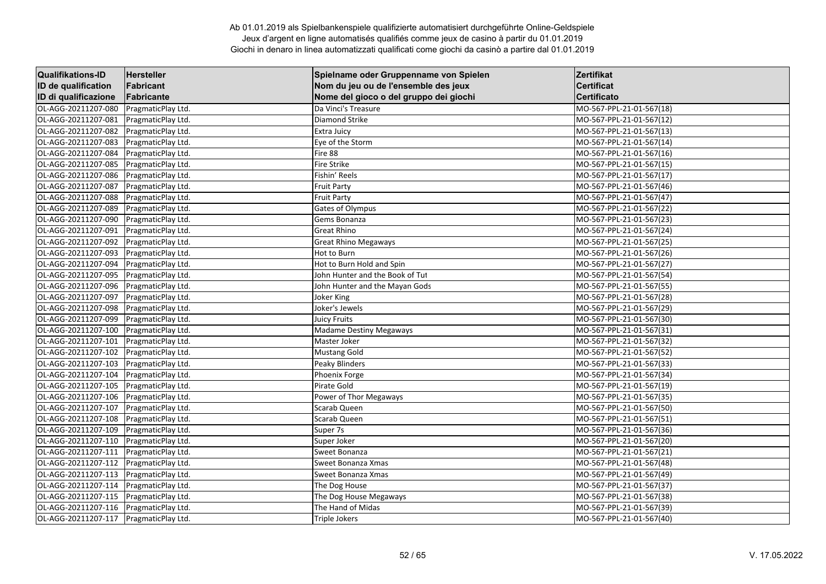| <b>Qualifikations-ID</b> | <b>Hersteller</b>  | Spielname oder Gruppenname von Spielen | Zertifikat               |
|--------------------------|--------------------|----------------------------------------|--------------------------|
| ID de qualification      | Fabricant          | Nom du jeu ou de l'ensemble des jeux   | <b>Certificat</b>        |
| ID di qualificazione     | Fabricante         | Nome del gioco o del gruppo dei giochi | Certificato              |
| OL-AGG-20211207-080      | PragmaticPlay Ltd. | Da Vinci's Treasure                    | MO-567-PPL-21-01-567(18) |
| OL-AGG-20211207-081      | PragmaticPlay Ltd. | <b>Diamond Strike</b>                  | MO-567-PPL-21-01-567(12) |
| OL-AGG-20211207-082      | PragmaticPlay Ltd. | Extra Juicy                            | MO-567-PPL-21-01-567(13) |
| OL-AGG-20211207-083      | PragmaticPlay Ltd. | Eye of the Storm                       | MO-567-PPL-21-01-567(14) |
| OL-AGG-20211207-084      | PragmaticPlay Ltd. | Fire 88                                | MO-567-PPL-21-01-567(16) |
| OL-AGG-20211207-085      | PragmaticPlay Ltd. | <b>Fire Strike</b>                     | MO-567-PPL-21-01-567(15) |
| OL-AGG-20211207-086      | PragmaticPlay Ltd. | Fishin' Reels                          | MO-567-PPL-21-01-567(17) |
| OL-AGG-20211207-087      | PragmaticPlay Ltd. | <b>Fruit Party</b>                     | MO-567-PPL-21-01-567(46) |
| OL-AGG-20211207-088      | PragmaticPlay Ltd. | <b>Fruit Party</b>                     | MO-567-PPL-21-01-567(47) |
| OL-AGG-20211207-089      | PragmaticPlay Ltd. | Gates of Olympus                       | MO-567-PPL-21-01-567(22) |
| OL-AGG-20211207-090      | PragmaticPlay Ltd. | Gems Bonanza                           | MO-567-PPL-21-01-567(23) |
| OL-AGG-20211207-091      | PragmaticPlay Ltd. | <b>Great Rhino</b>                     | MO-567-PPL-21-01-567(24) |
| OL-AGG-20211207-092      | PragmaticPlay Ltd. | <b>Great Rhino Megaways</b>            | MO-567-PPL-21-01-567(25) |
| OL-AGG-20211207-093      | PragmaticPlay Ltd. | Hot to Burn                            | MO-567-PPL-21-01-567(26) |
| OL-AGG-20211207-094      | PragmaticPlay Ltd. | Hot to Burn Hold and Spin              | MO-567-PPL-21-01-567(27) |
| OL-AGG-20211207-095      | PragmaticPlay Ltd. | John Hunter and the Book of Tut        | MO-567-PPL-21-01-567(54) |
| OL-AGG-20211207-096      | PragmaticPlay Ltd. | John Hunter and the Mayan Gods         | MO-567-PPL-21-01-567(55) |
| OL-AGG-20211207-097      | PragmaticPlay Ltd. | Joker King                             | MO-567-PPL-21-01-567(28) |
| OL-AGG-20211207-098      | PragmaticPlay Ltd. | Joker's Jewels                         | MO-567-PPL-21-01-567(29) |
| OL-AGG-20211207-099      | PragmaticPlay Ltd. | <b>Juicy Fruits</b>                    | MO-567-PPL-21-01-567(30) |
| OL-AGG-20211207-100      | PragmaticPlay Ltd. | <b>Madame Destiny Megaways</b>         | MO-567-PPL-21-01-567(31) |
| OL-AGG-20211207-101      | PragmaticPlay Ltd. | Master Joker                           | MO-567-PPL-21-01-567(32) |
| OL-AGG-20211207-102      | PragmaticPlay Ltd. | <b>Mustang Gold</b>                    | MO-567-PPL-21-01-567(52) |
| OL-AGG-20211207-103      | PragmaticPlay Ltd. | Peaky Blinders                         | MO-567-PPL-21-01-567(33) |
| OL-AGG-20211207-104      | PragmaticPlay Ltd. | Phoenix Forge                          | MO-567-PPL-21-01-567(34) |
| OL-AGG-20211207-105      | PragmaticPlay Ltd. | Pirate Gold                            | MO-567-PPL-21-01-567(19) |
| OL-AGG-20211207-106      | PragmaticPlay Ltd. | Power of Thor Megaways                 | MO-567-PPL-21-01-567(35) |
| OL-AGG-20211207-107      | PragmaticPlay Ltd. | Scarab Queen                           | MO-567-PPL-21-01-567(50) |
| OL-AGG-20211207-108      | PragmaticPlay Ltd. | Scarab Queen                           | MO-567-PPL-21-01-567(51) |
| OL-AGG-20211207-109      | PragmaticPlay Ltd. | Super 7s                               | MO-567-PPL-21-01-567(36) |
| OL-AGG-20211207-110      | PragmaticPlay Ltd. | Super Joker                            | MO-567-PPL-21-01-567(20) |
| OL-AGG-20211207-111      | PragmaticPlay Ltd. | Sweet Bonanza                          | MO-567-PPL-21-01-567(21) |
| OL-AGG-20211207-112      | PragmaticPlay Ltd. | Sweet Bonanza Xmas                     | MO-567-PPL-21-01-567(48) |
| OL-AGG-20211207-113      | PragmaticPlay Ltd. | Sweet Bonanza Xmas                     | MO-567-PPL-21-01-567(49) |
| OL-AGG-20211207-114      | PragmaticPlay Ltd. | The Dog House                          | MO-567-PPL-21-01-567(37) |
| OL-AGG-20211207-115      | PragmaticPlay Ltd. | The Dog House Megaways                 | MO-567-PPL-21-01-567(38) |
| OL-AGG-20211207-116      | PragmaticPlay Ltd. | The Hand of Midas                      | MO-567-PPL-21-01-567(39) |
| OL-AGG-20211207-117      | PragmaticPlay Ltd. | <b>Triple Jokers</b>                   | MO-567-PPL-21-01-567(40) |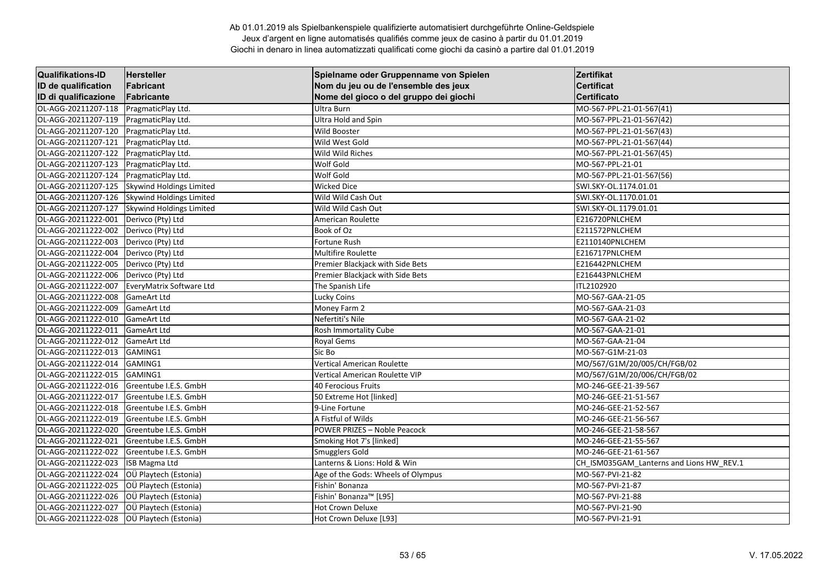| <b>Qualifikations-ID</b> | Hersteller                      | Spielname oder Gruppenname von Spielen | Zertifikat                               |
|--------------------------|---------------------------------|----------------------------------------|------------------------------------------|
| ID de qualification      | Fabricant                       | Nom du jeu ou de l'ensemble des jeux   | <b>Certificat</b>                        |
| ID di qualificazione     | Fabricante                      | Nome del gioco o del gruppo dei giochi | <b>Certificato</b>                       |
| OL-AGG-20211207-118      | PragmaticPlay Ltd.              | Ultra Burn                             | MO-567-PPL-21-01-567(41)                 |
| OL-AGG-20211207-119      | PragmaticPlay Ltd.              | Ultra Hold and Spin                    | MO-567-PPL-21-01-567(42)                 |
| OL-AGG-20211207-120      | PragmaticPlay Ltd.              | <b>Wild Booster</b>                    | MO-567-PPL-21-01-567(43)                 |
| OL-AGG-20211207-121      | PragmaticPlay Ltd.              | Wild West Gold                         | MO-567-PPL-21-01-567(44)                 |
| OL-AGG-20211207-122      | PragmaticPlay Ltd.              | Wild Wild Riches                       | MO-567-PPL-21-01-567(45)                 |
| OL-AGG-20211207-123      | PragmaticPlay Ltd.              | Wolf Gold                              | MO-567-PPL-21-01                         |
| OL-AGG-20211207-124      | PragmaticPlay Ltd.              | Wolf Gold                              | MO-567-PPL-21-01-567(56)                 |
| OL-AGG-20211207-125      | <b>Skywind Holdings Limited</b> | <b>Wicked Dice</b>                     | SWI.SKY-OL.1174.01.01                    |
| OL-AGG-20211207-126      | Skywind Holdings Limited        | Wild Wild Cash Out                     | SWI.SKY-OL.1170.01.01                    |
| OL-AGG-20211207-127      | Skywind Holdings Limited        | Wild Wild Cash Out                     | SWI.SKY-OL.1179.01.01                    |
| OL-AGG-20211222-001      | Derivco (Pty) Ltd               | American Roulette                      | E216720PNLCHEM                           |
| OL-AGG-20211222-002      | Derivco (Pty) Ltd               | Book of Oz                             | E211572PNLCHEM                           |
| OL-AGG-20211222-003      | Derivco (Pty) Ltd               | Fortune Rush                           | E2110140PNLCHEM                          |
| OL-AGG-20211222-004      | Derivco (Pty) Ltd               | Multifire Roulette                     | E216717PNLCHEM                           |
| OL-AGG-20211222-005      | Derivco (Pty) Ltd               | Premier Blackjack with Side Bets       | E216442PNLCHEM                           |
| OL-AGG-20211222-006      | Derivco (Pty) Ltd               | Premier Blackjack with Side Bets       | E216443PNLCHEM                           |
| OL-AGG-20211222-007      | EveryMatrix Software Ltd        | The Spanish Life                       | ITL2102920                               |
| OL-AGG-20211222-008      | <b>GameArt Ltd</b>              | <b>Lucky Coins</b>                     | MO-567-GAA-21-05                         |
| OL-AGG-20211222-009      | <b>GameArt Ltd</b>              | Money Farm 2                           | MO-567-GAA-21-03                         |
| OL-AGG-20211222-010      | <b>GameArt Ltd</b>              | Nefertiti's Nile                       | MO-567-GAA-21-02                         |
| OL-AGG-20211222-011      | <b>GameArt Ltd</b>              | Rosh Immortality Cube                  | MO-567-GAA-21-01                         |
| OL-AGG-20211222-012      | <b>GameArt Ltd</b>              | Royal Gems                             | MO-567-GAA-21-04                         |
| OL-AGG-20211222-013      | GAMING1                         | Sic Bo                                 | MO-567-G1M-21-03                         |
| OL-AGG-20211222-014      | GAMING1                         | <b>Vertical American Roulette</b>      | MO/567/G1M/20/005/CH/FGB/02              |
| OL-AGG-20211222-015      | GAMING1                         | Vertical American Roulette VIP         | MO/567/G1M/20/006/CH/FGB/02              |
| OL-AGG-20211222-016      | Greentube I.E.S. GmbH           | <b>40 Ferocious Fruits</b>             | MO-246-GEE-21-39-567                     |
| OL-AGG-20211222-017      | Greentube I.E.S. GmbH           | 50 Extreme Hot [linked]                | MO-246-GEE-21-51-567                     |
| OL-AGG-20211222-018      | Greentube I.E.S. GmbH           | 9-Line Fortune                         | MO-246-GEE-21-52-567                     |
| OL-AGG-20211222-019      | Greentube I.E.S. GmbH           | A Fistful of Wilds                     | MO-246-GEE-21-56-567                     |
| OL-AGG-20211222-020      | Greentube I.E.S. GmbH           | POWER PRIZES - Noble Peacock           | MO-246-GEE-21-58-567                     |
| OL-AGG-20211222-021      | Greentube I.E.S. GmbH           | Smoking Hot 7's [linked]               | MO-246-GEE-21-55-567                     |
| OL-AGG-20211222-022      | Greentube I.E.S. GmbH           | Smugglers Gold                         | MO-246-GEE-21-61-567                     |
| OL-AGG-20211222-023      | <b>ISB Magma Ltd</b>            | Lanterns & Lions: Hold & Win           | CH_ISM035GAM_Lanterns and Lions HW_REV.1 |
| OL-AGG-20211222-024      | OÜ Playtech (Estonia)           | Age of the Gods: Wheels of Olympus     | MO-567-PVI-21-82                         |
| OL-AGG-20211222-025      | OÜ Playtech (Estonia)           | Fishin' Bonanza                        | MO-567-PVI-21-87                         |
| OL-AGG-20211222-026      | OÜ Playtech (Estonia)           | Fishin' Bonanza <sup>™</sup> [L95]     | MO-567-PVI-21-88                         |
| OL-AGG-20211222-027      | OÜ Playtech (Estonia)           | Hot Crown Deluxe                       | MO-567-PVI-21-90                         |
| OL-AGG-20211222-028      | OÜ Playtech (Estonia)           | Hot Crown Deluxe [L93]                 | MO-567-PVI-21-91                         |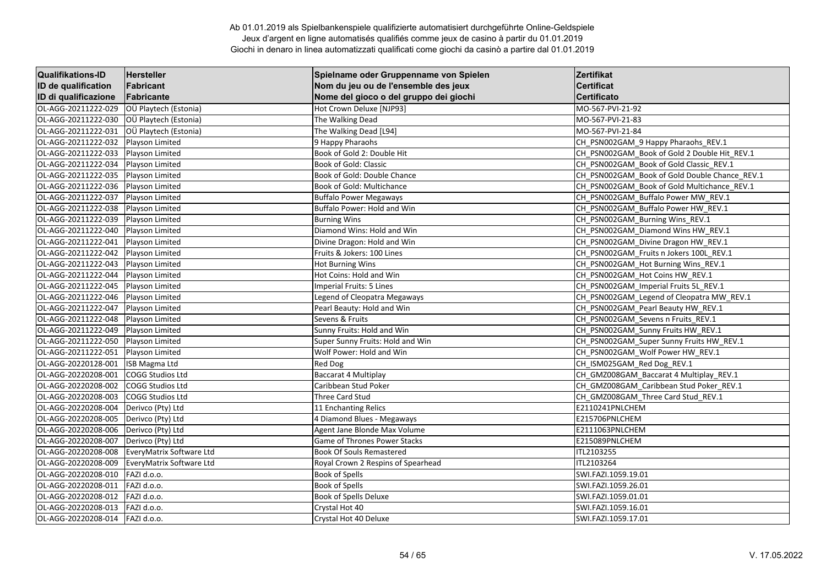| <b>Qualifikations-ID</b> | <b>Hersteller</b>        | Spielname oder Gruppenname von Spielen | Zertifikat                                    |
|--------------------------|--------------------------|----------------------------------------|-----------------------------------------------|
| ID de qualification      | Fabricant                | Nom du jeu ou de l'ensemble des jeux   | <b>Certificat</b>                             |
| ID di qualificazione     | Fabricante               | Nome del gioco o del gruppo dei giochi | Certificato                                   |
| OL-AGG-20211222-029      | OÜ Playtech (Estonia)    | Hot Crown Deluxe [NJP93]               | MO-567-PVI-21-92                              |
| OL-AGG-20211222-030      | OÜ Playtech (Estonia)    | The Walking Dead                       | MO-567-PVI-21-83                              |
| OL-AGG-20211222-031      | OÜ Playtech (Estonia)    | The Walking Dead [L94]                 | MO-567-PVI-21-84                              |
| OL-AGG-20211222-032      | Playson Limited          | 9 Happy Pharaohs                       | CH_PSN002GAM_9 Happy Pharaohs_REV.1           |
| OL-AGG-20211222-033      | Playson Limited          | Book of Gold 2: Double Hit             | CH PSN002GAM Book of Gold 2 Double Hit REV.1  |
| OL-AGG-20211222-034      | Playson Limited          | Book of Gold: Classic                  | CH_PSN002GAM_Book of Gold Classic_REV.1       |
| OL-AGG-20211222-035      | Playson Limited          | Book of Gold: Double Chance            | CH PSN002GAM Book of Gold Double Chance REV.1 |
| OL-AGG-20211222-036      | Playson Limited          | Book of Gold: Multichance              | CH PSN002GAM Book of Gold Multichance REV.1   |
| OL-AGG-20211222-037      | Playson Limited          | <b>Buffalo Power Megaways</b>          | CH_PSN002GAM_Buffalo Power MW_REV.1           |
| OL-AGG-20211222-038      | Playson Limited          | Buffalo Power: Hold and Win            | CH PSN002GAM Buffalo Power HW REV.1           |
| OL-AGG-20211222-039      | Playson Limited          | <b>Burning Wins</b>                    | CH_PSN002GAM_Burning Wins_REV.1               |
| OL-AGG-20211222-040      | <b>Playson Limited</b>   | Diamond Wins: Hold and Win             | CH PSN002GAM Diamond Wins HW REV.1            |
| OL-AGG-20211222-041      | Playson Limited          | Divine Dragon: Hold and Win            | CH_PSN002GAM_Divine Dragon HW_REV.1           |
| OL-AGG-20211222-042      | Playson Limited          | Fruits & Jokers: 100 Lines             | CH PSN002GAM Fruits n Jokers 100L REV.1       |
| OL-AGG-20211222-043      | Playson Limited          | <b>Hot Burning Wins</b>                | CH_PSN002GAM_Hot Burning Wins_REV.1           |
| OL-AGG-20211222-044      | Playson Limited          | Hot Coins: Hold and Win                | CH_PSN002GAM_Hot Coins HW_REV.1               |
| OL-AGG-20211222-045      | Playson Limited          | Imperial Fruits: 5 Lines               | CH_PSN002GAM_Imperial Fruits 5L_REV.1         |
| OL-AGG-20211222-046      | Playson Limited          | Legend of Cleopatra Megaways           | CH_PSN002GAM_Legend of Cleopatra MW_REV.1     |
| OL-AGG-20211222-047      | Playson Limited          | Pearl Beauty: Hold and Win             | CH PSN002GAM Pearl Beauty HW REV.1            |
| OL-AGG-20211222-048      | Playson Limited          | Sevens & Fruits                        | CH_PSN002GAM_Sevens n Fruits_REV.1            |
| OL-AGG-20211222-049      | Playson Limited          | Sunny Fruits: Hold and Win             | CH_PSN002GAM_Sunny Fruits HW_REV.1            |
| OL-AGG-20211222-050      | <b>Playson Limited</b>   | Super Sunny Fruits: Hold and Win       | CH_PSN002GAM_Super Sunny Fruits HW_REV.1      |
| OL-AGG-20211222-051      | <b>Playson Limited</b>   | Wolf Power: Hold and Win               | CH PSN002GAM Wolf Power HW REV.1              |
| OL-AGG-20220128-001      | ISB Magma Ltd            | Red Dog                                | CH ISM025GAM Red Dog REV.1                    |
| OL-AGG-20220208-001      | <b>COGG Studios Ltd</b>  | Baccarat 4 Multiplay                   | CH GMZ008GAM Baccarat 4 Multiplay REV.1       |
| OL-AGG-20220208-002      | <b>COGG Studios Ltd</b>  | Caribbean Stud Poker                   | CH GMZ008GAM Caribbean Stud Poker REV.1       |
| OL-AGG-20220208-003      | COGG Studios Ltd         | Three Card Stud                        | CH GMZ008GAM Three Card Stud REV.1            |
| OL-AGG-20220208-004      | Derivco (Pty) Ltd        | 11 Enchanting Relics                   | E2110241PNLCHEM                               |
| OL-AGG-20220208-005      | Derivco (Pty) Ltd        | 4 Diamond Blues - Megaways             | E215706PNLCHEM                                |
| OL-AGG-20220208-006      | Derivco (Pty) Ltd        | Agent Jane Blonde Max Volume           | E2111063PNLCHEM                               |
| OL-AGG-20220208-007      | Derivco (Pty) Ltd        | Game of Thrones Power Stacks           | E215089PNLCHEM                                |
| OL-AGG-20220208-008      | EveryMatrix Software Ltd | <b>Book Of Souls Remastered</b>        | ITL2103255                                    |
| OL-AGG-20220208-009      | EveryMatrix Software Ltd | Royal Crown 2 Respins of Spearhead     | ITL2103264                                    |
| OL-AGG-20220208-010      | FAZI d.o.o.              | <b>Book of Spells</b>                  | SWI.FAZI.1059.19.01                           |
| OL-AGG-20220208-011      | FAZI d.o.o.              | Book of Spells                         | SWI.FAZI.1059.26.01                           |
| OL-AGG-20220208-012      | FAZI d.o.o.              | Book of Spells Deluxe                  | SWI.FAZI.1059.01.01                           |
| OL-AGG-20220208-013      | FAZI d.o.o.              | Crystal Hot 40                         | SWI.FAZI.1059.16.01                           |
| OL-AGG-20220208-014      | FAZI d.o.o.              | Crystal Hot 40 Deluxe                  | SWI.FAZI.1059.17.01                           |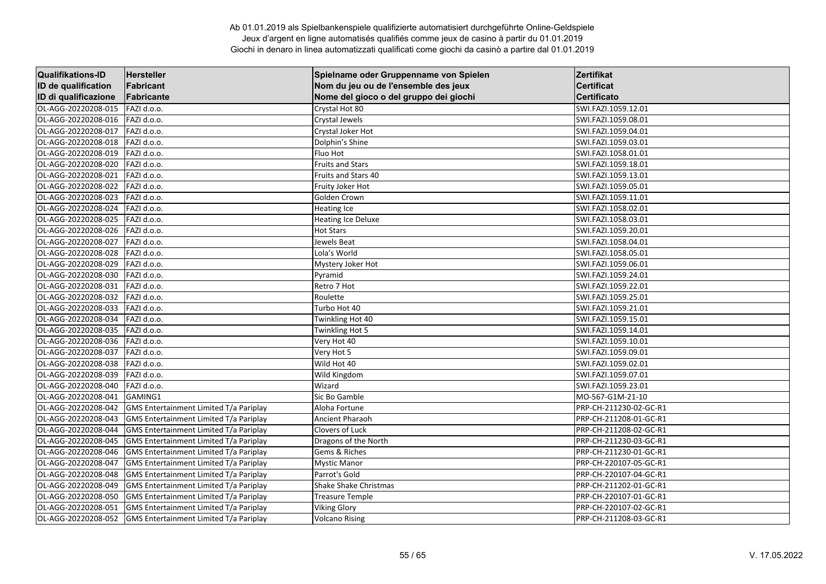| <b>Qualifikations-ID</b> | <b>Hersteller</b>                      | Spielname oder Gruppenname von Spielen | Zertifikat             |
|--------------------------|----------------------------------------|----------------------------------------|------------------------|
| ID de qualification      | Fabricant                              | Nom du jeu ou de l'ensemble des jeux   | <b>Certificat</b>      |
| ID di qualificazione     | Fabricante                             | Nome del gioco o del gruppo dei giochi | Certificato            |
| OL-AGG-20220208-015      | FAZI d.o.o.                            | Crystal Hot 80                         | SWI.FAZI.1059.12.01    |
| OL-AGG-20220208-016      | FAZI d.o.o.                            | Crystal Jewels                         | SWI.FAZI.1059.08.01    |
| OL-AGG-20220208-017      | FAZI d.o.o.                            | Crystal Joker Hot                      | SWI.FAZI.1059.04.01    |
| OL-AGG-20220208-018      | FAZI d.o.o.                            | Dolphin's Shine                        | SWI.FAZI.1059.03.01    |
| OL-AGG-20220208-019      | FAZI d.o.o.                            | Fluo Hot                               | SWI.FAZI.1058.01.01    |
| OL-AGG-20220208-020      | FAZI d.o.o.                            | <b>Fruits and Stars</b>                | SWI.FAZI.1059.18.01    |
| OL-AGG-20220208-021      | FAZI d.o.o.                            | Fruits and Stars 40                    | SWI.FAZI.1059.13.01    |
| OL-AGG-20220208-022      | FAZI d.o.o.                            | Fruity Joker Hot                       | SWI.FAZI.1059.05.01    |
| OL-AGG-20220208-023      | FAZI d.o.o.                            | Golden Crown                           | SWI.FAZI.1059.11.01    |
| OL-AGG-20220208-024      | FAZI d.o.o.                            | <b>Heating Ice</b>                     | SWI.FAZI.1058.02.01    |
| OL-AGG-20220208-025      | FAZI d.o.o.                            | <b>Heating Ice Deluxe</b>              | SWI.FAZI.1058.03.01    |
| OL-AGG-20220208-026      | FAZI d.o.o.                            | <b>Hot Stars</b>                       | SWI.FAZI.1059.20.01    |
| OL-AGG-20220208-027      | FAZI d.o.o.                            | Jewels Beat                            | SWI.FAZI.1058.04.01    |
| OL-AGG-20220208-028      | FAZI d.o.o.                            | Lola's World                           | SWI.FAZI.1058.05.01    |
| OL-AGG-20220208-029      | FAZI d.o.o.                            | Mystery Joker Hot                      | SWI.FAZI.1059.06.01    |
| OL-AGG-20220208-030      | FAZI d.o.o.                            | Pyramid                                | SWI.FAZI.1059.24.01    |
| OL-AGG-20220208-031      | FAZI d.o.o.                            | Retro 7 Hot                            | SWI.FAZI.1059.22.01    |
| OL-AGG-20220208-032      | FAZI d.o.o.                            | Roulette                               | SWI.FAZI.1059.25.01    |
| OL-AGG-20220208-033      | FAZI d.o.o.                            | Turbo Hot 40                           | SWI.FAZI.1059.21.01    |
| OL-AGG-20220208-034      | FAZI d.o.o.                            | Twinkling Hot 40                       | SWI.FAZI.1059.15.01    |
| OL-AGG-20220208-035      | FAZI d.o.o.                            | Twinkling Hot 5                        | SWI.FAZI.1059.14.01    |
| OL-AGG-20220208-036      | FAZI d.o.o.                            | Very Hot 40                            | SWI.FAZI.1059.10.01    |
| OL-AGG-20220208-037      | FAZI d.o.o.                            | Very Hot 5                             | SWI.FAZI.1059.09.01    |
| OL-AGG-20220208-038      | FAZI d.o.o.                            | Wild Hot 40                            | SWI.FAZI.1059.02.01    |
| OL-AGG-20220208-039      | FAZI d.o.o.                            | Wild Kingdom                           | SWI.FAZI.1059.07.01    |
| OL-AGG-20220208-040      | FAZI d.o.o.                            | Wizard                                 | SWI.FAZI.1059.23.01    |
| OL-AGG-20220208-041      | GAMING1                                | Sic Bo Gamble                          | MO-567-G1M-21-10       |
| OL-AGG-20220208-042      | GMS Entertainment Limited T/a Pariplay | Aloha Fortune                          | PRP-CH-211230-02-GC-R1 |
| OL-AGG-20220208-043      | GMS Entertainment Limited T/a Pariplay | Ancient Pharaoh                        | PRP-CH-211208-01-GC-R1 |
| OL-AGG-20220208-044      | GMS Entertainment Limited T/a Pariplay | Clovers of Luck                        | PRP-CH-211208-02-GC-R1 |
| OL-AGG-20220208-045      | GMS Entertainment Limited T/a Pariplay | Dragons of the North                   | PRP-CH-211230-03-GC-R1 |
| OL-AGG-20220208-046      | GMS Entertainment Limited T/a Pariplay | Gems & Riches                          | PRP-CH-211230-01-GC-R1 |
| OL-AGG-20220208-047      | GMS Entertainment Limited T/a Pariplay | <b>Mystic Manor</b>                    | PRP-CH-220107-05-GC-R1 |
| OL-AGG-20220208-048      | GMS Entertainment Limited T/a Pariplay | Parrot's Gold                          | PRP-CH-220107-04-GC-R1 |
| OL-AGG-20220208-049      | GMS Entertainment Limited T/a Pariplay | Shake Shake Christmas                  | PRP-CH-211202-01-GC-R1 |
| OL-AGG-20220208-050      | GMS Entertainment Limited T/a Pariplay | <b>Treasure Temple</b>                 | PRP-CH-220107-01-GC-R1 |
| OL-AGG-20220208-051      | GMS Entertainment Limited T/a Pariplay | <b>Viking Glory</b>                    | PRP-CH-220107-02-GC-R1 |
| OL-AGG-20220208-052      | GMS Entertainment Limited T/a Pariplay | <b>Volcano Rising</b>                  | PRP-CH-211208-03-GC-R1 |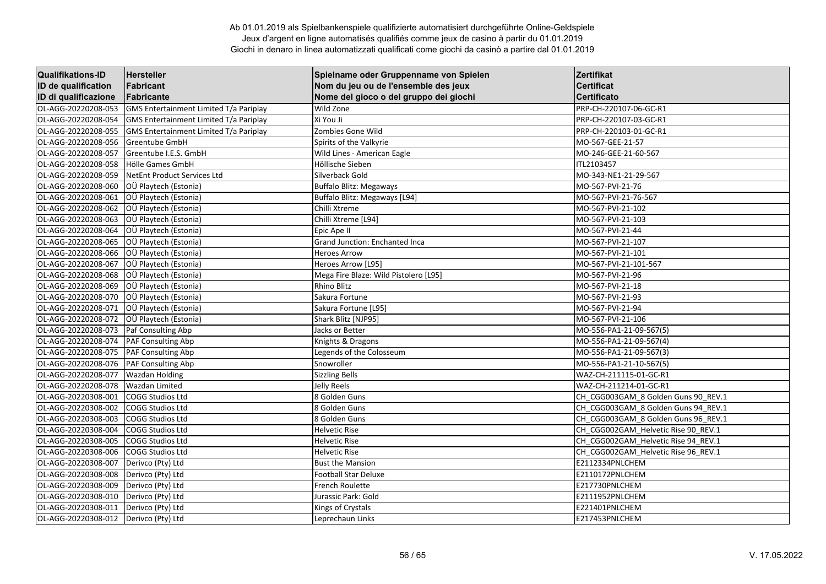| <b>Qualifikations-ID</b> | Hersteller                             | Spielname oder Gruppenname von Spielen | Zertifikat                          |
|--------------------------|----------------------------------------|----------------------------------------|-------------------------------------|
| ID de qualification      | Fabricant                              | Nom du jeu ou de l'ensemble des jeux   | <b>Certificat</b>                   |
| ID di qualificazione     | Fabricante                             | Nome del gioco o del gruppo dei giochi | <b>Certificato</b>                  |
| OL-AGG-20220208-053      | GMS Entertainment Limited T/a Pariplay | Wild Zone                              | PRP-CH-220107-06-GC-R1              |
| OL-AGG-20220208-054      | GMS Entertainment Limited T/a Pariplay | Xi You Ji                              | PRP-CH-220107-03-GC-R1              |
| OL-AGG-20220208-055      | GMS Entertainment Limited T/a Pariplay | Zombies Gone Wild                      | PRP-CH-220103-01-GC-R1              |
| OL-AGG-20220208-056      | <b>Greentube GmbH</b>                  | Spirits of the Valkyrie                | MO-567-GEE-21-57                    |
| OL-AGG-20220208-057      | Greentube I.E.S. GmbH                  | Wild Lines - American Eagle            | MO-246-GEE-21-60-567                |
| OL-AGG-20220208-058      | Hölle Games GmbH                       | Höllische Sieben                       | ITL2103457                          |
| OL-AGG-20220208-059      | NetEnt Product Services Ltd            | Silverback Gold                        | MO-343-NE1-21-29-567                |
| OL-AGG-20220208-060      | OÜ Playtech (Estonia)                  | <b>Buffalo Blitz: Megaways</b>         | MO-567-PVI-21-76                    |
| OL-AGG-20220208-061      | OÜ Playtech (Estonia)                  | Buffalo Blitz: Megaways [L94]          | MO-567-PVI-21-76-567                |
| OL-AGG-20220208-062      | OÜ Playtech (Estonia)                  | Chilli Xtreme                          | MO-567-PVI-21-102                   |
| OL-AGG-20220208-063      | OÜ Playtech (Estonia)                  | Chilli Xtreme [L94]                    | MO-567-PVI-21-103                   |
| OL-AGG-20220208-064      | OÜ Playtech (Estonia)                  | Epic Ape II                            | MO-567-PVI-21-44                    |
| OL-AGG-20220208-065      | OÜ Playtech (Estonia)                  | <b>Grand Junction: Enchanted Inca</b>  | MO-567-PVI-21-107                   |
| OL-AGG-20220208-066      | OÜ Playtech (Estonia)                  | <b>Heroes Arrow</b>                    | MO-567-PVI-21-101                   |
| OL-AGG-20220208-067      | OÜ Playtech (Estonia)                  | Heroes Arrow [L95]                     | MO-567-PVI-21-101-567               |
| OL-AGG-20220208-068      | OÜ Playtech (Estonia)                  | Mega Fire Blaze: Wild Pistolero [L95]  | MO-567-PVI-21-96                    |
| OL-AGG-20220208-069      | OÜ Playtech (Estonia)                  | <b>Rhino Blitz</b>                     | MO-567-PVI-21-18                    |
| OL-AGG-20220208-070      | OÜ Playtech (Estonia)                  | Sakura Fortune                         | MO-567-PVI-21-93                    |
| OL-AGG-20220208-071      | OÜ Playtech (Estonia)                  | Sakura Fortune [L95]                   | MO-567-PVI-21-94                    |
| OL-AGG-20220208-072      | OÜ Playtech (Estonia)                  | Shark Blitz [NJP95]                    | MO-567-PVI-21-106                   |
| OL-AGG-20220208-073      | Paf Consulting Abp                     | Jacks or Better                        | MO-556-PA1-21-09-567(5)             |
| OL-AGG-20220208-074      | PAF Consulting Abp                     | Knights & Dragons                      | MO-556-PA1-21-09-567(4)             |
| OL-AGG-20220208-075      | PAF Consulting Abp                     | Legends of the Colosseum               | MO-556-PA1-21-09-567(3)             |
| OL-AGG-20220208-076      | <b>PAF Consulting Abp</b>              | Snowroller                             | MO-556-PA1-21-10-567(5)             |
| OL-AGG-20220208-077      | <b>Wazdan Holding</b>                  | <b>Sizzling Bells</b>                  | WAZ-CH-211115-01-GC-R1              |
| OL-AGG-20220208-078      | <b>Wazdan Limited</b>                  | Jelly Reels                            | WAZ-CH-211214-01-GC-R1              |
| OL-AGG-20220308-001      | COGG Studios Ltd                       | 8 Golden Guns                          | CH_CGG003GAM_8 Golden Guns 90_REV.1 |
| OL-AGG-20220308-002      | <b>COGG Studios Ltd</b>                | 8 Golden Guns                          | CH_CGG003GAM_8 Golden Guns 94_REV.1 |
| OL-AGG-20220308-003      | COGG Studios Ltd                       | 8 Golden Guns                          | CH CGG003GAM 8 Golden Guns 96 REV.1 |
| OL-AGG-20220308-004      | COGG Studios Ltd                       | <b>Helvetic Rise</b>                   | CH CGG002GAM Helvetic Rise 90 REV.1 |
| OL-AGG-20220308-005      | <b>COGG Studios Ltd</b>                | <b>Helvetic Rise</b>                   | CH_CGG002GAM_Helvetic Rise 94_REV.1 |
| OL-AGG-20220308-006      | <b>COGG Studios Ltd</b>                | <b>Helvetic Rise</b>                   | CH CGG002GAM Helvetic Rise 96 REV.1 |
| OL-AGG-20220308-007      | Derivco (Pty) Ltd                      | <b>Bust the Mansion</b>                | E2112334PNLCHEM                     |
| OL-AGG-20220308-008      | Derivco (Pty) Ltd                      | <b>Football Star Deluxe</b>            | E2110172PNLCHEM                     |
| OL-AGG-20220308-009      | Derivco (Pty) Ltd                      | <b>French Roulette</b>                 | E217730PNLCHEM                      |
| OL-AGG-20220308-010      | Derivco (Pty) Ltd                      | Jurassic Park: Gold                    | E2111952PNLCHEM                     |
| OL-AGG-20220308-011      | Derivco (Pty) Ltd                      | Kings of Crystals                      | E221401PNLCHEM                      |
| OL-AGG-20220308-012      | Derivco (Pty) Ltd                      | Leprechaun Links                       | E217453PNLCHEM                      |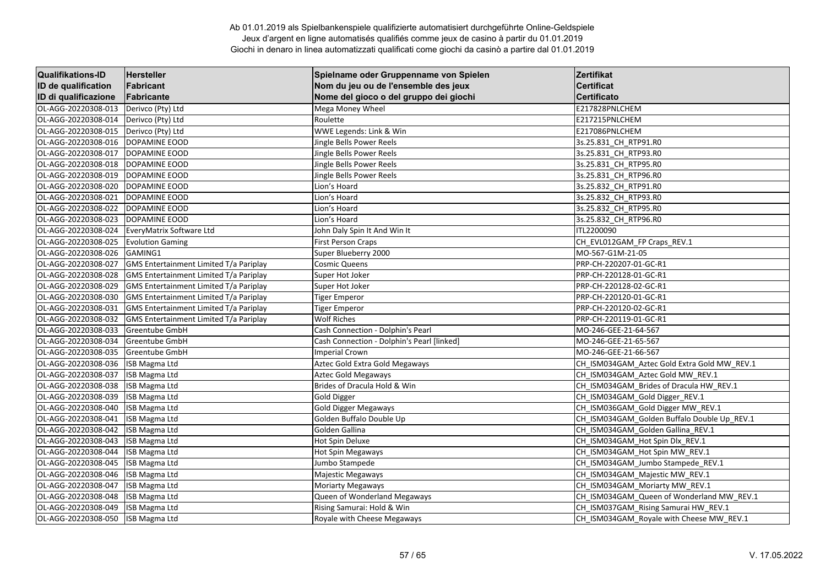| <b>Qualifikations-ID</b> | <b>Hersteller</b>                             | Spielname oder Gruppenname von Spielen     | Zertifikat                                  |
|--------------------------|-----------------------------------------------|--------------------------------------------|---------------------------------------------|
| ID de qualification      | Fabricant                                     | Nom du jeu ou de l'ensemble des jeux       | <b>Certificat</b>                           |
| ID di qualificazione     | Fabricante                                    | Nome del gioco o del gruppo dei giochi     | <b>Certificato</b>                          |
| OL-AGG-20220308-013      | Derivco (Pty) Ltd                             | Mega Money Wheel                           | E217828PNLCHEM                              |
| OL-AGG-20220308-014      | Derivco (Pty) Ltd                             | Roulette                                   | E217215PNLCHEM                              |
| OL-AGG-20220308-015      | Derivco (Pty) Ltd                             | WWE Legends: Link & Win                    | E217086PNLCHEM                              |
| OL-AGG-20220308-016      | DOPAMINE EOOD                                 | Jingle Bells Power Reels                   | 3s.25.831 CH RTP91.R0                       |
| OL-AGG-20220308-017      | DOPAMINE EOOD                                 | Jingle Bells Power Reels                   | 3s.25.831 CH RTP93.RO                       |
| OL-AGG-20220308-018      | DOPAMINE EOOD                                 | Jingle Bells Power Reels                   | 3s.25.831_CH_RTP95.R0                       |
| OL-AGG-20220308-019      | DOPAMINE EOOD                                 | Jingle Bells Power Reels                   | 3s.25.831 CH RTP96.R0                       |
| OL-AGG-20220308-020      | DOPAMINE EOOD                                 | Lion's Hoard                               | 3s.25.832 CH RTP91.R0                       |
| OL-AGG-20220308-021      | DOPAMINE EOOD                                 | Lion's Hoard                               | 3s.25.832 CH_RTP93.R0                       |
| OL-AGG-20220308-022      | DOPAMINE EOOD                                 | Lion's Hoard                               | 3s.25.832 CH RTP95.RO                       |
| OL-AGG-20220308-023      | DOPAMINE EOOD                                 | Lion's Hoard                               | 3s.25.832 CH RTP96.RO                       |
| OL-AGG-20220308-024      | EveryMatrix Software Ltd                      | John Daly Spin It And Win It               | ITL2200090                                  |
| OL-AGG-20220308-025      | <b>Evolution Gaming</b>                       | <b>First Person Craps</b>                  | CH_EVL012GAM_FP Craps_REV.1                 |
| OL-AGG-20220308-026      | GAMING1                                       | Super Blueberry 2000                       | MO-567-G1M-21-05                            |
| OL-AGG-20220308-027      | GMS Entertainment Limited T/a Pariplay        | <b>Cosmic Queens</b>                       | PRP-CH-220207-01-GC-R1                      |
| OL-AGG-20220308-028      | GMS Entertainment Limited T/a Pariplay        | Super Hot Joker                            | PRP-CH-220128-01-GC-R1                      |
| OL-AGG-20220308-029      | GMS Entertainment Limited T/a Pariplay        | Super Hot Joker                            | PRP-CH-220128-02-GC-R1                      |
| OL-AGG-20220308-030      | GMS Entertainment Limited T/a Pariplay        | <b>Tiger Emperor</b>                       | PRP-CH-220120-01-GC-R1                      |
| OL-AGG-20220308-031      | GMS Entertainment Limited T/a Pariplay        | Tiger Emperor                              | PRP-CH-220120-02-GC-R1                      |
| OL-AGG-20220308-032      | <b>GMS Entertainment Limited T/a Pariplay</b> | <b>Wolf Riches</b>                         | PRP-CH-220119-01-GC-R1                      |
| OL-AGG-20220308-033      | <b>Greentube GmbH</b>                         | Cash Connection - Dolphin's Pearl          | MO-246-GEE-21-64-567                        |
| OL-AGG-20220308-034      | <b>Greentube GmbH</b>                         | Cash Connection - Dolphin's Pearl [linked] | MO-246-GEE-21-65-567                        |
| OL-AGG-20220308-035      | <b>Greentube GmbH</b>                         | <b>Imperial Crown</b>                      | MO-246-GEE-21-66-567                        |
| OL-AGG-20220308-036      | <b>ISB Magma Ltd</b>                          | Aztec Gold Extra Gold Megaways             | CH_ISM034GAM_Aztec Gold Extra Gold MW_REV.1 |
| OL-AGG-20220308-037      | <b>ISB Magma Ltd</b>                          | Aztec Gold Megaways                        | CH_ISM034GAM_Aztec Gold MW_REV.1            |
| OL-AGG-20220308-038      | <b>ISB Magma Ltd</b>                          | Brides of Dracula Hold & Win               | CH_ISM034GAM_Brides of Dracula HW_REV.1     |
| OL-AGG-20220308-039      | <b>ISB Magma Ltd</b>                          | <b>Gold Digger</b>                         | CH_ISM034GAM_Gold Digger_REV.1              |
| OL-AGG-20220308-040      | <b>ISB Magma Ltd</b>                          | <b>Gold Digger Megaways</b>                | CH_ISM036GAM_Gold Digger MW_REV.1           |
| OL-AGG-20220308-041      | <b>ISB Magma Ltd</b>                          | Golden Buffalo Double Up                   | CH ISM034GAM Golden Buffalo Double Up REV.1 |
| OL-AGG-20220308-042      | <b>ISB Magma Ltd</b>                          | Golden Gallina                             | CH ISM034GAM Golden Gallina REV.1           |
| OL-AGG-20220308-043      | <b>ISB Magma Ltd</b>                          | Hot Spin Deluxe                            | CH_ISM034GAM_Hot Spin Dlx_REV.1             |
| OL-AGG-20220308-044      | <b>ISB Magma Ltd</b>                          | Hot Spin Megaways                          | CH ISM034GAM Hot Spin MW REV.1              |
| OL-AGG-20220308-045      | <b>ISB Magma Ltd</b>                          | Jumbo Stampede                             | CH_ISM034GAM_Jumbo Stampede_REV.1           |
| OL-AGG-20220308-046      | <b>ISB Magma Ltd</b>                          | Majestic Megaways                          | CH_ISM034GAM_Majestic MW_REV.1              |
| OL-AGG-20220308-047      | <b>ISB Magma Ltd</b>                          | <b>Moriarty Megaways</b>                   | CH_ISM034GAM_Moriarty MW_REV.1              |
| OL-AGG-20220308-048      | <b>ISB Magma Ltd</b>                          | Queen of Wonderland Megaways               | CH_ISM034GAM_Queen of Wonderland MW_REV.1   |
| OL-AGG-20220308-049      | <b>ISB Magma Ltd</b>                          | Rising Samurai: Hold & Win                 | CH_ISM037GAM_Rising Samurai HW_REV.1        |
| OL-AGG-20220308-050      | <b>ISB Magma Ltd</b>                          | Royale with Cheese Megaways                | CH ISM034GAM Royale with Cheese MW REV.1    |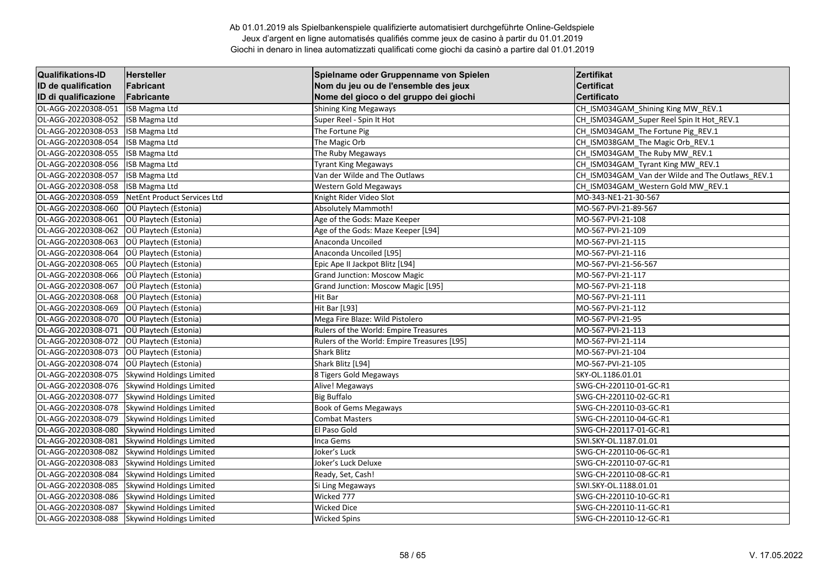| <b>Qualifikations-ID</b> | <b>Hersteller</b>               | Spielname oder Gruppenname von Spielen      | Zertifikat                                       |
|--------------------------|---------------------------------|---------------------------------------------|--------------------------------------------------|
| ID de qualification      | Fabricant                       | Nom du jeu ou de l'ensemble des jeux        | <b>Certificat</b>                                |
| ID di qualificazione     | Fabricante                      | Nome del gioco o del gruppo dei giochi      | <b>Certificato</b>                               |
| OL-AGG-20220308-051      | <b>ISB Magma Ltd</b>            | <b>Shining King Megaways</b>                | CH_ISM034GAM_Shining King MW_REV.1               |
| OL-AGG-20220308-052      | ISB Magma Ltd                   | Super Reel - Spin It Hot                    | CH_ISM034GAM_Super Reel Spin It Hot_REV.1        |
| OL-AGG-20220308-053      | <b>ISB Magma Ltd</b>            | The Fortune Pig                             | CH ISM034GAM The Fortune Pig REV.1               |
| OL-AGG-20220308-054      | <b>ISB Magma Ltd</b>            | The Magic Orb                               | CH ISM038GAM The Magic Orb REV.1                 |
| OL-AGG-20220308-055      | <b>ISB Magma Ltd</b>            | The Ruby Megaways                           | CH ISM034GAM The Ruby MW REV.1                   |
| OL-AGG-20220308-056      | <b>ISB Magma Ltd</b>            | <b>Tyrant King Megaways</b>                 | CH_ISM034GAM_Tyrant King MW_REV.1                |
| OL-AGG-20220308-057      | <b>ISB Magma Ltd</b>            | Van der Wilde and The Outlaws               | CH_ISM034GAM_Van der Wilde and The Outlaws_REV.1 |
| OL-AGG-20220308-058      | <b>ISB</b> Magma Ltd            | Western Gold Megaways                       | CH_ISM034GAM_Western Gold MW_REV.1               |
| OL-AGG-20220308-059      | NetEnt Product Services Ltd     | Knight Rider Video Slot                     | MO-343-NE1-21-30-567                             |
| OL-AGG-20220308-060      | OÜ Playtech (Estonia)           | <b>Absolutely Mammoth!</b>                  | MO-567-PVI-21-89-567                             |
| OL-AGG-20220308-061      | OÜ Playtech (Estonia)           | Age of the Gods: Maze Keeper                | MO-567-PVI-21-108                                |
| OL-AGG-20220308-062      | OÜ Playtech (Estonia)           | Age of the Gods: Maze Keeper [L94]          | MO-567-PVI-21-109                                |
| OL-AGG-20220308-063      | OÜ Playtech (Estonia)           | Anaconda Uncoiled                           | MO-567-PVI-21-115                                |
| OL-AGG-20220308-064      | OÜ Playtech (Estonia)           | Anaconda Uncoiled [L95]                     | MO-567-PVI-21-116                                |
| OL-AGG-20220308-065      | OÜ Playtech (Estonia)           | Epic Ape II Jackpot Blitz [L94]             | MO-567-PVI-21-56-567                             |
| OL-AGG-20220308-066      | OÜ Playtech (Estonia)           | <b>Grand Junction: Moscow Magic</b>         | MO-567-PVI-21-117                                |
| OL-AGG-20220308-067      | OÜ Playtech (Estonia)           | Grand Junction: Moscow Magic [L95]          | MO-567-PVI-21-118                                |
| OL-AGG-20220308-068      | OÜ Playtech (Estonia)           | Hit Bar                                     | MO-567-PVI-21-111                                |
| OL-AGG-20220308-069      | OÜ Playtech (Estonia)           | Hit Bar [L93]                               | MO-567-PVI-21-112                                |
| OL-AGG-20220308-070      | OÜ Playtech (Estonia)           | Mega Fire Blaze: Wild Pistolero             | MO-567-PVI-21-95                                 |
| OL-AGG-20220308-071      | OÜ Playtech (Estonia)           | Rulers of the World: Empire Treasures       | MO-567-PVI-21-113                                |
| OL-AGG-20220308-072      | OÜ Playtech (Estonia)           | Rulers of the World: Empire Treasures [L95] | MO-567-PVI-21-114                                |
| OL-AGG-20220308-073      | OÜ Playtech (Estonia)           | <b>Shark Blitz</b>                          | MO-567-PVI-21-104                                |
| OL-AGG-20220308-074      | OÜ Playtech (Estonia)           | Shark Blitz [L94]                           | MO-567-PVI-21-105                                |
| OL-AGG-20220308-075      | Skywind Holdings Limited        | 8 Tigers Gold Megaways                      | SKY-OL.1186.01.01                                |
| OL-AGG-20220308-076      | Skywind Holdings Limited        | Alive! Megaways                             | SWG-CH-220110-01-GC-R1                           |
| OL-AGG-20220308-077      | Skywind Holdings Limited        | <b>Big Buffalo</b>                          | SWG-CH-220110-02-GC-R1                           |
| OL-AGG-20220308-078      | <b>Skywind Holdings Limited</b> | <b>Book of Gems Megaways</b>                | SWG-CH-220110-03-GC-R1                           |
| OL-AGG-20220308-079      | Skywind Holdings Limited        | <b>Combat Masters</b>                       | SWG-CH-220110-04-GC-R1                           |
| OL-AGG-20220308-080      | Skywind Holdings Limited        | El Paso Gold                                | SWG-CH-220117-01-GC-R1                           |
| OL-AGG-20220308-081      | Skywind Holdings Limited        | Inca Gems                                   | SWI.SKY-OL.1187.01.01                            |
| OL-AGG-20220308-082      | Skywind Holdings Limited        | Joker's Luck                                | SWG-CH-220110-06-GC-R1                           |
| OL-AGG-20220308-083      | <b>Skywind Holdings Limited</b> | Joker's Luck Deluxe                         | SWG-CH-220110-07-GC-R1                           |
| OL-AGG-20220308-084      | Skywind Holdings Limited        | Ready, Set, Cash!                           | SWG-CH-220110-08-GC-R1                           |
| OL-AGG-20220308-085      | Skywind Holdings Limited        | Si Ling Megaways                            | SWI.SKY-OL.1188.01.01                            |
| OL-AGG-20220308-086      | Skywind Holdings Limited        | Wicked 777                                  | SWG-CH-220110-10-GC-R1                           |
| OL-AGG-20220308-087      | Skywind Holdings Limited        | <b>Wicked Dice</b>                          | SWG-CH-220110-11-GC-R1                           |
| OL-AGG-20220308-088      | Skywind Holdings Limited        | <b>Wicked Spins</b>                         | SWG-CH-220110-12-GC-R1                           |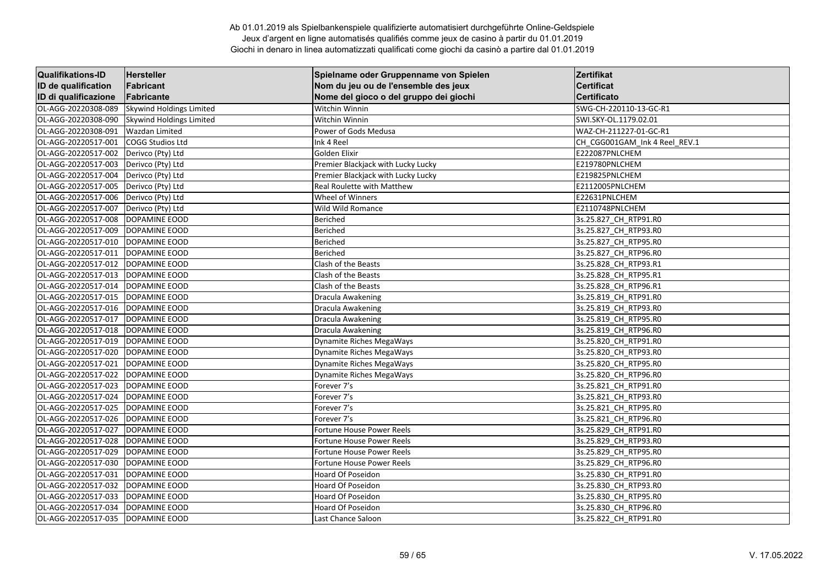| <b>Qualifikations-ID</b> | <b>Hersteller</b>               | Spielname oder Gruppenname von Spielen | Zertifikat                    |
|--------------------------|---------------------------------|----------------------------------------|-------------------------------|
| ID de qualification      | Fabricant                       | Nom du jeu ou de l'ensemble des jeux   | <b>Certificat</b>             |
| ID di qualificazione     | Fabricante                      | Nome del gioco o del gruppo dei giochi | <b>Certificato</b>            |
| OL-AGG-20220308-089      | <b>Skywind Holdings Limited</b> | Witchin Winnin                         | SWG-CH-220110-13-GC-R1        |
| OL-AGG-20220308-090      | Skywind Holdings Limited        | Witchin Winnin                         | SWI.SKY-OL.1179.02.01         |
| OL-AGG-20220308-091      | Wazdan Limited                  | Power of Gods Medusa                   | WAZ-CH-211227-01-GC-R1        |
| OL-AGG-20220517-001      | COGG Studios Ltd                | Ink 4 Reel                             | CH_CGG001GAM_Ink 4 Reel_REV.1 |
| OL-AGG-20220517-002      | Derivco (Pty) Ltd               | Golden Elixir                          | E222087PNLCHEM                |
| OL-AGG-20220517-003      | Derivco (Pty) Ltd               | Premier Blackjack with Lucky Lucky     | E219780PNLCHEM                |
| OL-AGG-20220517-004      | Derivco (Pty) Ltd               | Premier Blackjack with Lucky Lucky     | E219825PNLCHEM                |
| OL-AGG-20220517-005      | Derivco (Pty) Ltd               | Real Roulette with Matthew             | E2112005PNLCHEM               |
| OL-AGG-20220517-006      | Derivco (Pty) Ltd               | Wheel of Winners                       | E22631PNLCHEM                 |
| OL-AGG-20220517-007      | Derivco (Pty) Ltd               | Wild Wild Romance                      | E2110748PNLCHEM               |
| OL-AGG-20220517-008      | DOPAMINE EOOD                   | Beriched                               | 3s.25.827_CH_RTP91.R0         |
| OL-AGG-20220517-009      | DOPAMINE EOOD                   | Beriched                               | 3s.25.827_CH_RTP93.R0         |
| OL-AGG-20220517-010      | DOPAMINE EOOD                   | Beriched                               | 3s.25.827_CH_RTP95.R0         |
| OL-AGG-20220517-011      | DOPAMINE EOOD                   | Beriched                               | 3s.25.827 CH RTP96.R0         |
| OL-AGG-20220517-012      | DOPAMINE EOOD                   | Clash of the Beasts                    | 3s.25.828 CH RTP93.R1         |
| OL-AGG-20220517-013      | DOPAMINE EOOD                   | Clash of the Beasts                    | 3s.25.828_CH_RTP95.R1         |
| OL-AGG-20220517-014      | DOPAMINE EOOD                   | Clash of the Beasts                    | 3s.25.828 CH RTP96.R1         |
| OL-AGG-20220517-015      | DOPAMINE EOOD                   | Dracula Awakening                      | 3s.25.819 CH RTP91.R0         |
| OL-AGG-20220517-016      | DOPAMINE EOOD                   | Dracula Awakening                      | 3s.25.819 CH RTP93.R0         |
| OL-AGG-20220517-017      | DOPAMINE EOOD                   | Dracula Awakening                      | 3s.25.819 CH RTP95.RO         |
| OL-AGG-20220517-018      | DOPAMINE EOOD                   | Dracula Awakening                      | 3s.25.819_CH_RTP96.R0         |
| OL-AGG-20220517-019      | DOPAMINE EOOD                   | Dynamite Riches MegaWays               | 3s.25.820 CH RTP91.R0         |
| OL-AGG-20220517-020      | DOPAMINE EOOD                   | <b>Dynamite Riches MegaWays</b>        | 3s.25.820 CH RTP93.RO         |
| OL-AGG-20220517-021      | DOPAMINE EOOD                   | Dynamite Riches MegaWays               | 3s.25.820 CH RTP95.R0         |
| OL-AGG-20220517-022      | DOPAMINE EOOD                   | Dynamite Riches MegaWays               | 3s.25.820_CH_RTP96.R0         |
| OL-AGG-20220517-023      | DOPAMINE EOOD                   | Forever 7's                            | 3s.25.821 CH RTP91.R0         |
| OL-AGG-20220517-024      | DOPAMINE EOOD                   | Forever 7's                            | 3s.25.821 CH RTP93.R0         |
| OL-AGG-20220517-025      | DOPAMINE EOOD                   | Forever 7's                            | 3s.25.821_CH_RTP95.R0         |
| OL-AGG-20220517-026      | DOPAMINE EOOD                   | Forever 7's                            | 3s.25.821 CH RTP96.R0         |
| OL-AGG-20220517-027      | DOPAMINE EOOD                   | <b>Fortune House Power Reels</b>       | 3s.25.829_CH_RTP91.R0         |
| OL-AGG-20220517-028      | DOPAMINE EOOD                   | <b>Fortune House Power Reels</b>       | 3s.25.829 CH RTP93.R0         |
| OL-AGG-20220517-029      | DOPAMINE EOOD                   | <b>Fortune House Power Reels</b>       | 3s.25.829_CH_RTP95.R0         |
| OL-AGG-20220517-030      | DOPAMINE EOOD                   | <b>Fortune House Power Reels</b>       | 3s.25.829 CH RTP96.R0         |
| OL-AGG-20220517-031      | DOPAMINE EOOD                   | Hoard Of Poseidon                      | 3s.25.830 CH RTP91.R0         |
| OL-AGG-20220517-032      | DOPAMINE EOOD                   | Hoard Of Poseidon                      | 3s.25.830 CH RTP93.R0         |
| OL-AGG-20220517-033      | DOPAMINE EOOD                   | Hoard Of Poseidon                      | 3s.25.830_CH_RTP95.R0         |
| OL-AGG-20220517-034      | DOPAMINE EOOD                   | Hoard Of Poseidon                      | 3s.25.830_CH_RTP96.R0         |
| OL-AGG-20220517-035      | DOPAMINE EOOD                   | Last Chance Saloon                     | 3s.25.822 CH RTP91.R0         |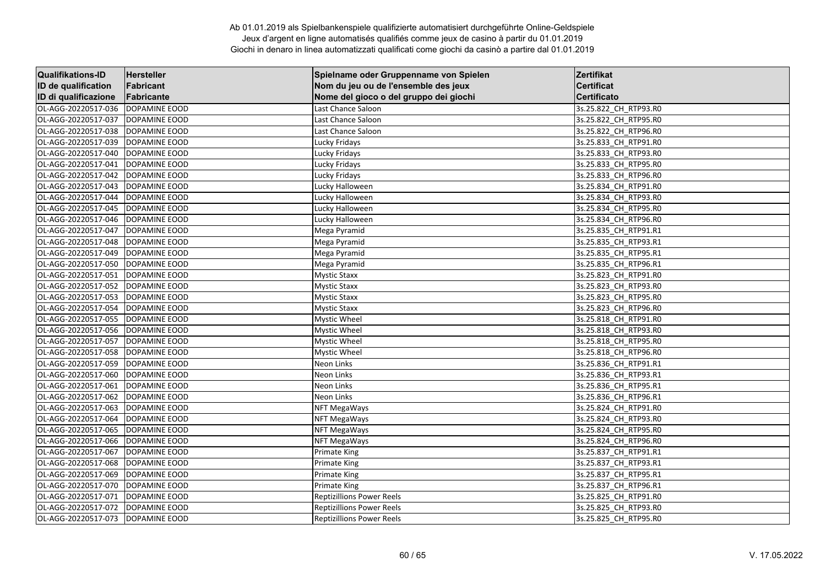| <b>Qualifikations-ID</b> | <b>Hersteller</b>    | Spielname oder Gruppenname von Spielen | Zertifikat            |
|--------------------------|----------------------|----------------------------------------|-----------------------|
| ID de qualification      | Fabricant            | Nom du jeu ou de l'ensemble des jeux   | <b>Certificat</b>     |
| ID di qualificazione     | Fabricante           | Nome del gioco o del gruppo dei giochi | <b>Certificato</b>    |
| OL-AGG-20220517-036      | DOPAMINE EOOD        | Last Chance Saloon                     | 3s.25.822_CH_RTP93.R0 |
| OL-AGG-20220517-037      | DOPAMINE EOOD        | Last Chance Saloon                     | 3s.25.822 CH RTP95.R0 |
| OL-AGG-20220517-038      | DOPAMINE EOOD        | Last Chance Saloon                     | 3s.25.822 CH RTP96.RO |
| OL-AGG-20220517-039      | DOPAMINE EOOD        | Lucky Fridays                          | 3s.25.833_CH_RTP91.R0 |
| OL-AGG-20220517-040      | DOPAMINE EOOD        | Lucky Fridays                          | 3s.25.833_CH_RTP93.R0 |
| OL-AGG-20220517-041      | DOPAMINE EOOD        | Lucky Fridays                          | 3s.25.833_CH_RTP95.R0 |
| OL-AGG-20220517-042      | DOPAMINE EOOD        | Lucky Fridays                          | 3s.25.833 CH RTP96.R0 |
| OL-AGG-20220517-043      | DOPAMINE EOOD        | Lucky Halloween                        | 3s.25.834_CH_RTP91.R0 |
| OL-AGG-20220517-044      | DOPAMINE EOOD        | Lucky Halloween                        | 3s.25.834_CH_RTP93.R0 |
| OL-AGG-20220517-045      | DOPAMINE EOOD        | Lucky Halloween                        | 3s.25.834_CH_RTP95.R0 |
| OL-AGG-20220517-046      | DOPAMINE EOOD        | Lucky Halloween                        | 3s.25.834 CH RTP96.RO |
| OL-AGG-20220517-047      | DOPAMINE EOOD        | Mega Pyramid                           | 3s.25.835_CH_RTP91.R1 |
| OL-AGG-20220517-048      | DOPAMINE EOOD        | Mega Pyramid                           | 3s.25.835_CH_RTP93.R1 |
| OL-AGG-20220517-049      | DOPAMINE EOOD        | Mega Pyramid                           | 3s.25.835 CH RTP95.R1 |
| OL-AGG-20220517-050      | DOPAMINE EOOD        | Mega Pyramid                           | 3s.25.835 CH RTP96.R1 |
| OL-AGG-20220517-051      | DOPAMINE EOOD        | <b>Mystic Staxx</b>                    | 3s.25.823_CH_RTP91.R0 |
| OL-AGG-20220517-052      | DOPAMINE EOOD        | <b>Mystic Staxx</b>                    | 3s.25.823_CH_RTP93.R0 |
| OL-AGG-20220517-053      | DOPAMINE EOOD        | <b>Mystic Staxx</b>                    | 3s.25.823 CH RTP95.R0 |
| OL-AGG-20220517-054      | DOPAMINE EOOD        | <b>Mystic Staxx</b>                    | 3s.25.823 CH RTP96.R0 |
| OL-AGG-20220517-055      | DOPAMINE EOOD        | <b>Mystic Wheel</b>                    | 3s.25.818_CH_RTP91.R0 |
| OL-AGG-20220517-056      | DOPAMINE EOOD        | <b>Mystic Wheel</b>                    | 3s.25.818_CH_RTP93.R0 |
| OL-AGG-20220517-057      | DOPAMINE EOOD        | <b>Mystic Wheel</b>                    | 3s.25.818 CH RTP95.R0 |
| OL-AGG-20220517-058      | DOPAMINE EOOD        | Mystic Wheel                           | 3s.25.818 CH RTP96.RO |
| OL-AGG-20220517-059      | DOPAMINE EOOD        | Neon Links                             | 3s.25.836_CH_RTP91.R1 |
| OL-AGG-20220517-060      | DOPAMINE EOOD        | Neon Links                             | 3s.25.836_CH_RTP93.R1 |
| OL-AGG-20220517-061      | DOPAMINE EOOD        | Neon Links                             | 3s.25.836 CH RTP95.R1 |
| OL-AGG-20220517-062      | DOPAMINE EOOD        | Neon Links                             | 3s.25.836 CH RTP96.R1 |
| OL-AGG-20220517-063      | DOPAMINE EOOD        | NFT MegaWays                           | 3s.25.824_CH_RTP91.R0 |
| OL-AGG-20220517-064      | DOPAMINE EOOD        | <b>NFT MegaWays</b>                    | 3s.25.824_CH_RTP93.R0 |
| OL-AGG-20220517-065      | DOPAMINE EOOD        | <b>NFT MegaWays</b>                    | 3s.25.824_CH_RTP95.R0 |
| OL-AGG-20220517-066      | DOPAMINE EOOD        | <b>NFT MegaWays</b>                    | 3s.25.824_CH_RTP96.R0 |
| OL-AGG-20220517-067      | DOPAMINE EOOD        | <b>Primate King</b>                    | 3s.25.837_CH_RTP91.R1 |
| OL-AGG-20220517-068      | DOPAMINE EOOD        | <b>Primate King</b>                    | 3s.25.837_CH_RTP93.R1 |
| OL-AGG-20220517-069      | <b>DOPAMINE EOOD</b> | <b>Primate King</b>                    | 3s.25.837 CH RTP95.R1 |
| OL-AGG-20220517-070      | DOPAMINE EOOD        | <b>Primate King</b>                    | 3s.25.837 CH RTP96.R1 |
| OL-AGG-20220517-071      | DOPAMINE EOOD        | <b>Reptizillions Power Reels</b>       | 3s.25.825_CH_RTP91.R0 |
| OL-AGG-20220517-072      | <b>DOPAMINE EOOD</b> | <b>Reptizillions Power Reels</b>       | 3s.25.825_CH_RTP93.R0 |
| OL-AGG-20220517-073      | DOPAMINE EOOD        | <b>Reptizillions Power Reels</b>       | 3s.25.825 CH RTP95.RO |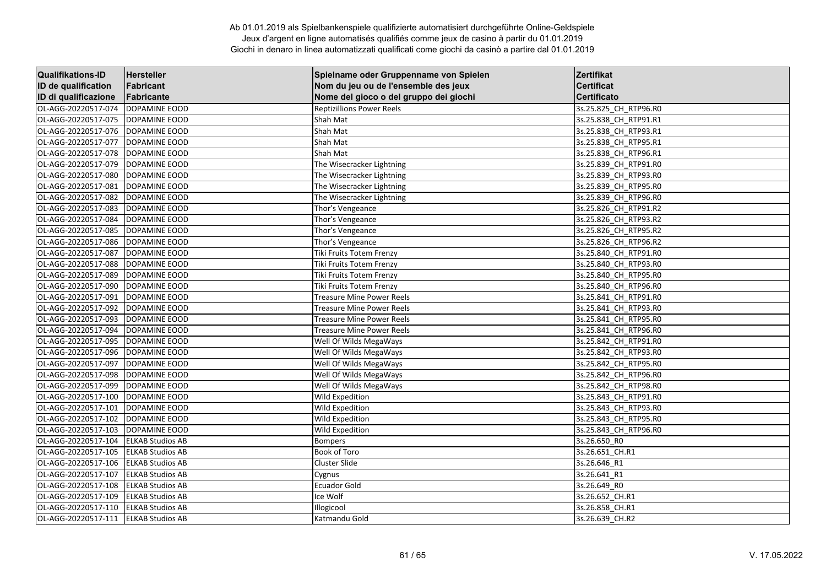| <b>Qualifikations-ID</b>             | Hersteller              | Spielname oder Gruppenname von Spielen | Zertifikat            |
|--------------------------------------|-------------------------|----------------------------------------|-----------------------|
| ID de qualification                  | Fabricant               | Nom du jeu ou de l'ensemble des jeux   | <b>Certificat</b>     |
| ID di qualificazione                 | Fabricante              | Nome del gioco o del gruppo dei giochi | <b>Certificato</b>    |
| OL-AGG-20220517-074                  | DOPAMINE EOOD           | <b>Reptizillions Power Reels</b>       | 3s.25.825_CH_RTP96.R0 |
| OL-AGG-20220517-075                  | DOPAMINE EOOD           | Shah Mat                               | 3s.25.838 CH RTP91.R1 |
| OL-AGG-20220517-076                  | DOPAMINE EOOD           | Shah Mat                               | 3s.25.838 CH RTP93.R1 |
| OL-AGG-20220517-077                  | DOPAMINE EOOD           | Shah Mat                               | 3s.25.838 CH RTP95.R1 |
| OL-AGG-20220517-078                  | DOPAMINE EOOD           | Shah Mat                               | 3s.25.838_CH_RTP96.R1 |
| OL-AGG-20220517-079                  | DOPAMINE EOOD           | The Wisecracker Lightning              | 3s.25.839_CH_RTP91.R0 |
| OL-AGG-20220517-080                  | DOPAMINE EOOD           | The Wisecracker Lightning              | 3s.25.839 CH RTP93.R0 |
| OL-AGG-20220517-081                  | DOPAMINE EOOD           | The Wisecracker Lightning              | 3s.25.839 CH RTP95.R0 |
| OL-AGG-20220517-082                  | DOPAMINE EOOD           | The Wisecracker Lightning              | 3s.25.839_CH_RTP96.R0 |
| OL-AGG-20220517-083                  | DOPAMINE EOOD           | Thor's Vengeance                       | 3s.25.826_CH_RTP91.R2 |
| OL-AGG-20220517-084                  | DOPAMINE EOOD           | Thor's Vengeance                       | 3s.25.826_CH_RTP93.R2 |
| OL-AGG-20220517-085                  | DOPAMINE EOOD           | Thor's Vengeance                       | 3s.25.826 CH_RTP95.R2 |
| OL-AGG-20220517-086                  | DOPAMINE EOOD           | Thor's Vengeance                       | 3s.25.826 CH RTP96.R2 |
| OL-AGG-20220517-087                  | DOPAMINE EOOD           | Tiki Fruits Totem Frenzy               | 3s.25.840 CH_RTP91.R0 |
| OL-AGG-20220517-088                  | DOPAMINE EOOD           | Tiki Fruits Totem Frenzy               | 3s.25.840_CH_RTP93.R0 |
| OL-AGG-20220517-089                  | DOPAMINE EOOD           | Tiki Fruits Totem Frenzy               | 3s.25.840 CH RTP95.R0 |
| OL-AGG-20220517-090                  | <b>DOPAMINE EOOD</b>    | Tiki Fruits Totem Frenzy               | 3s.25.840 CH RTP96.RO |
| OL-AGG-20220517-091                  | DOPAMINE EOOD           | <b>Treasure Mine Power Reels</b>       | 3s.25.841_CH_RTP91.R0 |
| OL-AGG-20220517-092                  | DOPAMINE EOOD           | <b>Treasure Mine Power Reels</b>       | 3s.25.841 CH RTP93.R0 |
| OL-AGG-20220517-093                  | DOPAMINE EOOD           | <b>Treasure Mine Power Reels</b>       | 3s.25.841_CH_RTP95.R0 |
| OL-AGG-20220517-094                  | DOPAMINE EOOD           | <b>Treasure Mine Power Reels</b>       | 3s.25.841 CH RTP96.R0 |
| OL-AGG-20220517-095                  | DOPAMINE EOOD           | Well Of Wilds MegaWays                 | 3s.25.842_CH_RTP91.R0 |
| OL-AGG-20220517-096                  | DOPAMINE EOOD           | Well Of Wilds MegaWays                 | 3s.25.842_CH_RTP93.R0 |
| OL-AGG-20220517-097                  | DOPAMINE EOOD           | Well Of Wilds MegaWays                 | 3s.25.842 CH RTP95.R0 |
| OL-AGG-20220517-098                  | DOPAMINE EOOD           | Well Of Wilds MegaWays                 | 3s.25.842 CH RTP96.R0 |
| OL-AGG-20220517-099                  | <b>DOPAMINE EOOD</b>    | Well Of Wilds MegaWays                 | 3s.25.842 CH RTP98.RO |
| OL-AGG-20220517-100                  | DOPAMINE EOOD           | <b>Wild Expedition</b>                 | 3s.25.843_CH_RTP91.R0 |
| OL-AGG-20220517-101                  | DOPAMINE EOOD           | <b>Wild Expedition</b>                 | 3s.25.843 CH RTP93.RO |
| OL-AGG-20220517-102                  | DOPAMINE EOOD           | Wild Expedition                        | 3s.25.843 CH RTP95.R0 |
| OL-AGG-20220517-103                  | DOPAMINE EOOD           | Wild Expedition                        | 3s.25.843 CH RTP96.R0 |
| OL-AGG-20220517-104                  | <b>ELKAB Studios AB</b> | <b>Bompers</b>                         | 3s.26.650 RO          |
| OL-AGG-20220517-105                  | <b>ELKAB Studios AB</b> | Book of Toro                           | 3s.26.651 CH.R1       |
| OL-AGG-20220517-106                  | <b>ELKAB Studios AB</b> | Cluster Slide                          | 3s.26.646 R1          |
| OL-AGG-20220517-107                  | <b>ELKAB Studios AB</b> | Cygnus                                 | 3s.26.641 R1          |
| OL-AGG-20220517-108                  | <b>ELKAB Studios AB</b> | <b>Ecuador Gold</b>                    | 3s.26.649 RO          |
| OL-AGG-20220517-109                  | <b>ELKAB Studios AB</b> | Ice Wolf                               | 3s.26.652_CH.R1       |
| OL-AGG-20220517-110                  | <b>ELKAB Studios AB</b> | Illogicool                             | 3s.26.858_CH.R1       |
| OL-AGG-20220517-111 ELKAB Studios AB |                         | Katmandu Gold                          | 3s.26.639 CH.R2       |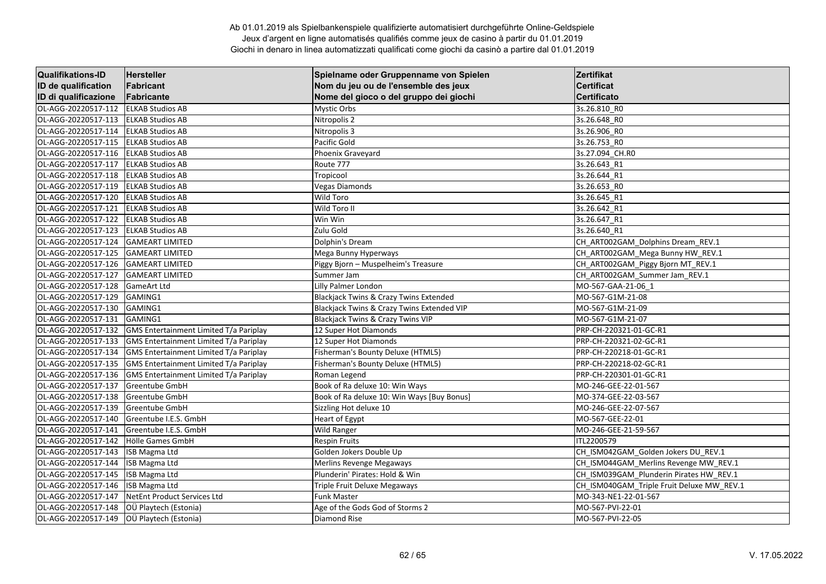| <b>Qualifikations-ID</b> | <b>Hersteller</b>                      | Spielname oder Gruppenname von Spielen            | Zertifikat                                |
|--------------------------|----------------------------------------|---------------------------------------------------|-------------------------------------------|
| ID de qualification      | Fabricant                              | Nom du jeu ou de l'ensemble des jeux              | <b>Certificat</b>                         |
| ID di qualificazione     | Fabricante                             | Nome del gioco o del gruppo dei giochi            | <b>Certificato</b>                        |
| OL-AGG-20220517-112      | <b>ELKAB Studios AB</b>                | Mystic Orbs                                       | 3s.26.810_R0                              |
| OL-AGG-20220517-113      | <b>ELKAB Studios AB</b>                | Nitropolis 2                                      | 3s.26.648 RO                              |
| OL-AGG-20220517-114      | <b>ELKAB Studios AB</b>                | Nitropolis 3                                      | 3s.26.906 RO                              |
| OL-AGG-20220517-115      | <b>ELKAB Studios AB</b>                | Pacific Gold                                      | 3s.26.753_RO                              |
| OL-AGG-20220517-116      | <b>ELKAB Studios AB</b>                | Phoenix Graveyard                                 | 3s.27.094 CH.RO                           |
| OL-AGG-20220517-117      | <b>ELKAB Studios AB</b>                | Route 777                                         | 3s.26.643_R1                              |
| OL-AGG-20220517-118      | <b>ELKAB Studios AB</b>                | Tropicool                                         | 3s.26.644 R1                              |
| OL-AGG-20220517-119      | <b>ELKAB Studios AB</b>                | <b>Vegas Diamonds</b>                             | 3s.26.653 RO                              |
| OL-AGG-20220517-120      | <b>ELKAB Studios AB</b>                | <b>Wild Toro</b>                                  | 3s.26.645 R1                              |
| OL-AGG-20220517-121      | <b>ELKAB Studios AB</b>                | Wild Toro II                                      | 3s.26.642 R1                              |
| OL-AGG-20220517-122      | <b>ELKAB Studios AB</b>                | Win Win                                           | 3s.26.647_R1                              |
| OL-AGG-20220517-123      | <b>ELKAB Studios AB</b>                | Zulu Gold                                         | 3s.26.640 R1                              |
| OL-AGG-20220517-124      | <b>GAMEART LIMITED</b>                 | Dolphin's Dream                                   | CH_ART002GAM_Dolphins Dream_REV.1         |
| OL-AGG-20220517-125      | <b>GAMEART LIMITED</b>                 | Mega Bunny Hyperways                              | CH ART002GAM Mega Bunny HW REV.1          |
| OL-AGG-20220517-126      | <b>GAMEART LIMITED</b>                 | Piggy Bjorn - Muspelheim's Treasure               | CH ART002GAM Piggy Bjorn MT REV.1         |
| OL-AGG-20220517-127      | <b>GAMEART LIMITED</b>                 | Summer Jam                                        | CH_ART002GAM_Summer Jam_REV.1             |
| OL-AGG-20220517-128      | <b>GameArt Ltd</b>                     | Lilly Palmer London                               | MO-567-GAA-21-06_1                        |
| OL-AGG-20220517-129      | GAMING1                                | <b>Blackjack Twins &amp; Crazy Twins Extended</b> | MO-567-G1M-21-08                          |
| OL-AGG-20220517-130      | GAMING1                                | Blackjack Twins & Crazy Twins Extended VIP        | MO-567-G1M-21-09                          |
| OL-AGG-20220517-131      | GAMING1                                | <b>Blackjack Twins &amp; Crazy Twins VIP</b>      | MO-567-G1M-21-07                          |
| OL-AGG-20220517-132      | GMS Entertainment Limited T/a Pariplay | 12 Super Hot Diamonds                             | PRP-CH-220321-01-GC-R1                    |
| OL-AGG-20220517-133      | GMS Entertainment Limited T/a Pariplay | 12 Super Hot Diamonds                             | PRP-CH-220321-02-GC-R1                    |
| OL-AGG-20220517-134      | GMS Entertainment Limited T/a Pariplay | Fisherman's Bounty Deluxe (HTML5)                 | PRP-CH-220218-01-GC-R1                    |
| OL-AGG-20220517-135      | GMS Entertainment Limited T/a Pariplay | Fisherman's Bounty Deluxe (HTML5)                 | PRP-CH-220218-02-GC-R1                    |
| OL-AGG-20220517-136      | GMS Entertainment Limited T/a Pariplay | Roman Legend                                      | PRP-CH-220301-01-GC-R1                    |
| OL-AGG-20220517-137      | Greentube GmbH                         | Book of Ra deluxe 10: Win Ways                    | MO-246-GEE-22-01-567                      |
| OL-AGG-20220517-138      | <b>Greentube GmbH</b>                  | Book of Ra deluxe 10: Win Ways [Buy Bonus]        | MO-374-GEE-22-03-567                      |
| OL-AGG-20220517-139      | <b>Greentube GmbH</b>                  | Sizzling Hot deluxe 10                            | MO-246-GEE-22-07-567                      |
| OL-AGG-20220517-140      | Greentube I.E.S. GmbH                  | Heart of Egypt                                    | MO-567-GEE-22-01                          |
| OL-AGG-20220517-141      | Greentube I.E.S. GmbH                  | Wild Ranger                                       | MO-246-GEE-21-59-567                      |
| OL-AGG-20220517-142      | Hölle Games GmbH                       | <b>Respin Fruits</b>                              | ITL2200579                                |
| OL-AGG-20220517-143      | ISB Magma Ltd                          | Golden Jokers Double Up                           | CH_ISM042GAM_Golden Jokers DU_REV.1       |
| OL-AGG-20220517-144      | ISB Magma Ltd                          | Merlins Revenge Megaways                          | CH ISM044GAM Merlins Revenge MW REV.1     |
| OL-AGG-20220517-145      | ISB Magma Ltd                          | Plunderin' Pirates: Hold & Win                    | CH_ISM039GAM_Plunderin Pirates HW_REV.1   |
| OL-AGG-20220517-146      | ISB Magma Ltd                          | Triple Fruit Deluxe Megaways                      | CH_ISM040GAM_Triple Fruit Deluxe MW_REV.1 |
| OL-AGG-20220517-147      | NetEnt Product Services Ltd            | <b>Funk Master</b>                                | MO-343-NE1-22-01-567                      |
| OL-AGG-20220517-148      | OÜ Playtech (Estonia)                  | Age of the Gods God of Storms 2                   | MO-567-PVI-22-01                          |
| OL-AGG-20220517-149      | OÜ Playtech (Estonia)                  | <b>Diamond Rise</b>                               | MO-567-PVI-22-05                          |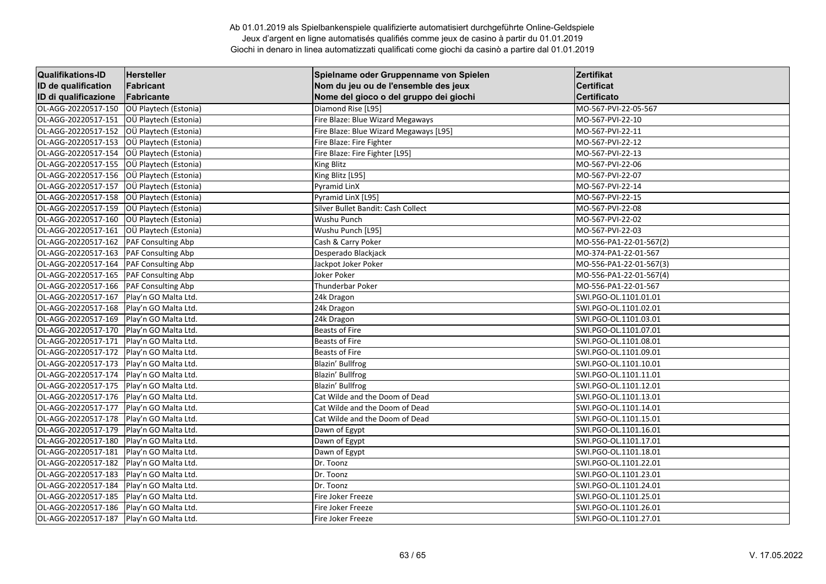| <b>Qualifikations-ID</b> | <b>Hersteller</b>         | Spielname oder Gruppenname von Spielen | Zertifikat              |
|--------------------------|---------------------------|----------------------------------------|-------------------------|
| ID de qualification      | Fabricant                 | Nom du jeu ou de l'ensemble des jeux   | <b>Certificat</b>       |
| ID di qualificazione     | Fabricante                | Nome del gioco o del gruppo dei giochi | <b>Certificato</b>      |
| OL-AGG-20220517-150      | OÜ Playtech (Estonia)     | Diamond Rise [L95]                     | MO-567-PVI-22-05-567    |
| OL-AGG-20220517-151      | OÜ Playtech (Estonia)     | Fire Blaze: Blue Wizard Megaways       | MO-567-PVI-22-10        |
| OL-AGG-20220517-152      | OÜ Playtech (Estonia)     | Fire Blaze: Blue Wizard Megaways [L95] | MO-567-PVI-22-11        |
| OL-AGG-20220517-153      | OÜ Playtech (Estonia)     | Fire Blaze: Fire Fighter               | MO-567-PVI-22-12        |
| OL-AGG-20220517-154      | OÜ Playtech (Estonia)     | Fire Blaze: Fire Fighter [L95]         | MO-567-PVI-22-13        |
| OL-AGG-20220517-155      | OÜ Playtech (Estonia)     | <b>King Blitz</b>                      | MO-567-PVI-22-06        |
| OL-AGG-20220517-156      | OÜ Playtech (Estonia)     | King Blitz [L95]                       | MO-567-PVI-22-07        |
| OL-AGG-20220517-157      | OÜ Playtech (Estonia)     | Pyramid LinX                           | MO-567-PVI-22-14        |
| OL-AGG-20220517-158      | OÜ Playtech (Estonia)     | Pyramid LinX [L95]                     | MO-567-PVI-22-15        |
| OL-AGG-20220517-159      | OÜ Playtech (Estonia)     | Silver Bullet Bandit: Cash Collect     | MO-567-PVI-22-08        |
| OL-AGG-20220517-160      | OÜ Playtech (Estonia)     | Wushu Punch                            | MO-567-PVI-22-02        |
| OL-AGG-20220517-161      | OÜ Playtech (Estonia)     | Wushu Punch [L95]                      | MO-567-PVI-22-03        |
| OL-AGG-20220517-162      | PAF Consulting Abp        | Cash & Carry Poker                     | MO-556-PA1-22-01-567(2) |
| OL-AGG-20220517-163      | PAF Consulting Abp        | Desperado Blackjack                    | MO-374-PA1-22-01-567    |
| OL-AGG-20220517-164      | PAF Consulting Abp        | Jackpot Joker Poker                    | MO-556-PA1-22-01-567(3) |
| OL-AGG-20220517-165      | <b>PAF Consulting Abp</b> | Joker Poker                            | MO-556-PA1-22-01-567(4) |
| OL-AGG-20220517-166      | <b>PAF Consulting Abp</b> | Thunderbar Poker                       | MO-556-PA1-22-01-567    |
| OL-AGG-20220517-167      | Play'n GO Malta Ltd.      | 24k Dragon                             | SWI.PGO-OL.1101.01.01   |
| OL-AGG-20220517-168      | Play'n GO Malta Ltd.      | 24k Dragon                             | SWI.PGO-OL.1101.02.01   |
| OL-AGG-20220517-169      | Play'n GO Malta Ltd.      | 24k Dragon                             | SWI.PGO-OL.1101.03.01   |
| OL-AGG-20220517-170      | Play'n GO Malta Ltd.      | <b>Beasts of Fire</b>                  | SWI.PGO-OL.1101.07.01   |
| OL-AGG-20220517-171      | Play'n GO Malta Ltd.      | <b>Beasts of Fire</b>                  | SWI.PGO-OL.1101.08.01   |
| OL-AGG-20220517-172      | Play'n GO Malta Ltd.      | <b>Beasts of Fire</b>                  | SWI.PGO-OL.1101.09.01   |
| OL-AGG-20220517-173      | Play'n GO Malta Ltd.      | Blazin' Bullfrog                       | SWI.PGO-OL.1101.10.01   |
| OL-AGG-20220517-174      | Play'n GO Malta Ltd.      | Blazin' Bullfrog                       | SWI.PGO-OL.1101.11.01   |
| OL-AGG-20220517-175      | Play'n GO Malta Ltd.      | Blazin' Bullfrog                       | SWI.PGO-OL.1101.12.01   |
| OL-AGG-20220517-176      | Play'n GO Malta Ltd.      | Cat Wilde and the Doom of Dead         | SWI.PGO-OL.1101.13.01   |
| OL-AGG-20220517-177      | Play'n GO Malta Ltd.      | Cat Wilde and the Doom of Dead         | SWI.PGO-OL.1101.14.01   |
| OL-AGG-20220517-178      | Play'n GO Malta Ltd.      | Cat Wilde and the Doom of Dead         | SWI.PGO-OL.1101.15.01   |
| OL-AGG-20220517-179      | Play'n GO Malta Ltd.      | Dawn of Egypt                          | SWI.PGO-OL.1101.16.01   |
| OL-AGG-20220517-180      | Play'n GO Malta Ltd.      | Dawn of Egypt                          | SWI.PGO-OL.1101.17.01   |
| OL-AGG-20220517-181      | Play'n GO Malta Ltd.      | Dawn of Egypt                          | SWI.PGO-OL.1101.18.01   |
| OL-AGG-20220517-182      | Play'n GO Malta Ltd.      | Dr. Toonz                              | SWI.PGO-OL.1101.22.01   |
| OL-AGG-20220517-183      | Play'n GO Malta Ltd.      | Dr. Toonz                              | SWI.PGO-OL.1101.23.01   |
| OL-AGG-20220517-184      | Play'n GO Malta Ltd.      | Dr. Toonz                              | SWI.PGO-OL.1101.24.01   |
| OL-AGG-20220517-185      | Play'n GO Malta Ltd.      | Fire Joker Freeze                      | SWI.PGO-OL.1101.25.01   |
| OL-AGG-20220517-186      | Play'n GO Malta Ltd.      | Fire Joker Freeze                      | SWI.PGO-OL.1101.26.01   |
| OL-AGG-20220517-187      | Play'n GO Malta Ltd.      | Fire Joker Freeze                      | SWI.PGO-OL.1101.27.01   |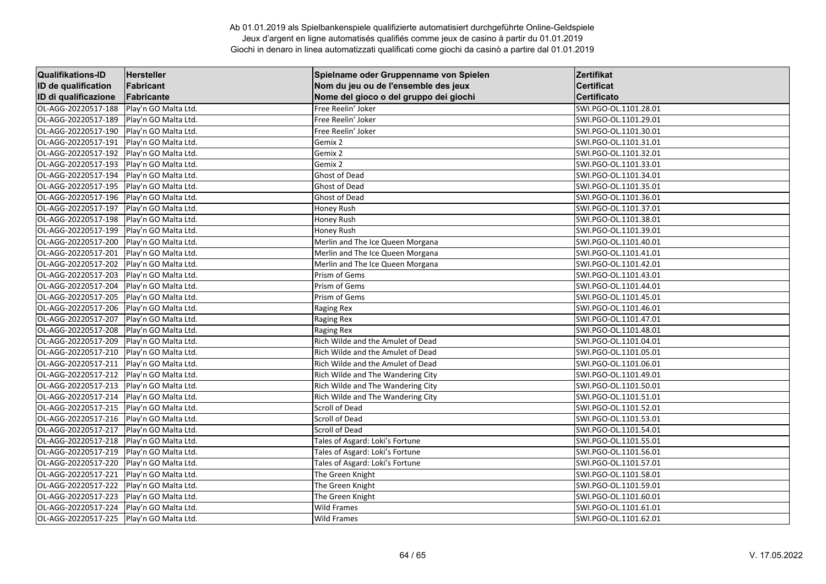| <b>Qualifikations-ID</b> | <b>Hersteller</b>    | Spielname oder Gruppenname von Spielen | Zertifikat            |
|--------------------------|----------------------|----------------------------------------|-----------------------|
| ID de qualification      | Fabricant            | Nom du jeu ou de l'ensemble des jeux   | <b>Certificat</b>     |
| ID di qualificazione     | Fabricante           | Nome del gioco o del gruppo dei giochi | <b>Certificato</b>    |
| OL-AGG-20220517-188      | Play'n GO Malta Ltd. | Free Reelin' Joker                     | SWI.PGO-OL.1101.28.01 |
| OL-AGG-20220517-189      | Play'n GO Malta Ltd. | Free Reelin' Joker                     | SWI.PGO-OL.1101.29.01 |
| OL-AGG-20220517-190      | Play'n GO Malta Ltd. | Free Reelin' Joker                     | SWI.PGO-OL.1101.30.01 |
| OL-AGG-20220517-191      | Play'n GO Malta Ltd. | Gemix 2                                | SWI.PGO-OL.1101.31.01 |
| OL-AGG-20220517-192      | Play'n GO Malta Ltd. | Gemix 2                                | SWI.PGO-OL.1101.32.01 |
| OL-AGG-20220517-193      | Play'n GO Malta Ltd. | Gemix 2                                | SWI.PGO-OL.1101.33.01 |
| OL-AGG-20220517-194      | Play'n GO Malta Ltd. | Ghost of Dead                          | SWI.PGO-OL.1101.34.01 |
| OL-AGG-20220517-195      | Play'n GO Malta Ltd. | <b>Ghost of Dead</b>                   | SWI.PGO-OL.1101.35.01 |
| OL-AGG-20220517-196      | Play'n GO Malta Ltd. | <b>Ghost of Dead</b>                   | SWI.PGO-OL.1101.36.01 |
| OL-AGG-20220517-197      | Play'n GO Malta Ltd. | Honey Rush                             | SWI.PGO-OL.1101.37.01 |
| OL-AGG-20220517-198      | Play'n GO Malta Ltd. | Honey Rush                             | SWI.PGO-OL.1101.38.01 |
| OL-AGG-20220517-199      | Play'n GO Malta Ltd. | Honey Rush                             | SWI.PGO-OL.1101.39.01 |
| OL-AGG-20220517-200      | Play'n GO Malta Ltd. | Merlin and The Ice Queen Morgana       | SWI.PGO-OL.1101.40.01 |
| OL-AGG-20220517-201      | Play'n GO Malta Ltd. | Merlin and The Ice Queen Morgana       | SWI.PGO-OL.1101.41.01 |
| OL-AGG-20220517-202      | Play'n GO Malta Ltd. | Merlin and The Ice Queen Morgana       | SWI.PGO-OL.1101.42.01 |
| OL-AGG-20220517-203      | Play'n GO Malta Ltd. | Prism of Gems                          | SWI.PGO-OL.1101.43.01 |
| OL-AGG-20220517-204      | Play'n GO Malta Ltd. | Prism of Gems                          | SWI.PGO-OL.1101.44.01 |
| OL-AGG-20220517-205      | Play'n GO Malta Ltd. | Prism of Gems                          | SWI.PGO-OL.1101.45.01 |
| OL-AGG-20220517-206      | Play'n GO Malta Ltd. | <b>Raging Rex</b>                      | SWI.PGO-OL.1101.46.01 |
| OL-AGG-20220517-207      | Play'n GO Malta Ltd. | Raging Rex                             | SWI.PGO-OL.1101.47.01 |
| OL-AGG-20220517-208      | Play'n GO Malta Ltd. | <b>Raging Rex</b>                      | SWI.PGO-OL.1101.48.01 |
| OL-AGG-20220517-209      | Play'n GO Malta Ltd. | Rich Wilde and the Amulet of Dead      | SWI.PGO-OL.1101.04.01 |
| OL-AGG-20220517-210      | Play'n GO Malta Ltd. | Rich Wilde and the Amulet of Dead      | SWI.PGO-OL.1101.05.01 |
| OL-AGG-20220517-211      | Play'n GO Malta Ltd. | Rich Wilde and the Amulet of Dead      | SWI.PGO-OL.1101.06.01 |
| OL-AGG-20220517-212      | Play'n GO Malta Ltd. | Rich Wilde and The Wandering City      | SWI.PGO-OL.1101.49.01 |
| OL-AGG-20220517-213      | Play'n GO Malta Ltd. | Rich Wilde and The Wandering City      | SWI.PGO-OL.1101.50.01 |
| OL-AGG-20220517-214      | Play'n GO Malta Ltd. | Rich Wilde and The Wandering City      | SWI.PGO-OL.1101.51.01 |
| OL-AGG-20220517-215      | Play'n GO Malta Ltd. | <b>Scroll of Dead</b>                  | SWI.PGO-OL.1101.52.01 |
| OL-AGG-20220517-216      | Play'n GO Malta Ltd. | <b>Scroll of Dead</b>                  | SWI.PGO-OL.1101.53.01 |
| OL-AGG-20220517-217      | Play'n GO Malta Ltd. | <b>Scroll of Dead</b>                  | SWI.PGO-OL.1101.54.01 |
| OL-AGG-20220517-218      | Play'n GO Malta Ltd. | Tales of Asgard: Loki's Fortune        | SWI.PGO-OL.1101.55.01 |
| OL-AGG-20220517-219      | Play'n GO Malta Ltd. | Tales of Asgard: Loki's Fortune        | SWI.PGO-OL.1101.56.01 |
| OL-AGG-20220517-220      | Play'n GO Malta Ltd. | Tales of Asgard: Loki's Fortune        | SWI.PGO-OL.1101.57.01 |
| OL-AGG-20220517-221      | Play'n GO Malta Ltd. | The Green Knight                       | SWI.PGO-OL.1101.58.01 |
| OL-AGG-20220517-222      | Play'n GO Malta Ltd. | The Green Knight                       | SWI.PGO-OL.1101.59.01 |
| OL-AGG-20220517-223      | Play'n GO Malta Ltd. | The Green Knight                       | SWI.PGO-OL.1101.60.01 |
| OL-AGG-20220517-224      | Play'n GO Malta Ltd. | <b>Wild Frames</b>                     | SWI.PGO-OL.1101.61.01 |
| OL-AGG-20220517-225      | Play'n GO Malta Ltd. | <b>Wild Frames</b>                     | SWI.PGO-OL.1101.62.01 |